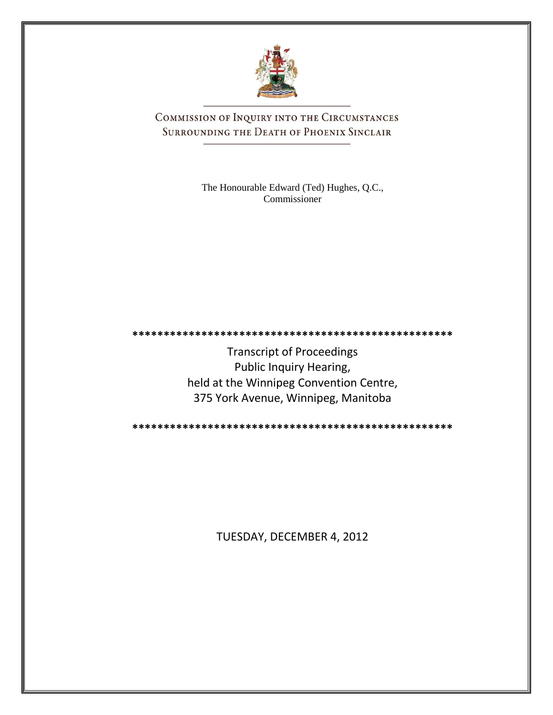

COMMISSION OF INQUIRY INTO THE CIRCUMSTANCES SURROUNDING THE DEATH OF PHOENIX SINCLAIR

> The Honourable Edward (Ted) Hughes, Q.C., Commissioner

Transcript of Proceedings Public Inquiry Hearing, held at the Winnipeg Convention Centre, 375 York Avenue, Winnipeg, Manitoba

**\*\*\*\*\*\*\*\*\*\*\*\*\*\*\*\*\*\*\*\*\*\*\*\*\*\*\*\*\*\*\*\*\*\*\*\*\*\*\*\*\*\*\*\*\*\*\*\*\*\*\***

**\*\*\*\*\*\*\*\*\*\*\*\*\*\*\*\*\*\*\*\*\*\*\*\*\*\*\*\*\*\*\*\*\*\*\*\*\*\*\*\*\*\*\*\*\*\*\*\*\*\*\***

TUESDAY, DECEMBER 4, 2012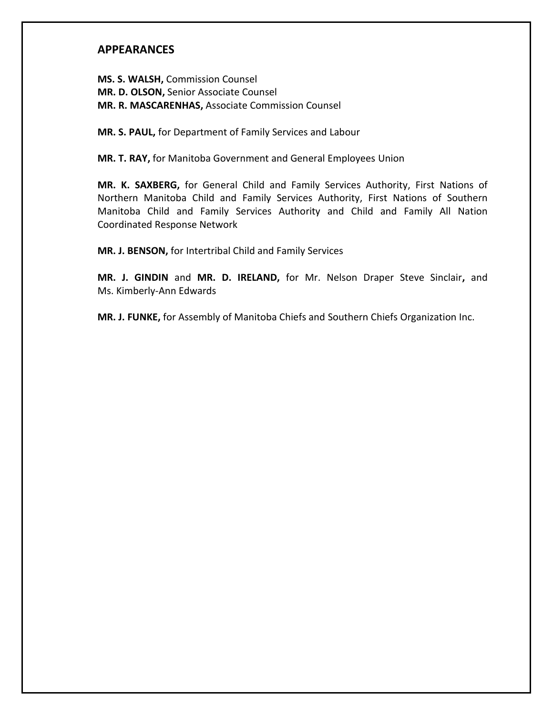# **APPEARANCES**

**MS. S. WALSH,** Commission Counsel **MR. D. OLSON,** Senior Associate Counsel **MR. R. MASCARENHAS,** Associate Commission Counsel

**MR. S. PAUL,** for Department of Family Services and Labour

**MR. T. RAY,** for Manitoba Government and General Employees Union

**MR. K. SAXBERG,** for General Child and Family Services Authority, First Nations of Northern Manitoba Child and Family Services Authority, First Nations of Southern Manitoba Child and Family Services Authority and Child and Family All Nation Coordinated Response Network

**MR. J. BENSON,** for Intertribal Child and Family Services

**MR. J. GINDIN** and **MR. D. IRELAND,** for Mr. Nelson Draper Steve Sinclair**,** and Ms. Kimberly-Ann Edwards

**MR. J. FUNKE,** for Assembly of Manitoba Chiefs and Southern Chiefs Organization Inc.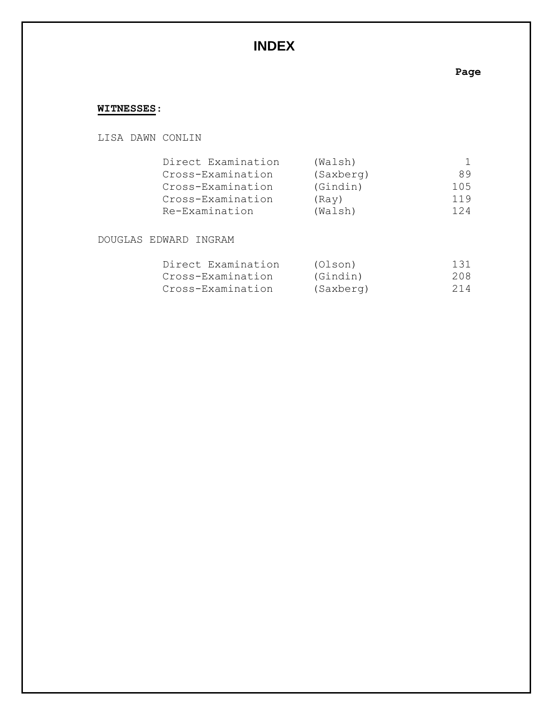# **INDEX**

# **Page**

# **WITNESSES**:

## LISA DAWN CONLIN

| Direct Examination | (Walsh)   |     |
|--------------------|-----------|-----|
| Cross-Examination  | (Saxberg) | 89  |
| Cross-Examination  | (Gindin)  | 105 |
| Cross-Examination  | (Rav)     | 119 |
| Re-Examination     | (Walsh)   | 124 |

DOUGLAS EDWARD INGRAM

| Direct Examination | (Olson)   | 131 |
|--------------------|-----------|-----|
| Cross-Examination  | (Gindin)  | 208 |
| Cross-Examination  | (Saxberg) | 214 |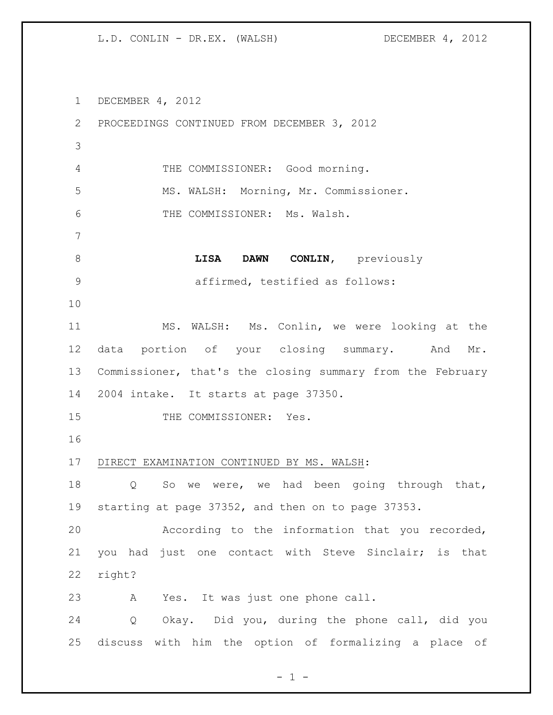DECEMBER 4, 2012 PROCEEDINGS CONTINUED FROM DECEMBER 3, 2012 THE COMMISSIONER: Good morning. MS. WALSH: Morning, Mr. Commissioner. THE COMMISSIONER: Ms. Walsh. **LISA DAWN CONLIN,** previously affirmed, testified as follows: MS. WALSH: Ms. Conlin, we were looking at the data portion of your closing summary. And Mr. Commissioner, that's the closing summary from the February 2004 intake. It starts at page 37350. 15 THE COMMISSIONER: Yes. DIRECT EXAMINATION CONTINUED BY MS. WALSH: 18 Q So we were, we had been going through that, starting at page 37352, and then on to page 37353. According to the information that you recorded, you had just one contact with Steve Sinclair; is that right? A Yes. It was just one phone call. Q Okay. Did you, during the phone call, did you discuss with him the option of formalizing a place of

 $- 1 -$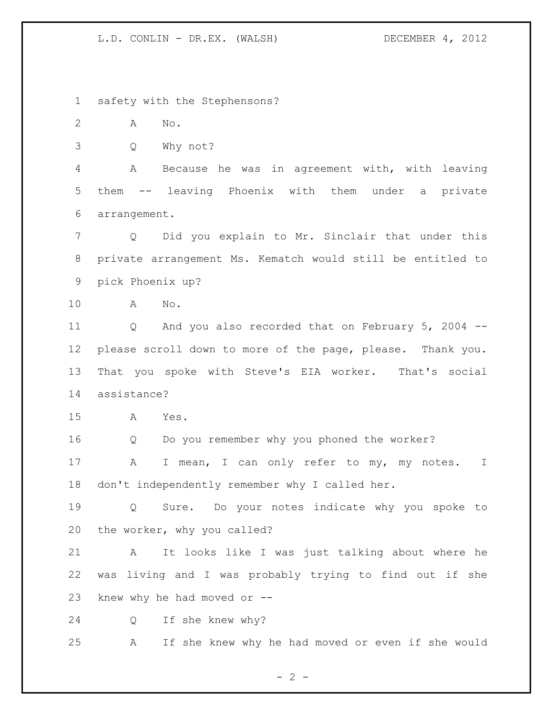safety with the Stephensons?

A No.

Q Why not?

 A Because he was in agreement with, with leaving them -- leaving Phoenix with them under a private arrangement.

 Q Did you explain to Mr. Sinclair that under this private arrangement Ms. Kematch would still be entitled to pick Phoenix up?

A No.

 Q And you also recorded that on February 5, 2004 -- please scroll down to more of the page, please. Thank you. That you spoke with Steve's EIA worker. That's social assistance?

A Yes.

Q Do you remember why you phoned the worker?

17 A I mean, I can only refer to my, my notes. I don't independently remember why I called her.

 Q Sure. Do your notes indicate why you spoke to the worker, why you called?

 A It looks like I was just talking about where he was living and I was probably trying to find out if she knew why he had moved or --

Q If she knew why?

A If she knew why he had moved or even if she would

 $- 2 -$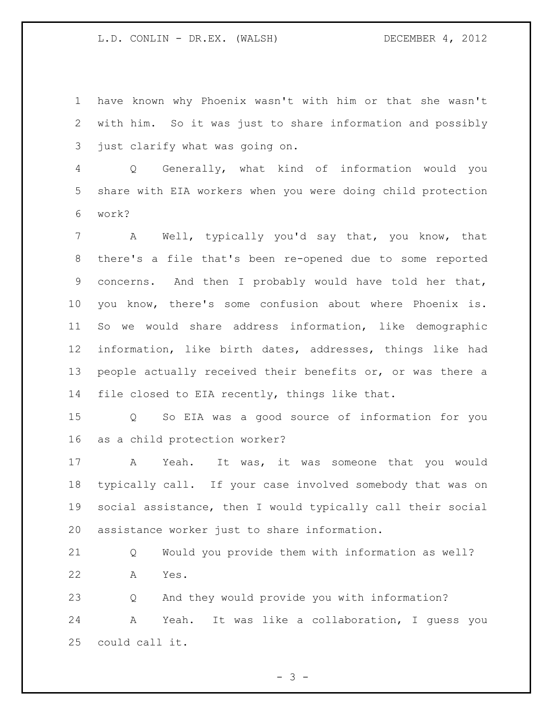have known why Phoenix wasn't with him or that she wasn't with him. So it was just to share information and possibly just clarify what was going on.

 Q Generally, what kind of information would you share with EIA workers when you were doing child protection work?

 A Well, typically you'd say that, you know, that there's a file that's been re-opened due to some reported concerns. And then I probably would have told her that, you know, there's some confusion about where Phoenix is. So we would share address information, like demographic information, like birth dates, addresses, things like had people actually received their benefits or, or was there a file closed to EIA recently, things like that.

 Q So EIA was a good source of information for you as a child protection worker?

 A Yeah. It was, it was someone that you would typically call. If your case involved somebody that was on social assistance, then I would typically call their social assistance worker just to share information.

 Q Would you provide them with information as well? A Yes.

 Q And they would provide you with information? A Yeah. It was like a collaboration, I guess you could call it.

 $- 3 -$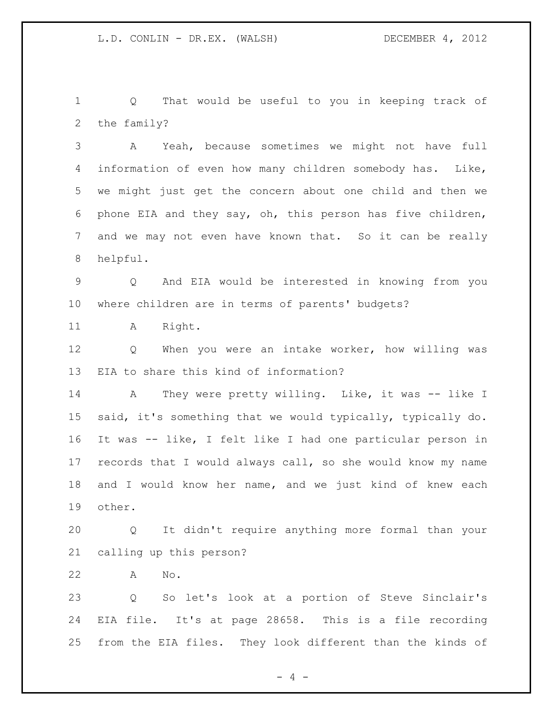Q That would be useful to you in keeping track of the family?

 A Yeah, because sometimes we might not have full information of even how many children somebody has. Like, we might just get the concern about one child and then we phone EIA and they say, oh, this person has five children, and we may not even have known that. So it can be really helpful.

 Q And EIA would be interested in knowing from you where children are in terms of parents' budgets?

11 A Right.

 Q When you were an intake worker, how willing was EIA to share this kind of information?

14 A They were pretty willing. Like, it was -- like I said, it's something that we would typically, typically do. It was -- like, I felt like I had one particular person in records that I would always call, so she would know my name and I would know her name, and we just kind of knew each other.

 Q It didn't require anything more formal than your calling up this person?

A No.

 Q So let's look at a portion of Steve Sinclair's EIA file. It's at page 28658. This is a file recording from the EIA files. They look different than the kinds of

 $- 4 -$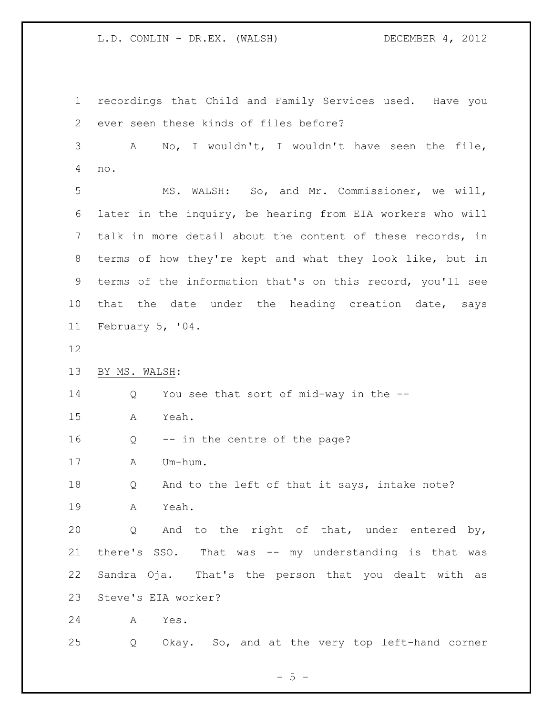recordings that Child and Family Services used. Have you ever seen these kinds of files before? A No, I wouldn't, I wouldn't have seen the file, no. MS. WALSH: So, and Mr. Commissioner, we will, later in the inquiry, be hearing from EIA workers who will talk in more detail about the content of these records, in terms of how they're kept and what they look like, but in terms of the information that's on this record, you'll see 10 that the date under the heading creation date, says February 5, '04. BY MS. WALSH: Q You see that sort of mid-way in the -- A Yeah. Q -- in the centre of the page? A Um-hum. 18 Q And to the left of that it says, intake note? A Yeah. Q And to the right of that, under entered by, there's SSO. That was -- my understanding is that was Sandra Oja. That's the person that you dealt with as Steve's EIA worker? A Yes. Q Okay. So, and at the very top left-hand corner

 $- 5 -$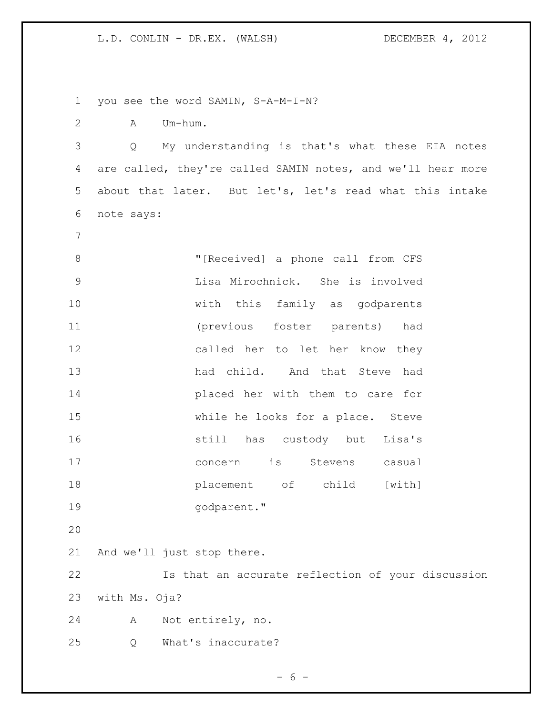you see the word SAMIN, S-A-M-I-N? A Um-hum. Q My understanding is that's what these EIA notes are called, they're called SAMIN notes, and we'll hear more about that later. But let's, let's read what this intake note says: "[Received] a phone call from CFS Lisa Mirochnick. She is involved with this family as godparents (previous foster parents) had called her to let her know they had child. And that Steve had placed her with them to care for while he looks for a place. Steve still has custody but Lisa's concern is Stevens casual **placement** of child [with] godparent." And we'll just stop there. Is that an accurate reflection of your discussion with Ms. Oja? A Not entirely, no. Q What's inaccurate?

 $- 6 -$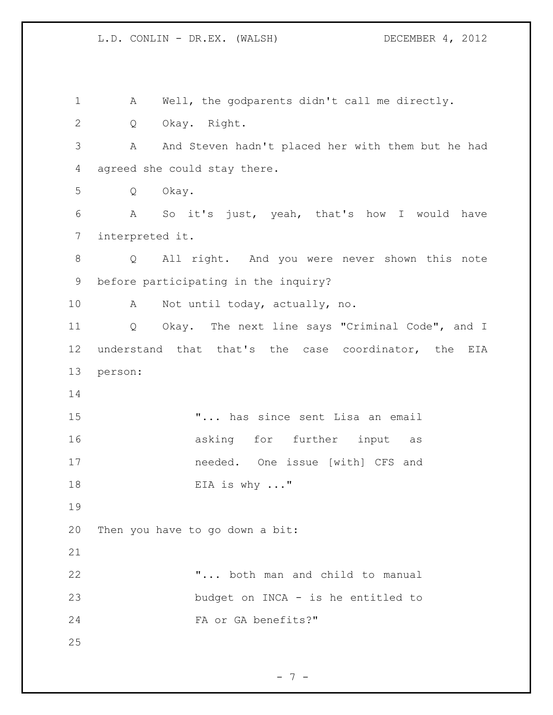A Well, the godparents didn't call me directly. Q Okay. Right. A And Steven hadn't placed her with them but he had agreed she could stay there. Q Okay. A So it's just, yeah, that's how I would have interpreted it. Q All right. And you were never shown this note before participating in the inquiry? A Not until today, actually, no. Q Okay. The next line says "Criminal Code", and I understand that that's the case coordinator, the EIA person: "... has since sent Lisa an email 16 asking for further input as needed. One issue [with] CFS and 18 EIA is why ..." Then you have to go down a bit: "... both man and child to manual budget on INCA - is he entitled to FA or GA benefits?" 

- 7 -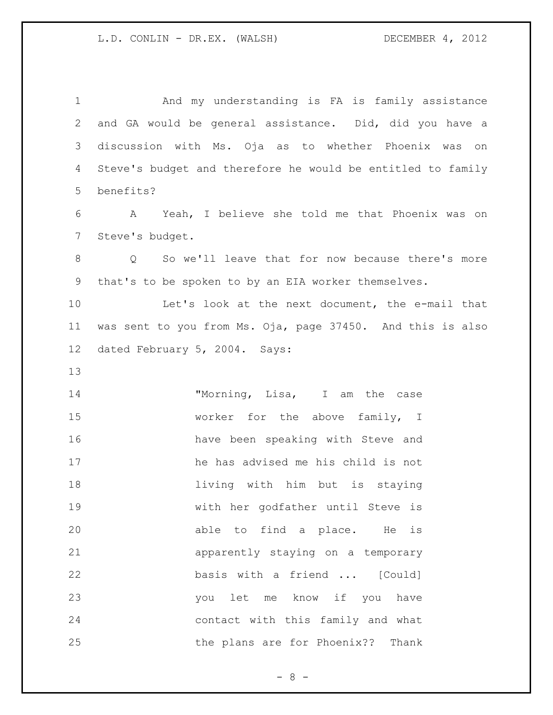And my understanding is FA is family assistance and GA would be general assistance. Did, did you have a discussion with Ms. Oja as to whether Phoenix was on Steve's budget and therefore he would be entitled to family benefits? A Yeah, I believe she told me that Phoenix was on Steve's budget. Q So we'll leave that for now because there's more that's to be spoken to by an EIA worker themselves. Let's look at the next document, the e-mail that was sent to you from Ms. Oja, page 37450. And this is also dated February 5, 2004. Says: 14 "Morning, Lisa, I am the case 15 worker for the above family, I have been speaking with Steve and he has advised me his child is not living with him but is staying with her godfather until Steve is able to find a place. He is apparently staying on a temporary basis with a friend ... [Could] you let me know if you have contact with this family and what the plans are for Phoenix?? Thank

- 8 -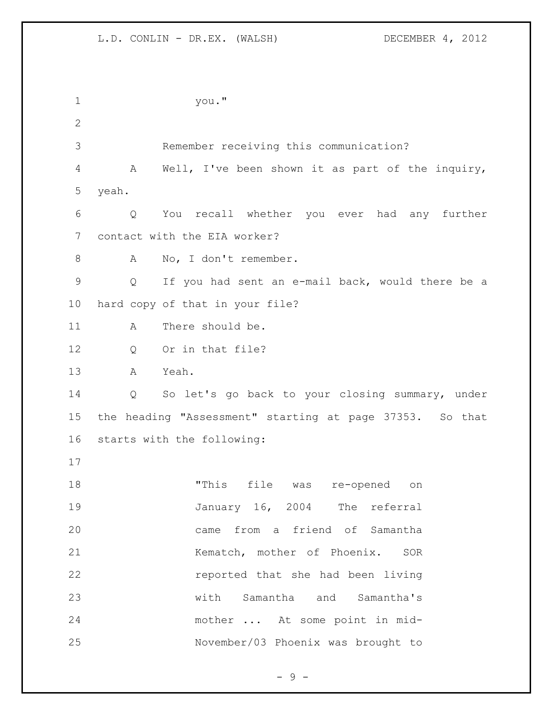you." Remember receiving this communication? A Well, I've been shown it as part of the inquiry, yeah. Q You recall whether you ever had any further contact with the EIA worker? 8 A No, I don't remember. Q If you had sent an e-mail back, would there be a hard copy of that in your file? 11 A There should be. Q Or in that file? A Yeah. Q So let's go back to your closing summary, under the heading "Assessment" starting at page 37353. So that starts with the following: "This file was re-opened on 19 January 16, 2004 The referral came from a friend of Samantha 21 Kematch, mother of Phoenix. SOR reported that she had been living with Samantha and Samantha's mother ... At some point in mid-November/03 Phoenix was brought to

 $-9 -$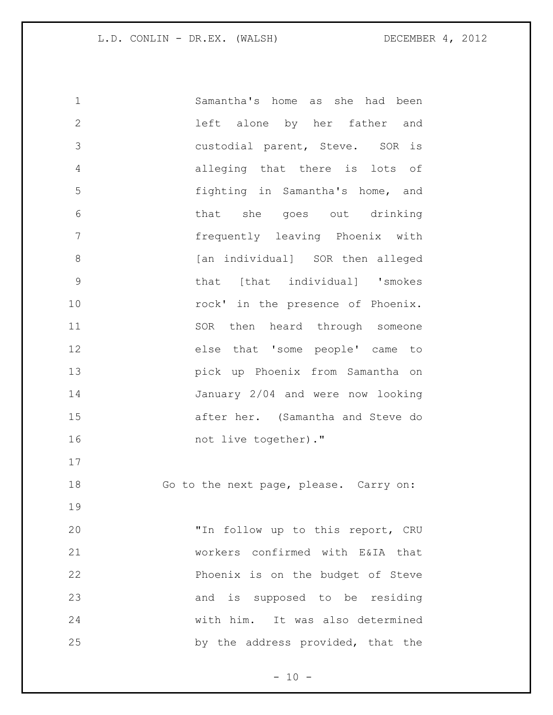Samantha's home as she had been left alone by her father and custodial parent, Steve. SOR is alleging that there is lots of fighting in Samantha's home, and that she goes out drinking frequently leaving Phoenix with **8** [an individual] SOR then alleged that [that individual] 'smokes **rock'** in the presence of Phoenix. 11 SOR then heard through someone else that 'some people' came to pick up Phoenix from Samantha on January 2/04 and were now looking after her. (Samantha and Steve do 16 not live together)." 18 Go to the next page, please. Carry on: "In follow up to this report, CRU workers confirmed with E&IA that Phoenix is on the budget of Steve and is supposed to be residing with him. It was also determined by the address provided, that the

 $- 10 -$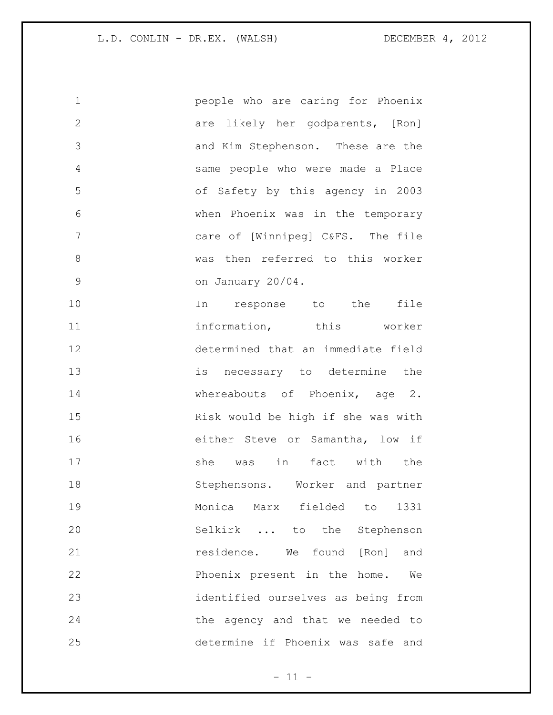| $\mathbf 1$   | people who are caring for Phoenix  |
|---------------|------------------------------------|
| $\mathbf{2}$  | are likely her godparents, [Ron]   |
| 3             | and Kim Stephenson. These are the  |
| 4             | same people who were made a Place  |
| 5             | of Safety by this agency in 2003   |
| 6             | when Phoenix was in the temporary  |
| 7             | care of [Winnipeg] C&FS. The file  |
| 8             | was then referred to this worker   |
| $\mathcal{G}$ | on January 20/04.                  |
| 10            | response to the file<br>In         |
| 11            | information, this worker           |
| 12            | determined that an immediate field |
| 13            | is necessary to determine the      |
| 14            | whereabouts of Phoenix, age 2.     |
| 15            | Risk would be high if she was with |
| 16            | either Steve or Samantha, low if   |
| 17            | she was in fact with the           |
| 18            | Stephensons. Worker and partner    |
| 19            | Monica Marx fielded to<br>1331     |
| 20            | Selkirk  to the Stephenson         |
| 21            | residence. We found [Ron] and      |
| 22            | Phoenix present in the home.<br>We |
| 23            | identified ourselves as being from |
| 24            | the agency and that we needed to   |
| 25            | determine if Phoenix was safe and  |

 $- 11 -$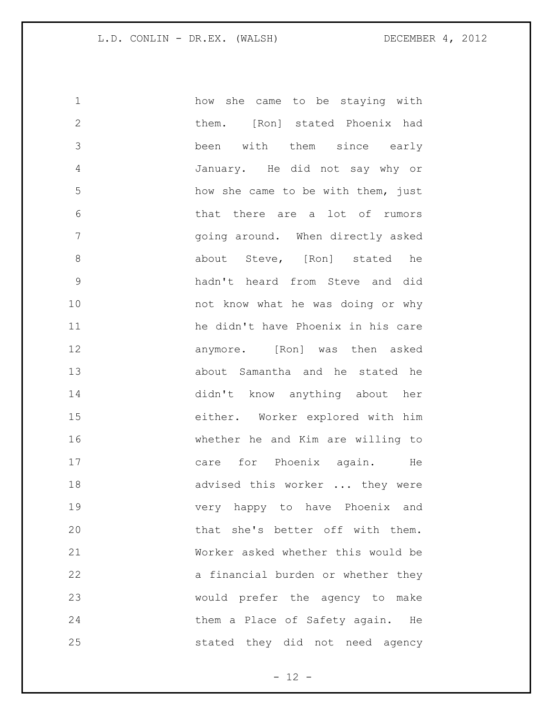| 1             | how she came to be staying with    |
|---------------|------------------------------------|
| $\mathbf{2}$  | them. [Ron] stated Phoenix had     |
| 3             | been with them since early         |
| 4             | January. He did not say why or     |
| 5             | how she came to be with them, just |
| 6             | that there are a lot of rumors     |
| 7             | going around. When directly asked  |
| $8\,$         | about Steve, [Ron] stated he       |
| $\mathcal{G}$ | hadn't heard from Steve and did    |
| 10            | not know what he was doing or why  |
| 11            | he didn't have Phoenix in his care |
| 12            | anymore. [Ron] was then asked      |
| 13            | about Samantha and he stated he    |
| 14            | didn't know anything about her     |
| 15            | either. Worker explored with him   |
| 16            | whether he and Kim are willing to  |
| 17            | care for Phoenix again. He         |
| 18            | advised this worker  they were     |
| 19            | very happy to have Phoenix and     |
| 20            | that she's better off with them.   |
| 21            | Worker asked whether this would be |
| 22            | a financial burden or whether they |
| 23            | would prefer the agency to make    |
| 24            | them a Place of Safety again. He   |
| 25            | stated they did not need agency    |

- 12 -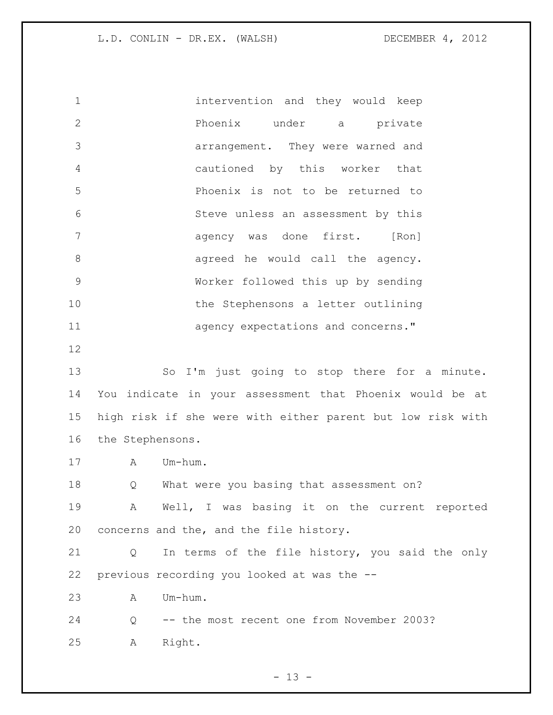intervention and they would keep Phoenix under a private arrangement. They were warned and cautioned by this worker that Phoenix is not to be returned to Steve unless an assessment by this agency was done first. [Ron] 8 agreed he would call the agency. Worker followed this up by sending 10 the Stephensons a letter outlining **11 agency expectations and concerns."**  So I'm just going to stop there for a minute. You indicate in your assessment that Phoenix would be at high risk if she were with either parent but low risk with the Stephensons. A Um-hum. Q What were you basing that assessment on? A Well, I was basing it on the current reported concerns and the, and the file history. Q In terms of the file history, you said the only previous recording you looked at was the -- A Um-hum. Q -- the most recent one from November 2003? A Right.

 $- 13 -$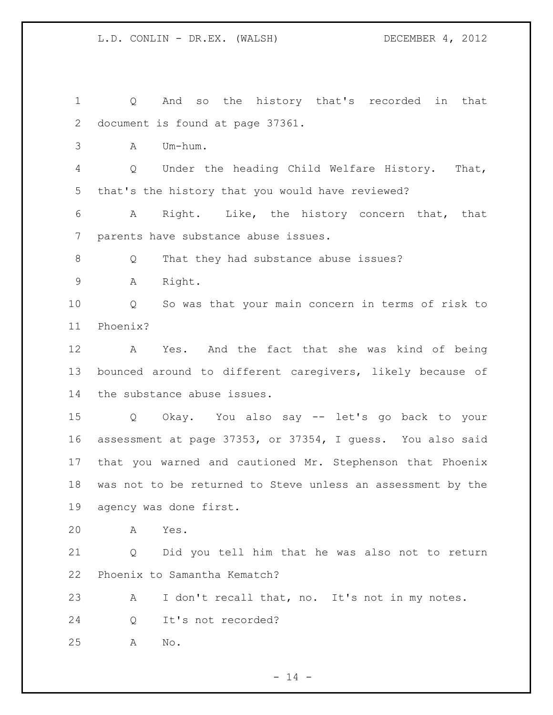Q And so the history that's recorded in that document is found at page 37361. A Um-hum. Q Under the heading Child Welfare History. That, that's the history that you would have reviewed? A Right. Like, the history concern that, that parents have substance abuse issues. 8 Q That they had substance abuse issues? A Right. Q So was that your main concern in terms of risk to Phoenix? A Yes. And the fact that she was kind of being bounced around to different caregivers, likely because of the substance abuse issues. Q Okay. You also say -- let's go back to your assessment at page 37353, or 37354, I guess. You also said that you warned and cautioned Mr. Stephenson that Phoenix was not to be returned to Steve unless an assessment by the agency was done first. A Yes. Q Did you tell him that he was also not to return Phoenix to Samantha Kematch? A I don't recall that, no. It's not in my notes. Q It's not recorded? A No.

 $- 14 -$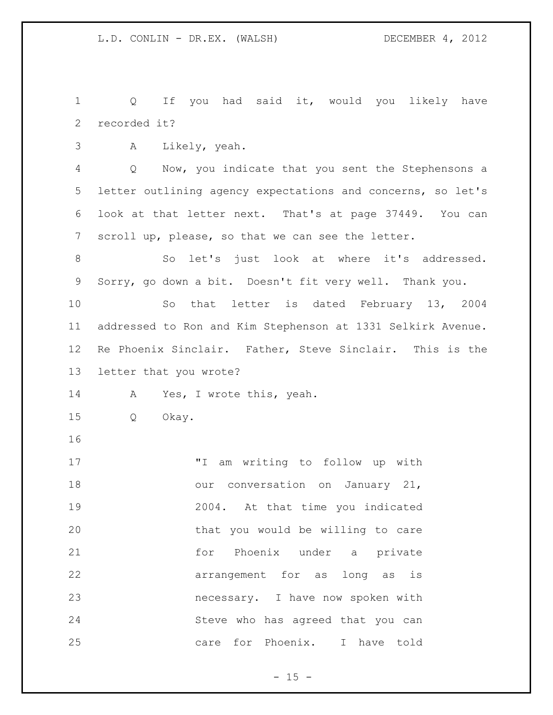1 Q If you had said it, would you likely have recorded it?

A Likely, yeah.

 Q Now, you indicate that you sent the Stephensons a letter outlining agency expectations and concerns, so let's look at that letter next. That's at page 37449. You can scroll up, please, so that we can see the letter.

 So let's just look at where it's addressed. Sorry, go down a bit. Doesn't fit very well. Thank you.

 So that letter is dated February 13, 2004 addressed to Ron and Kim Stephenson at 1331 Selkirk Avenue. Re Phoenix Sinclair. Father, Steve Sinclair. This is the letter that you wrote?

A Yes, I wrote this, yeah.

- Q Okay.
- 

 "I am writing to follow up with 18 our conversation on January 21, 2004. At that time you indicated that you would be willing to care 21 for Phoenix under a private arrangement for as long as is necessary. I have now spoken with Steve who has agreed that you can care for Phoenix. I have told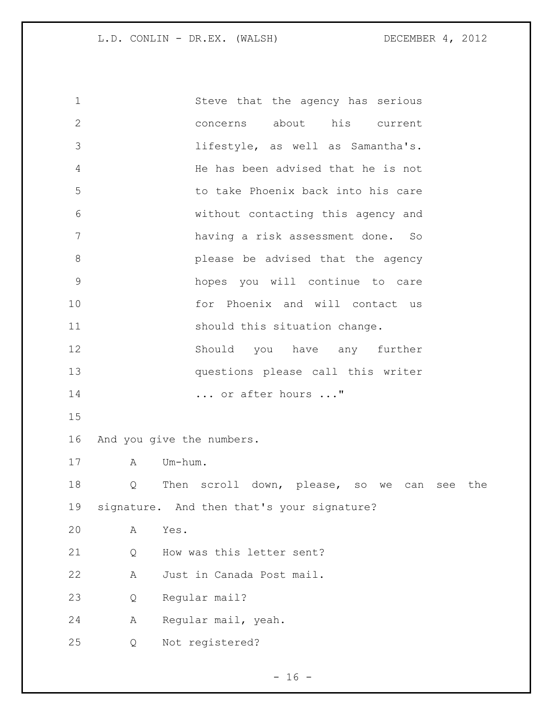Steve that the agency has serious concerns about his current lifestyle, as well as Samantha's. He has been advised that he is not to take Phoenix back into his care without contacting this agency and having a risk assessment done. So please be advised that the agency hopes you will continue to care for Phoenix and will contact us 11 should this situation change. Should you have any further questions please call this writer ... or after hours ..." And you give the numbers. A Um-hum. Q Then scroll down, please, so we can see the signature. And then that's your signature? A Yes. 21 O How was this letter sent? A Just in Canada Post mail. Q Regular mail? A Regular mail, yeah. Q Not registered?

 $- 16 -$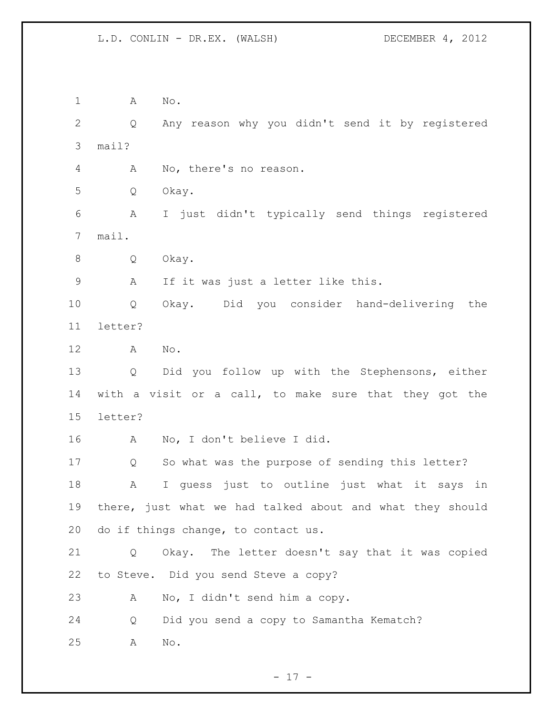A No. Q Any reason why you didn't send it by registered mail? A No, there's no reason. Q Okay. A I just didn't typically send things registered mail. Q Okay. A If it was just a letter like this. Q Okay. Did you consider hand-delivering the letter? A No. Q Did you follow up with the Stephensons, either with a visit or a call, to make sure that they got the letter? A No, I don't believe I did. Q So what was the purpose of sending this letter? A I guess just to outline just what it says in there, just what we had talked about and what they should do if things change, to contact us. Q Okay. The letter doesn't say that it was copied to Steve. Did you send Steve a copy? A No, I didn't send him a copy. Q Did you send a copy to Samantha Kematch? A No.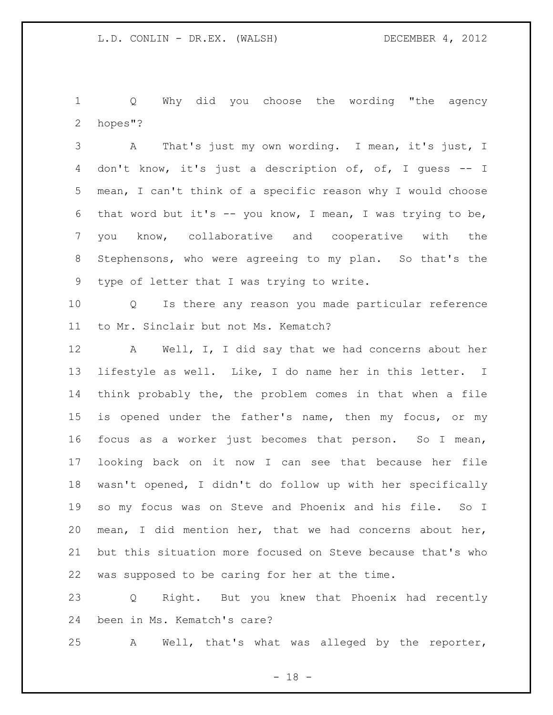Q Why did you choose the wording "the agency hopes"?

 A That's just my own wording. I mean, it's just, I don't know, it's just a description of, of, I guess -- I mean, I can't think of a specific reason why I would choose 6 that word but it's  $-$  you know, I mean, I was trying to be, you know, collaborative and cooperative with the Stephensons, who were agreeing to my plan. So that's the type of letter that I was trying to write.

 Q Is there any reason you made particular reference to Mr. Sinclair but not Ms. Kematch?

12 A Well, I, I did say that we had concerns about her lifestyle as well. Like, I do name her in this letter. I think probably the, the problem comes in that when a file is opened under the father's name, then my focus, or my focus as a worker just becomes that person. So I mean, looking back on it now I can see that because her file wasn't opened, I didn't do follow up with her specifically so my focus was on Steve and Phoenix and his file. So I mean, I did mention her, that we had concerns about her, but this situation more focused on Steve because that's who was supposed to be caring for her at the time.

 Q Right. But you knew that Phoenix had recently been in Ms. Kematch's care?

A Well, that's what was alleged by the reporter,

 $- 18 -$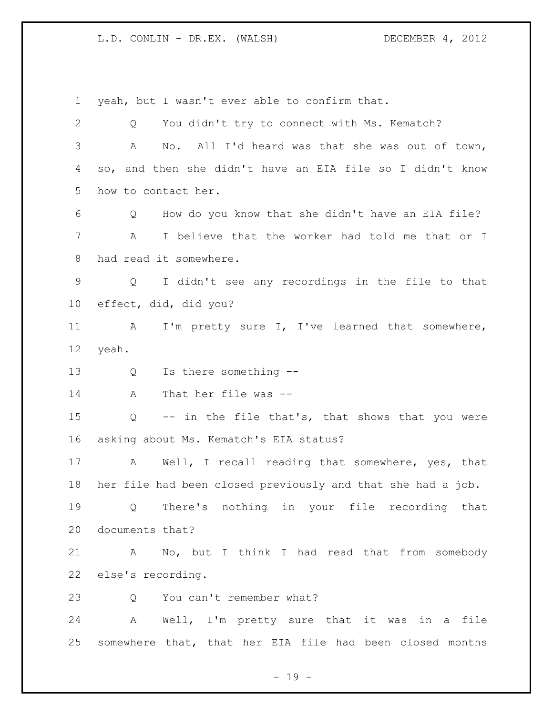yeah, but I wasn't ever able to confirm that. Q You didn't try to connect with Ms. Kematch? A No. All I'd heard was that she was out of town, so, and then she didn't have an EIA file so I didn't know how to contact her. Q How do you know that she didn't have an EIA file? A I believe that the worker had told me that or I had read it somewhere. Q I didn't see any recordings in the file to that effect, did, did you? 11 A I'm pretty sure I, I've learned that somewhere, yeah. Q Is there something -- A That her file was -- Q -- in the file that's, that shows that you were asking about Ms. Kematch's EIA status? A Well, I recall reading that somewhere, yes, that her file had been closed previously and that she had a job. Q There's nothing in your file recording that documents that? A No, but I think I had read that from somebody else's recording. 23 O You can't remember what? A Well, I'm pretty sure that it was in a file somewhere that, that her EIA file had been closed months

- 19 -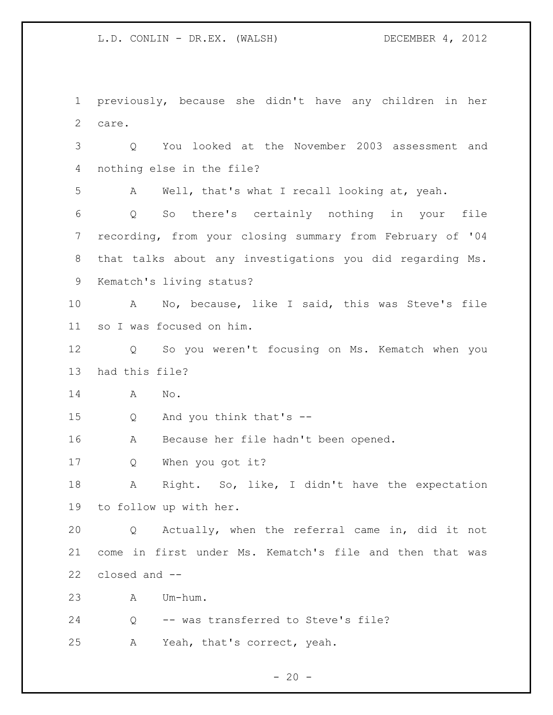previously, because she didn't have any children in her care. Q You looked at the November 2003 assessment and nothing else in the file? A Well, that's what I recall looking at, yeah. Q So there's certainly nothing in your file recording, from your closing summary from February of '04 that talks about any investigations you did regarding Ms. Kematch's living status? A No, because, like I said, this was Steve's file so I was focused on him. Q So you weren't focusing on Ms. Kematch when you had this file? A No. Q And you think that's -- A Because her file hadn't been opened. Q When you got it? A Right. So, like, I didn't have the expectation to follow up with her. Q Actually, when the referral came in, did it not come in first under Ms. Kematch's file and then that was closed and -- A Um-hum. Q -- was transferred to Steve's file? A Yeah, that's correct, yeah.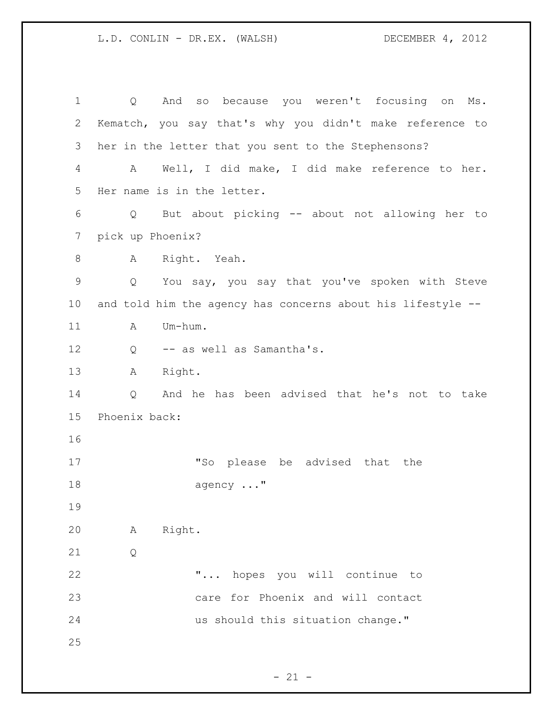| 1            | And so because you weren't focusing on Ms.<br>Q                     |
|--------------|---------------------------------------------------------------------|
| $\mathbf{2}$ | Kematch, you say that's why you didn't make reference to            |
| 3            | her in the letter that you sent to the Stephensons?                 |
| 4            | A Well, I did make, I did make reference to her.                    |
| 5            | Her name is in the letter.                                          |
| 6            | But about picking -- about not allowing her to<br>Q                 |
| 7            | pick up Phoenix?                                                    |
| 8            | A Right. Yeah.                                                      |
| 9            | You say, you say that you've spoken with Steve<br>$Q \qquad \qquad$ |
| 10           | and told him the agency has concerns about his lifestyle --         |
| 11           | Um-hum.<br>A                                                        |
| 12           | -- as well as Samantha's.<br>Q                                      |
| 13           | Right.<br>A                                                         |
| 14           | And he has been advised that he's not to take<br>Q                  |
| 15           | Phoenix back:                                                       |
| 16           |                                                                     |
| 17           | "So please be advised that the                                      |
| 18           | agency "                                                            |
| 19           |                                                                     |
| 20           | Right.<br>Α                                                         |
| 21           | $\mathsf{Q}$                                                        |
| 22           | " hopes you will continue to                                        |
| 23           | care for Phoenix and will contact                                   |
| 24           | us should this situation change."                                   |
| 25           |                                                                     |
|              |                                                                     |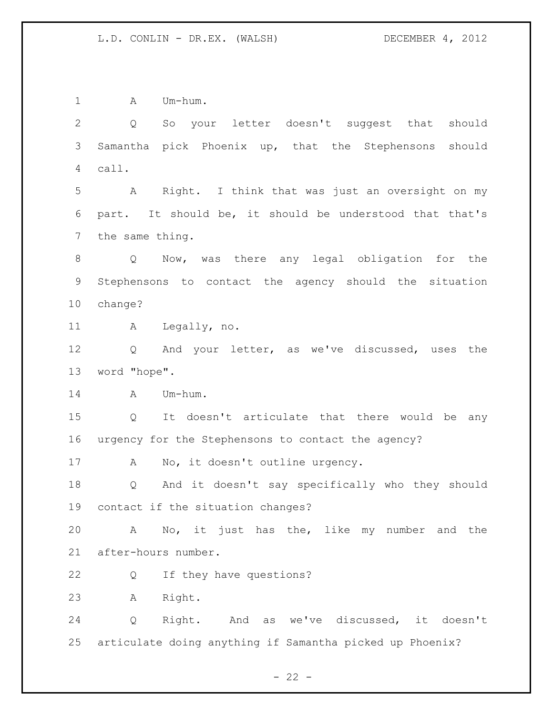1 A Um-hum. Q So your letter doesn't suggest that should Samantha pick Phoenix up, that the Stephensons should call. A Right. I think that was just an oversight on my part. It should be, it should be understood that that's the same thing. Q Now, was there any legal obligation for the Stephensons to contact the agency should the situation change? A Legally, no. Q And your letter, as we've discussed, uses the word "hope". A Um-hum. Q It doesn't articulate that there would be any urgency for the Stephensons to contact the agency? 17 A No, it doesn't outline urgency. Q And it doesn't say specifically who they should contact if the situation changes? A No, it just has the, like my number and the after-hours number. Q If they have questions? A Right. Q Right. And as we've discussed, it doesn't articulate doing anything if Samantha picked up Phoenix?

 $- 22 -$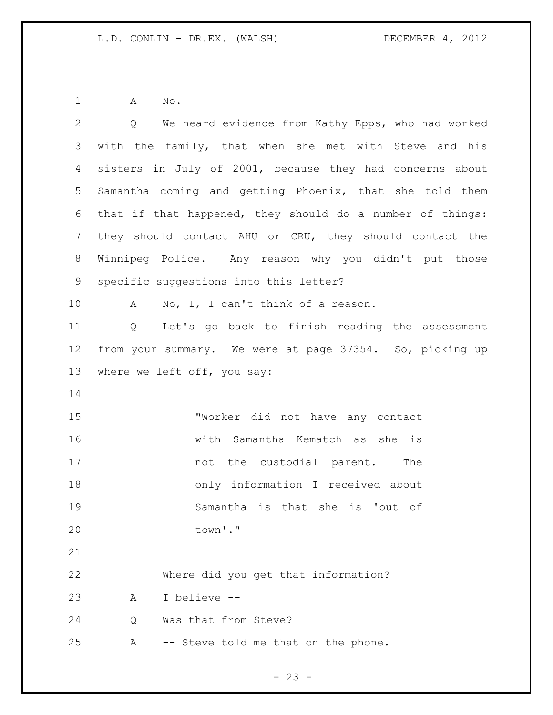1 A No.

| $\overline{2}$ | Q We heard evidence from Kathy Epps, who had worked                 |
|----------------|---------------------------------------------------------------------|
| 3              | with the family, that when she met with Steve and his               |
| 4              | sisters in July of 2001, because they had concerns about            |
| 5              | Samantha coming and getting Phoenix, that she told them             |
| 6              | that if that happened, they should do a number of things:           |
| $\overline{7}$ | they should contact AHU or CRU, they should contact the             |
| 8              | Winnipeg Police. Any reason why you didn't put those                |
| 9              | specific suggestions into this letter?                              |
| 10             | No, I, I can't think of a reason.<br>$\mathbf{A}$                   |
| 11             | Let's go back to finish reading the assessment<br>$Q \qquad \qquad$ |
| 12             | from your summary. We were at page 37354. So, picking up            |
| 13             | where we left off, you say:                                         |
| 14             |                                                                     |
| 15             | "Worker did not have any contact                                    |
| 16             | with Samantha Kematch as she is                                     |
| 17             | not the custodial parent. The                                       |
| 18             | only information I received about                                   |
| 19             | Samantha is that she is 'out of                                     |
| 20             | town'."                                                             |
| 21             |                                                                     |
| 22             | Where did you get that information?                                 |
| 23             | I believe --<br>Α                                                   |
| 24             | Was that from Steve?<br>Q                                           |
| 25             | -- Steve told me that on the phone.<br>Α                            |
|                |                                                                     |

- 23 -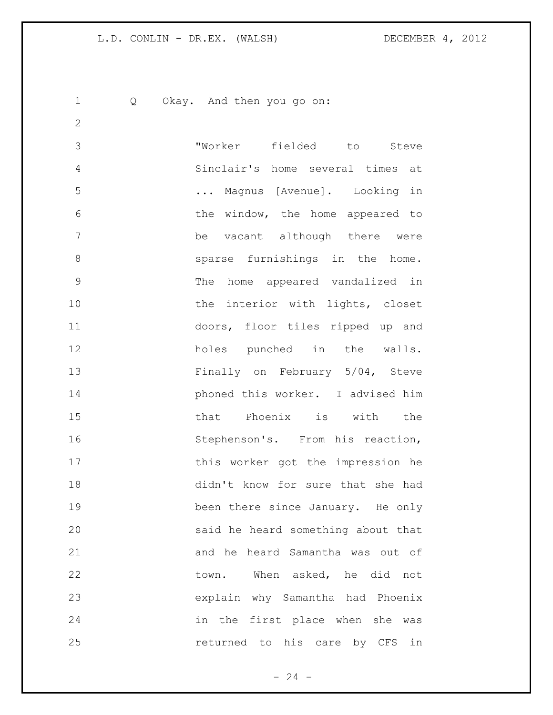Q Okay. And then you go on:

 "Worker fielded to Steve Sinclair's home several times at ... Magnus [Avenue]. Looking in 6 6 the window, the home appeared to be vacant although there were sparse furnishings in the home. The home appeared vandalized in 10 the interior with lights, closet doors, floor tiles ripped up and holes punched in the walls. Finally on February 5/04, Steve phoned this worker. I advised him that Phoenix is with the 16 Stephenson's. From his reaction, 17 this worker got the impression he didn't know for sure that she had been there since January. He only said he heard something about that and he heard Samantha was out of 22 town. When asked, he did not explain why Samantha had Phoenix in the first place when she was returned to his care by CFS in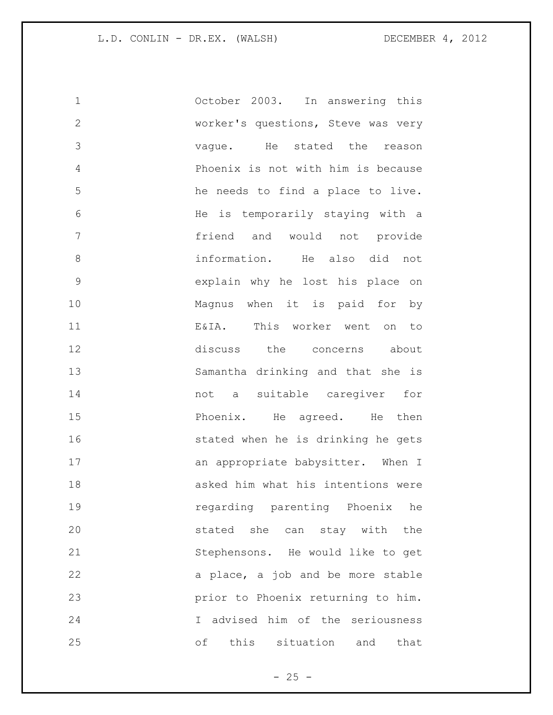| $\mathbf 1$   | October 2003. In answering this    |
|---------------|------------------------------------|
| $\mathbf{2}$  | worker's questions, Steve was very |
| 3             | vague. He stated the reason        |
| 4             | Phoenix is not with him is because |
| 5             | he needs to find a place to live.  |
| 6             | He is temporarily staying with a   |
| 7             | friend and would not provide       |
| 8             | information. He also did not       |
| $\mathcal{G}$ | explain why he lost his place on   |
| 10            | Magnus when it is paid for by      |
| 11            | E&IA. This worker went on to       |
| 12            | discuss the concerns about         |
| 13            | Samantha drinking and that she is  |
| 14            | not a suitable caregiver for       |
| 15            | Phoenix. He agreed. He then        |
| 16            | stated when he is drinking he gets |
| 17            | an appropriate babysitter. When I  |
| 18            | asked him what his intentions were |
| 19            | regarding parenting Phoenix he     |
| 20            | stated she can stay with<br>the    |
| 21            | Stephensons. He would like to get  |
| 22            | a place, a job and be more stable  |
| 23            | prior to Phoenix returning to him. |
| 24            | I advised him of the seriousness   |
| 25            | this situation and<br>оf<br>that   |

- 25 -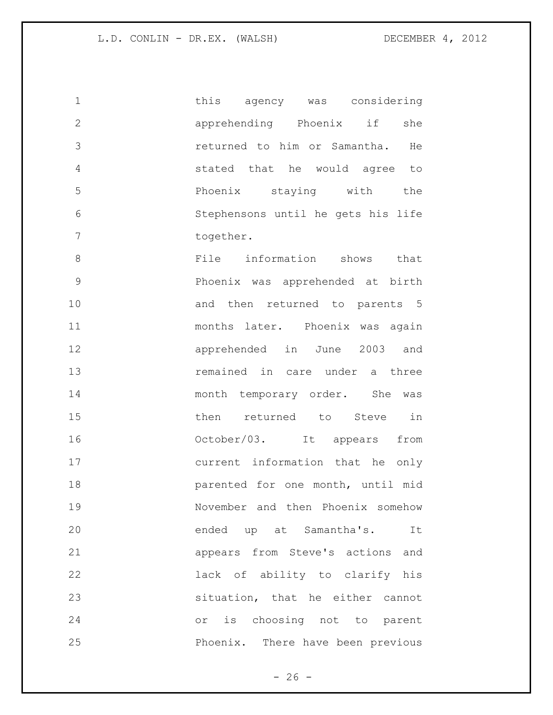| $\mathbf 1$   | this agency was considering        |
|---------------|------------------------------------|
| $\mathbf{2}$  | apprehending Phoenix if<br>she     |
| 3             | returned to him or Samantha. He    |
| 4             | stated that he would agree to      |
| 5             | Phoenix staying with<br>the        |
| 6             | Stephensons until he gets his life |
| 7             | together.                          |
| 8             | File information shows that        |
| $\mathcal{G}$ | Phoenix was apprehended at birth   |
| 10            | and then returned to parents 5     |
| 11            | months later. Phoenix was again    |
| 12            | apprehended in June 2003 and       |
| 13            | remained in care under a three     |
| 14            | month temporary order. She was     |
| 15            | then returned to Steve in          |
| 16            | October/03. It appears<br>from     |
| 17            | current information that he only   |
| 18            | parented for one month, until mid  |
| 19            | November and then Phoenix somehow  |
| 20            | ended up at Samantha's. It         |
| 21            | appears from Steve's actions and   |
| 22            | lack of ability to clarify his     |
| 23            | situation, that he either cannot   |
| 24            | or is choosing not to parent       |
| 25            | Phoenix. There have been previous  |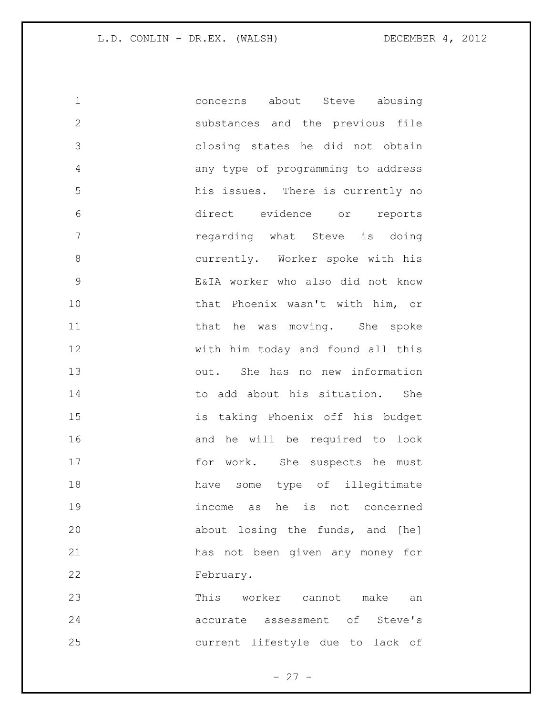concerns about Steve abusing substances and the previous file closing states he did not obtain any type of programming to address his issues. There is currently no direct evidence or reports regarding what Steve is doing currently. Worker spoke with his E&IA worker who also did not know that Phoenix wasn't with him, or 11 that he was moving. She spoke with him today and found all this out. She has no new information to add about his situation. She is taking Phoenix off his budget and he will be required to look 17 for work. She suspects he must have some type of illegitimate income as he is not concerned about losing the funds, and [he] has not been given any money for February. This worker cannot make an accurate assessment of Steve's

current lifestyle due to lack of

 $- 27 -$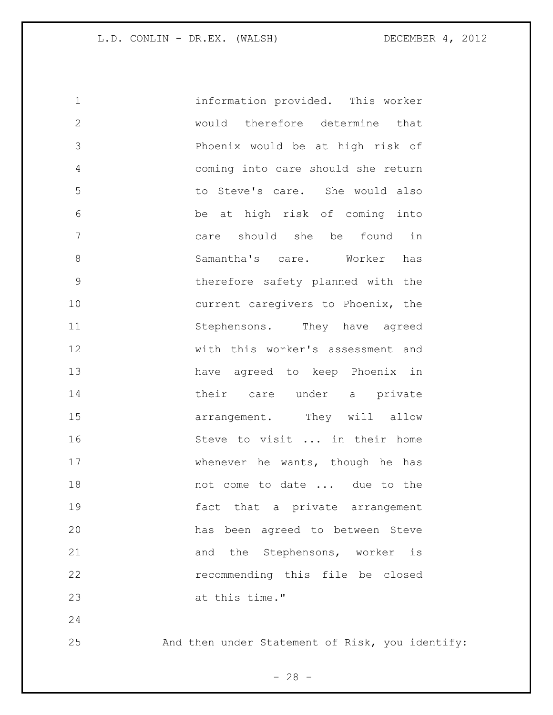information provided. This worker would therefore determine that Phoenix would be at high risk of coming into care should she return to Steve's care. She would also be at high risk of coming into care should she be found in Samantha's care. Worker has therefore safety planned with the 10 current caregivers to Phoenix, the 11 Stephensons. They have agreed with this worker's assessment and have agreed to keep Phoenix in 14 their care under a private **arrangement**. They will allow Steve to visit ... in their home whenever he wants, though he has 18 mot come to date ... due to the fact that a private arrangement has been agreed to between Steve 21 and the Stephensons, worker is recommending this file be closed at this time." 

And then under Statement of Risk, you identify:

 $- 28 -$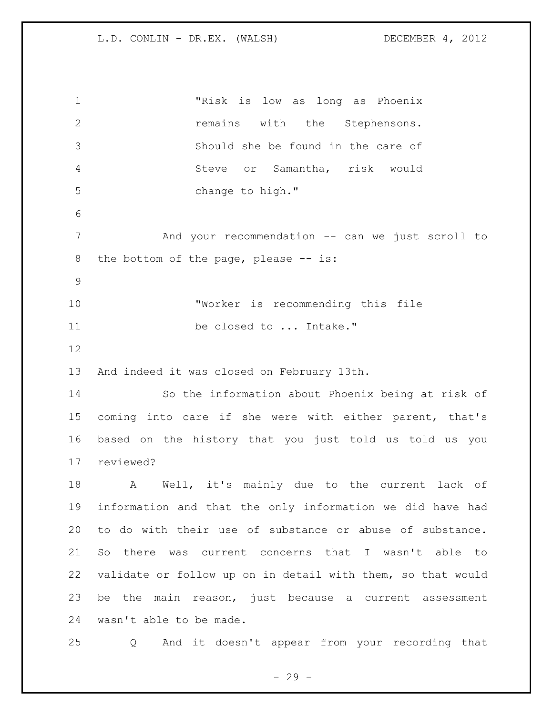"Risk is low as long as Phoenix **12** remains with the Stephensons. Should she be found in the care of Steve or Samantha, risk would change to high." And your recommendation -- can we just scroll to 8 the bottom of the page, please -- is: "Worker is recommending this file be closed to ... Intake." And indeed it was closed on February 13th. So the information about Phoenix being at risk of coming into care if she were with either parent, that's based on the history that you just told us told us you reviewed? A Well, it's mainly due to the current lack of information and that the only information we did have had to do with their use of substance or abuse of substance. So there was current concerns that I wasn't able to validate or follow up on in detail with them, so that would be the main reason, just because a current assessment wasn't able to be made. Q And it doesn't appear from your recording that

 $- 29 -$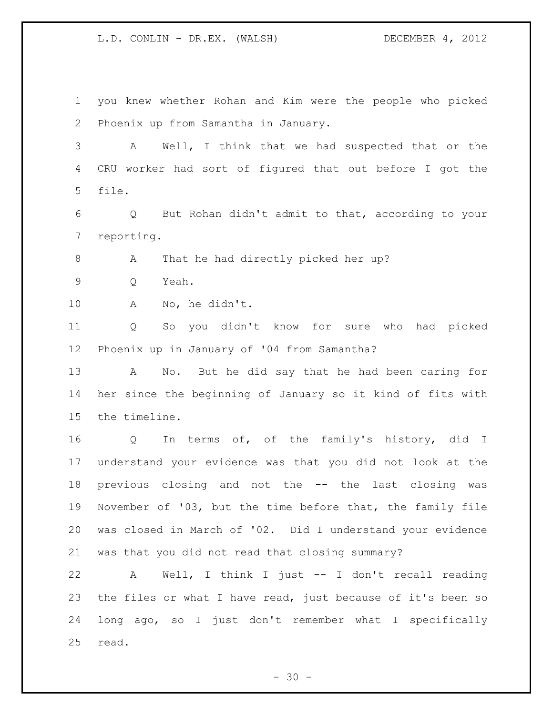you knew whether Rohan and Kim were the people who picked Phoenix up from Samantha in January. A Well, I think that we had suspected that or the CRU worker had sort of figured that out before I got the file. Q But Rohan didn't admit to that, according to your reporting. 8 A That he had directly picked her up? Q Yeah. A No, he didn't. Q So you didn't know for sure who had picked Phoenix up in January of '04 from Samantha? A No. But he did say that he had been caring for her since the beginning of January so it kind of fits with the timeline. Q In terms of, of the family's history, did I understand your evidence was that you did not look at the previous closing and not the -- the last closing was November of '03, but the time before that, the family file was closed in March of '02. Did I understand your evidence was that you did not read that closing summary? A Well, I think I just -- I don't recall reading the files or what I have read, just because of it's been so

read.

 $- 30 -$ 

long ago, so I just don't remember what I specifically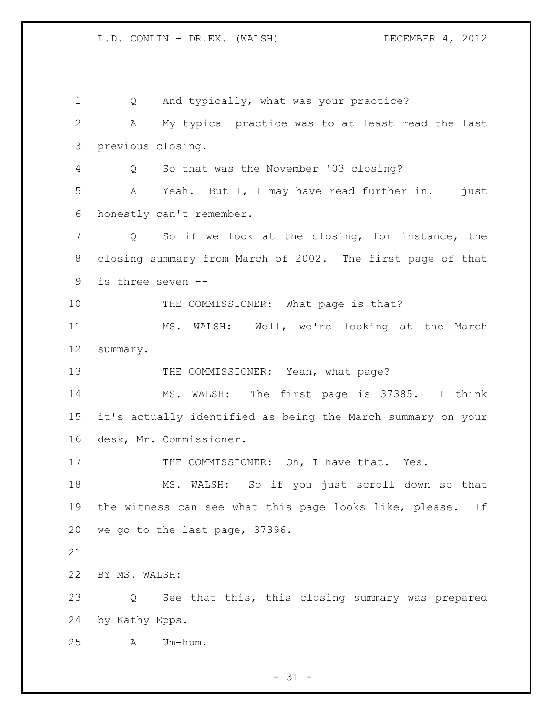Q And typically, what was your practice? A My typical practice was to at least read the last previous closing. Q So that was the November '03 closing? A Yeah. But I, I may have read further in. I just honestly can't remember. Q So if we look at the closing, for instance, the closing summary from March of 2002. The first page of that is three seven -- 10 THE COMMISSIONER: What page is that? MS. WALSH: Well, we're looking at the March summary. 13 THE COMMISSIONER: Yeah, what page? MS. WALSH: The first page is 37385. I think it's actually identified as being the March summary on your desk, Mr. Commissioner. 17 THE COMMISSIONER: Oh, I have that. Yes. MS. WALSH: So if you just scroll down so that the witness can see what this page looks like, please. If we go to the last page, 37396. BY MS. WALSH: Q See that this, this closing summary was prepared by Kathy Epps. A Um-hum.

 $- 31 -$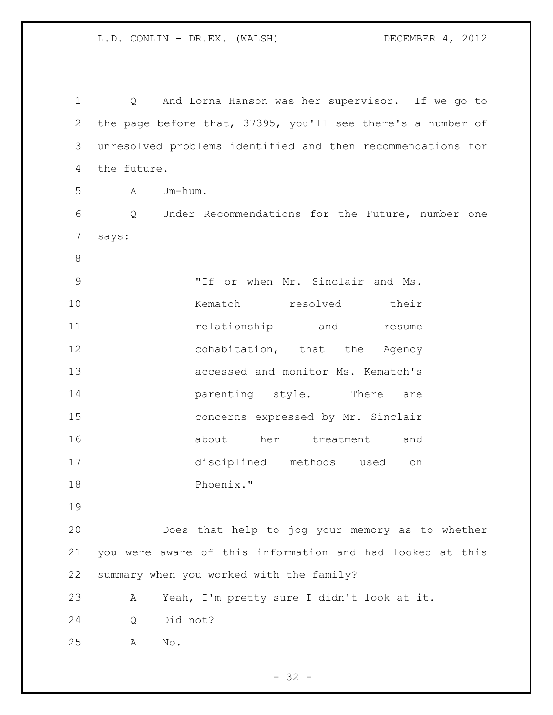Q And Lorna Hanson was her supervisor. If we go to the page before that, 37395, you'll see there's a number of unresolved problems identified and then recommendations for the future. A Um-hum. Q Under Recommendations for the Future, number one says: "If or when Mr. Sinclair and Ms. Kematch resolved their **11** relationship and resume 12 cohabitation, that the Agency accessed and monitor Ms. Kematch's **parenting** style. There are concerns expressed by Mr. Sinclair about her treatment and disciplined methods used on Phoenix." Does that help to jog your memory as to whether you were aware of this information and had looked at this summary when you worked with the family? A Yeah, I'm pretty sure I didn't look at it. Q Did not? A No.

 $- 32 -$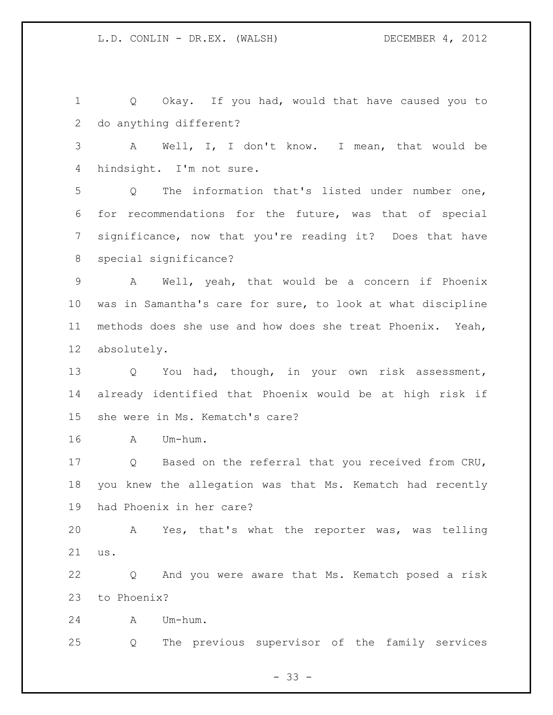$- 33 -$  Q Okay. If you had, would that have caused you to do anything different? A Well, I, I don't know. I mean, that would be hindsight. I'm not sure. Q The information that's listed under number one, for recommendations for the future, was that of special significance, now that you're reading it? Does that have special significance? A Well, yeah, that would be a concern if Phoenix was in Samantha's care for sure, to look at what discipline methods does she use and how does she treat Phoenix. Yeah, absolutely. Q You had, though, in your own risk assessment, already identified that Phoenix would be at high risk if she were in Ms. Kematch's care? A Um-hum. Q Based on the referral that you received from CRU, you knew the allegation was that Ms. Kematch had recently had Phoenix in her care? A Yes, that's what the reporter was, was telling us. Q And you were aware that Ms. Kematch posed a risk to Phoenix? A Um-hum. Q The previous supervisor of the family services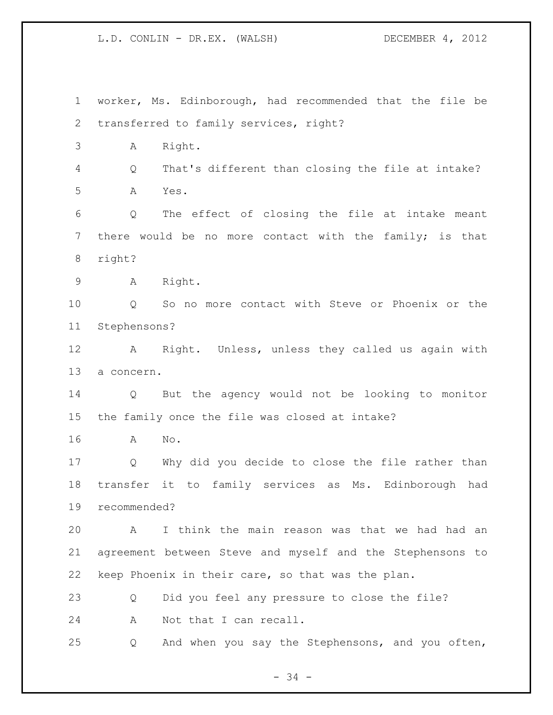worker, Ms. Edinborough, had recommended that the file be transferred to family services, right? A Right. Q That's different than closing the file at intake? A Yes. Q The effect of closing the file at intake meant there would be no more contact with the family; is that right? A Right. Q So no more contact with Steve or Phoenix or the Stephensons? A Right. Unless, unless they called us again with a concern. Q But the agency would not be looking to monitor the family once the file was closed at intake? A No. Q Why did you decide to close the file rather than transfer it to family services as Ms. Edinborough had recommended? A I think the main reason was that we had had an agreement between Steve and myself and the Stephensons to keep Phoenix in their care, so that was the plan. Q Did you feel any pressure to close the file? A Not that I can recall. Q And when you say the Stephensons, and you often,

- 34 -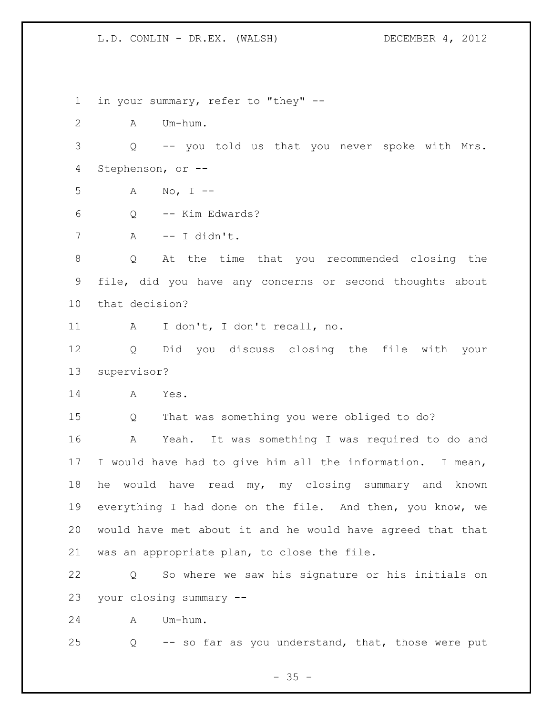in your summary, refer to "they" -- A Um-hum. Q -- you told us that you never spoke with Mrs. Stephenson, or -- A No, I -- Q -- Kim Edwards? A -- I didn't. Q At the time that you recommended closing the file, did you have any concerns or second thoughts about that decision? A I don't, I don't recall, no. Q Did you discuss closing the file with your supervisor? A Yes. Q That was something you were obliged to do? A Yeah. It was something I was required to do and I would have had to give him all the information. I mean, he would have read my, my closing summary and known everything I had done on the file. And then, you know, we would have met about it and he would have agreed that that was an appropriate plan, to close the file. Q So where we saw his signature or his initials on your closing summary -- A Um-hum. Q -- so far as you understand, that, those were put

 $- 35 -$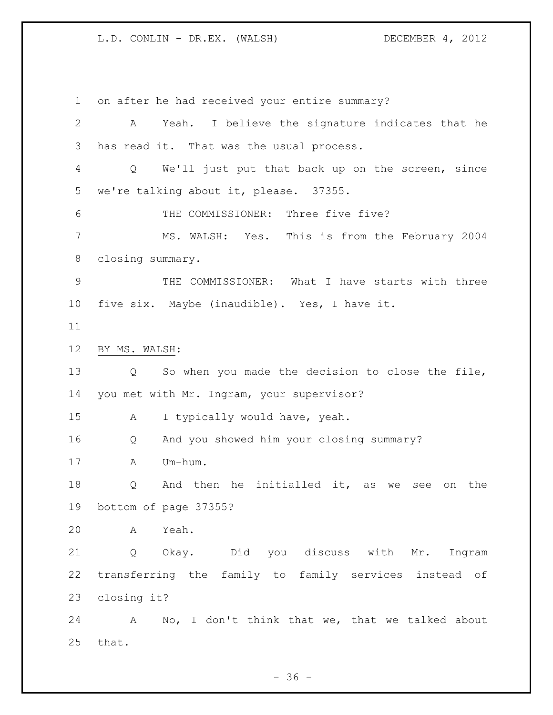on after he had received your entire summary? A Yeah. I believe the signature indicates that he has read it. That was the usual process. Q We'll just put that back up on the screen, since we're talking about it, please. 37355. 6 THE COMMISSIONER: Three five five? MS. WALSH: Yes. This is from the February 2004 closing summary. THE COMMISSIONER: What I have starts with three five six. Maybe (inaudible). Yes, I have it. BY MS. WALSH: Q So when you made the decision to close the file, you met with Mr. Ingram, your supervisor? A I typically would have, yeah. Q And you showed him your closing summary? A Um-hum. Q And then he initialled it, as we see on the bottom of page 37355? A Yeah. Q Okay. Did you discuss with Mr. Ingram transferring the family to family services instead of closing it? A No, I don't think that we, that we talked about that.

 $- 36 -$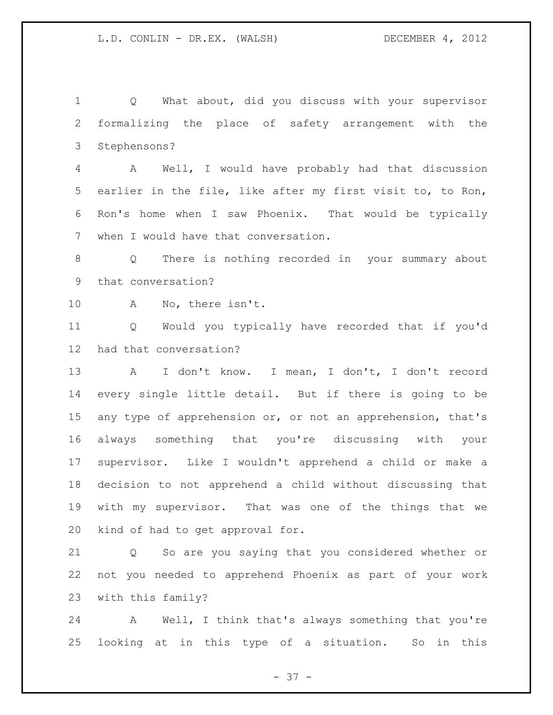Q What about, did you discuss with your supervisor formalizing the place of safety arrangement with the Stephensons?

 A Well, I would have probably had that discussion earlier in the file, like after my first visit to, to Ron, Ron's home when I saw Phoenix. That would be typically when I would have that conversation.

 Q There is nothing recorded in your summary about that conversation?

A No, there isn't.

 Q Would you typically have recorded that if you'd had that conversation?

 A I don't know. I mean, I don't, I don't record every single little detail. But if there is going to be any type of apprehension or, or not an apprehension, that's always something that you're discussing with your supervisor. Like I wouldn't apprehend a child or make a decision to not apprehend a child without discussing that with my supervisor. That was one of the things that we kind of had to get approval for.

 Q So are you saying that you considered whether or not you needed to apprehend Phoenix as part of your work with this family?

 A Well, I think that's always something that you're looking at in this type of a situation. So in this

 $- 37 -$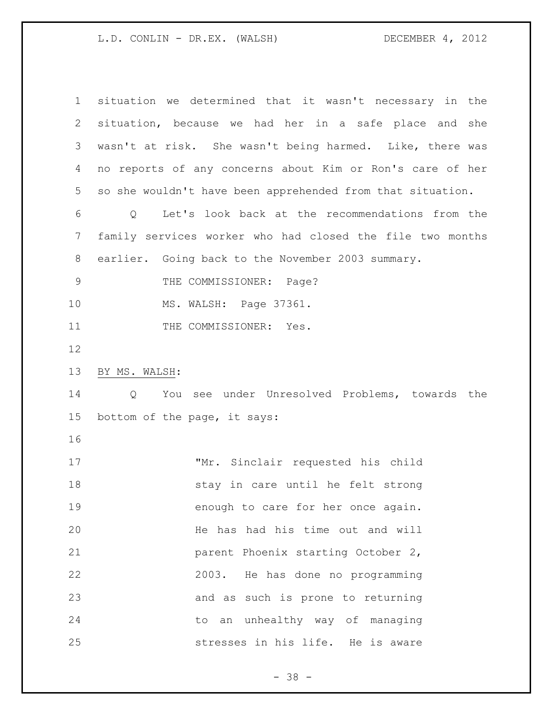| $\mathbf 1$    | situation we determined that it wasn't necessary in the    |
|----------------|------------------------------------------------------------|
| $\overline{2}$ | situation, because we had her in a safe place and she      |
| 3              | wasn't at risk. She wasn't being harmed. Like, there was   |
| 4              | no reports of any concerns about Kim or Ron's care of her  |
| 5              | so she wouldn't have been apprehended from that situation. |
| 6              | Q Let's look back at the recommendations from the          |
| 7              | family services worker who had closed the file two months  |
| $8\,$          | earlier. Going back to the November 2003 summary.          |
| $\mathcal{G}$  | THE COMMISSIONER: Page?                                    |
| 10             | MS. WALSH: Page 37361.                                     |
| 11             | THE COMMISSIONER: Yes.                                     |
| 12             |                                                            |
|                |                                                            |
| 13             | BY MS. WALSH:                                              |
| 14             | You see under Unresolved Problems, towards the<br>Q        |
| 15             | bottom of the page, it says:                               |
| 16             |                                                            |
| 17             | "Mr. Sinclair requested his child                          |
| 18             | stay in care until he felt strong                          |
| 19             | enough to care for her once again.                         |
| 20             | He has had his time out and will                           |
| 21             | parent Phoenix starting October 2,                         |
| 22             | 2003. He has done no programming                           |
| 23             | and as such is prone to returning                          |
| 24             | to an unhealthy way of managing                            |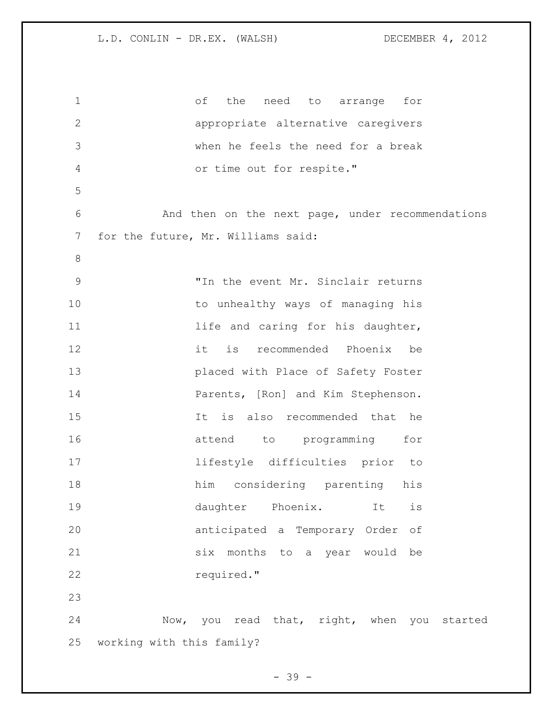| $\mathbf 1$   | оf<br>the<br>need to arrange<br>for              |
|---------------|--------------------------------------------------|
| $\mathbf{2}$  | appropriate alternative caregivers               |
| 3             | when he feels the need for a break               |
| 4             | or time out for respite."                        |
| 5             |                                                  |
| 6             | And then on the next page, under recommendations |
| 7             | for the future, Mr. Williams said:               |
| $8\,$         |                                                  |
| $\mathcal{G}$ | "In the event Mr. Sinclair returns               |
| 10            | to unhealthy ways of managing his                |
| 11            | life and caring for his daughter,                |
| 12            | it<br>recommended Phoenix be<br>is               |
| 13            | placed with Place of Safety Foster               |
| 14            | Parents, [Ron] and Kim Stephenson.               |
| 15            | is also recommended that<br>It<br>he             |
| 16            | to programming<br>attend<br>for                  |
| 17            | lifestyle difficulties prior<br>to               |
| 18            | considering parenting<br>him<br>his              |
| 19            | daughter<br>Phoenix.<br>is<br>It                 |
| 20            | anticipated a Temporary Order<br>оf              |
| 21            | six<br>months to a year would<br>be              |
| 22            | required."                                       |
| 23            |                                                  |
| 24            | Now, you read that, right, when you started      |
| 25            | working with this family?                        |

- 39 -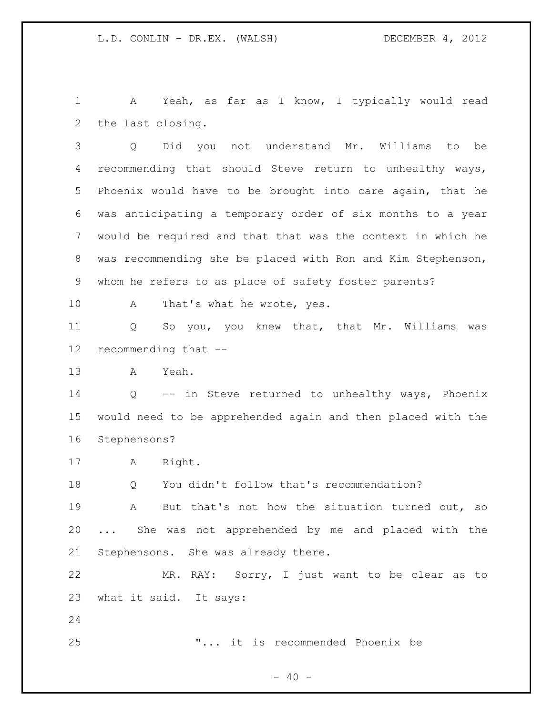A Yeah, as far as I know, I typically would read the last closing.

 Q Did you not understand Mr. Williams to be recommending that should Steve return to unhealthy ways, Phoenix would have to be brought into care again, that he was anticipating a temporary order of six months to a year would be required and that that was the context in which he was recommending she be placed with Ron and Kim Stephenson, whom he refers to as place of safety foster parents?

10 A That's what he wrote, yes.

 Q So you, you knew that, that Mr. Williams was recommending that --

A Yeah.

 Q -- in Steve returned to unhealthy ways, Phoenix would need to be apprehended again and then placed with the Stephensons?

A Right.

Q You didn't follow that's recommendation?

 A But that's not how the situation turned out, so ... She was not apprehended by me and placed with the Stephensons. She was already there.

 MR. RAY: Sorry, I just want to be clear as to what it said. It says:

"... it is recommended Phoenix be

 $- 40 -$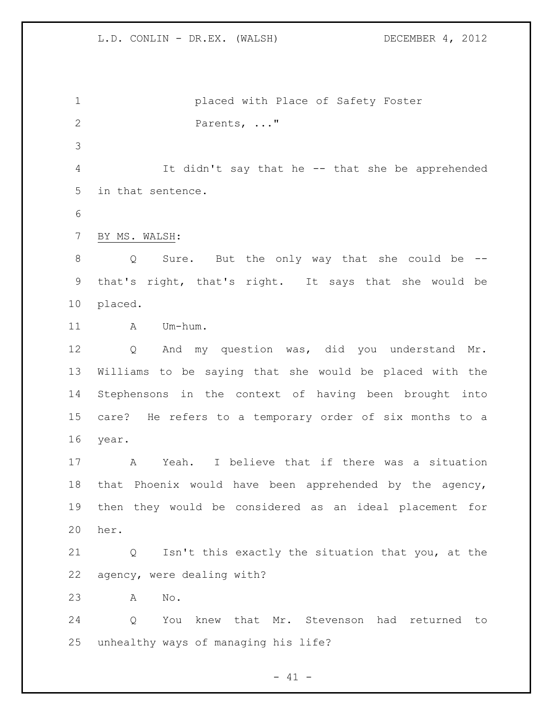placed with Place of Safety Foster Parents, ..." It didn't say that he -- that she be apprehended in that sentence. BY MS. WALSH: Q Sure. But the only way that she could be -- that's right, that's right. It says that she would be placed. 11 A Um-hum. Q And my question was, did you understand Mr. Williams to be saying that she would be placed with the Stephensons in the context of having been brought into care? He refers to a temporary order of six months to a year. A Yeah. I believe that if there was a situation that Phoenix would have been apprehended by the agency, then they would be considered as an ideal placement for her. Q Isn't this exactly the situation that you, at the agency, were dealing with? A No. Q You knew that Mr. Stevenson had returned to unhealthy ways of managing his life?

 $- 41 -$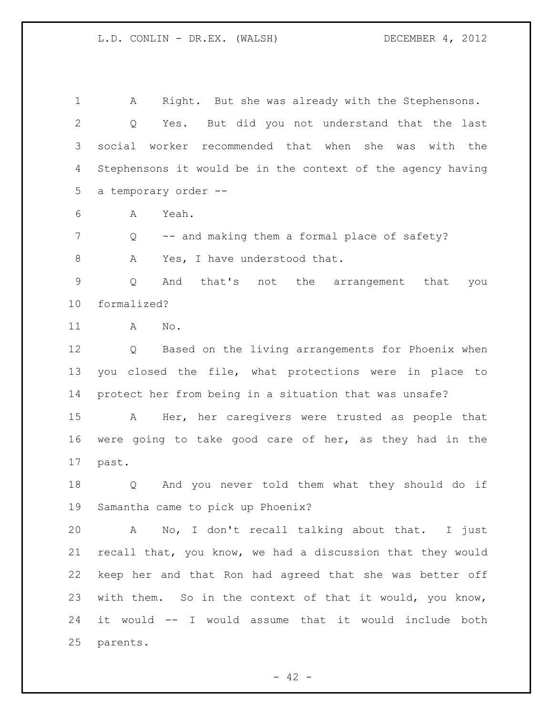A Right. But she was already with the Stephensons. Q Yes. But did you not understand that the last social worker recommended that when she was with the Stephensons it would be in the context of the agency having a temporary order --

A Yeah.

7 Q -- and making them a formal place of safety? 8 A Yes, I have understood that.

 Q And that's not the arrangement that you formalized?

A No.

 Q Based on the living arrangements for Phoenix when you closed the file, what protections were in place to protect her from being in a situation that was unsafe?

 A Her, her caregivers were trusted as people that were going to take good care of her, as they had in the past.

 Q And you never told them what they should do if Samantha came to pick up Phoenix?

 A No, I don't recall talking about that. I just recall that, you know, we had a discussion that they would keep her and that Ron had agreed that she was better off with them. So in the context of that it would, you know, it would -- I would assume that it would include both parents.

 $- 42 -$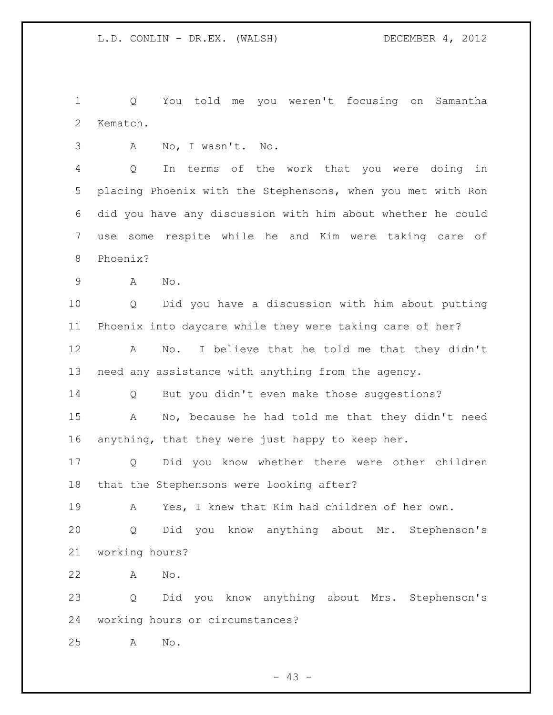Q You told me you weren't focusing on Samantha Kematch.

A No, I wasn't. No.

 Q In terms of the work that you were doing in placing Phoenix with the Stephensons, when you met with Ron did you have any discussion with him about whether he could use some respite while he and Kim were taking care of Phoenix?

A No.

 Q Did you have a discussion with him about putting Phoenix into daycare while they were taking care of her?

 A No. I believe that he told me that they didn't need any assistance with anything from the agency.

Q But you didn't even make those suggestions?

 A No, because he had told me that they didn't need anything, that they were just happy to keep her.

 Q Did you know whether there were other children that the Stephensons were looking after?

 A Yes, I knew that Kim had children of her own. Q Did you know anything about Mr. Stephenson's working hours?

A No.

 Q Did you know anything about Mrs. Stephenson's working hours or circumstances?

A No.

 $- 43 -$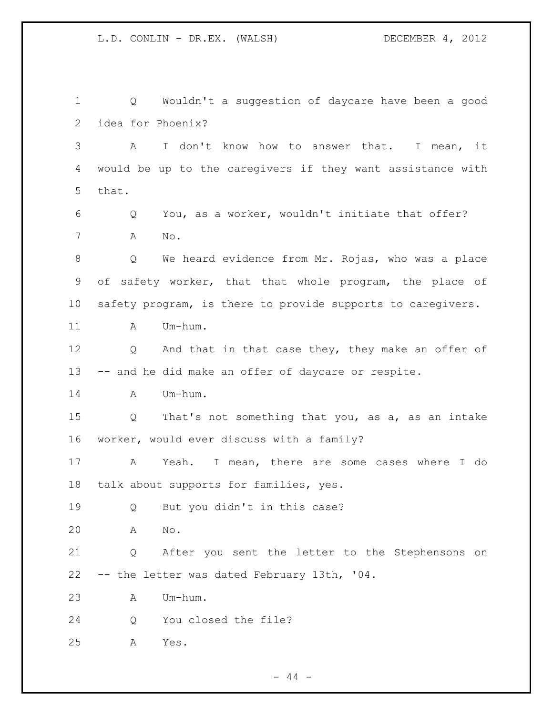Q Wouldn't a suggestion of daycare have been a good idea for Phoenix? A I don't know how to answer that. I mean, it would be up to the caregivers if they want assistance with that. Q You, as a worker, wouldn't initiate that offer? A No. Q We heard evidence from Mr. Rojas, who was a place of safety worker, that that whole program, the place of safety program, is there to provide supports to caregivers. 11 A Um-hum. 12 Q And that in that case they, they make an offer of -- and he did make an offer of daycare or respite. 14 A Um-hum. Q That's not something that you, as a, as an intake worker, would ever discuss with a family? A Yeah. I mean, there are some cases where I do talk about supports for families, yes. Q But you didn't in this case? A No. Q After you sent the letter to the Stephensons on -- the letter was dated February 13th, '04. A Um-hum. Q You closed the file? A Yes.

 $-44 -$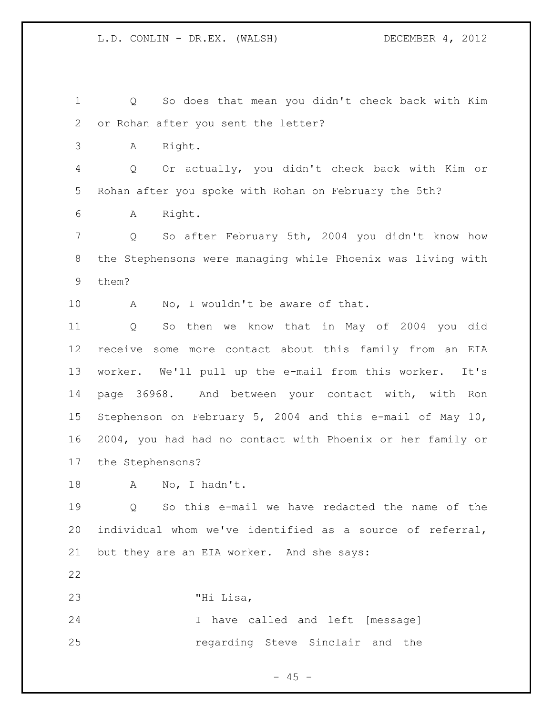Q So does that mean you didn't check back with Kim or Rohan after you sent the letter? A Right. Q Or actually, you didn't check back with Kim or Rohan after you spoke with Rohan on February the 5th? A Right. Q So after February 5th, 2004 you didn't know how the Stephensons were managing while Phoenix was living with them? 10 A No, I wouldn't be aware of that. Q So then we know that in May of 2004 you did receive some more contact about this family from an EIA worker. We'll pull up the e-mail from this worker. It's page 36968. And between your contact with, with Ron Stephenson on February 5, 2004 and this e-mail of May 10, 2004, you had had no contact with Phoenix or her family or the Stephensons? 18 A No, I hadn't. Q So this e-mail we have redacted the name of the individual whom we've identified as a source of referral, but they are an EIA worker. And she says: "Hi Lisa, I have called and left [message] regarding Steve Sinclair and the

 $- 45 -$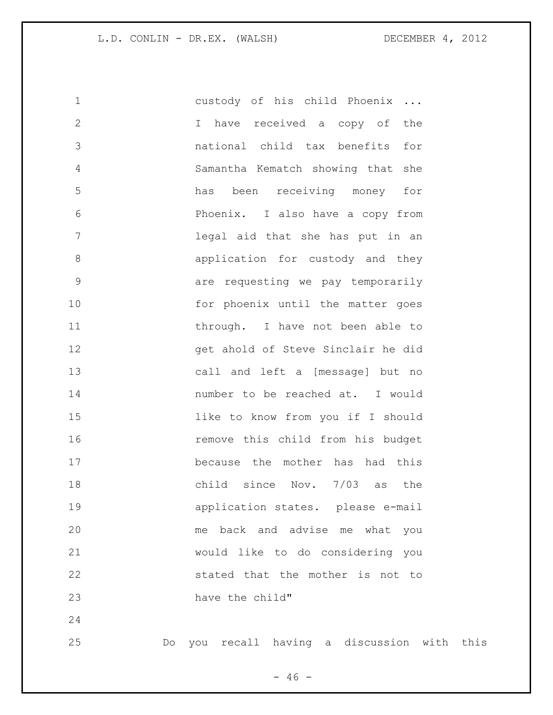custody of his child Phoenix ... I have received a copy of the national child tax benefits for Samantha Kematch showing that she has been receiving money for Phoenix. I also have a copy from legal aid that she has put in an **application** for custody and they are requesting we pay temporarily 10 for phoenix until the matter goes 11 through. I have not been able to get ahold of Steve Sinclair he did call and left a [message] but no number to be reached at. I would like to know from you if I should remove this child from his budget because the mother has had this child since Nov. 7/03 as the application states. please e-mail me back and advise me what you would like to do considering you stated that the mother is not to 23 have the child"

Do you recall having a discussion with this

 $- 46 -$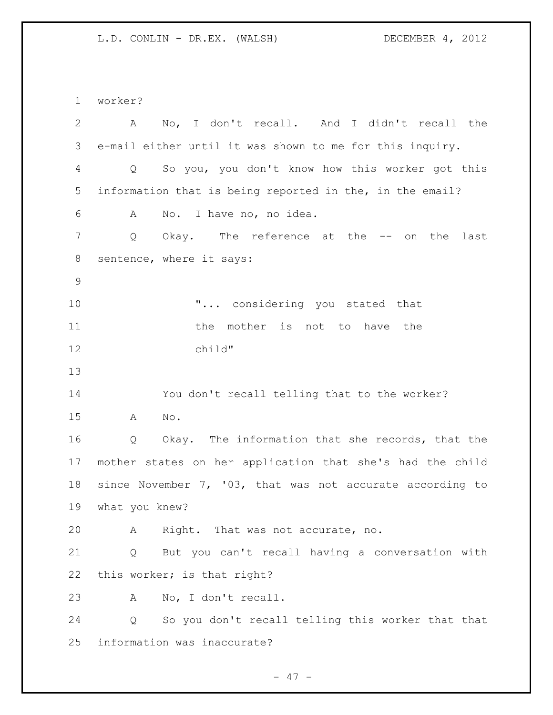worker? A No, I don't recall. And I didn't recall the e-mail either until it was shown to me for this inquiry. Q So you, you don't know how this worker got this information that is being reported in the, in the email? A No. I have no, no idea. 7 Q Okay. The reference at the -- on the last sentence, where it says:  $\ldots$  considering you stated that **11** the mother is not to have the child" You don't recall telling that to the worker? A No. Q Okay. The information that she records, that the mother states on her application that she's had the child since November 7, '03, that was not accurate according to what you knew? A Right. That was not accurate, no. Q But you can't recall having a conversation with this worker; is that right? A No, I don't recall. Q So you don't recall telling this worker that that information was inaccurate?

 $- 47 -$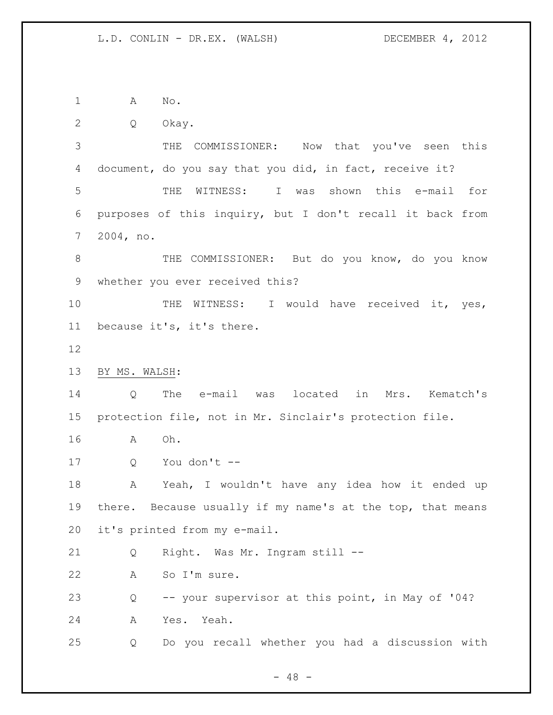A No.

Q Okay.

 THE COMMISSIONER: Now that you've seen this document, do you say that you did, in fact, receive it? THE WITNESS: I was shown this e-mail for purposes of this inquiry, but I don't recall it back from 2004, no.

8 THE COMMISSIONER: But do you know, do you know whether you ever received this?

10 THE WITNESS: I would have received it, yes, because it's, it's there.

BY MS. WALSH:

 Q The e-mail was located in Mrs. Kematch's protection file, not in Mr. Sinclair's protection file.

A Oh.

Q You don't --

 A Yeah, I wouldn't have any idea how it ended up there. Because usually if my name's at the top, that means it's printed from my e-mail.

Q Right. Was Mr. Ingram still --

A So I'm sure.

Q -- your supervisor at this point, in May of '04?

A Yes. Yeah.

Q Do you recall whether you had a discussion with

 $- 48 -$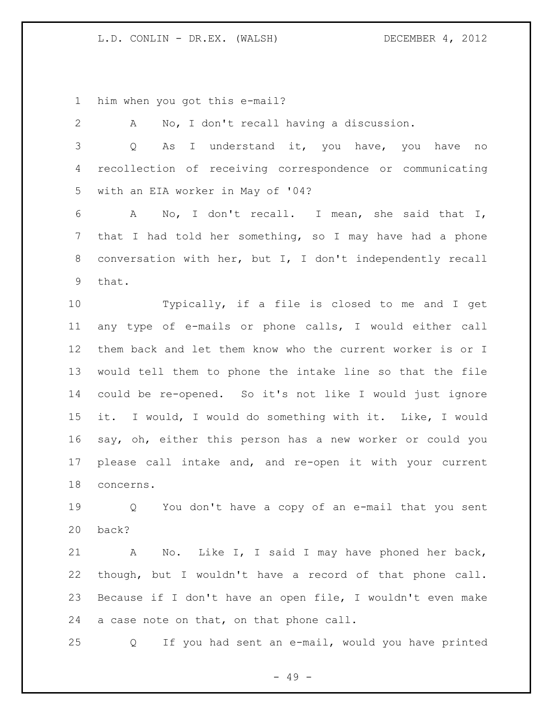him when you got this e-mail?

 A No, I don't recall having a discussion. Q As I understand it, you have, you have no recollection of receiving correspondence or communicating with an EIA worker in May of '04? A No, I don't recall. I mean, she said that I, that I had told her something, so I may have had a phone conversation with her, but I, I don't independently recall that. Typically, if a file is closed to me and I get any type of e-mails or phone calls, I would either call them back and let them know who the current worker is or I would tell them to phone the intake line so that the file could be re-opened. So it's not like I would just ignore it. I would, I would do something with it. Like, I would say, oh, either this person has a new worker or could you please call intake and, and re-open it with your current concerns. Q You don't have a copy of an e-mail that you sent back? A No. Like I, I said I may have phoned her back, though, but I wouldn't have a record of that phone call. Because if I don't have an open file, I wouldn't even make a case note on that, on that phone call. Q If you had sent an e-mail, would you have printed

- 49 -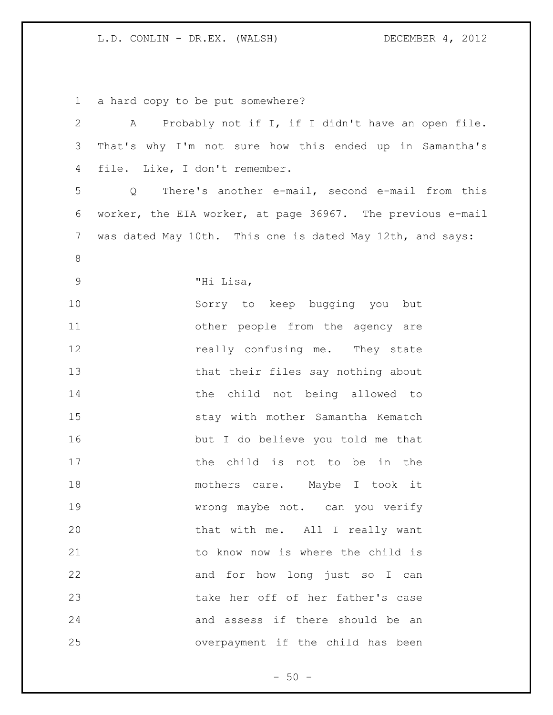a hard copy to be put somewhere?

| $\mathbf{2}$    | A Probably not if I, if I didn't have an open file.                  |
|-----------------|----------------------------------------------------------------------|
| 3               | That's why I'm not sure how this ended up in Samantha's              |
| $\overline{4}$  | file. Like, I don't remember.                                        |
| 5               | There's another e-mail, second e-mail from this<br>$Q \qquad \qquad$ |
| 6               | worker, the EIA worker, at page 36967. The previous e-mail           |
| $7\phantom{.0}$ | was dated May 10th. This one is dated May 12th, and says:            |
| $8\,$           |                                                                      |
| $\mathsf 9$     | "Hi Lisa,                                                            |
| 10              | Sorry to keep bugging you but                                        |
| 11              | other people from the agency are                                     |
| 12              | really confusing me. They state                                      |
| 13              | that their files say nothing about                                   |
| 14              | the child not being allowed to                                       |
| 15              | stay with mother Samantha Kematch                                    |
| 16              | but I do believe you told me that                                    |
| 17              | the child is not to be in the                                        |
| 18              | mothers care. Maybe I took it                                        |
| 19              | wrong maybe not. can you verify                                      |
| 20              | that with me. All I really want                                      |
| 21              | to know now is where the child is                                    |
| 22              | and for how long just so I can                                       |
| 23              | take her off of her father's case                                    |
| 24              | and assess if there should be an                                     |
| 25              | overpayment if the child has been                                    |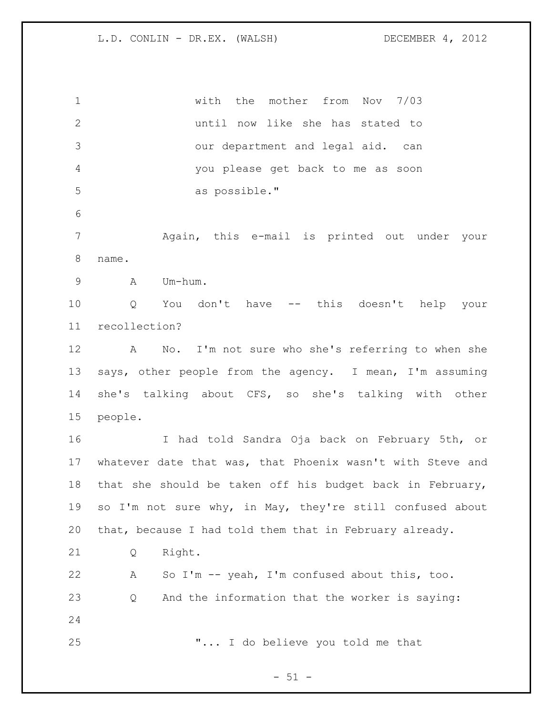| $\mathbf 1$     | the mother from<br>Nov 7/03<br>with                             |
|-----------------|-----------------------------------------------------------------|
| $\overline{2}$  | until now like she has stated to                                |
| 3               | our department and legal aid. can                               |
| $\overline{4}$  | you please get back to me as soon                               |
| 5               | as possible."                                                   |
| $\sqrt{6}$      |                                                                 |
| $7\phantom{.0}$ | Again, this e-mail is printed out under your                    |
| $8\,$           | name.                                                           |
| $\mathsf 9$     | Um-hum.<br>A                                                    |
| 10              | You don't have -- this doesn't help your<br>Q                   |
| 11              | recollection?                                                   |
| 12              | No. I'm not sure who she's referring to when she<br>$\mathbb A$ |
| 13              | says, other people from the agency. I mean, I'm assuming        |
| 14              | she's talking about CFS, so she's talking with other            |
| 15              | people.                                                         |
| 16              | I had told Sandra Oja back on February 5th, or                  |
| 17              | whatever date that was, that Phoenix wasn't with Steve and      |
| 18              | that she should be taken off his budget back in February,       |
| 19              | so I'm not sure why, in May, they're still confused about       |
| 20              | that, because I had told them that in February already.         |
| 21              | Right.<br>Q                                                     |
| 22              | So I'm -- yeah, I'm confused about this, too.<br>Α              |
| 23              | And the information that the worker is saying:<br>Q             |
| 24              |                                                                 |
|                 |                                                                 |

 $-51 -$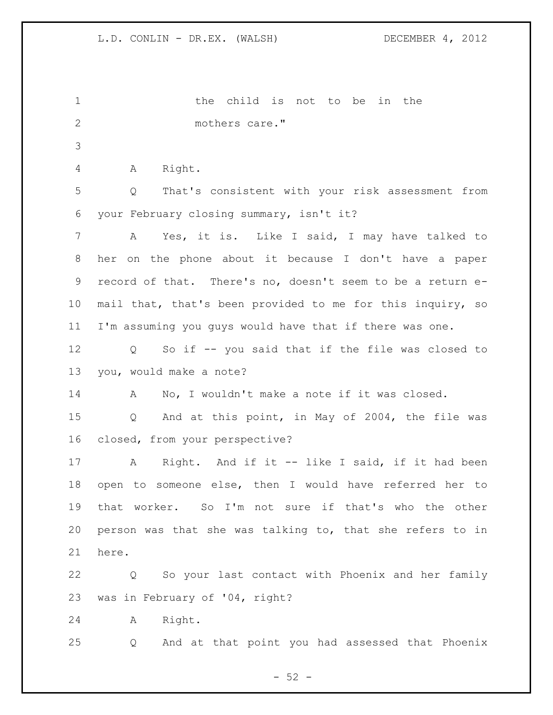| $\mathbf 1$    | child is not to be<br>the<br>in the                        |
|----------------|------------------------------------------------------------|
| $\overline{2}$ | mothers care."                                             |
| 3              |                                                            |
| 4              | Right.<br>A                                                |
| 5              | That's consistent with your risk assessment from<br>Q      |
| 6              | your February closing summary, isn't it?                   |
| 7              | Yes, it is. Like I said, I may have talked to<br>A         |
| 8              | her on the phone about it because I don't have a paper     |
| 9              | record of that. There's no, doesn't seem to be a return e- |
| 10             | mail that, that's been provided to me for this inquiry, so |
| 11             | I'm assuming you guys would have that if there was one.    |
| 12             | So if -- you said that if the file was closed to<br>Q      |
| 13             | you, would make a note?                                    |
| 14             | No, I wouldn't make a note if it was closed.<br>A          |
| 15             | And at this point, in May of 2004, the file was<br>Q       |
| 16             | closed, from your perspective?                             |
| 17             | Right. And if it -- like I said, if it had been<br>Α       |
| 18             | open to someone else, then I would have referred her to    |
| 19             | that worker. So I'm not sure if that's who the other       |
| 20             | person was that she was talking to, that she refers to in  |
| 21             | here.                                                      |
| 22             | Q So your last contact with Phoenix and her family         |
| 23             | was in February of '04, right?                             |
| 24             | Right.<br>A                                                |
| 25             | And at that point you had assessed that Phoenix<br>Q       |

- 52 -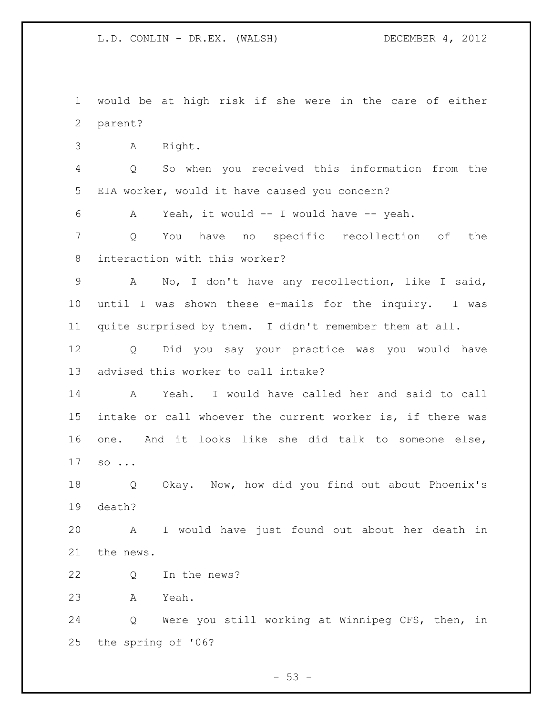would be at high risk if she were in the care of either parent? A Right. Q So when you received this information from the EIA worker, would it have caused you concern? A Yeah, it would -- I would have -- yeah. Q You have no specific recollection of the interaction with this worker? A No, I don't have any recollection, like I said, until I was shown these e-mails for the inquiry. I was quite surprised by them. I didn't remember them at all. Q Did you say your practice was you would have advised this worker to call intake? A Yeah. I would have called her and said to call intake or call whoever the current worker is, if there was one. And it looks like she did talk to someone else, so ... Q Okay. Now, how did you find out about Phoenix's death? A I would have just found out about her death in the news. Q In the news? A Yeah. Q Were you still working at Winnipeg CFS, then, in the spring of '06?

 $-53 -$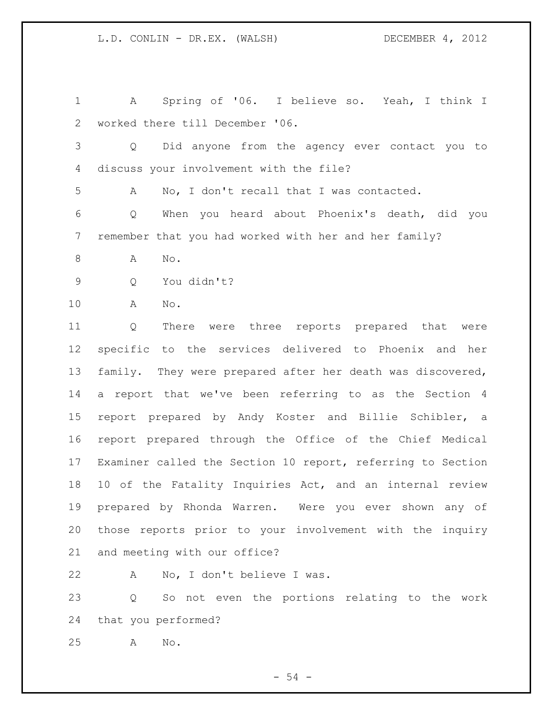A Spring of '06. I believe so. Yeah, I think I worked there till December '06. Q Did anyone from the agency ever contact you to discuss your involvement with the file? A No, I don't recall that I was contacted. Q When you heard about Phoenix's death, did you remember that you had worked with her and her family? A No. Q You didn't? A No. Q There were three reports prepared that were specific to the services delivered to Phoenix and her family. They were prepared after her death was discovered, a report that we've been referring to as the Section 4 report prepared by Andy Koster and Billie Schibler, a report prepared through the Office of the Chief Medical Examiner called the Section 10 report, referring to Section 10 of the Fatality Inquiries Act, and an internal review prepared by Rhonda Warren. Were you ever shown any of those reports prior to your involvement with the inquiry and meeting with our office? A No, I don't believe I was. Q So not even the portions relating to the work

that you performed?

A No.

 $-54 -$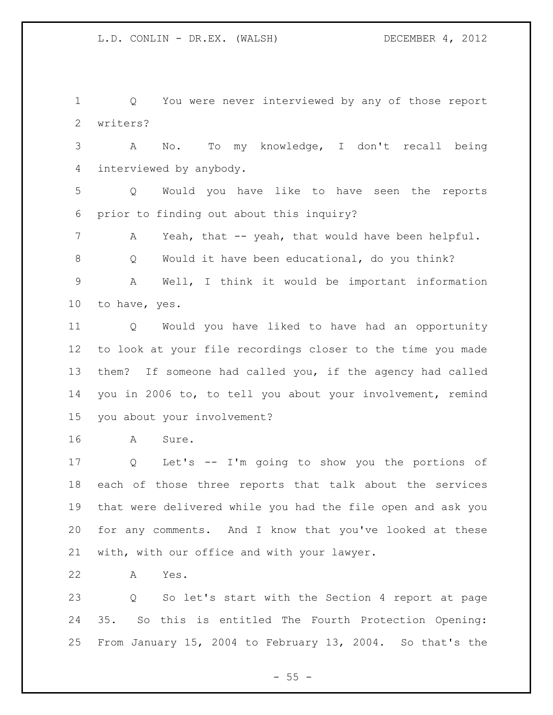Q You were never interviewed by any of those report writers?

 A No. To my knowledge, I don't recall being interviewed by anybody.

 Q Would you have like to have seen the reports prior to finding out about this inquiry?

A Yeah, that -- yeah, that would have been helpful.

Q Would it have been educational, do you think?

 A Well, I think it would be important information to have, yes.

 Q Would you have liked to have had an opportunity to look at your file recordings closer to the time you made them? If someone had called you, if the agency had called you in 2006 to, to tell you about your involvement, remind you about your involvement?

A Sure.

 Q Let's -- I'm going to show you the portions of each of those three reports that talk about the services that were delivered while you had the file open and ask you for any comments. And I know that you've looked at these with, with our office and with your lawyer.

A Yes.

 Q So let's start with the Section 4 report at page 35. So this is entitled The Fourth Protection Opening: From January 15, 2004 to February 13, 2004. So that's the

 $- 55 -$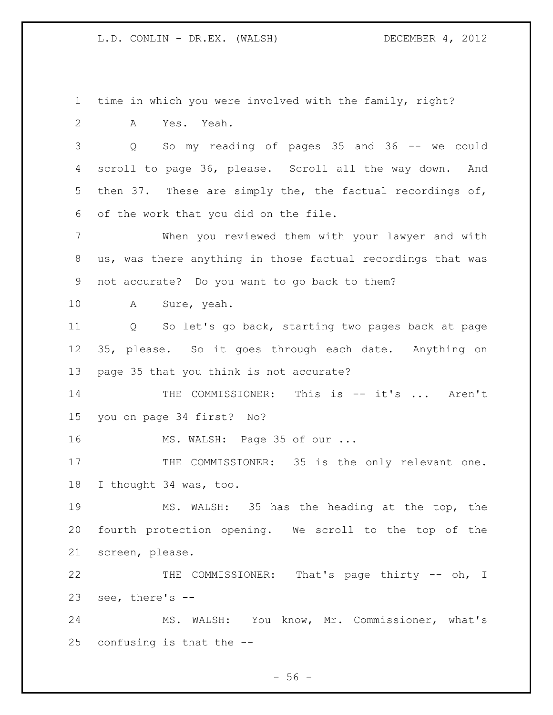time in which you were involved with the family, right?

A Yes. Yeah.

 Q So my reading of pages 35 and 36 -- we could scroll to page 36, please. Scroll all the way down. And then 37. These are simply the, the factual recordings of, of the work that you did on the file.

 When you reviewed them with your lawyer and with us, was there anything in those factual recordings that was not accurate? Do you want to go back to them?

A Sure, yeah.

 Q So let's go back, starting two pages back at page 35, please. So it goes through each date. Anything on page 35 that you think is not accurate?

14 THE COMMISSIONER: This is -- it's ... Aren't you on page 34 first? No?

16 MS. WALSH: Page 35 of our ...

17 THE COMMISSIONER: 35 is the only relevant one. I thought 34 was, too.

 MS. WALSH: 35 has the heading at the top, the fourth protection opening. We scroll to the top of the screen, please.

 THE COMMISSIONER: That's page thirty -- oh, I see, there's --

 MS. WALSH: You know, Mr. Commissioner, what's confusing is that the --

 $-56 -$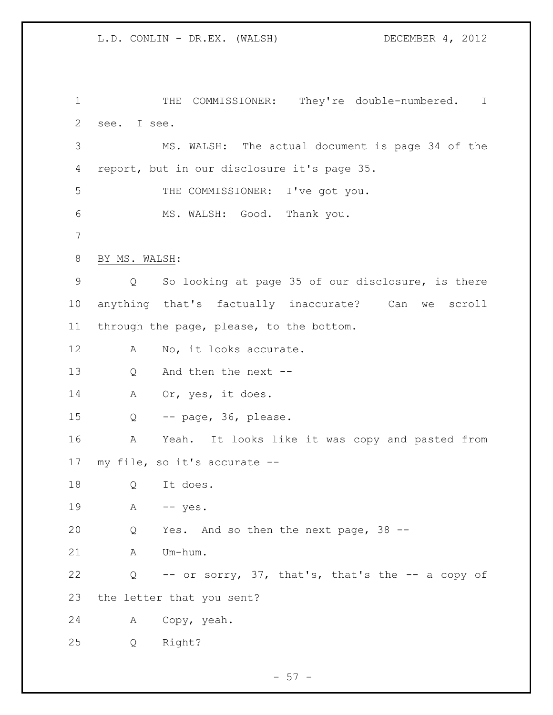1 THE COMMISSIONER: They're double-numbered. I see. I see. MS. WALSH: The actual document is page 34 of the report, but in our disclosure it's page 35. THE COMMISSIONER: I've got you. MS. WALSH: Good. Thank you. BY MS. WALSH: Q So looking at page 35 of our disclosure, is there anything that's factually inaccurate? Can we scroll through the page, please, to the bottom. 12 A No, it looks accurate. Q And then the next -- 14 A Or, yes, it does. Q -- page, 36, please. A Yeah. It looks like it was copy and pasted from my file, so it's accurate -- Q It does. 19 A -- yes. Q Yes. And so then the next page, 38 -- A Um-hum. Q -- or sorry, 37, that's, that's the -- a copy of the letter that you sent? A Copy, yeah. Q Right?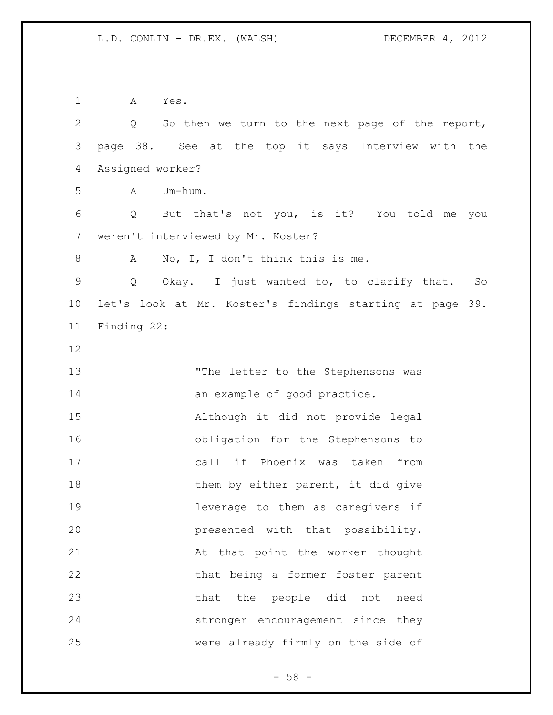A Yes. Q So then we turn to the next page of the report, page 38. See at the top it says Interview with the Assigned worker? A Um-hum. Q But that's not you, is it? You told me you weren't interviewed by Mr. Koster? 8 A No, I, I don't think this is me. Q Okay. I just wanted to, to clarify that. So let's look at Mr. Koster's findings starting at page 39. Finding 22: 13 The letter to the Stephensons was 14 an example of good practice. Although it did not provide legal obligation for the Stephensons to call if Phoenix was taken from 18 them by either parent, it did give leverage to them as caregivers if presented with that possibility. At that point the worker thought that being a former foster parent that the people did not need stronger encouragement since they were already firmly on the side of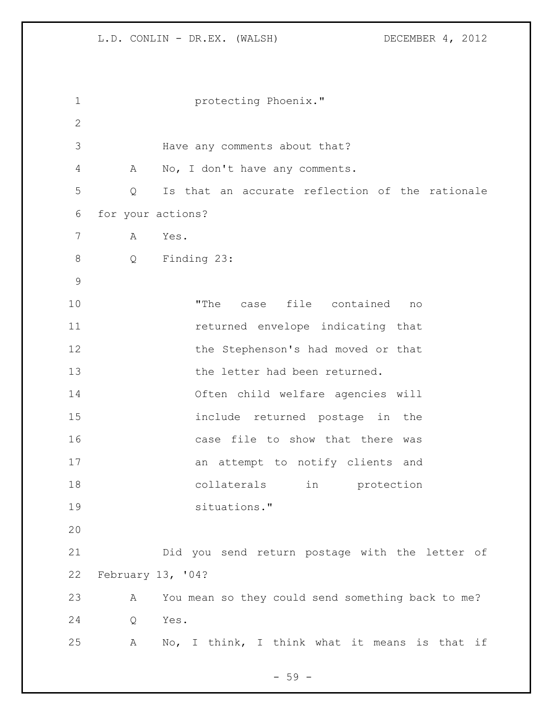| 1            |                   | protecting Phoenix."                              |
|--------------|-------------------|---------------------------------------------------|
| $\mathbf{2}$ |                   |                                                   |
| 3            |                   | Have any comments about that?                     |
| 4            | A                 | No, I don't have any comments.                    |
| 5            | Q                 | Is that an accurate reflection of the rationale   |
| 6            | for your actions? |                                                   |
| 7            | A                 | Yes.                                              |
| 8            | Q                 | Finding 23:                                       |
| 9            |                   |                                                   |
| 10           |                   | case file contained<br>"The<br>no                 |
| 11           |                   | returned envelope indicating that                 |
| 12           |                   | the Stephenson's had moved or that                |
| 13           |                   | the letter had been returned.                     |
| 14           |                   | Often child welfare agencies will                 |
| 15           |                   | include returned postage in the                   |
| 16           |                   | case file to show that there was                  |
| 17           |                   | an attempt to notify clients and                  |
| 18           |                   | in<br>collaterals<br>protection                   |
| 19           |                   | situations."                                      |
| 20           |                   |                                                   |
| 21           |                   | Did you send return postage with the letter of    |
| 22           | February 13, '04? |                                                   |
| 23           | Α                 | You mean so they could send something back to me? |
| 24           | Q                 | Yes.                                              |
| 25           | Α                 | No, I think, I think what it means is that if     |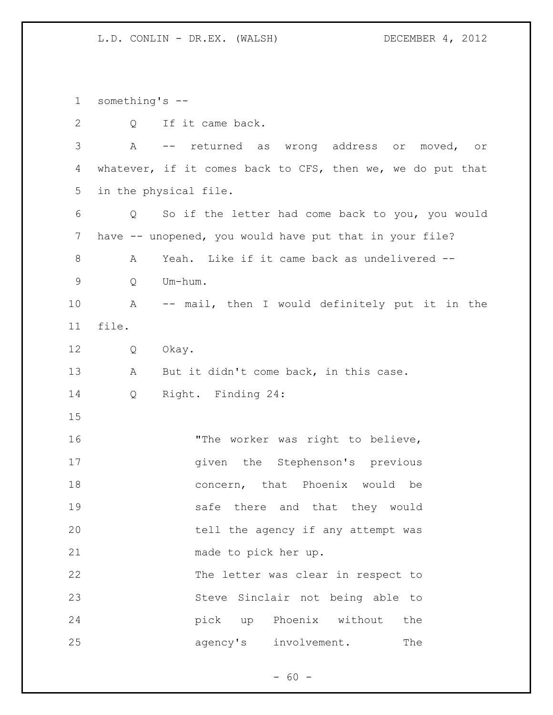something's -- 2 Q If it came back. A -- returned as wrong address or moved, or whatever, if it comes back to CFS, then we, we do put that in the physical file. Q So if the letter had come back to you, you would 7 have -- unopened, you would have put that in your file? A Yeah. Like if it came back as undelivered -- Q Um-hum. A -- mail, then I would definitely put it in the file. Q Okay. 13 A But it didn't come back, in this case. Q Right. Finding 24: 16 The worker was right to believe, 17 and the Stephenson's previous concern, that Phoenix would be safe there and that they would tell the agency if any attempt was made to pick her up. The letter was clear in respect to Steve Sinclair not being able to pick up Phoenix without the 25 agency's involvement. The

 $- 60 -$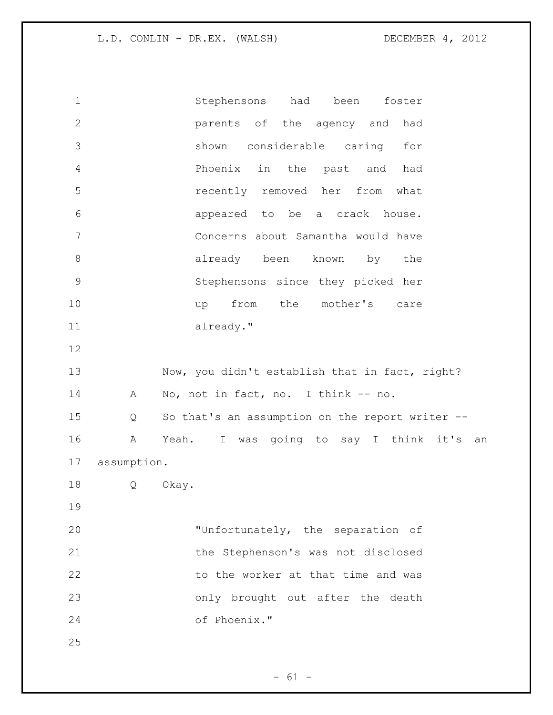Stephensons had been foster parents of the agency and had shown considerable caring for Phoenix in the past and had recently removed her from what appeared to be a crack house. Concerns about Samantha would have 8 already been known by the Stephensons since they picked her 10 up from the mother's care already." 13 Now, you didn't establish that in fact, right? 14 A No, not in fact, no. I think -- no. Q So that's an assumption on the report writer -- A Yeah. I was going to say I think it's an assumption. Q Okay. "Unfortunately, the separation of the Stephenson's was not disclosed 22 to the worker at that time and was only brought out after the death of Phoenix."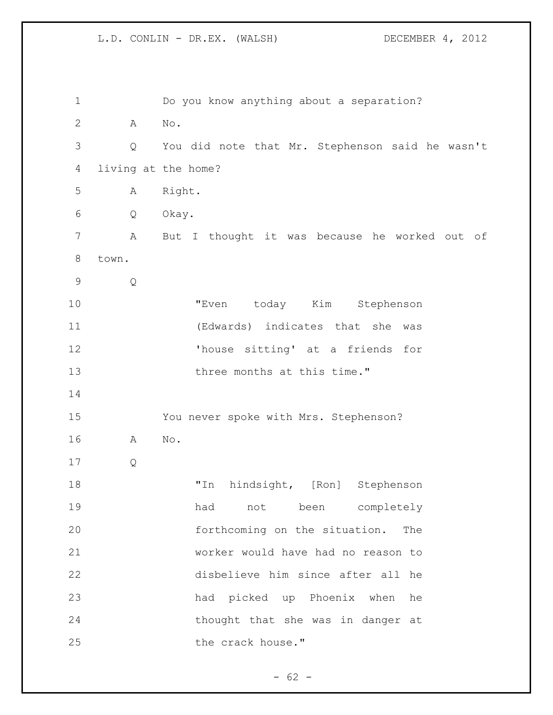| 1              |       | Do you know anything about a separation?        |
|----------------|-------|-------------------------------------------------|
| $\mathbf{2}$   | Α     | $\mathrm{No}$ .                                 |
| 3              | Q     | You did note that Mr. Stephenson said he wasn't |
| 4              |       | living at the home?                             |
| 5              | Α     | Right.                                          |
| 6              | Q     | Okay.                                           |
| $\overline{7}$ | Α     | But I thought it was because he worked out of   |
| $8\,$          | town. |                                                 |
| $\mathsf 9$    | Q     |                                                 |
| 10             |       | today Kim Stephenson<br>"Even                   |
| 11             |       | (Edwards) indicates that she<br>was             |
| 12             |       | 'house sitting' at a friends for                |
| 13             |       | three months at this time."                     |
| 14             |       |                                                 |
| 15             |       | You never spoke with Mrs. Stephenson?           |
| 16             | Α     | No.                                             |
| 17             | Q     |                                                 |
| 18             |       | hindsight, [Ron] Stephenson<br>"In              |
| 19             |       | had not been completely                         |
| 20             |       | forthcoming on the situation. The               |
| 21             |       | worker would have had no reason to              |
| 22             |       | disbelieve him since after all he               |
| 23             |       | had picked up Phoenix when he                   |
| 24             |       | thought that she was in danger at               |
| 25             |       | the crack house."                               |

- 62 -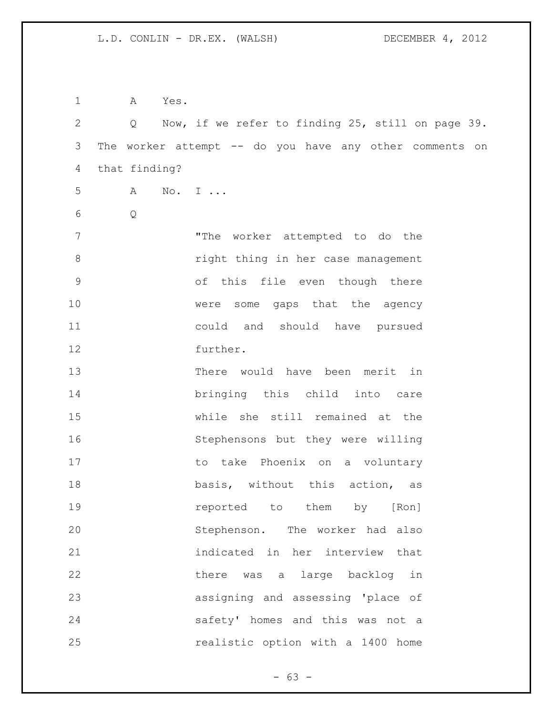A Yes. Q Now, if we refer to finding 25, still on page 39. The worker attempt -- do you have any other comments on that finding? A No. I ... Q "The worker attempted to do the right thing in her case management of this file even though there were some gaps that the agency could and should have pursued further. There would have been merit in bringing this child into care while she still remained at the Stephensons but they were willing 17 to take Phoenix on a voluntary 18 basis, without this action, as reported to them by [Ron] Stephenson. The worker had also indicated in her interview that 22 there was a large backlog in assigning and assessing 'place of safety' homes and this was not a realistic option with a 1400 home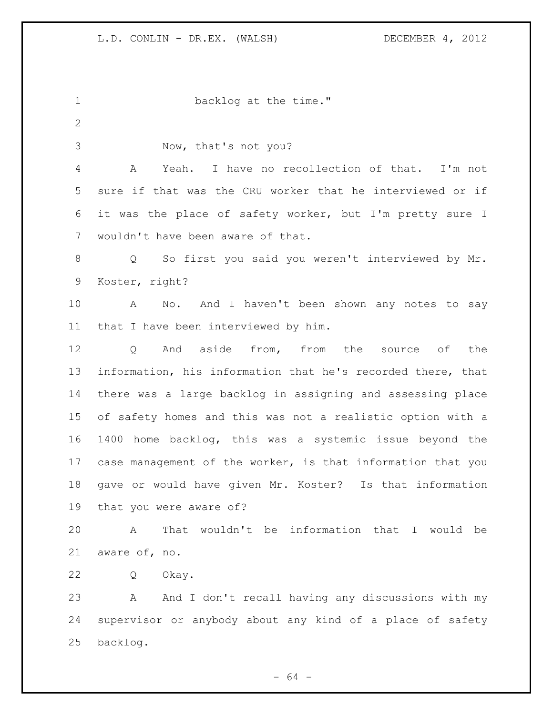1 backlog at the time." Now, that's not you? A Yeah. I have no recollection of that. I'm not sure if that was the CRU worker that he interviewed or if it was the place of safety worker, but I'm pretty sure I wouldn't have been aware of that. Q So first you said you weren't interviewed by Mr. Koster, right? 10 A No. And I haven't been shown any notes to say that I have been interviewed by him. 12 0 And aside from, from the source of the information, his information that he's recorded there, that there was a large backlog in assigning and assessing place of safety homes and this was not a realistic option with a 1400 home backlog, this was a systemic issue beyond the case management of the worker, is that information that you gave or would have given Mr. Koster? Is that information that you were aware of? A That wouldn't be information that I would be aware of, no. Q Okay. A And I don't recall having any discussions with my supervisor or anybody about any kind of a place of safety backlog.

- 64 -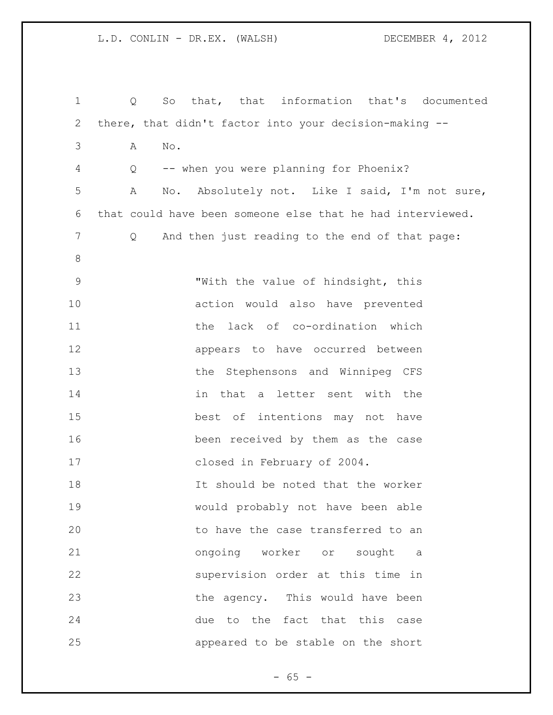Q So that, that information that's documented there, that didn't factor into your decision-making -- A No. Q -- when you were planning for Phoenix? A No. Absolutely not. Like I said, I'm not sure, that could have been someone else that he had interviewed. Q And then just reading to the end of that page: "With the value of hindsight, this action would also have prevented the lack of co-ordination which appears to have occurred between the Stephensons and Winnipeg CFS in that a letter sent with the best of intentions may not have been received by them as the case closed in February of 2004. It should be noted that the worker would probably not have been able 20 to have the case transferred to an ongoing worker or sought a supervision order at this time in the agency. This would have been due to the fact that this case appeared to be stable on the short

 $- 65 -$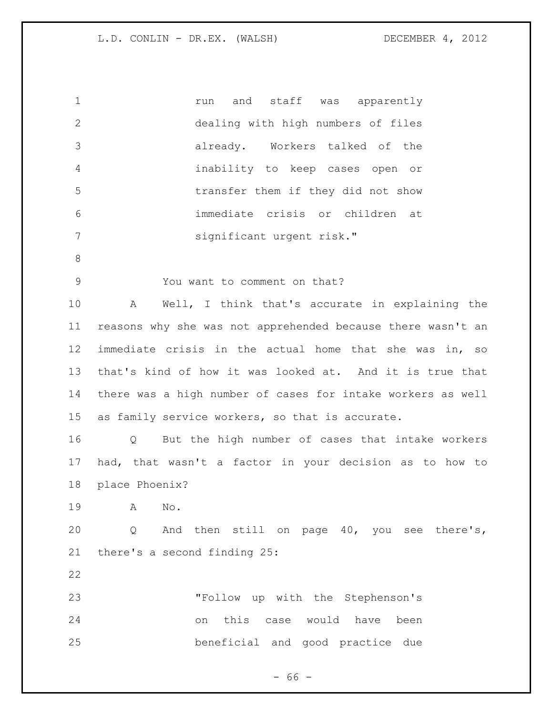| $\mathbf{2}$<br>dealing with high numbers of files<br>3<br>already. Workers talked of the<br>$\overline{4}$<br>inability to keep cases open or<br>5<br>transfer them if they did not show<br>immediate crisis or children at<br>6<br>7<br>significant urgent risk."<br>$\,8\,$<br>$\mathsf 9$<br>You want to comment on that?<br>10<br>A<br>11<br>12<br>13<br>14<br>15<br>as family service workers, so that is accurate.<br>16<br>Q<br>17<br>18<br>place Phoenix?<br>19<br>A<br>No.<br>20<br>Q<br>there's a second finding 25:<br>21<br>22<br>23<br>"Follow up with the Stephenson's | $\mathbf 1$ | and staff was apparently<br>run                             |
|---------------------------------------------------------------------------------------------------------------------------------------------------------------------------------------------------------------------------------------------------------------------------------------------------------------------------------------------------------------------------------------------------------------------------------------------------------------------------------------------------------------------------------------------------------------------------------------|-------------|-------------------------------------------------------------|
|                                                                                                                                                                                                                                                                                                                                                                                                                                                                                                                                                                                       |             |                                                             |
|                                                                                                                                                                                                                                                                                                                                                                                                                                                                                                                                                                                       |             |                                                             |
|                                                                                                                                                                                                                                                                                                                                                                                                                                                                                                                                                                                       |             |                                                             |
|                                                                                                                                                                                                                                                                                                                                                                                                                                                                                                                                                                                       |             |                                                             |
|                                                                                                                                                                                                                                                                                                                                                                                                                                                                                                                                                                                       |             |                                                             |
|                                                                                                                                                                                                                                                                                                                                                                                                                                                                                                                                                                                       |             |                                                             |
|                                                                                                                                                                                                                                                                                                                                                                                                                                                                                                                                                                                       |             |                                                             |
|                                                                                                                                                                                                                                                                                                                                                                                                                                                                                                                                                                                       |             |                                                             |
|                                                                                                                                                                                                                                                                                                                                                                                                                                                                                                                                                                                       |             | Well, I think that's accurate in explaining the             |
|                                                                                                                                                                                                                                                                                                                                                                                                                                                                                                                                                                                       |             | reasons why she was not apprehended because there wasn't an |
|                                                                                                                                                                                                                                                                                                                                                                                                                                                                                                                                                                                       |             | immediate crisis in the actual home that she was in, so     |
|                                                                                                                                                                                                                                                                                                                                                                                                                                                                                                                                                                                       |             | that's kind of how it was looked at. And it is true that    |
|                                                                                                                                                                                                                                                                                                                                                                                                                                                                                                                                                                                       |             | there was a high number of cases for intake workers as well |
|                                                                                                                                                                                                                                                                                                                                                                                                                                                                                                                                                                                       |             |                                                             |
|                                                                                                                                                                                                                                                                                                                                                                                                                                                                                                                                                                                       |             | But the high number of cases that intake workers            |
|                                                                                                                                                                                                                                                                                                                                                                                                                                                                                                                                                                                       |             | had, that wasn't a factor in your decision as to how to     |
|                                                                                                                                                                                                                                                                                                                                                                                                                                                                                                                                                                                       |             |                                                             |
|                                                                                                                                                                                                                                                                                                                                                                                                                                                                                                                                                                                       |             |                                                             |
|                                                                                                                                                                                                                                                                                                                                                                                                                                                                                                                                                                                       |             | And then still on page 40, you see there's,                 |
|                                                                                                                                                                                                                                                                                                                                                                                                                                                                                                                                                                                       |             |                                                             |
|                                                                                                                                                                                                                                                                                                                                                                                                                                                                                                                                                                                       |             |                                                             |
|                                                                                                                                                                                                                                                                                                                                                                                                                                                                                                                                                                                       |             |                                                             |
| 24<br>this case would have been<br>on                                                                                                                                                                                                                                                                                                                                                                                                                                                                                                                                                 |             |                                                             |
| 25<br>beneficial and good practice due                                                                                                                                                                                                                                                                                                                                                                                                                                                                                                                                                |             |                                                             |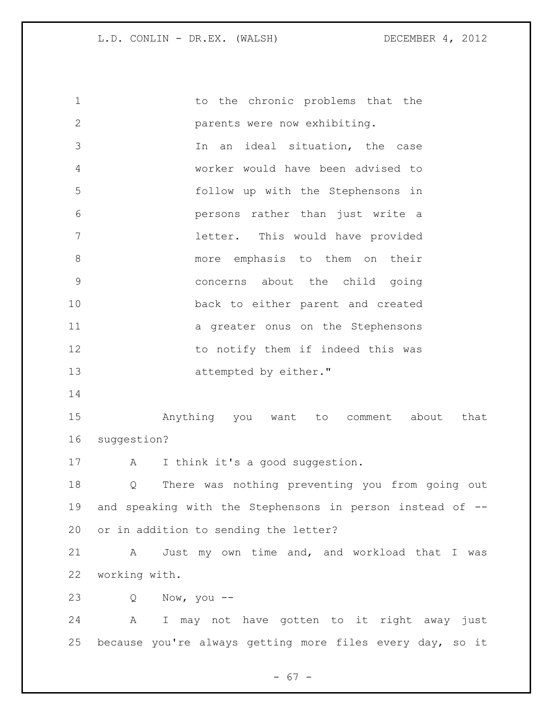1 to the chronic problems that the parents were now exhibiting. In an ideal situation, the case worker would have been advised to follow up with the Stephensons in persons rather than just write a letter. This would have provided more emphasis to them on their concerns about the child going back to either parent and created 11 a greater onus on the Stephensons 12 to notify them if indeed this was 13 attempted by either." Anything you want to comment about that suggestion? 17 A I think it's a good suggestion. Q There was nothing preventing you from going out and speaking with the Stephensons in person instead of -- or in addition to sending the letter? A Just my own time and, and workload that I was working with. Q Now, you -- A I may not have gotten to it right away just because you're always getting more files every day, so it

- 67 -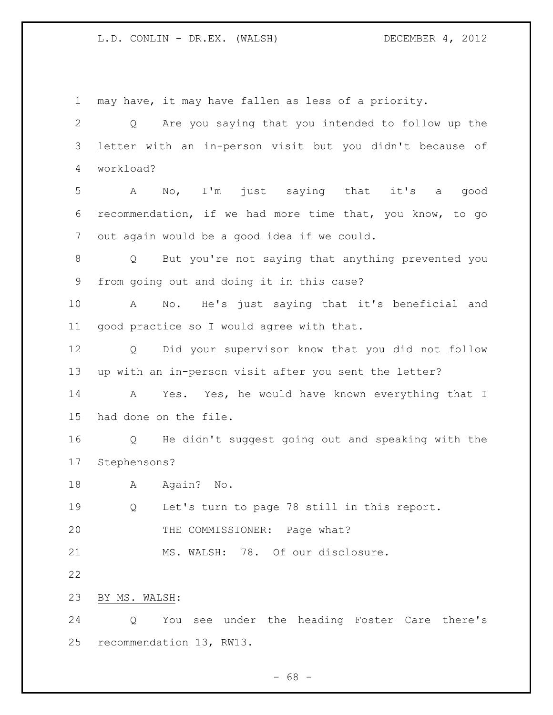may have, it may have fallen as less of a priority. Q Are you saying that you intended to follow up the letter with an in-person visit but you didn't because of workload? A No, I'm just saying that it's a good recommendation, if we had more time that, you know, to go out again would be a good idea if we could. Q But you're not saying that anything prevented you from going out and doing it in this case? A No. He's just saying that it's beneficial and good practice so I would agree with that. Q Did your supervisor know that you did not follow up with an in-person visit after you sent the letter? A Yes. Yes, he would have known everything that I had done on the file. Q He didn't suggest going out and speaking with the Stephensons? 18 A Again? No. Q Let's turn to page 78 still in this report. THE COMMISSIONER: Page what? 21 MS. WALSH: 78. Of our disclosure. BY MS. WALSH: Q You see under the heading Foster Care there's recommendation 13, RW13.

 $- 68 -$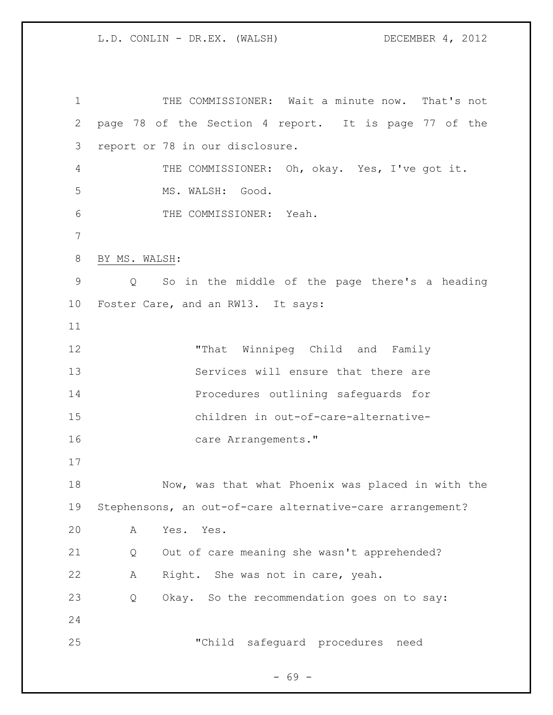THE COMMISSIONER: Wait a minute now. That's not page 78 of the Section 4 report. It is page 77 of the report or 78 in our disclosure. THE COMMISSIONER: Oh, okay. Yes, I've got it. MS. WALSH: Good. THE COMMISSIONER: Yeah. BY MS. WALSH: Q So in the middle of the page there's a heading Foster Care, and an RW13. It says: "That Winnipeg Child and Family Services will ensure that there are Procedures outlining safeguards for children in out-of-care-alternative-16 care Arrangements." Now, was that what Phoenix was placed in with the Stephensons, an out-of-care alternative-care arrangement? A Yes. Yes. Q Out of care meaning she wasn't apprehended? A Right. She was not in care, yeah. Q Okay. So the recommendation goes on to say: "Child safeguard procedures need

 $- 69 -$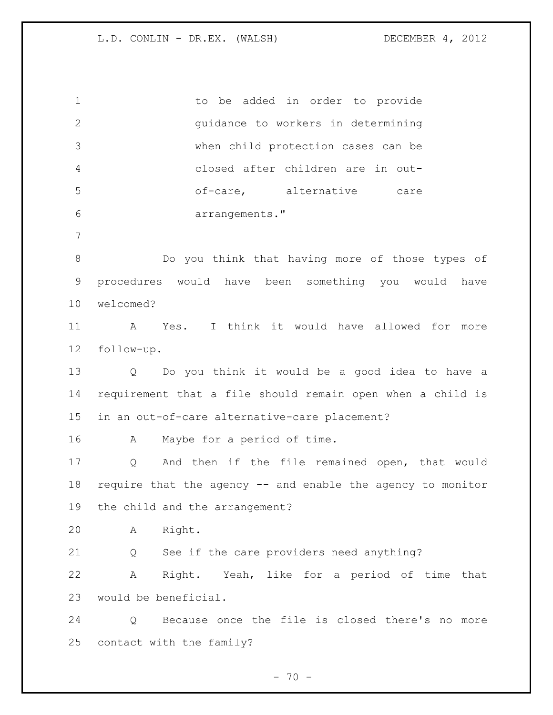1 to be added in order to provide guidance to workers in determining when child protection cases can be closed after children are in out- of-care, alternative care arrangements." Do you think that having more of those types of procedures would have been something you would have welcomed? A Yes. I think it would have allowed for more follow-up. Q Do you think it would be a good idea to have a requirement that a file should remain open when a child is in an out-of-care alternative-care placement? A Maybe for a period of time. Q And then if the file remained open, that would require that the agency -- and enable the agency to monitor the child and the arrangement? A Right. Q See if the care providers need anything? A Right. Yeah, like for a period of time that would be beneficial. Q Because once the file is closed there's no more contact with the family?

 $- 70 -$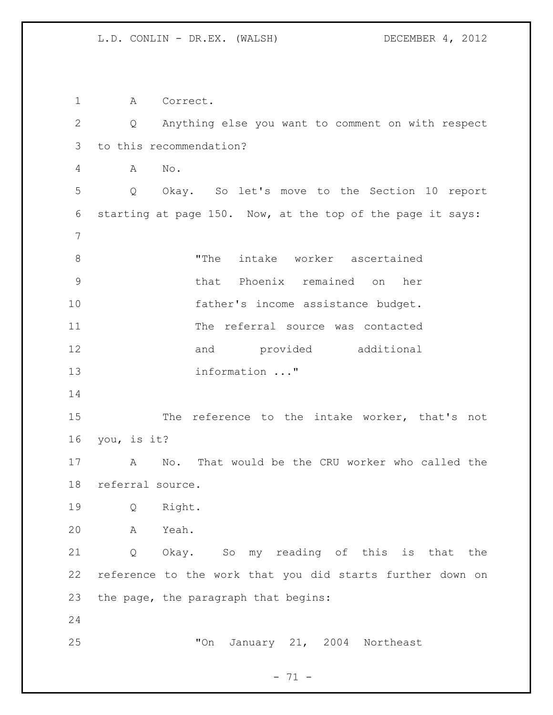A Correct. Q Anything else you want to comment on with respect to this recommendation? A No. Q Okay. So let's move to the Section 10 report starting at page 150. Now, at the top of the page it says: 8 The intake worker ascertained that Phoenix remained on her 10 father's income assistance budget. The referral source was contacted 12 and provided additional information ..." 15 The reference to the intake worker, that's not you, is it? A No. That would be the CRU worker who called the referral source. Q Right. A Yeah. Q Okay. So my reading of this is that the reference to the work that you did starts further down on the page, the paragraph that begins: "On January 21, 2004 Northeast

 $- 71 -$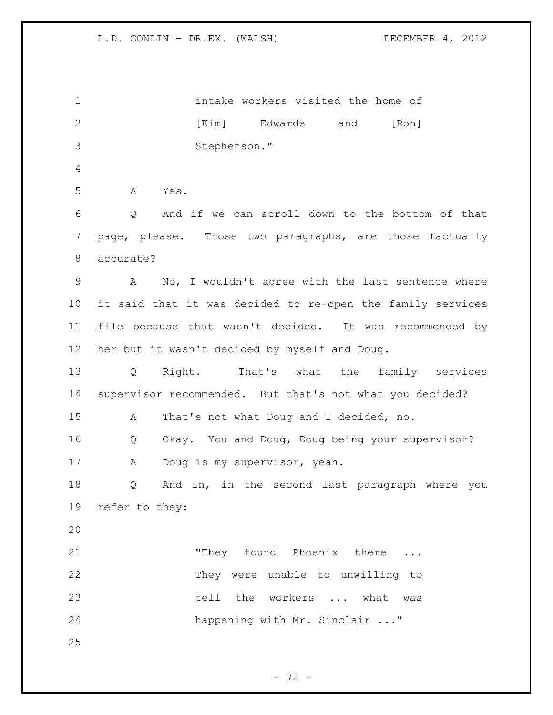intake workers visited the home of 2 [Kim] Edwards and [Ron] Stephenson." A Yes. Q And if we can scroll down to the bottom of that page, please. Those two paragraphs, are those factually accurate? A No, I wouldn't agree with the last sentence where it said that it was decided to re-open the family services file because that wasn't decided. It was recommended by her but it wasn't decided by myself and Doug. Q Right. That's what the family services supervisor recommended. But that's not what you decided? A That's not what Doug and I decided, no. Q Okay. You and Doug, Doug being your supervisor? A Doug is my supervisor, yeah. Q And in, in the second last paragraph where you refer to they: "They found Phoenix there ... They were unable to unwilling to tell the workers ... what was happening with Mr. Sinclair ..." 

- 72 -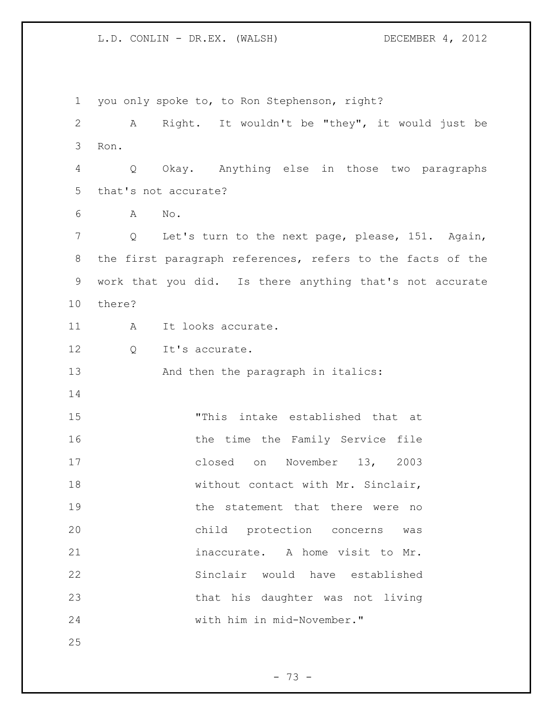you only spoke to, to Ron Stephenson, right? A Right. It wouldn't be "they", it would just be Ron. Q Okay. Anything else in those two paragraphs that's not accurate? A No. Q Let's turn to the next page, please, 151. Again, the first paragraph references, refers to the facts of the work that you did. Is there anything that's not accurate there? 11 A It looks accurate. 12 0 It's accurate. 13 And then the paragraph in italics: "This intake established that at 16 the time the Family Service file closed on November 13, 2003 18 without contact with Mr. Sinclair, 19 the statement that there were no child protection concerns was inaccurate. A home visit to Mr. Sinclair would have established that his daughter was not living with him in mid-November." 

- 73 -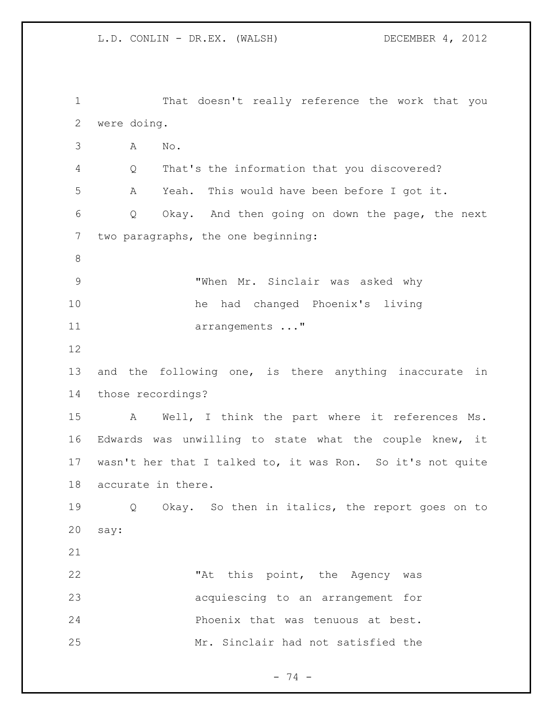That doesn't really reference the work that you were doing. A No. Q That's the information that you discovered? A Yeah. This would have been before I got it. Q Okay. And then going on down the page, the next two paragraphs, the one beginning: "When Mr. Sinclair was asked why he had changed Phoenix's living 11 arrangements ..." and the following one, is there anything inaccurate in those recordings? A Well, I think the part where it references Ms. Edwards was unwilling to state what the couple knew, it wasn't her that I talked to, it was Ron. So it's not quite accurate in there. Q Okay. So then in italics, the report goes on to say: 22 This point, the Agency was acquiescing to an arrangement for Phoenix that was tenuous at best. Mr. Sinclair had not satisfied the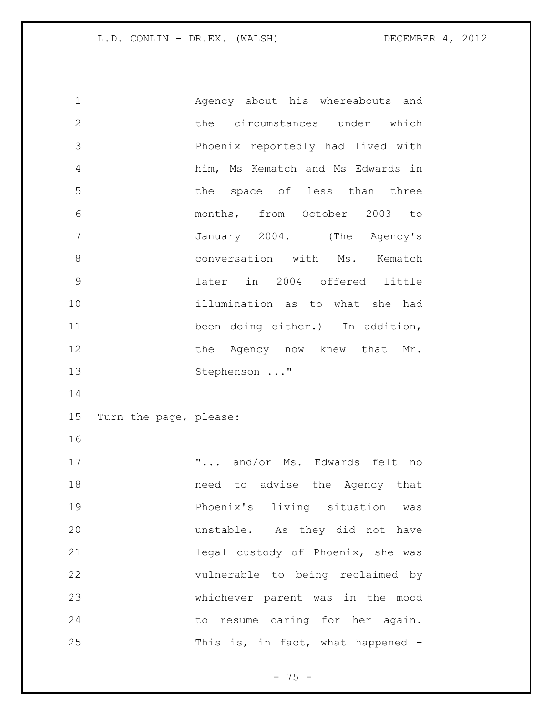Agency about his whereabouts and 2 the circumstances under which Phoenix reportedly had lived with him, Ms Kematch and Ms Edwards in the space of less than three months, from October 2003 to January 2004. (The Agency's **8** conversation with Ms. Kematch later in 2004 offered little illumination as to what she had been doing either.) In addition, 12 the Agency now knew that Mr. Stephenson ..." Turn the page, please: "... and/or Ms. Edwards felt no need to advise the Agency that Phoenix's living situation was unstable. As they did not have legal custody of Phoenix, she was vulnerable to being reclaimed by whichever parent was in the mood 24 to resume caring for her again. 25 This is, in fact, what happened -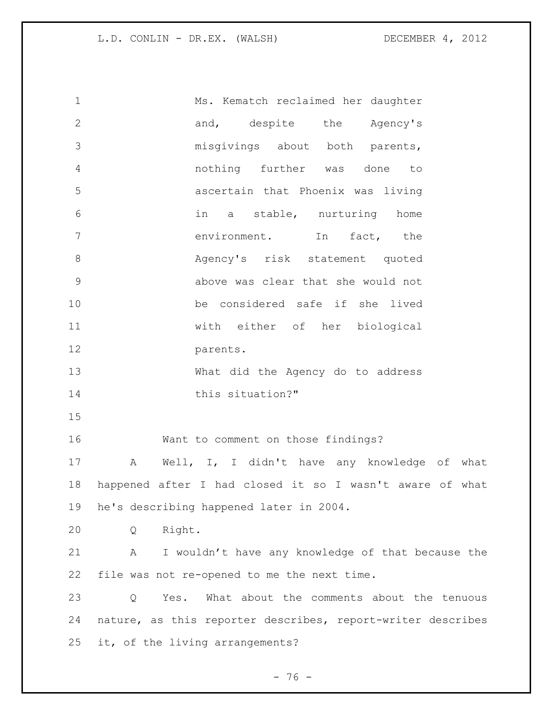| $\mathbf 1$   | Ms. Kematch reclaimed her daughter                          |
|---------------|-------------------------------------------------------------|
| $\mathbf{2}$  | and, despite the Agency's                                   |
| 3             | misgivings about both parents,                              |
| 4             | nothing further was done<br>to                              |
| 5             | ascertain that Phoenix was living                           |
| 6             | in a stable, nurturing home                                 |
| 7             | environment.<br>In<br>fact, the                             |
| $\,8\,$       | Agency's risk statement quoted                              |
| $\mathcal{G}$ | above was clear that she would not                          |
| 10            | be considered safe if she lived                             |
| 11            | with either of her biological                               |
| 12            | parents.                                                    |
| 13            | What did the Agency do to address                           |
| 14            | this situation?"                                            |
| 15            |                                                             |
| 16            | Want to comment on those findings?                          |
| 17            | Well, I, I didn't have any knowledge of what<br>A           |
| 18            | happened after I had closed it so I wasn't aware of what    |
| 19            | he's describing happened later in 2004.                     |
| 20            | Right.<br>Q                                                 |
| 21            | I wouldn't have any knowledge of that because the<br>Α      |
| 22            | file was not re-opened to me the next time.                 |
| 23            | What about the comments about the tenuous<br>Yes.<br>Q      |
| 24            | nature, as this reporter describes, report-writer describes |
| 25            | it, of the living arrangements?                             |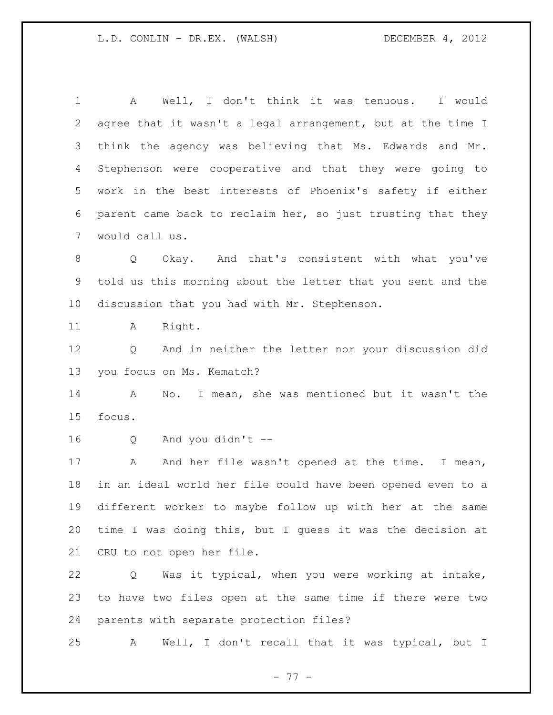A Well, I don't think it was tenuous. I would agree that it wasn't a legal arrangement, but at the time I think the agency was believing that Ms. Edwards and Mr. Stephenson were cooperative and that they were going to work in the best interests of Phoenix's safety if either parent came back to reclaim her, so just trusting that they would call us. Q Okay. And that's consistent with what you've told us this morning about the letter that you sent and the discussion that you had with Mr. Stephenson. 11 A Right. Q And in neither the letter nor your discussion did you focus on Ms. Kematch? A No. I mean, she was mentioned but it wasn't the focus. Q And you didn't -- 17 A And her file wasn't opened at the time. I mean, in an ideal world her file could have been opened even to a different worker to maybe follow up with her at the same time I was doing this, but I guess it was the decision at CRU to not open her file. Q Was it typical, when you were working at intake, to have two files open at the same time if there were two parents with separate protection files?

A Well, I don't recall that it was typical, but I

- 77 -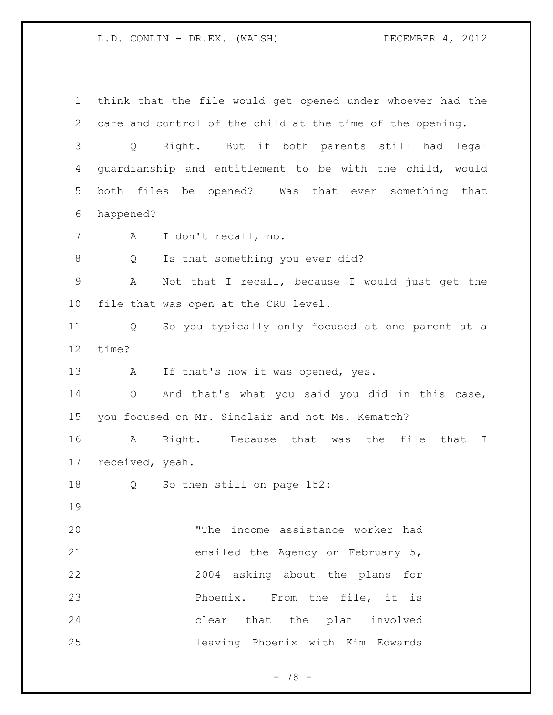think that the file would get opened under whoever had the care and control of the child at the time of the opening. Q Right. But if both parents still had legal guardianship and entitlement to be with the child, would both files be opened? Was that ever something that happened? A I don't recall, no. 8 Q Is that something you ever did? A Not that I recall, because I would just get the file that was open at the CRU level. Q So you typically only focused at one parent at a time? 13 A If that's how it was opened, yes. Q And that's what you said you did in this case, you focused on Mr. Sinclair and not Ms. Kematch? A Right. Because that was the file that I received, yeah. 18 Q So then still on page 152: "The income assistance worker had emailed the Agency on February 5, 2004 asking about the plans for **Phoenix.** From the file, it is clear that the plan involved leaving Phoenix with Kim Edwards

- 78 -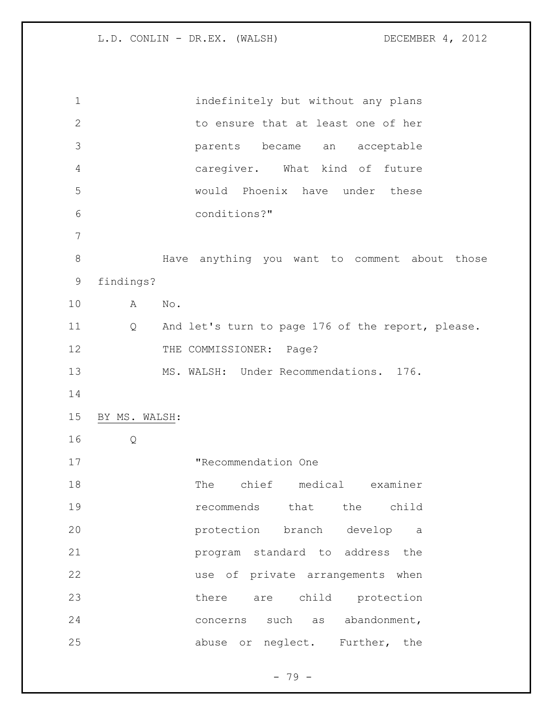| $\mathbf 1$ |               | indefinitely but without any plans                |
|-------------|---------------|---------------------------------------------------|
| 2           |               | to ensure that at least one of her                |
| 3           |               | parents<br>became an acceptable                   |
| 4           |               | caregiver. What kind of future                    |
| 5           |               | would Phoenix have under these                    |
| 6           |               | conditions?"                                      |
| 7           |               |                                                   |
| $\,8\,$     |               | Have anything you want to comment about those     |
| 9           | findings?     |                                                   |
| 10          | A             | No.                                               |
| 11          | Q             | And let's turn to page 176 of the report, please. |
| 12          |               | THE COMMISSIONER: Page?                           |
| 13          |               | MS. WALSH: Under Recommendations. 176.            |
| 14          |               |                                                   |
| 15          | BY MS. WALSH: |                                                   |
| 16          | Q             |                                                   |
| 17          |               | "Recommendation One                               |
| 18          |               | The chief medical examiner                        |
| 19          |               | recommends that the child                         |
| 20          |               | protection branch develop a                       |
| 21          |               | program standard to address the                   |
| 22          |               | use of private arrangements when                  |
| 23          |               | are child protection<br>there                     |
| 24          |               | as abandonment,<br>concerns such                  |
| 25          |               | abuse or neglect. Further, the                    |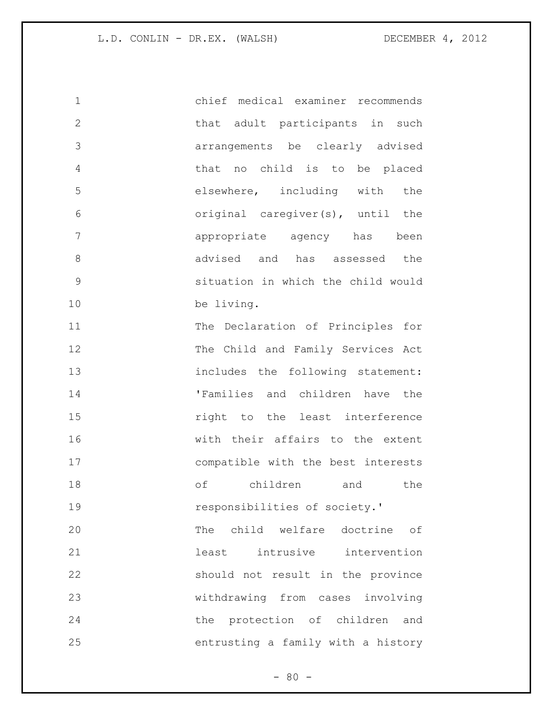chief medical examiner recommends that adult participants in such arrangements be clearly advised that no child is to be placed elsewhere, including with the original caregiver(s), until the appropriate agency has been 8 advised and has assessed the situation in which the child would be living. The Declaration of Principles for The Child and Family Services Act 13 includes the following statement: 'Families and children have the right to the least interference with their affairs to the extent compatible with the best interests of children and the responsibilities of society.' The child welfare doctrine of 21 120 least intrusive intervention should not result in the province withdrawing from cases involving the protection of children and entrusting a family with a history

 $- 80 -$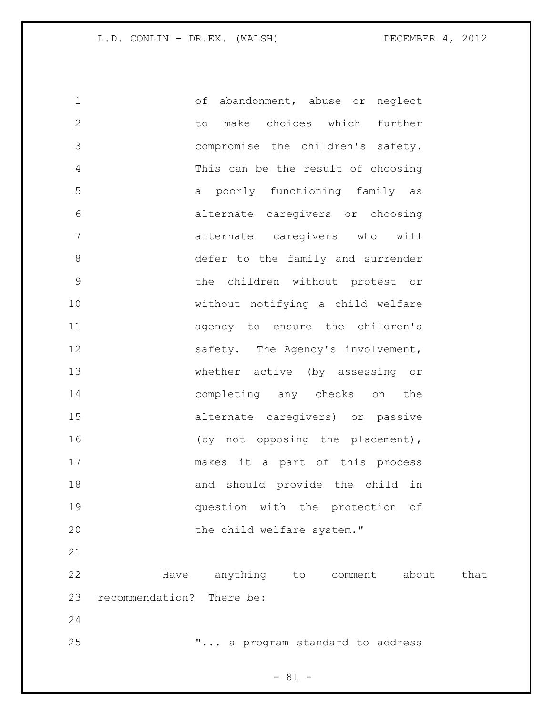of abandonment, abuse or neglect to make choices which further compromise the children's safety. This can be the result of choosing a poorly functioning family as alternate caregivers or choosing alternate caregivers who will defer to the family and surrender the children without protest or without notifying a child welfare agency to ensure the children's 12 safety. The Agency's involvement, whether active (by assessing or completing any checks on the alternate caregivers) or passive 16 (by not opposing the placement), makes it a part of this process and should provide the child in question with the protection of 20 the child welfare system." Have anything to comment about that recommendation? There be: 

"... a program standard to address

 $- 81 -$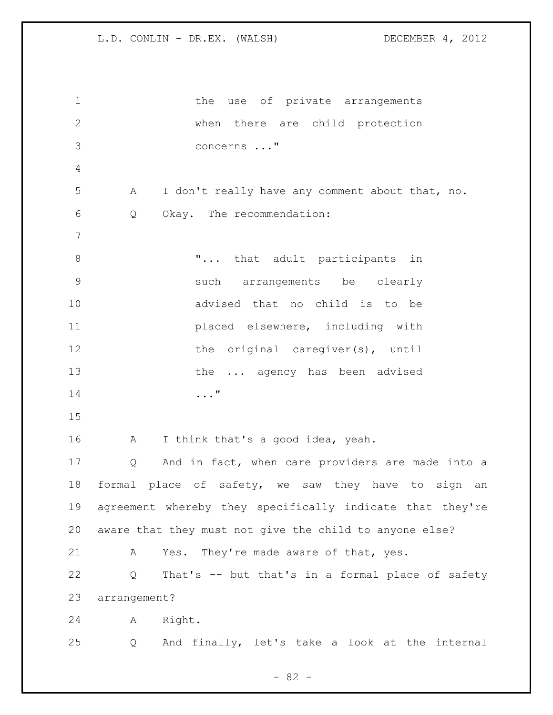1 the use of private arrangements when there are child protection concerns ..." A I don't really have any comment about that, no. Q Okay. The recommendation: 8 T... that adult participants in such arrangements be clearly advised that no child is to be placed elsewhere, including with 12 the original caregiver(s), until 13 the ... agency has been advised ..." 16 A I think that's a good idea, yeah. Q And in fact, when care providers are made into a formal place of safety, we saw they have to sign an agreement whereby they specifically indicate that they're aware that they must not give the child to anyone else? A Yes. They're made aware of that, yes. Q That's -- but that's in a formal place of safety arrangement? A Right. Q And finally, let's take a look at the internal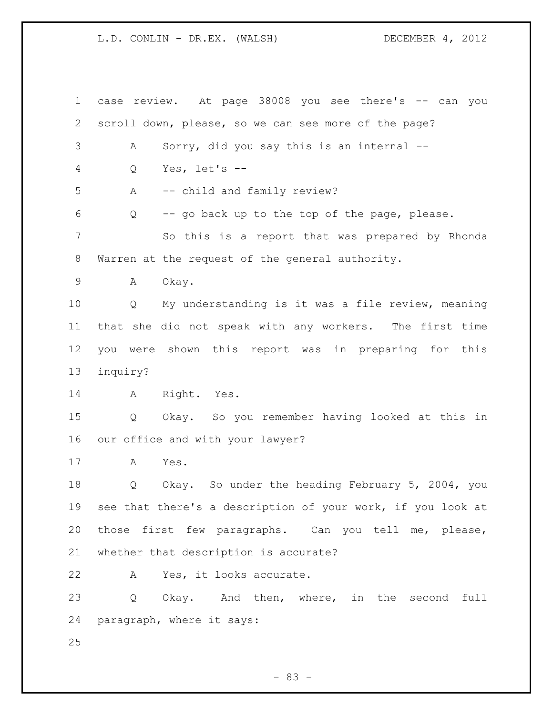case review. At page 38008 you see there's -- can you scroll down, please, so we can see more of the page? A Sorry, did you say this is an internal -- Q Yes, let's -- A -- child and family review? Q -- go back up to the top of the page, please. So this is a report that was prepared by Rhonda Warren at the request of the general authority. A Okay. Q My understanding is it was a file review, meaning that she did not speak with any workers. The first time you were shown this report was in preparing for this inquiry? A Right. Yes. Q Okay. So you remember having looked at this in our office and with your lawyer? A Yes. Q Okay. So under the heading February 5, 2004, you see that there's a description of your work, if you look at those first few paragraphs. Can you tell me, please, whether that description is accurate? A Yes, it looks accurate. 23 Q Okay. And then, where, in the second full paragraph, where it says: 

- 83 -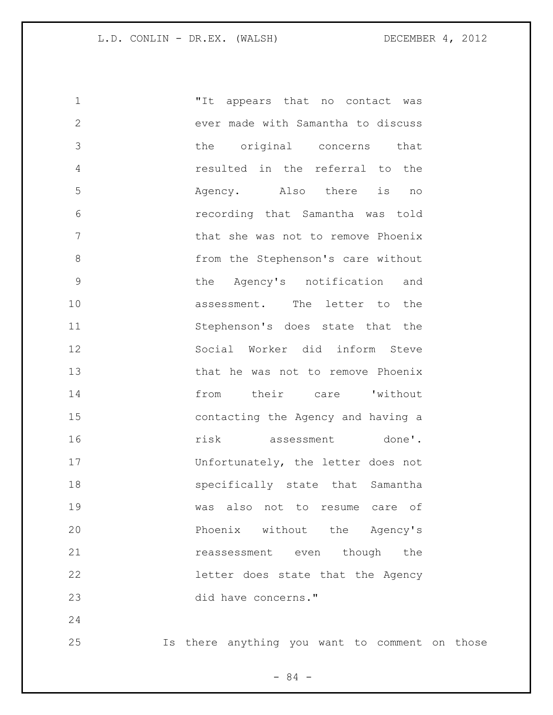"It appears that no contact was ever made with Samantha to discuss the original concerns that resulted in the referral to the Agency. Also there is no recording that Samantha was told that she was not to remove Phoenix 8 from the Stephenson's care without the Agency's notification and **assessment**. The letter to the Stephenson's does state that the Social Worker did inform Steve 13 that he was not to remove Phoenix from their care 'without contacting the Agency and having a risk assessment done'. Unfortunately, the letter does not specifically state that Samantha was also not to resume care of Phoenix without the Agency's 21 reassessment even though the letter does state that the Agency did have concerns." 

Is there anything you want to comment on those

- 84 -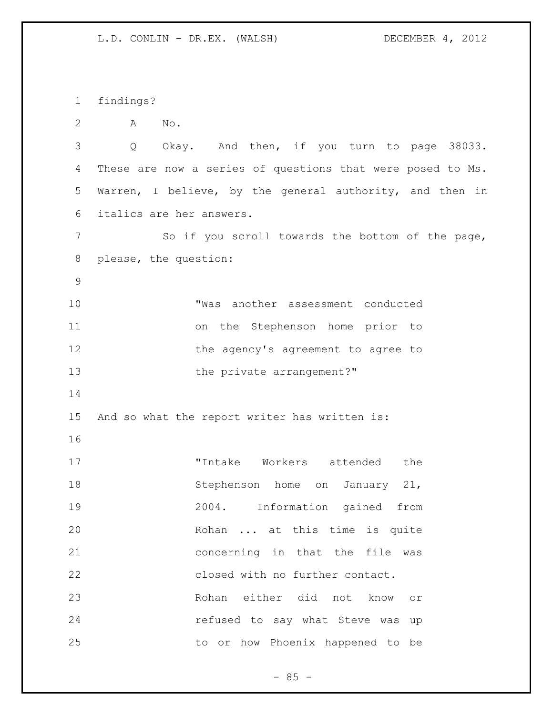findings? A No. Q Okay. And then, if you turn to page 38033. These are now a series of questions that were posed to Ms. Warren, I believe, by the general authority, and then in italics are her answers. 7 So if you scroll towards the bottom of the page, please, the question: "Was another assessment conducted on the Stephenson home prior to 12 the agency's agreement to agree to 13 the private arrangement?" And so what the report writer has written is: 17 TIntake Workers attended the 18 Stephenson home on January 21, 2004. Information gained from Rohan ... at this time is quite concerning in that the file was closed with no further contact. Rohan either did not know or **refused to say what Steve was up** to or how Phoenix happened to be

 $- 85 -$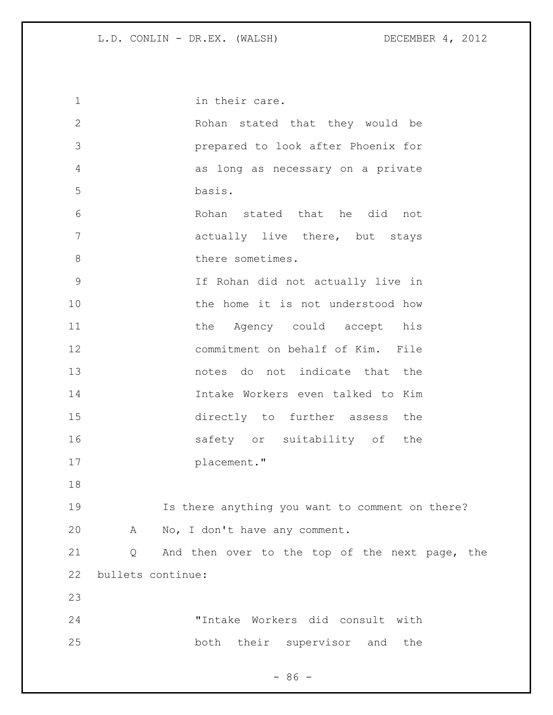| $\mathbf 1$  |                   | in their care.                                  |
|--------------|-------------------|-------------------------------------------------|
| $\mathbf{2}$ |                   | Rohan stated that they would be                 |
| 3            |                   | prepared to look after Phoenix for              |
| 4            |                   | as long as necessary on a private               |
| 5            |                   | basis.                                          |
| 6            |                   | Rohan stated that he did not                    |
| 7            |                   | actually live there, but stays                  |
| 8            |                   | there sometimes.                                |
| $\mathsf 9$  |                   | If Rohan did not actually live in               |
| 10           |                   | the home it is not understood how               |
| 11           |                   | the Agency could accept his                     |
| 12           |                   | commitment on behalf of Kim. File               |
| 13           |                   | notes do not indicate that the                  |
| 14           |                   | Intake Workers even talked to Kim               |
| 15           |                   | directly to further assess the                  |
| 16           |                   | safety or suitability of the                    |
| 17           |                   | placement."                                     |
| 18           |                   |                                                 |
| 19           |                   | Is there anything you want to comment on there? |
| 20           | Α                 | No, I don't have any comment.                   |
| 21           | Q                 | And then over to the top of the next page, the  |
| 22           | bullets continue: |                                                 |
| 23           |                   |                                                 |
| 24           |                   | "Intake Workers did consult with                |
| 25           |                   | both their supervisor and the                   |

- 86 -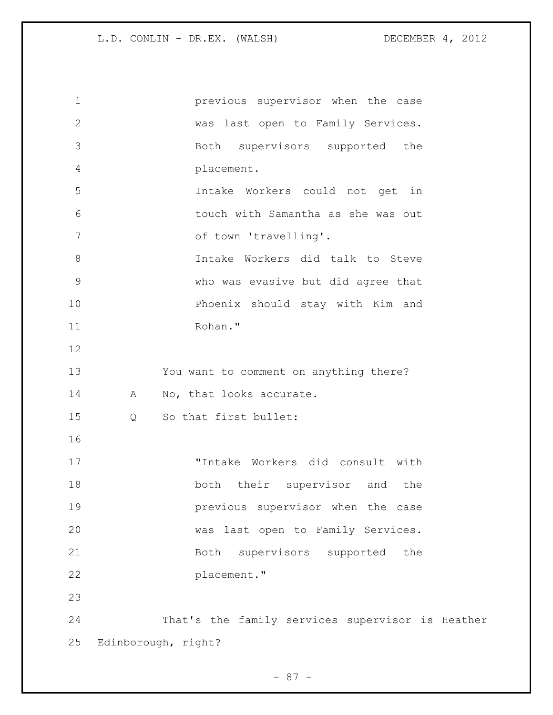previous supervisor when the case was last open to Family Services. Both supervisors supported the placement. Intake Workers could not get in touch with Samantha as she was out of town 'travelling'. Intake Workers did talk to Steve who was evasive but did agree that Phoenix should stay with Kim and Rohan." You want to comment on anything there? 14 A No, that looks accurate. Q So that first bullet: "Intake Workers did consult with 18 both their supervisor and the **previous** supervisor when the case was last open to Family Services. Both supervisors supported the placement." That's the family services supervisor is Heather Edinborough, right?

- 87 -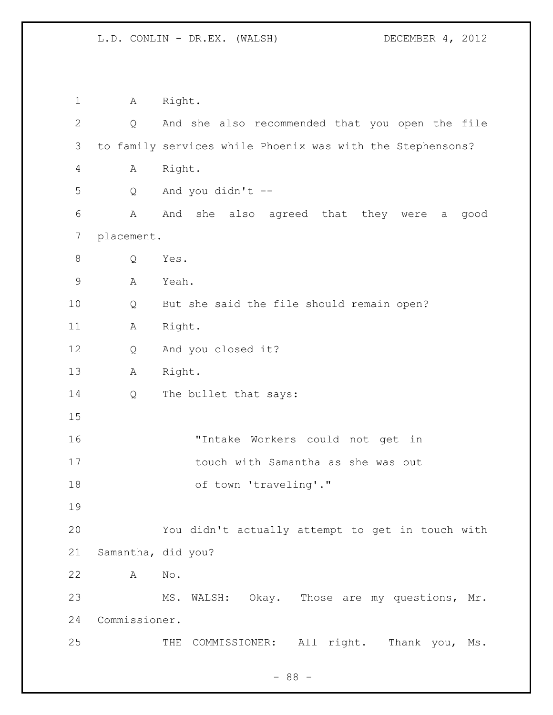A Right. Q And she also recommended that you open the file to family services while Phoenix was with the Stephensons? A Right. Q And you didn't -- A And she also agreed that they were a good placement. Q Yes. A Yeah. Q But she said the file should remain open? A Right. Q And you closed it? A Right. 14 Q The bullet that says: "Intake Workers could not get in touch with Samantha as she was out 18 of town 'traveling'." You didn't actually attempt to get in touch with Samantha, did you? A No. MS. WALSH: Okay. Those are my questions, Mr. Commissioner. 25 THE COMMISSIONER: All right. Thank you, Ms.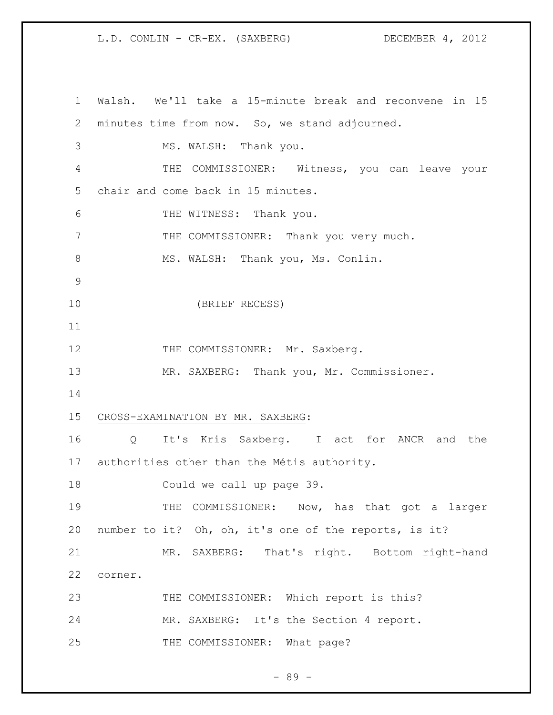Walsh. We'll take a 15-minute break and reconvene in 15 minutes time from now. So, we stand adjourned. MS. WALSH: Thank you. THE COMMISSIONER: Witness, you can leave your chair and come back in 15 minutes. THE WITNESS: Thank you. THE COMMISSIONER: Thank you very much. 8 MS. WALSH: Thank you, Ms. Conlin. (BRIEF RECESS) 12 THE COMMISSIONER: Mr. Saxberg. 13 MR. SAXBERG: Thank you, Mr. Commissioner. CROSS-EXAMINATION BY MR. SAXBERG: Q It's Kris Saxberg. I act for ANCR and the authorities other than the Métis authority. Could we call up page 39. THE COMMISSIONER: Now, has that got a larger number to it? Oh, oh, it's one of the reports, is it? MR. SAXBERG: That's right. Bottom right-hand corner. 23 THE COMMISSIONER: Which report is this? MR. SAXBERG: It's the Section 4 report. 25 THE COMMISSIONER: What page?

- 89 -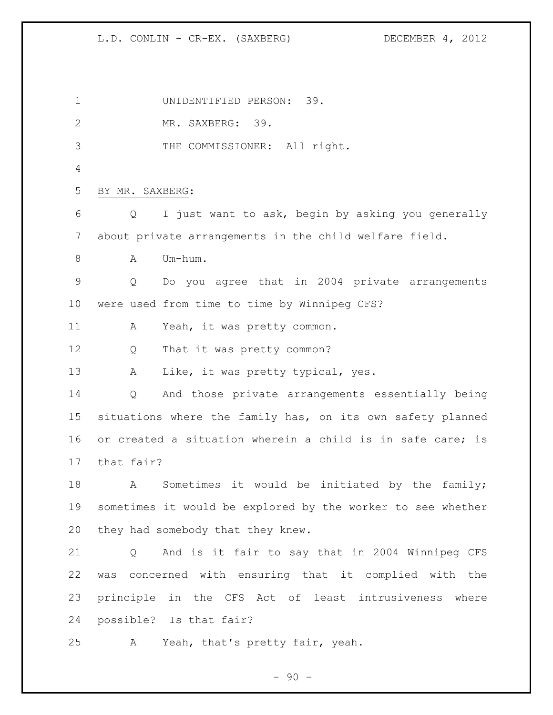UNIDENTIFIED PERSON: 39. MR. SAXBERG: 39. THE COMMISSIONER: All right. BY MR. SAXBERG: Q I just want to ask, begin by asking you generally about private arrangements in the child welfare field. 8 A Um-hum. Q Do you agree that in 2004 private arrangements were used from time to time by Winnipeg CFS? 11 A Yeah, it was pretty common. Q That it was pretty common? 13 A Like, it was pretty typical, yes. Q And those private arrangements essentially being situations where the family has, on its own safety planned or created a situation wherein a child is in safe care; is that fair? A Sometimes it would be initiated by the family; sometimes it would be explored by the worker to see whether they had somebody that they knew. Q And is it fair to say that in 2004 Winnipeg CFS was concerned with ensuring that it complied with the principle in the CFS Act of least intrusiveness where possible? Is that fair? A Yeah, that's pretty fair, yeah.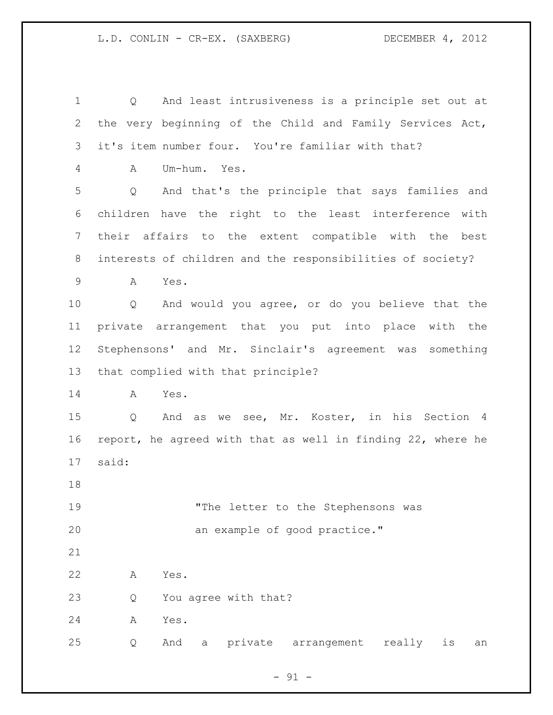Q And least intrusiveness is a principle set out at the very beginning of the Child and Family Services Act, it's item number four. You're familiar with that? A Um-hum. Yes. Q And that's the principle that says families and children have the right to the least interference with their affairs to the extent compatible with the best interests of children and the responsibilities of society? A Yes. Q And would you agree, or do you believe that the private arrangement that you put into place with the Stephensons' and Mr. Sinclair's agreement was something that complied with that principle? A Yes. Q And as we see, Mr. Koster, in his Section 4 report, he agreed with that as well in finding 22, where he said: 19 The letter to the Stephensons was 20 an example of good practice." A Yes. Q You agree with that? A Yes. Q And a private arrangement really is an

 $-91 -$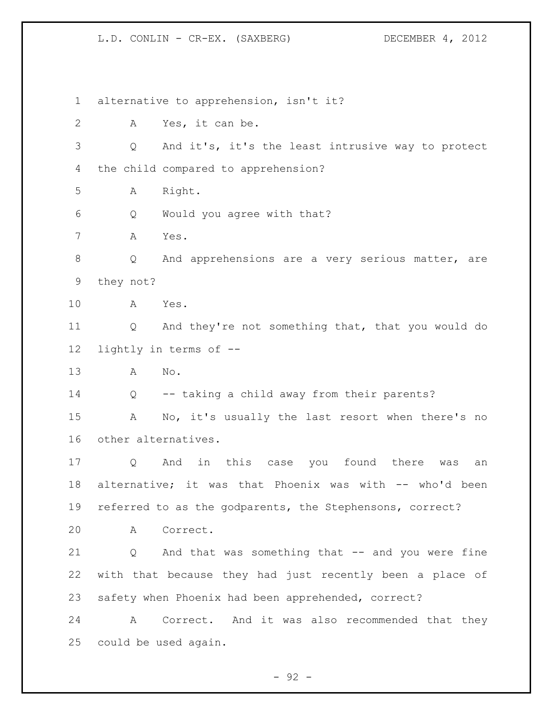alternative to apprehension, isn't it? A Yes, it can be. Q And it's, it's the least intrusive way to protect the child compared to apprehension? A Right. Q Would you agree with that? A Yes. Q And apprehensions are a very serious matter, are they not? A Yes. Q And they're not something that, that you would do lightly in terms of -- A No. Q -- taking a child away from their parents? A No, it's usually the last resort when there's no other alternatives. Q And in this case you found there was an alternative; it was that Phoenix was with -- who'd been referred to as the godparents, the Stephensons, correct? A Correct. Q And that was something that -- and you were fine with that because they had just recently been a place of safety when Phoenix had been apprehended, correct? A Correct. And it was also recommended that they could be used again.

 $-92 -$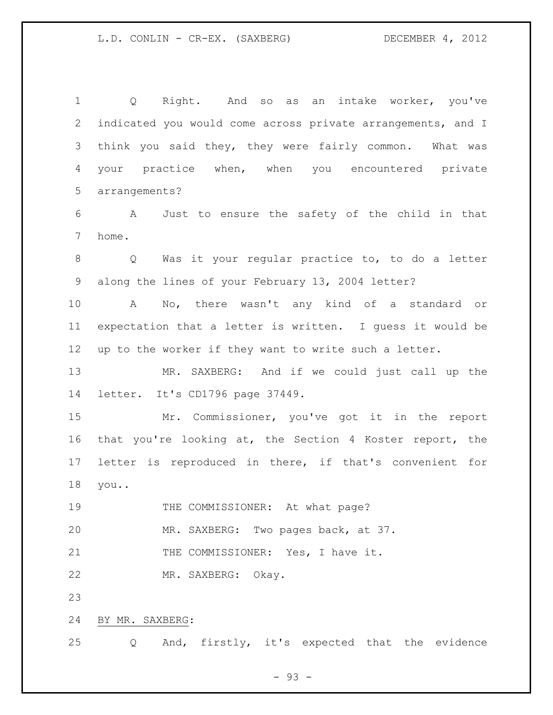Q Right. And so as an intake worker, you've indicated you would come across private arrangements, and I think you said they, they were fairly common. What was your practice when, when you encountered private arrangements?

 A Just to ensure the safety of the child in that home.

 Q Was it your regular practice to, to do a letter along the lines of your February 13, 2004 letter?

 A No, there wasn't any kind of a standard or expectation that a letter is written. I guess it would be up to the worker if they want to write such a letter.

 MR. SAXBERG: And if we could just call up the letter. It's CD1796 page 37449.

 Mr. Commissioner, you've got it in the report that you're looking at, the Section 4 Koster report, the letter is reproduced in there, if that's convenient for you..

19 THE COMMISSIONER: At what page?

MR. SAXBERG: Two pages back, at 37.

21 THE COMMISSIONER: Yes, I have it.

MR. SAXBERG: Okay.

BY MR. SAXBERG:

Q And, firstly, it's expected that the evidence

 $-93 -$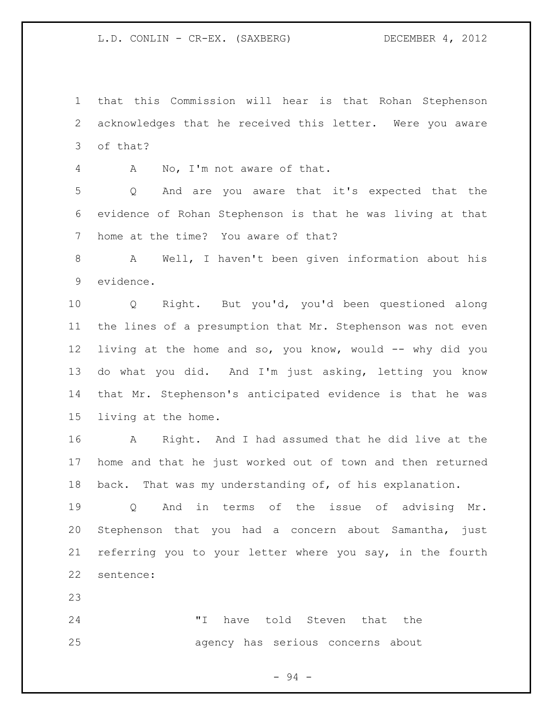that this Commission will hear is that Rohan Stephenson acknowledges that he received this letter. Were you aware of that?

A No, I'm not aware of that.

 Q And are you aware that it's expected that the evidence of Rohan Stephenson is that he was living at that home at the time? You aware of that?

 A Well, I haven't been given information about his evidence.

 Q Right. But you'd, you'd been questioned along the lines of a presumption that Mr. Stephenson was not even living at the home and so, you know, would -- why did you do what you did. And I'm just asking, letting you know that Mr. Stephenson's anticipated evidence is that he was living at the home.

 A Right. And I had assumed that he did live at the home and that he just worked out of town and then returned back. That was my understanding of, of his explanation.

 Q And in terms of the issue of advising Mr. Stephenson that you had a concern about Samantha, just referring you to your letter where you say, in the fourth sentence:

 "I have told Steven that the agency has serious concerns about

- 94 -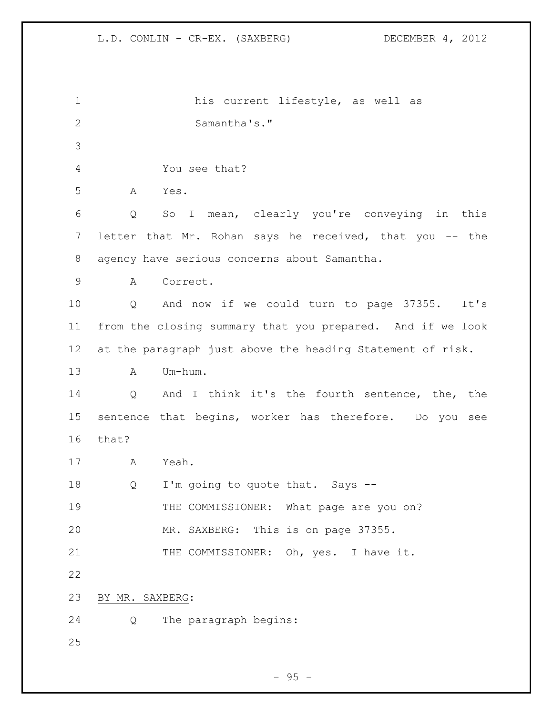his current lifestyle, as well as Samantha's." You see that? A Yes. Q So I mean, clearly you're conveying in this 7 letter that Mr. Rohan says he received, that you -- the agency have serious concerns about Samantha. A Correct. Q And now if we could turn to page 37355. It's from the closing summary that you prepared. And if we look at the paragraph just above the heading Statement of risk. A Um-hum. Q And I think it's the fourth sentence, the, the sentence that begins, worker has therefore. Do you see that? A Yeah. 18 Q I'm going to quote that. Says --19 THE COMMISSIONER: What page are you on? MR. SAXBERG: This is on page 37355. 21 THE COMMISSIONER: Oh, yes. I have it. BY MR. SAXBERG: Q The paragraph begins: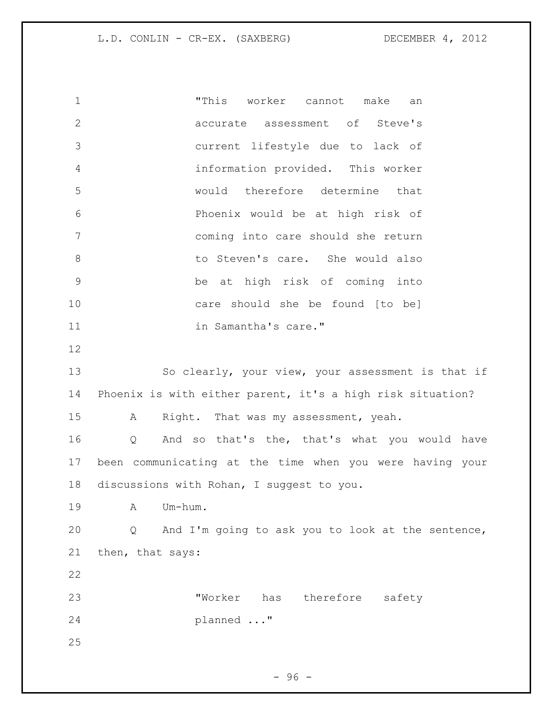"This worker cannot make an accurate assessment of Steve's current lifestyle due to lack of information provided. This worker would therefore determine that Phoenix would be at high risk of coming into care should she return 8 b to Steven's care. She would also be at high risk of coming into care should she be found [to be] 11 in Samantha's care." So clearly, your view, your assessment is that if Phoenix is with either parent, it's a high risk situation? A Right. That was my assessment, yeah. Q And so that's the, that's what you would have been communicating at the time when you were having your discussions with Rohan, I suggest to you. A Um-hum. Q And I'm going to ask you to look at the sentence, then, that says: "Worker has therefore safety planned ..." 

- 96 -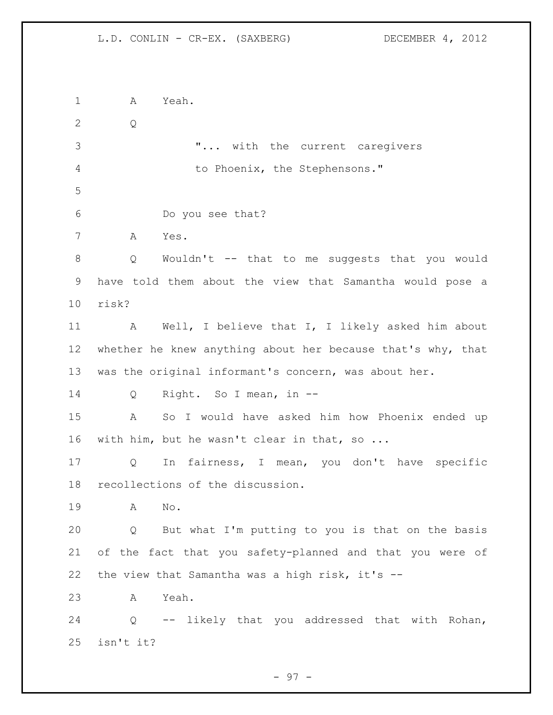A Yeah. Q "... with the current caregivers 4 to Phoenix, the Stephensons." Do you see that? A Yes. Q Wouldn't -- that to me suggests that you would have told them about the view that Samantha would pose a risk? A Well, I believe that I, I likely asked him about 12 whether he knew anything about her because that's why, that was the original informant's concern, was about her. Q Right. So I mean, in -- A So I would have asked him how Phoenix ended up with him, but he wasn't clear in that, so ... Q In fairness, I mean, you don't have specific recollections of the discussion. A No. Q But what I'm putting to you is that on the basis of the fact that you safety-planned and that you were of the view that Samantha was a high risk, it's -- A Yeah. Q -- likely that you addressed that with Rohan, isn't it?

- 97 -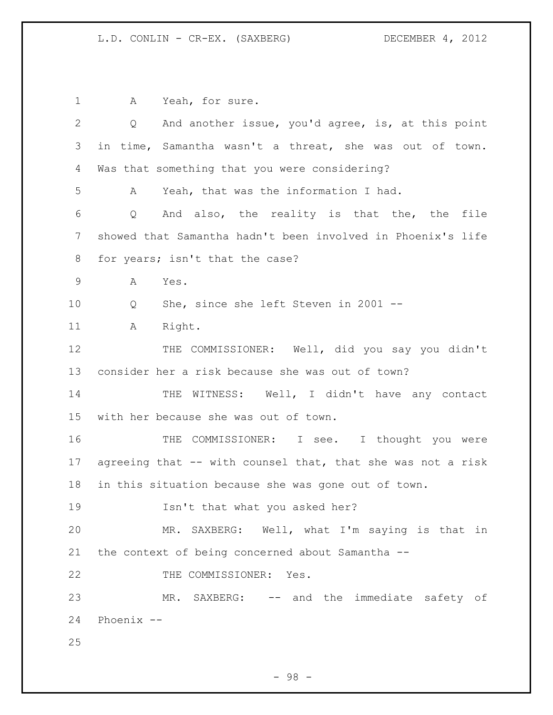1 A Yeah, for sure. Q And another issue, you'd agree, is, at this point in time, Samantha wasn't a threat, she was out of town. Was that something that you were considering? A Yeah, that was the information I had. Q And also, the reality is that the, the file showed that Samantha hadn't been involved in Phoenix's life for years; isn't that the case? A Yes. Q She, since she left Steven in 2001 -- 11 A Right. THE COMMISSIONER: Well, did you say you didn't consider her a risk because she was out of town? 14 THE WITNESS: Well, I didn't have any contact with her because she was out of town. 16 THE COMMISSIONER: I see. I thought you were agreeing that -- with counsel that, that she was not a risk in this situation because she was gone out of town. Isn't that what you asked her? MR. SAXBERG: Well, what I'm saying is that in the context of being concerned about Samantha -- 22 THE COMMISSIONER: Yes. MR. SAXBERG: -- and the immediate safety of Phoenix -- 

- 98 -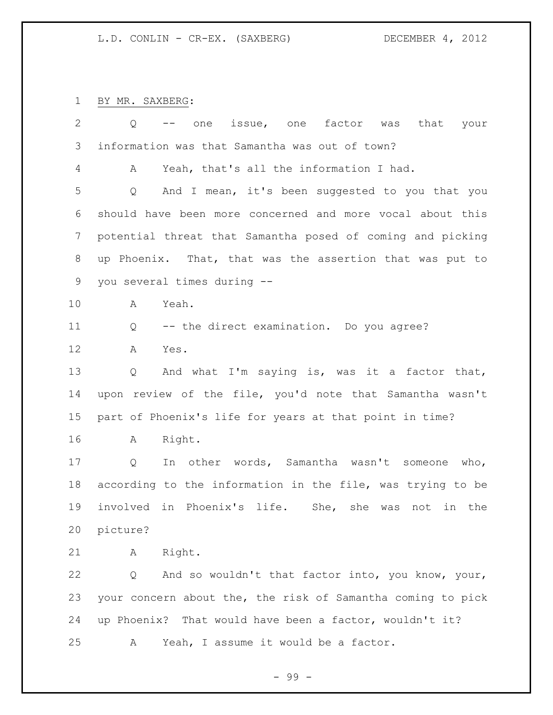BY MR. SAXBERG:

| $\overline{2}$ | Q                           | issue, one factor was that your<br>one                      |  |
|----------------|-----------------------------|-------------------------------------------------------------|--|
| 3              |                             | information was that Samantha was out of town?              |  |
| 4              | A                           | Yeah, that's all the information I had.                     |  |
| 5              | Q                           | And I mean, it's been suggested to you that you             |  |
| 6              |                             | should have been more concerned and more vocal about this   |  |
| $\overline{7}$ |                             | potential threat that Samantha posed of coming and picking  |  |
| 8              |                             | up Phoenix. That, that was the assertion that was put to    |  |
| 9              | you several times during -- |                                                             |  |
| 10             | A                           | Yeah.                                                       |  |
| 11             | Q                           | -- the direct examination. Do you agree?                    |  |
| 12             | Α                           | Yes.                                                        |  |
| 13             | Q                           | And what I'm saying is, was it a factor that,               |  |
| 14             |                             | upon review of the file, you'd note that Samantha wasn't    |  |
| 15             |                             | part of Phoenix's life for years at that point in time?     |  |
| 16             | A                           | Right.                                                      |  |
| 17             | $Q \qquad \qquad$           | In other words, Samantha wasn't someone who,                |  |
| 18             |                             | according to the information in the file, was trying to be  |  |
| 19             |                             | involved in Phoenix's life. She, she was not in the         |  |
| 20             | picture?                    |                                                             |  |
| 21             | A                           | Right.                                                      |  |
| 22             | Q                           | And so wouldn't that factor into, you know, your,           |  |
| 23             |                             | your concern about the, the risk of Samantha coming to pick |  |
| 24             |                             | up Phoenix? That would have been a factor, wouldn't it?     |  |
| 25             | Α                           | Yeah, I assume it would be a factor.                        |  |

- 99 -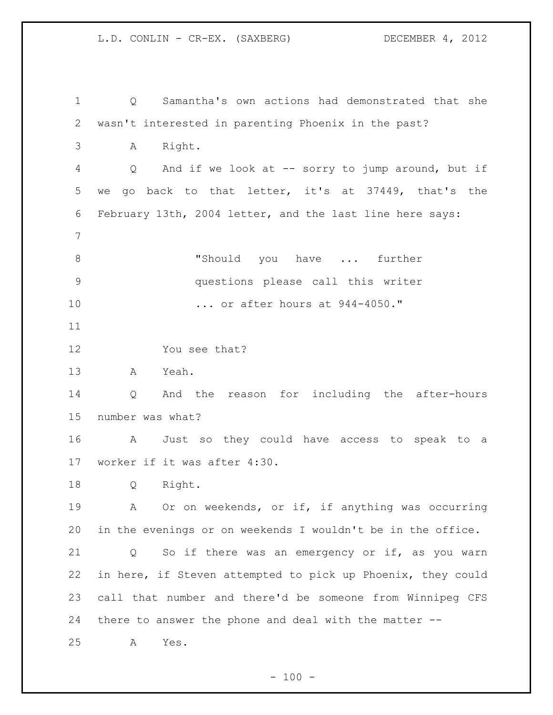Q Samantha's own actions had demonstrated that she wasn't interested in parenting Phoenix in the past? A Right. Q And if we look at -- sorry to jump around, but if we go back to that letter, it's at 37449, that's the February 13th, 2004 letter, and the last line here says: 8 Thould you have ... further questions please call this writer ... or after hours at 944-4050." You see that? A Yeah. Q And the reason for including the after-hours number was what? A Just so they could have access to speak to a worker if it was after 4:30. Q Right. A Or on weekends, or if, if anything was occurring in the evenings or on weekends I wouldn't be in the office. Q So if there was an emergency or if, as you warn in here, if Steven attempted to pick up Phoenix, they could call that number and there'd be someone from Winnipeg CFS there to answer the phone and deal with the matter -- A Yes.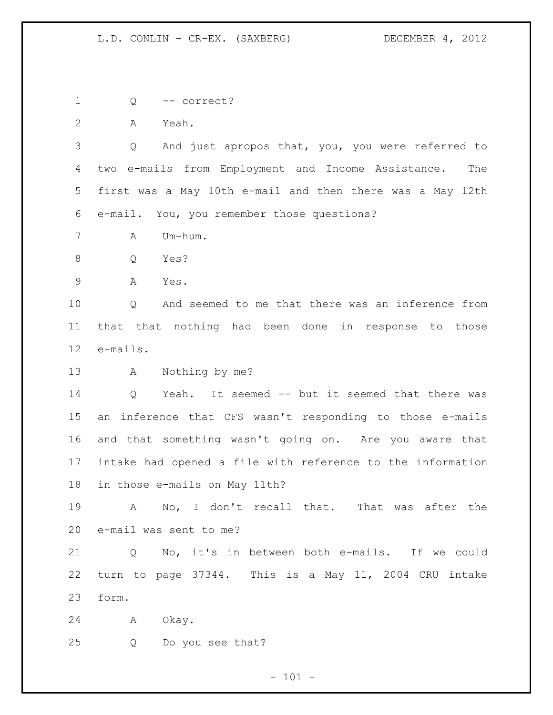Q -- correct?

A Yeah.

 Q And just apropos that, you, you were referred to two e-mails from Employment and Income Assistance. The first was a May 10th e-mail and then there was a May 12th e-mail. You, you remember those questions?

A Um-hum.

- Q Yes?
- A Yes.

 Q And seemed to me that there was an inference from that that nothing had been done in response to those e-mails.

A Nothing by me?

 Q Yeah. It seemed -- but it seemed that there was an inference that CFS wasn't responding to those e-mails and that something wasn't going on. Are you aware that intake had opened a file with reference to the information in those e-mails on May 11th?

 A No, I don't recall that. That was after the e-mail was sent to me?

 Q No, it's in between both e-mails. If we could turn to page 37344. This is a May 11, 2004 CRU intake form.

- A Okay.
- Q Do you see that?

 $- 101 -$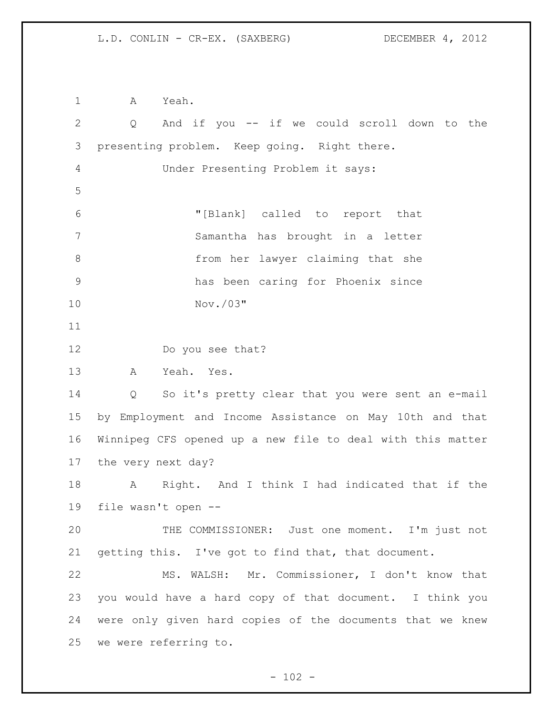A Yeah. Q And if you -- if we could scroll down to the presenting problem. Keep going. Right there. Under Presenting Problem it says: "[Blank] called to report that Samantha has brought in a letter from her lawyer claiming that she has been caring for Phoenix since Nov./03" Do you see that? A Yeah. Yes. Q So it's pretty clear that you were sent an e-mail by Employment and Income Assistance on May 10th and that Winnipeg CFS opened up a new file to deal with this matter the very next day? A Right. And I think I had indicated that if the file wasn't open -- THE COMMISSIONER: Just one moment. I'm just not getting this. I've got to find that, that document. MS. WALSH: Mr. Commissioner, I don't know that you would have a hard copy of that document. I think you were only given hard copies of the documents that we knew we were referring to.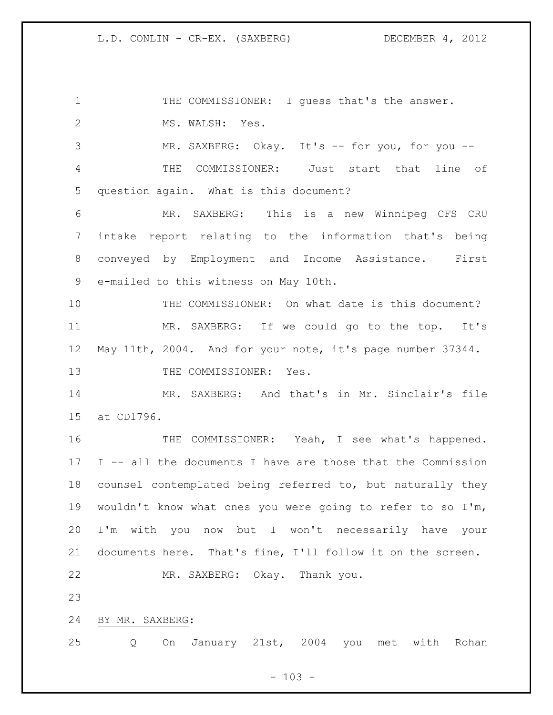1 THE COMMISSIONER: I guess that's the answer. 2 MS. WALSH: Yes. 3 MR. SAXBERG: Okay. It's -- for you, for you -- THE COMMISSIONER: Just start that line of question again. What is this document? MR. SAXBERG: This is a new Winnipeg CFS CRU intake report relating to the information that's being conveyed by Employment and Income Assistance. First e-mailed to this witness on May 10th. THE COMMISSIONER: On what date is this document? MR. SAXBERG: If we could go to the top. It's May 11th, 2004. And for your note, it's page number 37344. 13 THE COMMISSIONER: Yes. MR. SAXBERG: And that's in Mr. Sinclair's file at CD1796. THE COMMISSIONER: Yeah, I see what's happened. I -- all the documents I have are those that the Commission counsel contemplated being referred to, but naturally they wouldn't know what ones you were going to refer to so I'm, I'm with you now but I won't necessarily have your documents here. That's fine, I'll follow it on the screen. MR. SAXBERG: Okay. Thank you. BY MR. SAXBERG: Q On January 21st, 2004 you met with Rohan

 $- 103 -$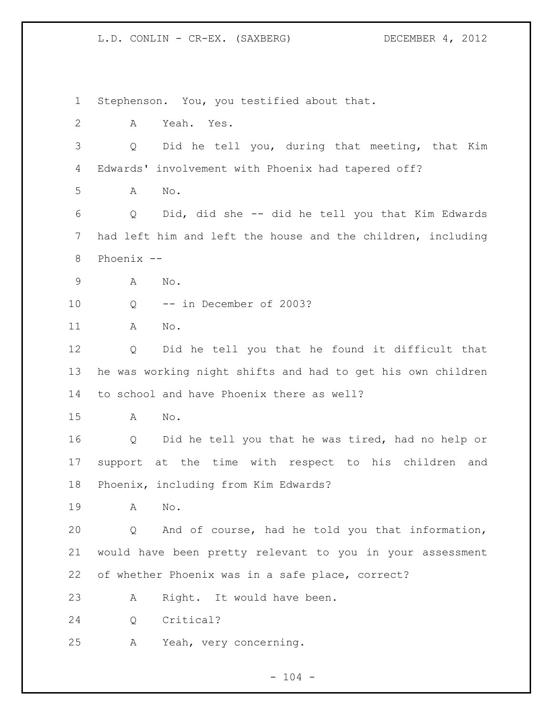Stephenson. You, you testified about that. A Yeah. Yes. Q Did he tell you, during that meeting, that Kim Edwards' involvement with Phoenix had tapered off? A No. Q Did, did she -- did he tell you that Kim Edwards had left him and left the house and the children, including Phoenix -- A No. Q -- in December of 2003? A No. Q Did he tell you that he found it difficult that he was working night shifts and had to get his own children to school and have Phoenix there as well? A No. Q Did he tell you that he was tired, had no help or support at the time with respect to his children and Phoenix, including from Kim Edwards? A No. Q And of course, had he told you that information, would have been pretty relevant to you in your assessment of whether Phoenix was in a safe place, correct? A Right. It would have been. Q Critical? A Yeah, very concerning.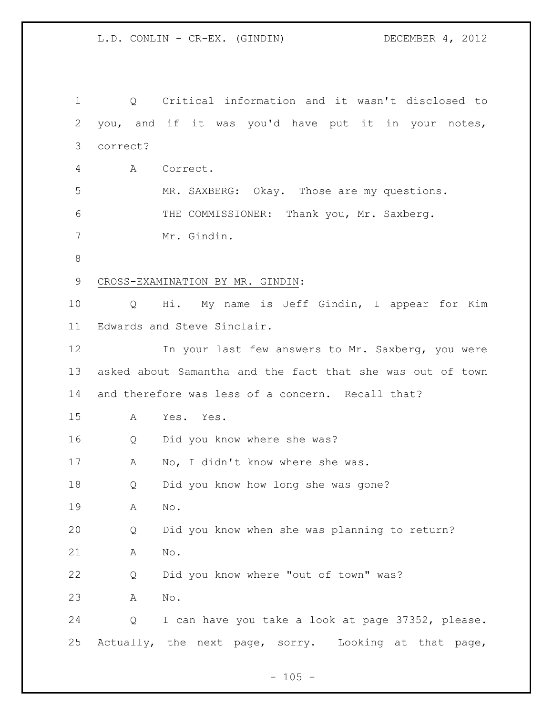L.D. CONLIN - CR-EX. (GINDIN) DECEMBER 4, 2012

 Q Critical information and it wasn't disclosed to you, and if it was you'd have put it in your notes, correct? A Correct. MR. SAXBERG: Okay. Those are my questions. THE COMMISSIONER: Thank you, Mr. Saxberg. Mr. Gindin. CROSS-EXAMINATION BY MR. GINDIN: Q Hi. My name is Jeff Gindin, I appear for Kim Edwards and Steve Sinclair. 12 In your last few answers to Mr. Saxberg, you were asked about Samantha and the fact that she was out of town and therefore was less of a concern. Recall that? A Yes. Yes. Q Did you know where she was? 17 A No, I didn't know where she was. Q Did you know how long she was gone? A No. Q Did you know when she was planning to return? A No. Q Did you know where "out of town" was? A No. Q I can have you take a look at page 37352, please. Actually, the next page, sorry. Looking at that page,

 $- 105 -$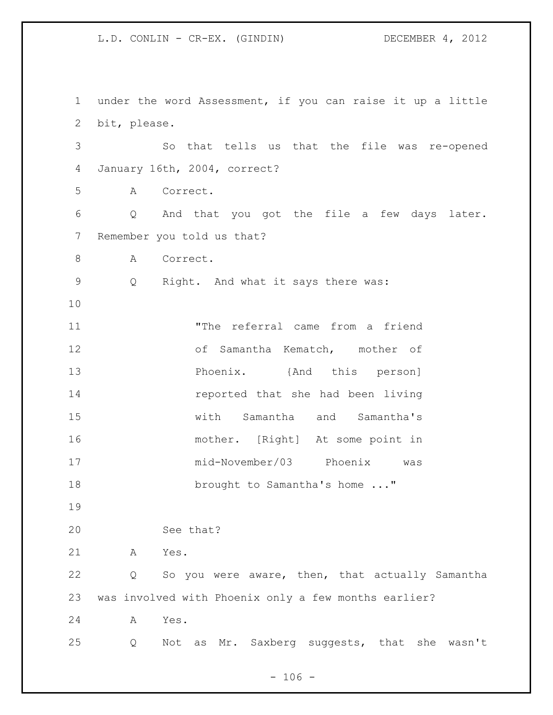under the word Assessment, if you can raise it up a little bit, please. So that tells us that the file was re-opened January 16th, 2004, correct? A Correct. Q And that you got the file a few days later. Remember you told us that? 8 A Correct. Q Right. And what it says there was: "The referral came from a friend of Samantha Kematch, mother of **Phoenix.** {And this person] reported that she had been living with Samantha and Samantha's mother. [Right] At some point in mid-November/03 Phoenix was 18 brought to Samantha's home ..." See that? A Yes. Q So you were aware, then, that actually Samantha was involved with Phoenix only a few months earlier? A Yes. Q Not as Mr. Saxberg suggests, that she wasn't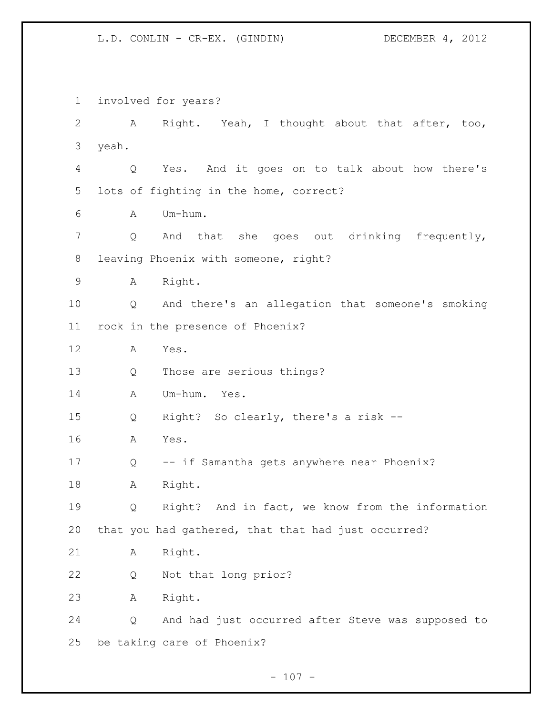involved for years? A Right. Yeah, I thought about that after, too, yeah. Q Yes. And it goes on to talk about how there's lots of fighting in the home, correct? A Um-hum. Q And that she goes out drinking frequently, leaving Phoenix with someone, right? A Right. Q And there's an allegation that someone's smoking rock in the presence of Phoenix? A Yes. Q Those are serious things? A Um-hum. Yes. Q Right? So clearly, there's a risk -- A Yes. Q -- if Samantha gets anywhere near Phoenix? A Right. Q Right? And in fact, we know from the information that you had gathered, that that had just occurred? A Right. Q Not that long prior? A Right. Q And had just occurred after Steve was supposed to be taking care of Phoenix?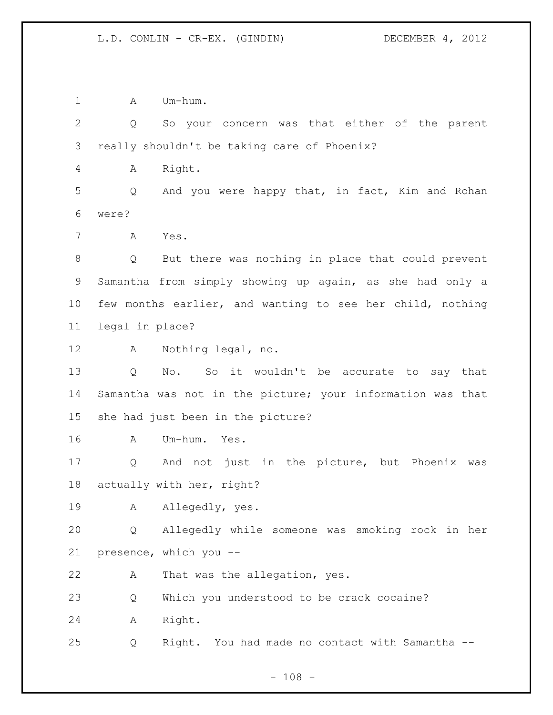1 A Um-hum.

 Q So your concern was that either of the parent really shouldn't be taking care of Phoenix? A Right. Q And you were happy that, in fact, Kim and Rohan were? A Yes. Q But there was nothing in place that could prevent Samantha from simply showing up again, as she had only a few months earlier, and wanting to see her child, nothing legal in place? A Nothing legal, no. Q No. So it wouldn't be accurate to say that Samantha was not in the picture; your information was that she had just been in the picture? A Um-hum. Yes. Q And not just in the picture, but Phoenix was actually with her, right? A Allegedly, yes. Q Allegedly while someone was smoking rock in her presence, which you -- A That was the allegation, yes. Q Which you understood to be crack cocaine? A Right. Q Right. You had made no contact with Samantha --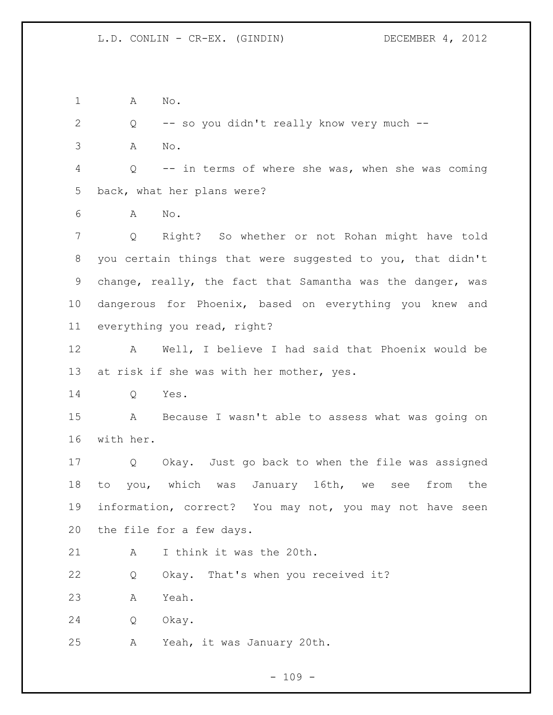A No.

 Q -- so you didn't really know very much -- A No. Q -- in terms of where she was, when she was coming back, what her plans were? A No. Q Right? So whether or not Rohan might have told you certain things that were suggested to you, that didn't change, really, the fact that Samantha was the danger, was dangerous for Phoenix, based on everything you knew and everything you read, right? A Well, I believe I had said that Phoenix would be 13 at risk if she was with her mother, yes. Q Yes. A Because I wasn't able to assess what was going on with her. Q Okay. Just go back to when the file was assigned to you, which was January 16th, we see from the information, correct? You may not, you may not have seen the file for a few days. A I think it was the 20th. Q Okay. That's when you received it? A Yeah. Q Okay.

A Yeah, it was January 20th.

 $- 109 -$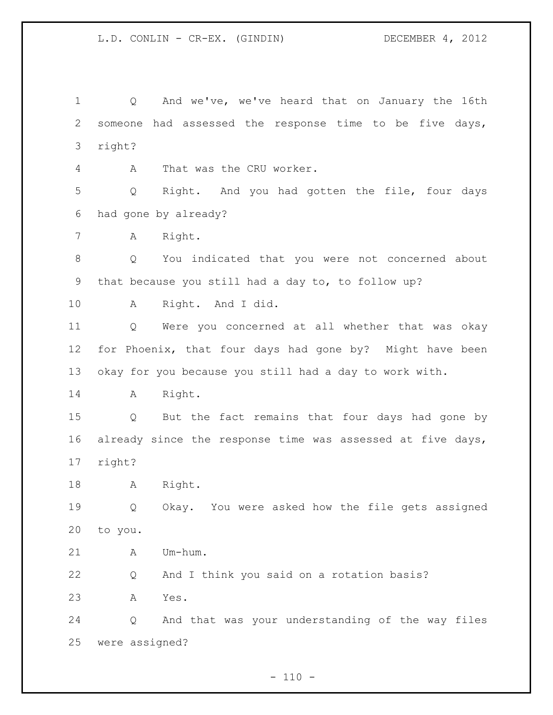Q And we've, we've heard that on January the 16th someone had assessed the response time to be five days, right? A That was the CRU worker. Q Right. And you had gotten the file, four days had gone by already? A Right. Q You indicated that you were not concerned about that because you still had a day to, to follow up? A Right. And I did. Q Were you concerned at all whether that was okay for Phoenix, that four days had gone by? Might have been okay for you because you still had a day to work with. A Right. Q But the fact remains that four days had gone by already since the response time was assessed at five days, right? A Right. Q Okay. You were asked how the file gets assigned to you. A Um-hum. Q And I think you said on a rotation basis? A Yes. Q And that was your understanding of the way files were assigned?

 $- 110 -$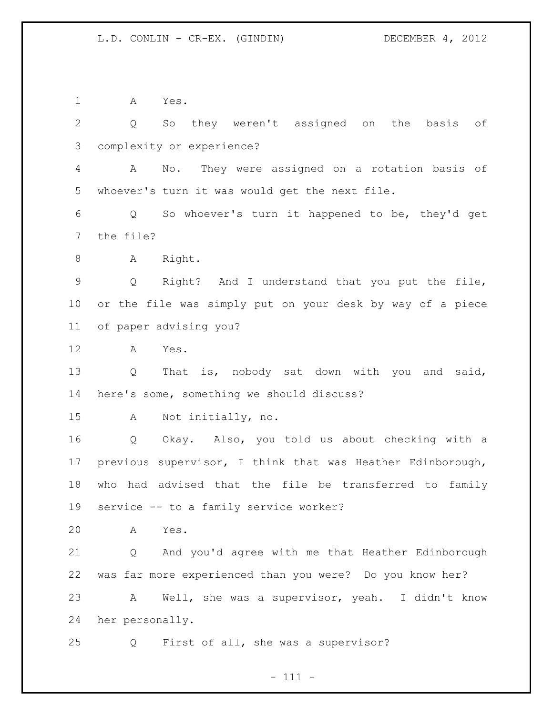A Yes. Q So they weren't assigned on the basis of complexity or experience? A No. They were assigned on a rotation basis of whoever's turn it was would get the next file. Q So whoever's turn it happened to be, they'd get the file? 8 A Right. Q Right? And I understand that you put the file, or the file was simply put on your desk by way of a piece of paper advising you? A Yes. Q That is, nobody sat down with you and said, here's some, something we should discuss? A Not initially, no. Q Okay. Also, you told us about checking with a previous supervisor, I think that was Heather Edinborough, who had advised that the file be transferred to family service -- to a family service worker? A Yes. Q And you'd agree with me that Heather Edinborough was far more experienced than you were? Do you know her? A Well, she was a supervisor, yeah. I didn't know her personally. Q First of all, she was a supervisor?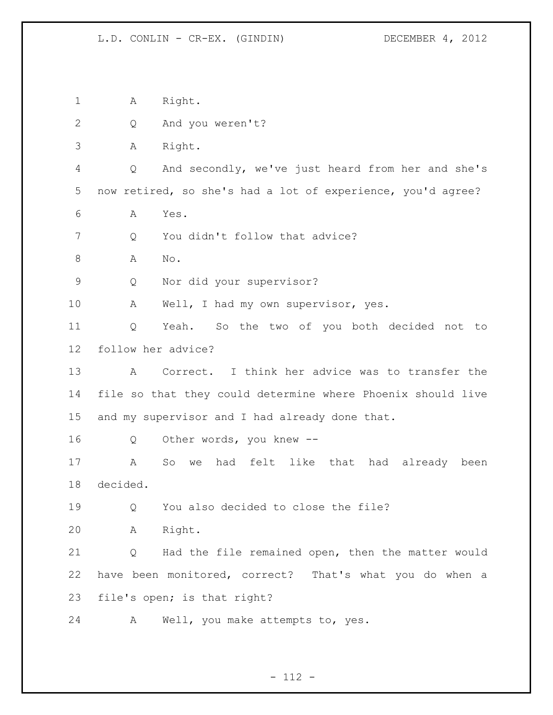A Right. Q And you weren't? A Right. Q And secondly, we've just heard from her and she's now retired, so she's had a lot of experience, you'd agree? A Yes. 7 Q You didn't follow that advice? A No. Q Nor did your supervisor? A Well, I had my own supervisor, yes. Q Yeah. So the two of you both decided not to follow her advice? A Correct. I think her advice was to transfer the file so that they could determine where Phoenix should live and my supervisor and I had already done that. Q Other words, you knew -- A So we had felt like that had already been decided. Q You also decided to close the file? A Right. Q Had the file remained open, then the matter would have been monitored, correct? That's what you do when a file's open; is that right? A Well, you make attempts to, yes.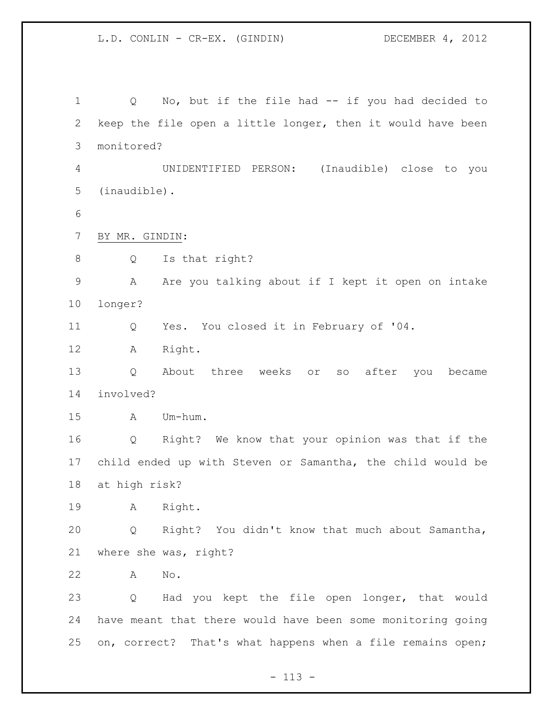Q No, but if the file had -- if you had decided to keep the file open a little longer, then it would have been monitored? UNIDENTIFIED PERSON: (Inaudible) close to you (inaudible). BY MR. GINDIN: 8 Q Is that right? A Are you talking about if I kept it open on intake longer? Q Yes. You closed it in February of '04. A Right. Q About three weeks or so after you became involved? A Um-hum. Q Right? We know that your opinion was that if the child ended up with Steven or Samantha, the child would be at high risk? A Right. Q Right? You didn't know that much about Samantha, where she was, right? A No. Q Had you kept the file open longer, that would have meant that there would have been some monitoring going on, correct? That's what happens when a file remains open;

- 113 -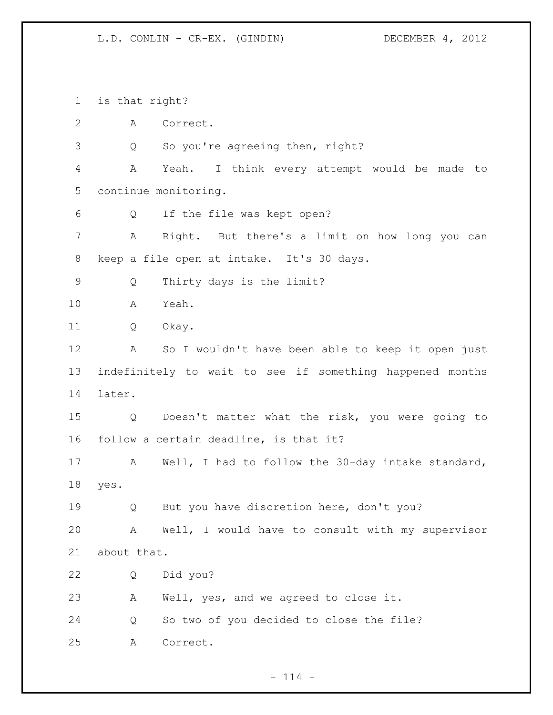is that right? A Correct. 3 Q So you're agreeing then, right? A Yeah. I think every attempt would be made to continue monitoring. Q If the file was kept open? A Right. But there's a limit on how long you can keep a file open at intake. It's 30 days. Q Thirty days is the limit? A Yeah. Q Okay. A So I wouldn't have been able to keep it open just indefinitely to wait to see if something happened months later. Q Doesn't matter what the risk, you were going to follow a certain deadline, is that it? A Well, I had to follow the 30-day intake standard, yes. Q But you have discretion here, don't you? A Well, I would have to consult with my supervisor about that. Q Did you? A Well, yes, and we agreed to close it. Q So two of you decided to close the file? A Correct.

 $- 114 -$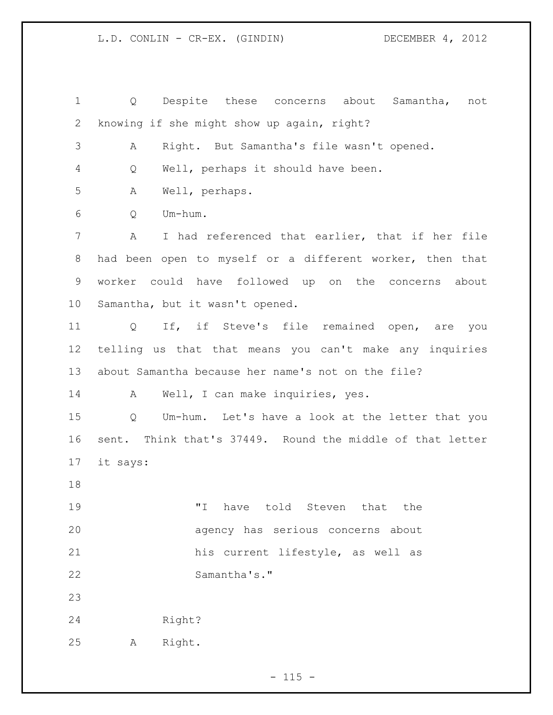Q Despite these concerns about Samantha, not knowing if she might show up again, right? A Right. But Samantha's file wasn't opened. Q Well, perhaps it should have been. A Well, perhaps. Q Um-hum. A I had referenced that earlier, that if her file had been open to myself or a different worker, then that worker could have followed up on the concerns about Samantha, but it wasn't opened. Q If, if Steve's file remained open, are you telling us that that means you can't make any inquiries about Samantha because her name's not on the file? 14 A Well, I can make inquiries, yes. Q Um-hum. Let's have a look at the letter that you sent. Think that's 37449. Round the middle of that letter it says: "I have told Steven that the agency has serious concerns about his current lifestyle, as well as Samantha's." Right? A Right.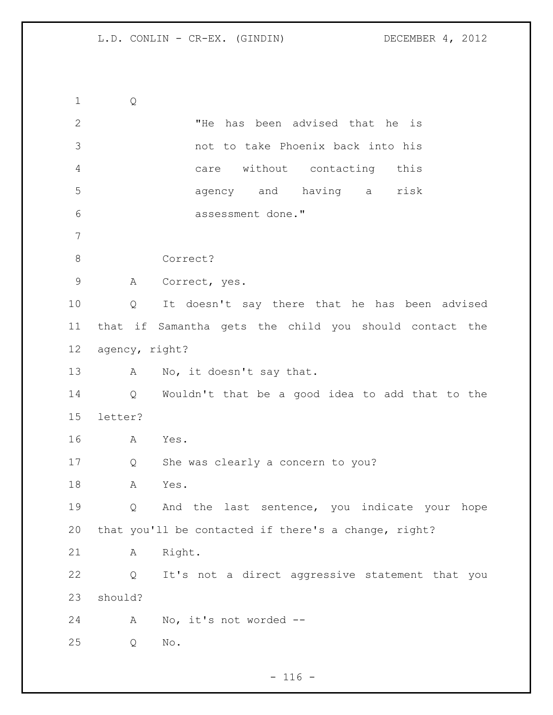Q "He has been advised that he is not to take Phoenix back into his care without contacting this agency and having a risk assessment done." Correct? A Correct, yes. Q It doesn't say there that he has been advised that if Samantha gets the child you should contact the agency, right? 13 A No, it doesn't say that. Q Wouldn't that be a good idea to add that to the letter? A Yes. Q She was clearly a concern to you? A Yes. Q And the last sentence, you indicate your hope that you'll be contacted if there's a change, right? A Right. Q It's not a direct aggressive statement that you should? A No, it's not worded -- Q No.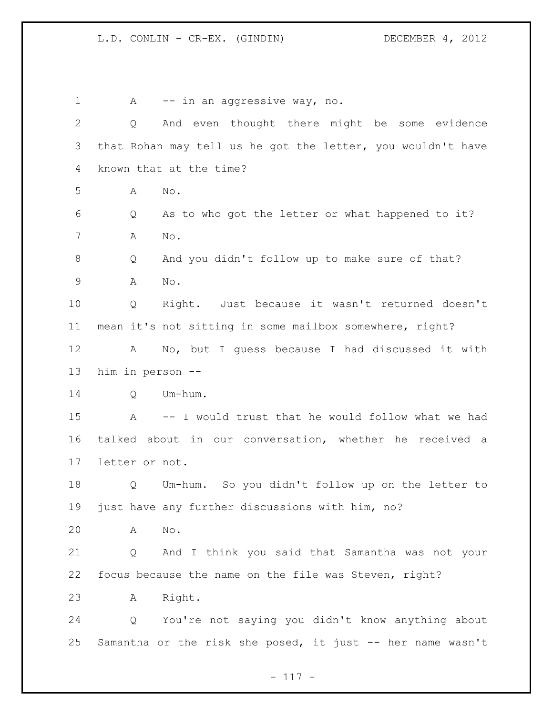| $\mathbf 1$  | A                | -- in an aggressive way, no.                                |
|--------------|------------------|-------------------------------------------------------------|
| $\mathbf{2}$ | Q                | And even thought there might be some evidence               |
| 3            |                  | that Rohan may tell us he got the letter, you wouldn't have |
| 4            |                  | known that at the time?                                     |
| 5            | Α                | No.                                                         |
| 6            | Q                | As to who got the letter or what happened to it?            |
| 7            | A                | No.                                                         |
| 8            | Q                | And you didn't follow up to make sure of that?              |
| 9            | Α                | No.                                                         |
| 10           | Q                | Right. Just because it wasn't returned doesn't              |
| 11           |                  | mean it's not sitting in some mailbox somewhere, right?     |
| 12           | A                | No, but I guess because I had discussed it with             |
| 13           | him in person -- |                                                             |
| 14           | Q                | Um-hum.                                                     |
| 15           | A                | -- I would trust that he would follow what we had           |
| 16           |                  | talked about in our conversation, whether he received a     |
| 17           | letter or not.   |                                                             |
| 18           | Q                | Um-hum. So you didn't follow up on the letter to            |
| 19           |                  | just have any further discussions with him, no?             |
| 20           | Α                | $\mathrm{No}$ .                                             |
| 21           | Q                | And I think you said that Samantha was not your             |
| 22           |                  | focus because the name on the file was Steven, right?       |
| 23           | Α                | Right.                                                      |
| 24           | Q                | You're not saying you didn't know anything about            |
| 25           |                  | Samantha or the risk she posed, it just -- her name wasn't  |

- 117 -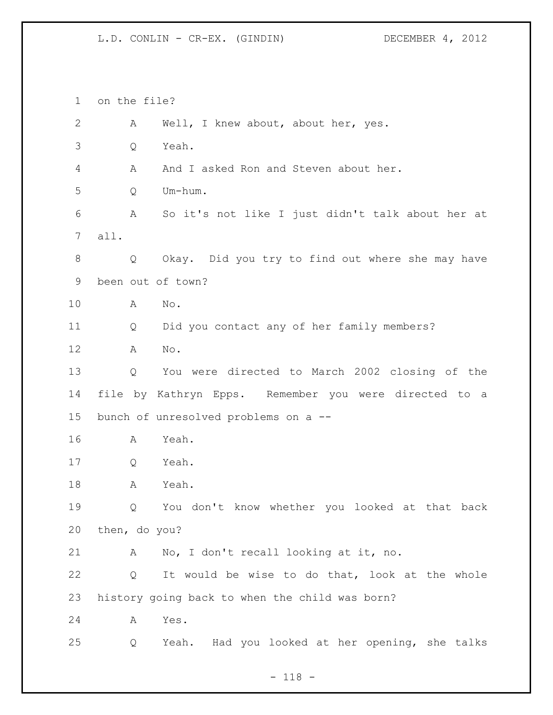on the file? A Well, I knew about, about her, yes. Q Yeah. A And I asked Ron and Steven about her. Q Um-hum. A So it's not like I just didn't talk about her at all. Q Okay. Did you try to find out where she may have been out of town? A No. Q Did you contact any of her family members? A No. Q You were directed to March 2002 closing of the file by Kathryn Epps. Remember you were directed to a bunch of unresolved problems on a -- A Yeah. Q Yeah. A Yeah. Q You don't know whether you looked at that back then, do you? A No, I don't recall looking at it, no. Q It would be wise to do that, look at the whole history going back to when the child was born? A Yes. Q Yeah. Had you looked at her opening, she talks

- 118 -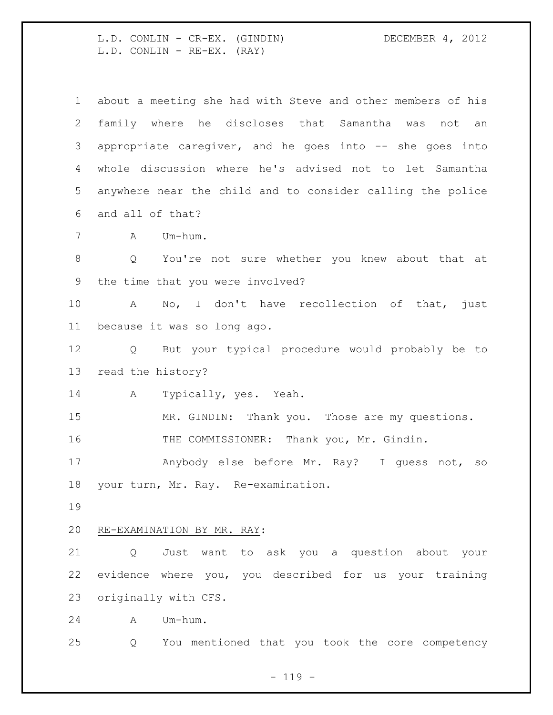L.D. CONLIN - CR-EX. (GINDIN) DECEMBER 4, 2012 L.D. CONLIN - RE-EX. (RAY)

| $\mathbf{1}$         | about a meeting she had with Steve and other members of his |
|----------------------|-------------------------------------------------------------|
| $\mathbf{2}$         | family where he discloses that Samantha was not an          |
| 3                    | appropriate caregiver, and he goes into -- she goes into    |
| 4                    | whole discussion where he's advised not to let Samantha     |
| 5                    | anywhere near the child and to consider calling the police  |
| 6                    | and all of that?                                            |
| 7                    | A Um-hum.                                                   |
| 8                    | You're not sure whether you knew about that at<br>Q         |
| 9                    | the time that you were involved?                            |
| 10 <sub>o</sub>      | No, I don't have recollection of that, just<br>$\mathbf{A}$ |
| 11                   | because it was so long ago.                                 |
| 12                   | Q But your typical procedure would probably be to           |
|                      | read the history?                                           |
| 13                   |                                                             |
| 14                   | Typically, yes. Yeah.<br>A                                  |
| 15                   | MR. GINDIN: Thank you. Those are my questions.              |
| 16                   | THE COMMISSIONER: Thank you, Mr. Gindin.                    |
| 17                   | Anybody else before Mr. Ray? I guess not, so                |
|                      | your turn, Mr. Ray. Re-examination.                         |
|                      |                                                             |
|                      | RE-EXAMINATION BY MR. RAY:                                  |
| 18<br>19<br>20<br>21 | Just want to ask you a question about your<br>Q             |
| 22                   | evidence where you, you described for us your training      |
|                      | originally with CFS.                                        |
| 23<br>24             | Um-hum.<br>Α                                                |
| 25                   | You mentioned that you took the core competency<br>Q        |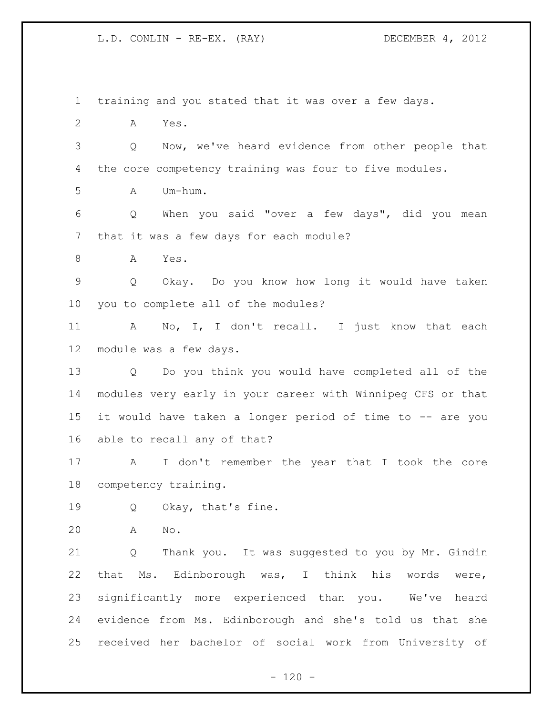training and you stated that it was over a few days. A Yes. Q Now, we've heard evidence from other people that the core competency training was four to five modules.  $A$   $Um-h\ddot{}$  Q When you said "over a few days", did you mean that it was a few days for each module? A Yes. Q Okay. Do you know how long it would have taken you to complete all of the modules? A No, I, I don't recall. I just know that each module was a few days. Q Do you think you would have completed all of the modules very early in your career with Winnipeg CFS or that it would have taken a longer period of time to -- are you able to recall any of that? A I don't remember the year that I took the core competency training. 19 Q Okay, that's fine. A No. Q Thank you. It was suggested to you by Mr. Gindin that Ms. Edinborough was, I think his words were, significantly more experienced than you. We've heard evidence from Ms. Edinborough and she's told us that she received her bachelor of social work from University of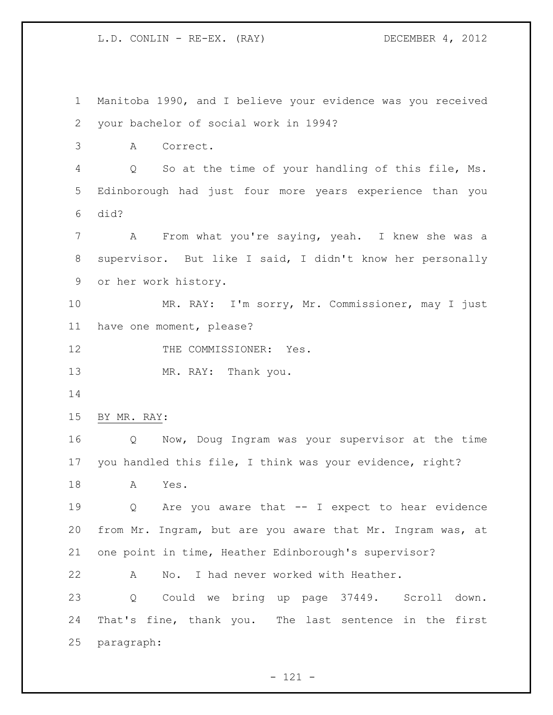Manitoba 1990, and I believe your evidence was you received your bachelor of social work in 1994? A Correct. Q So at the time of your handling of this file, Ms. Edinborough had just four more years experience than you did? A From what you're saying, yeah. I knew she was a supervisor. But like I said, I didn't know her personally or her work history. MR. RAY: I'm sorry, Mr. Commissioner, may I just have one moment, please? 12 THE COMMISSIONER: Yes. 13 MR. RAY: Thank you. BY MR. RAY: Q Now, Doug Ingram was your supervisor at the time you handled this file, I think was your evidence, right? A Yes. Q Are you aware that -- I expect to hear evidence from Mr. Ingram, but are you aware that Mr. Ingram was, at one point in time, Heather Edinborough's supervisor? A No. I had never worked with Heather. Q Could we bring up page 37449. Scroll down. That's fine, thank you. The last sentence in the first paragraph:

- 121 -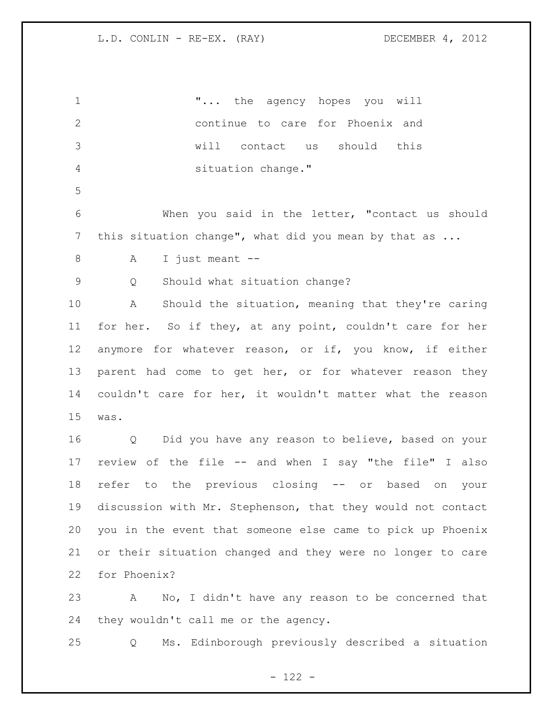"... the agency hopes you will continue to care for Phoenix and will contact us should this situation change." When you said in the letter, "contact us should this situation change", what did you mean by that as ... A I just meant -- Q Should what situation change? A Should the situation, meaning that they're caring for her. So if they, at any point, couldn't care for her anymore for whatever reason, or if, you know, if either 13 parent had come to get her, or for whatever reason they couldn't care for her, it wouldn't matter what the reason was. Q Did you have any reason to believe, based on your review of the file -- and when I say "the file" I also refer to the previous closing -- or based on your discussion with Mr. Stephenson, that they would not contact you in the event that someone else came to pick up Phoenix or their situation changed and they were no longer to care for Phoenix? A No, I didn't have any reason to be concerned that they wouldn't call me or the agency.

Q Ms. Edinborough previously described a situation

- 122 -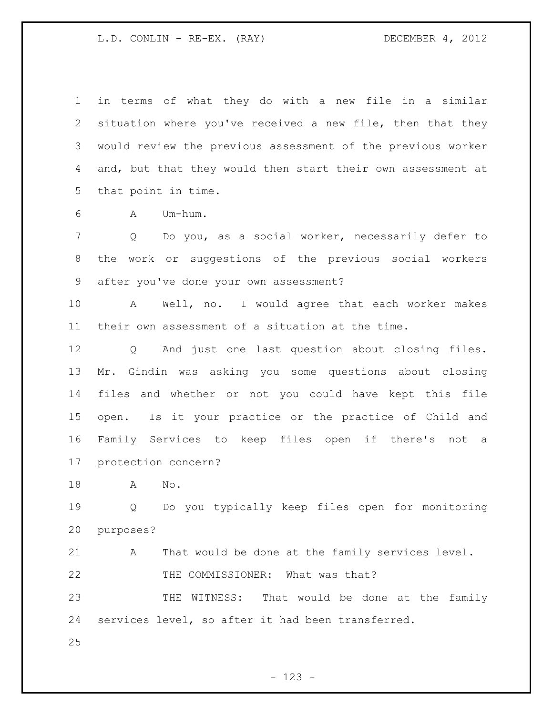in terms of what they do with a new file in a similar situation where you've received a new file, then that they would review the previous assessment of the previous worker and, but that they would then start their own assessment at that point in time.

A Um-hum.

 Q Do you, as a social worker, necessarily defer to the work or suggestions of the previous social workers after you've done your own assessment?

 A Well, no. I would agree that each worker makes their own assessment of a situation at the time.

 Q And just one last question about closing files. Mr. Gindin was asking you some questions about closing files and whether or not you could have kept this file open. Is it your practice or the practice of Child and Family Services to keep files open if there's not a protection concern?

A No.

 Q Do you typically keep files open for monitoring purposes?

 A That would be done at the family services level. 22 THE COMMISSIONER: What was that?

 THE WITNESS: That would be done at the family services level, so after it had been transferred.

- 123 -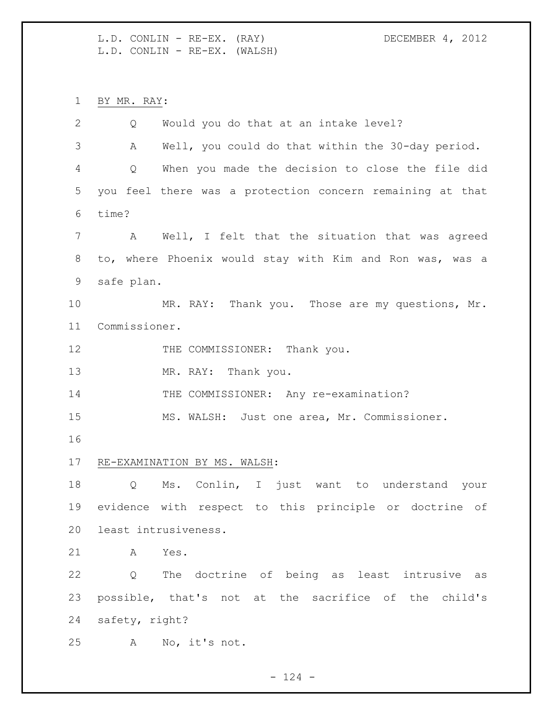L.D. CONLIN - RE-EX. (RAY) DECEMBER 4, 2012 L.D. CONLIN - RE-EX. (WALSH)

BY MR. RAY:

 Q Would you do that at an intake level? A Well, you could do that within the 30-day period. Q When you made the decision to close the file did you feel there was a protection concern remaining at that time? A Well, I felt that the situation that was agreed to, where Phoenix would stay with Kim and Ron was, was a safe plan. 10 MR. RAY: Thank you. Those are my questions, Mr. Commissioner. 12 THE COMMISSIONER: Thank you. 13 MR. RAY: Thank you. 14 THE COMMISSIONER: Any re-examination? MS. WALSH: Just one area, Mr. Commissioner. RE-EXAMINATION BY MS. WALSH: Q Ms. Conlin, I just want to understand your evidence with respect to this principle or doctrine of least intrusiveness. A Yes. Q The doctrine of being as least intrusive as possible, that's not at the sacrifice of the child's safety, right? A No, it's not.

 $- 124 -$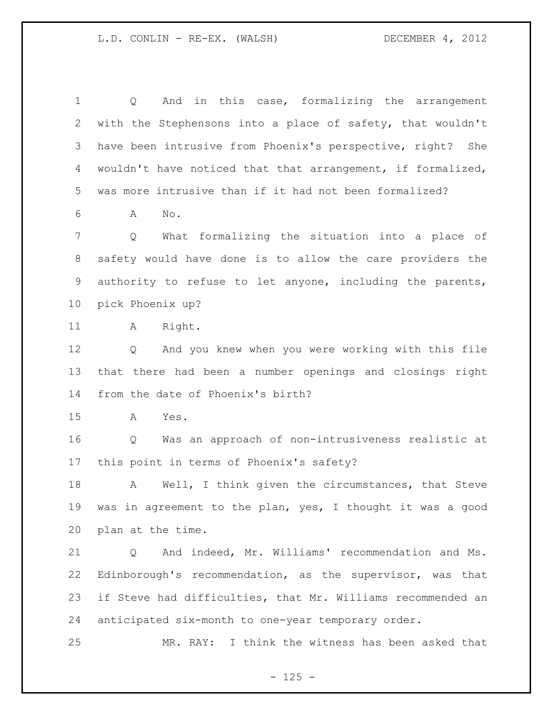Q And in this case, formalizing the arrangement with the Stephensons into a place of safety, that wouldn't have been intrusive from Phoenix's perspective, right? She wouldn't have noticed that that arrangement, if formalized, was more intrusive than if it had not been formalized?

A No.

 Q What formalizing the situation into a place of safety would have done is to allow the care providers the authority to refuse to let anyone, including the parents, pick Phoenix up?

A Right.

 Q And you knew when you were working with this file that there had been a number openings and closings right from the date of Phoenix's birth?

A Yes.

 Q Was an approach of non-intrusiveness realistic at this point in terms of Phoenix's safety?

18 A Well, I think given the circumstances, that Steve was in agreement to the plan, yes, I thought it was a good plan at the time.

 Q And indeed, Mr. Williams' recommendation and Ms. Edinborough's recommendation, as the supervisor, was that if Steve had difficulties, that Mr. Williams recommended an anticipated six-month to one-year temporary order.

MR. RAY: I think the witness has been asked that

 $- 125 -$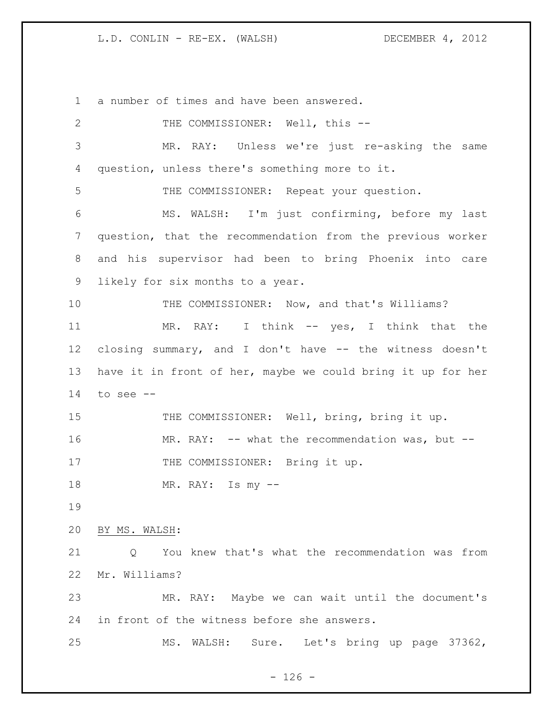a number of times and have been answered. 2 THE COMMISSIONER: Well, this -- MR. RAY: Unless we're just re-asking the same question, unless there's something more to it. THE COMMISSIONER: Repeat your question. MS. WALSH: I'm just confirming, before my last question, that the recommendation from the previous worker and his supervisor had been to bring Phoenix into care likely for six months to a year. THE COMMISSIONER: Now, and that's Williams? 11 MR. RAY: I think -- yes, I think that the closing summary, and I don't have -- the witness doesn't have it in front of her, maybe we could bring it up for her to see  $-$ 15 THE COMMISSIONER: Well, bring, bring it up. MR. RAY: -- what the recommendation was, but -- 17 THE COMMISSIONER: Bring it up. MR. RAY: Is my -- BY MS. WALSH: Q You knew that's what the recommendation was from Mr. Williams? MR. RAY: Maybe we can wait until the document's in front of the witness before she answers. MS. WALSH: Sure. Let's bring up page 37362,

 $- 126 -$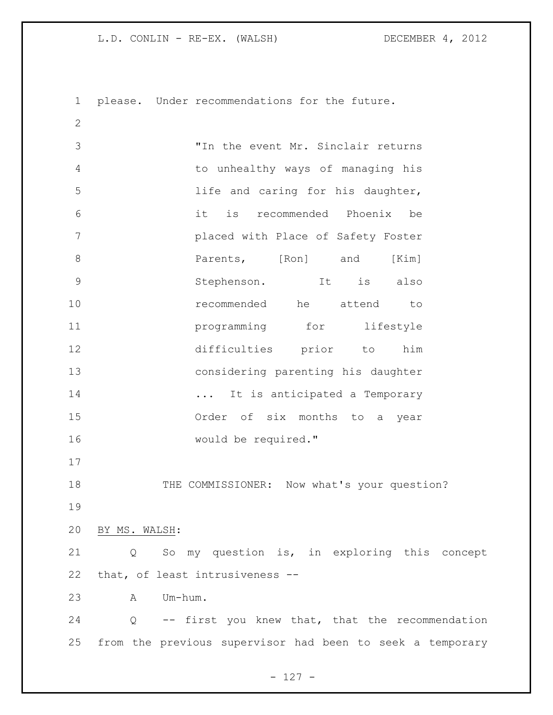please. Under recommendations for the future.

 "In the event Mr. Sinclair returns to unhealthy ways of managing his life and caring for his daughter, it is recommended Phoenix be placed with Place of Safety Foster **Parents,** [Ron] and [Kim] Stephenson. It is also recommended he attend to **programming** for lifestyle difficulties prior to him considering parenting his daughter 14 ... It is anticipated a Temporary Order of six months to a year would be required." 18 THE COMMISSIONER: Now what's your question? BY MS. WALSH: Q So my question is, in exploring this concept that, of least intrusiveness -- A Um-hum. Q -- first you knew that, that the recommendation from the previous supervisor had been to seek a temporary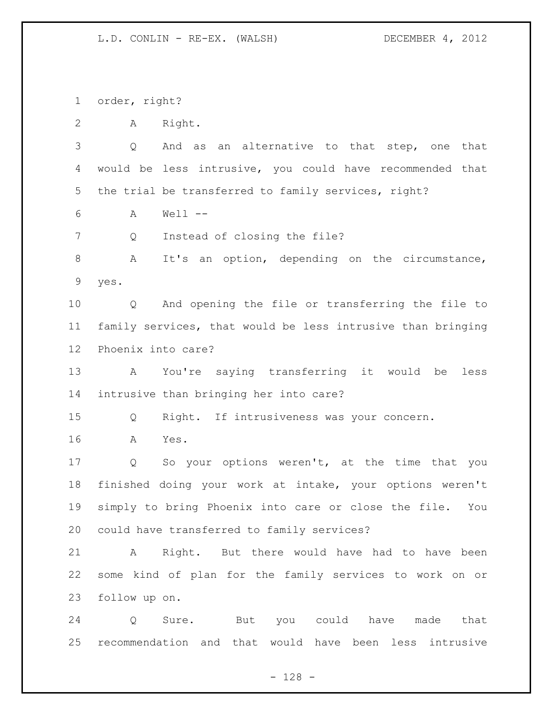order, right?

A Right.

 Q And as an alternative to that step, one that would be less intrusive, you could have recommended that the trial be transferred to family services, right?

A Well --

Q Instead of closing the file?

 A It's an option, depending on the circumstance, yes.

 Q And opening the file or transferring the file to family services, that would be less intrusive than bringing Phoenix into care?

 A You're saying transferring it would be less intrusive than bringing her into care?

Q Right. If intrusiveness was your concern.

A Yes.

 Q So your options weren't, at the time that you finished doing your work at intake, your options weren't simply to bring Phoenix into care or close the file. You could have transferred to family services?

 A Right. But there would have had to have been some kind of plan for the family services to work on or follow up on.

 Q Sure. But you could have made that recommendation and that would have been less intrusive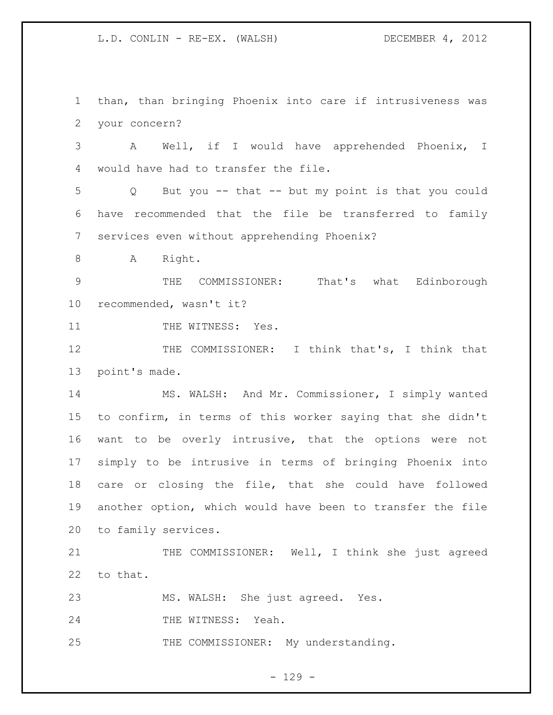than, than bringing Phoenix into care if intrusiveness was your concern?

 A Well, if I would have apprehended Phoenix, I would have had to transfer the file.

 Q But you -- that -- but my point is that you could have recommended that the file be transferred to family services even without apprehending Phoenix?

8 A Right.

 THE COMMISSIONER: That's what Edinborough recommended, wasn't it?

11 THE WITNESS: Yes.

12 THE COMMISSIONER: I think that's, I think that point's made.

 MS. WALSH: And Mr. Commissioner, I simply wanted to confirm, in terms of this worker saying that she didn't want to be overly intrusive, that the options were not simply to be intrusive in terms of bringing Phoenix into care or closing the file, that she could have followed another option, which would have been to transfer the file to family services.

21 THE COMMISSIONER: Well, I think she just agreed to that.

MS. WALSH: She just agreed. Yes.

24 THE WITNESS: Yeah.

THE COMMISSIONER: My understanding.

 $- 129 -$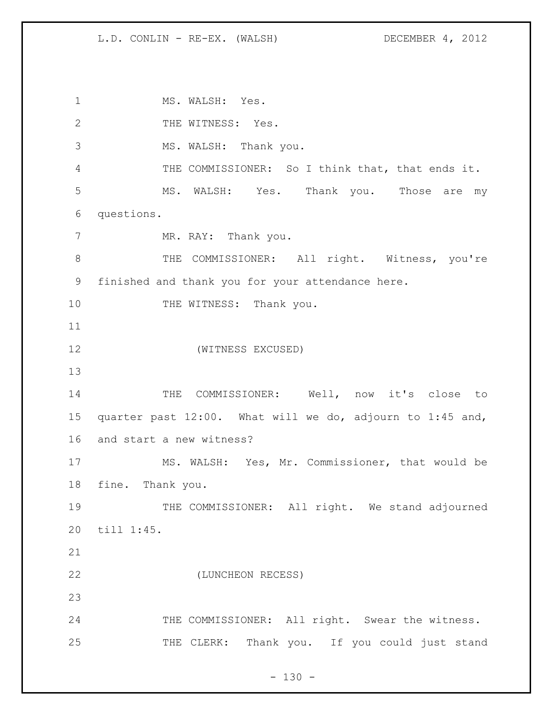1 MS. WALSH: Yes. 2 THE WITNESS: Yes. MS. WALSH: Thank you. THE COMMISSIONER: So I think that, that ends it. MS. WALSH: Yes. Thank you. Those are my questions. 7 MR. RAY: Thank you. 8 THE COMMISSIONER: All right. Witness, you're finished and thank you for your attendance here. 10 THE WITNESS: Thank you. (WITNESS EXCUSED) THE COMMISSIONER: Well, now it's close to quarter past 12:00. What will we do, adjourn to 1:45 and, and start a new witness? MS. WALSH: Yes, Mr. Commissioner, that would be fine. Thank you. 19 THE COMMISSIONER: All right. We stand adjourned till 1:45. (LUNCHEON RECESS) 24 THE COMMISSIONER: All right. Swear the witness. THE CLERK: Thank you. If you could just stand

 $- 130 -$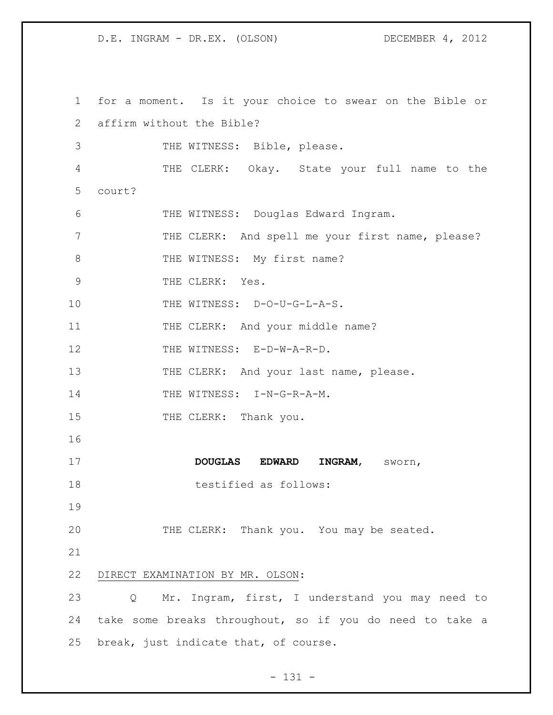1 for a moment. Is it your choice to swear on the Bible or 2 affirm without the Bible? 3 THE WITNESS: Bible, please. 4 THE CLERK: Okay. State your full name to the 5 court? 6 THE WITNESS: Douglas Edward Ingram. 7 THE CLERK: And spell me your first name, please? 8 THE WITNESS: My first name? 9 THE CLERK: Yes. 10 THE WITNESS: D-O-U-G-L-A-S. 11 THE CLERK: And your middle name? 12 THE WITNESS: E-D-W-A-R-D. 13 THE CLERK: And your last name, please. 14 THE WITNESS: I-N-G-R-A-M. 15 THE CLERK: Thank you. 16 17 **DOUGLAS EDWARD INGRAM**, sworn, 18 testified as follows: 19 20 THE CLERK: Thank you. You may be seated. 21 22 DIRECT EXAMINATION BY MR. OLSON: 23 Q Mr. Ingram, first, I understand you may need to 24 take some breaks throughout, so if you do need to take a 25 break, just indicate that, of course.

- 131 -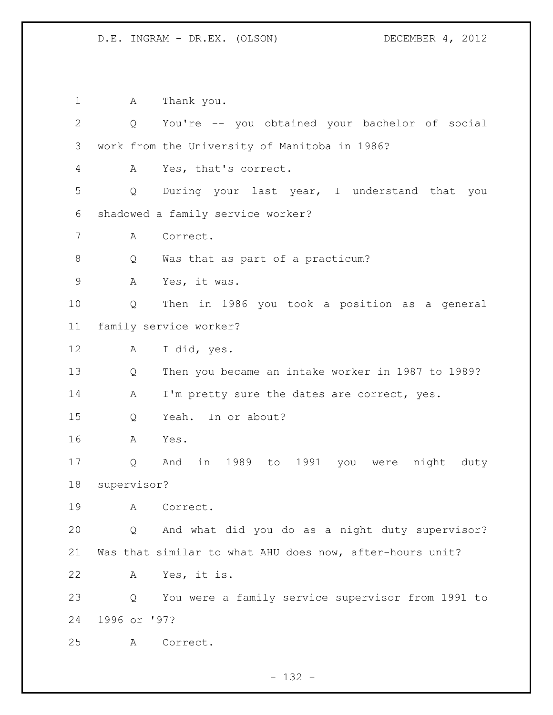1 A Thank you. Q You're -- you obtained your bachelor of social work from the University of Manitoba in 1986? A Yes, that's correct. Q During your last year, I understand that you shadowed a family service worker? A Correct. 8 Q Was that as part of a practicum? A Yes, it was. Q Then in 1986 you took a position as a general family service worker? A I did, yes. Q Then you became an intake worker in 1987 to 1989? 14 A I'm pretty sure the dates are correct, yes. Q Yeah. In or about? A Yes. Q And in 1989 to 1991 you were night duty supervisor? A Correct. Q And what did you do as a night duty supervisor? Was that similar to what AHU does now, after-hours unit? A Yes, it is. Q You were a family service supervisor from 1991 to 1996 or '97? A Correct.

- 132 -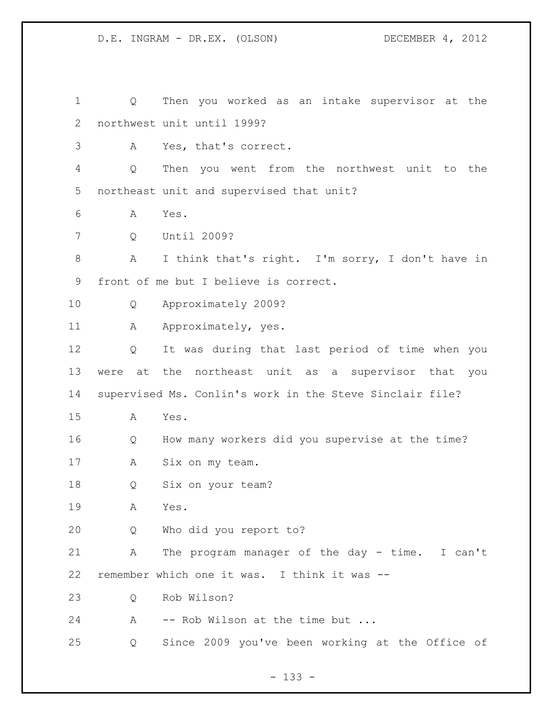Q Then you worked as an intake supervisor at the northwest unit until 1999? A Yes, that's correct. Q Then you went from the northwest unit to the northeast unit and supervised that unit? A Yes. Q Until 2009? A I think that's right. I'm sorry, I don't have in front of me but I believe is correct. Q Approximately 2009? 11 A Approximately, yes. Q It was during that last period of time when you were at the northeast unit as a supervisor that you supervised Ms. Conlin's work in the Steve Sinclair file? A Yes. Q How many workers did you supervise at the time? A Six on my team. Q Six on your team? A Yes. Q Who did you report to? A The program manager of the day - time. I can't remember which one it was. I think it was -- Q Rob Wilson? 24 A -- Rob Wilson at the time but ... Q Since 2009 you've been working at the Office of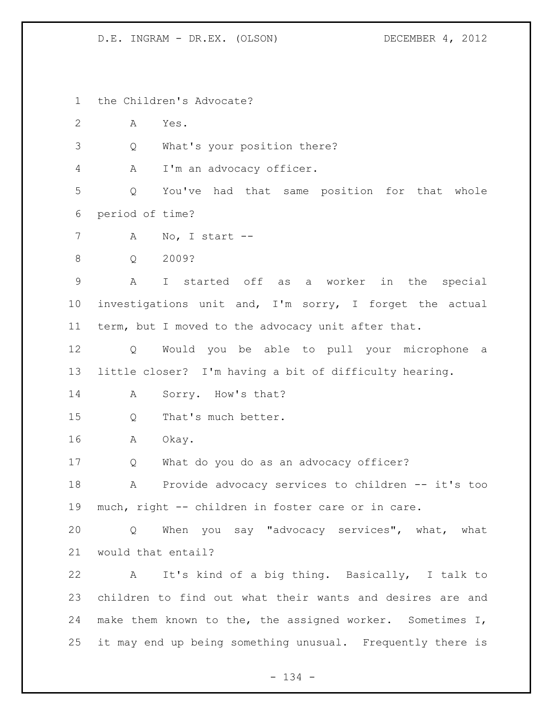the Children's Advocate?

A Yes.

Q What's your position there?

A I'm an advocacy officer.

 Q You've had that same position for that whole period of time?

A No, I start --

Q 2009?

 A I started off as a worker in the special investigations unit and, I'm sorry, I forget the actual term, but I moved to the advocacy unit after that.

 Q Would you be able to pull your microphone a little closer? I'm having a bit of difficulty hearing.

14 A Sorry. How's that?

15 0 That's much better.

A Okay.

Q What do you do as an advocacy officer?

18 A Provide advocacy services to children -- it's too much, right -- children in foster care or in care.

 Q When you say "advocacy services", what, what would that entail?

 A It's kind of a big thing. Basically, I talk to children to find out what their wants and desires are and 24 make them known to the, the assigned worker. Sometimes I, it may end up being something unusual. Frequently there is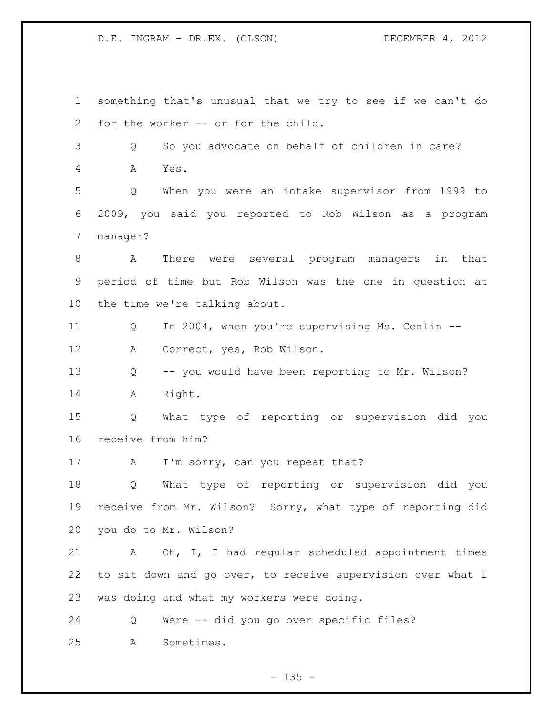something that's unusual that we try to see if we can't do for the worker -- or for the child. Q So you advocate on behalf of children in care? A Yes. Q When you were an intake supervisor from 1999 to 2009, you said you reported to Rob Wilson as a program manager? A There were several program managers in that period of time but Rob Wilson was the one in question at the time we're talking about. Q In 2004, when you're supervising Ms. Conlin -- A Correct, yes, Rob Wilson. Q -- you would have been reporting to Mr. Wilson? A Right. Q What type of reporting or supervision did you receive from him? 17 A I'm sorry, can you repeat that? Q What type of reporting or supervision did you receive from Mr. Wilson? Sorry, what type of reporting did you do to Mr. Wilson? A Oh, I, I had regular scheduled appointment times to sit down and go over, to receive supervision over what I was doing and what my workers were doing. Q Were -- did you go over specific files? A Sometimes.

 $- 135 -$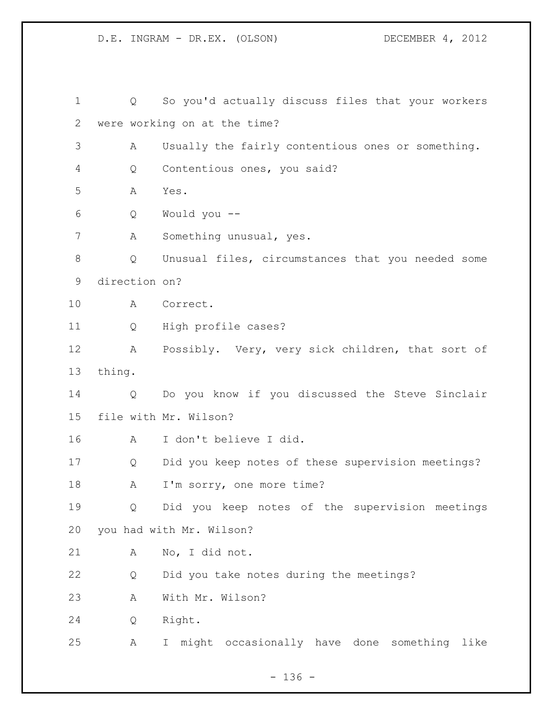Q So you'd actually discuss files that your workers were working on at the time? A Usually the fairly contentious ones or something. Q Contentious ones, you said? A Yes. Q Would you -- A Something unusual, yes. Q Unusual files, circumstances that you needed some direction on? A Correct. Q High profile cases? A Possibly. Very, very sick children, that sort of thing. Q Do you know if you discussed the Steve Sinclair file with Mr. Wilson? A I don't believe I did. Q Did you keep notes of these supervision meetings? 18 A I'm sorry, one more time? Q Did you keep notes of the supervision meetings you had with Mr. Wilson? A No, I did not. Q Did you take notes during the meetings? A With Mr. Wilson? Q Right. A I might occasionally have done something like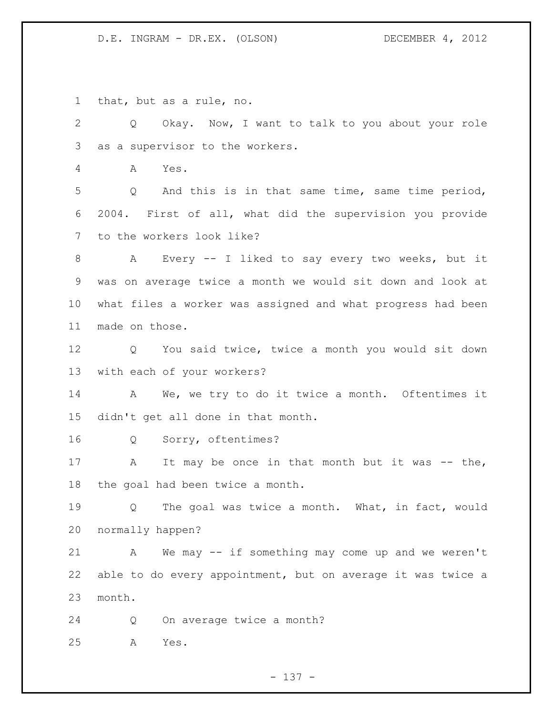that, but as a rule, no.

 Q Okay. Now, I want to talk to you about your role as a supervisor to the workers.

A Yes.

 Q And this is in that same time, same time period, 2004. First of all, what did the supervision you provide to the workers look like?

 A Every -- I liked to say every two weeks, but it was on average twice a month we would sit down and look at what files a worker was assigned and what progress had been made on those.

 Q You said twice, twice a month you would sit down with each of your workers?

14 A We, we try to do it twice a month. Oftentimes it didn't get all done in that month.

Q Sorry, oftentimes?

17 A It may be once in that month but it was -- the, the goal had been twice a month.

 Q The goal was twice a month. What, in fact, would normally happen?

 A We may -- if something may come up and we weren't able to do every appointment, but on average it was twice a month.

Q On average twice a month?

A Yes.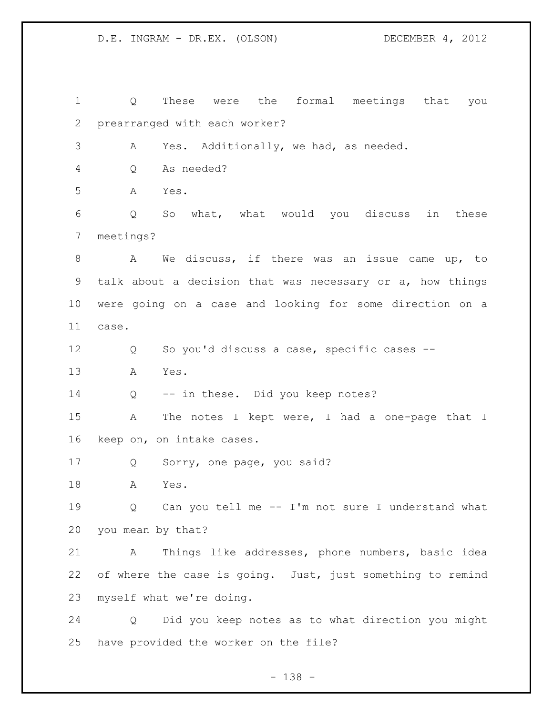Q These were the formal meetings that you prearranged with each worker? A Yes. Additionally, we had, as needed. Q As needed? A Yes. Q So what, what would you discuss in these meetings? A We discuss, if there was an issue came up, to talk about a decision that was necessary or a, how things were going on a case and looking for some direction on a case. Q So you'd discuss a case, specific cases -- A Yes. Q -- in these. Did you keep notes? A The notes I kept were, I had a one-page that I keep on, on intake cases. Q Sorry, one page, you said? A Yes. Q Can you tell me -- I'm not sure I understand what you mean by that? A Things like addresses, phone numbers, basic idea of where the case is going. Just, just something to remind myself what we're doing. Q Did you keep notes as to what direction you might have provided the worker on the file?

- 138 -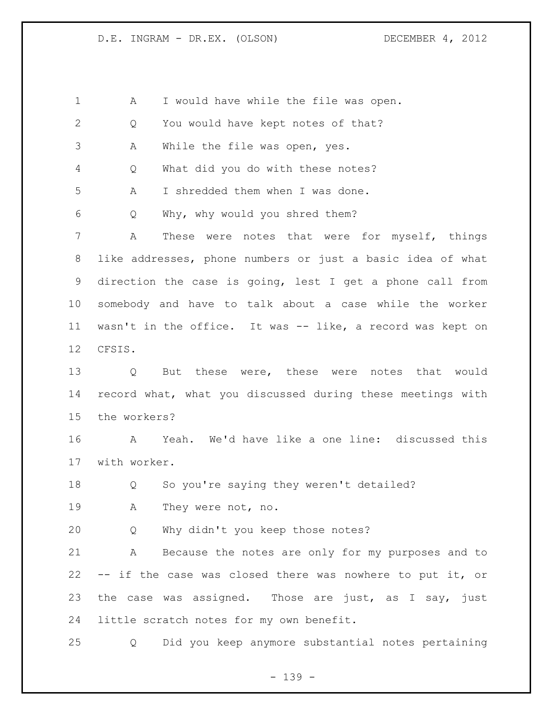A I would have while the file was open. Q You would have kept notes of that? A While the file was open, yes. Q What did you do with these notes? A I shredded them when I was done. Q Why, why would you shred them? A These were notes that were for myself, things like addresses, phone numbers or just a basic idea of what direction the case is going, lest I get a phone call from somebody and have to talk about a case while the worker wasn't in the office. It was -- like, a record was kept on CFSIS. Q But these were, these were notes that would record what, what you discussed during these meetings with the workers? A Yeah. We'd have like a one line: discussed this with worker. Q So you're saying they weren't detailed? A They were not, no. Q Why didn't you keep those notes? A Because the notes are only for my purposes and to -- if the case was closed there was nowhere to put it, or 23 the case was assigned. Those are just, as I say, just little scratch notes for my own benefit. Q Did you keep anymore substantial notes pertaining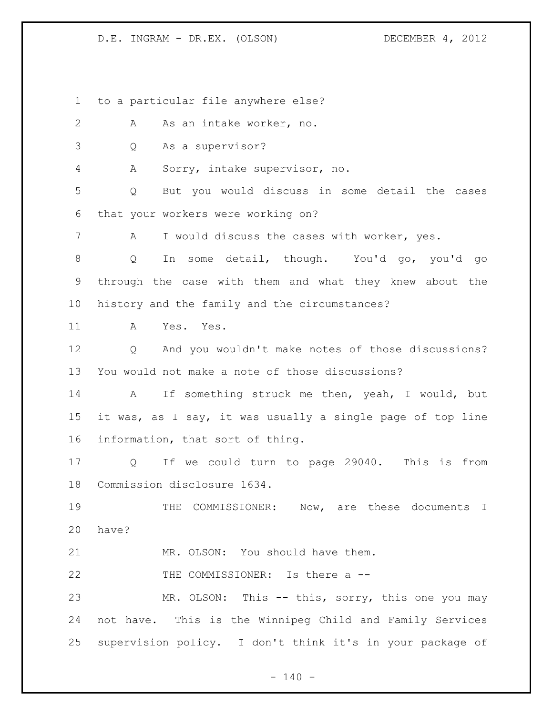to a particular file anywhere else?

2 A As an intake worker, no.

Q As a supervisor?

A Sorry, intake supervisor, no.

 Q But you would discuss in some detail the cases that your workers were working on?

A I would discuss the cases with worker, yes.

 Q In some detail, though. You'd go, you'd go through the case with them and what they knew about the history and the family and the circumstances?

A Yes. Yes.

 Q And you wouldn't make notes of those discussions? You would not make a note of those discussions?

 A If something struck me then, yeah, I would, but it was, as I say, it was usually a single page of top line information, that sort of thing.

 Q If we could turn to page 29040. This is from Commission disclosure 1634.

 THE COMMISSIONER: Now, are these documents I have?

MR. OLSON: You should have them.

22 THE COMMISSIONER: Is there a --

 MR. OLSON: This -- this, sorry, this one you may not have. This is the Winnipeg Child and Family Services supervision policy. I don't think it's in your package of

 $- 140 -$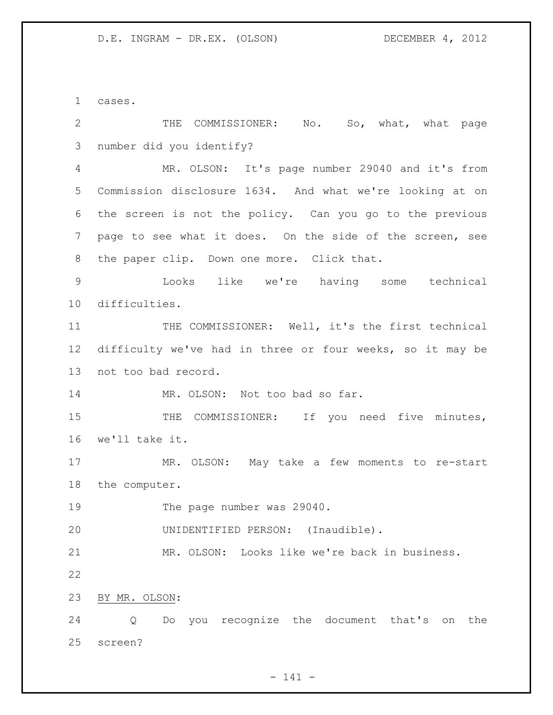cases.

| $\mathbf{2}$   | COMMISSIONER: No. So, what, what page<br>THE              |
|----------------|-----------------------------------------------------------|
| $\mathcal{S}$  | number did you identify?                                  |
| $\overline{4}$ | MR. OLSON: It's page number 29040 and it's from           |
| 5              | Commission disclosure 1634. And what we're looking at on  |
| 6              | the screen is not the policy. Can you go to the previous  |
| 7              | page to see what it does. On the side of the screen, see  |
| 8              | the paper clip. Down one more. Click that.                |
| $\mathsf 9$    | Looks like we're having some technical                    |
| 10             | difficulties.                                             |
| 11             | THE COMMISSIONER: Well, it's the first technical          |
| 12             | difficulty we've had in three or four weeks, so it may be |
| 13             | not too bad record.                                       |
| 14             | MR. OLSON: Not too bad so far.                            |
| 15             | THE COMMISSIONER: If you need five minutes,               |
| 16             | we'll take it.                                            |
| 17             | MR. OLSON: May take a few moments to re-start             |
| 18             | the computer.                                             |
| 19             | The page number was 29040.                                |
| 20             | UNIDENTIFIED PERSON: (Inaudible).                         |
| 21             | MR. OLSON: Looks like we're back in business.             |
| 22             |                                                           |
| 23             | BY MR. OLSON:                                             |
| 24             | you recognize the document that's<br>Do<br>the<br>Q<br>on |
| 25             | screen?                                                   |

- 141 -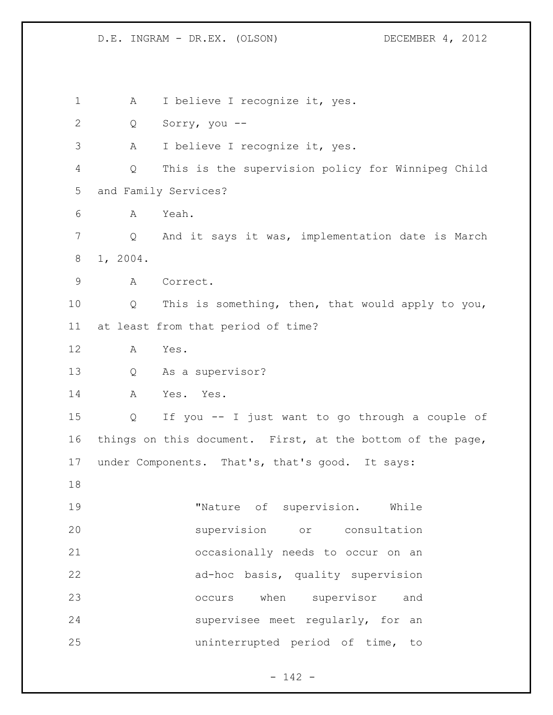1 A I believe I recognize it, yes. Q Sorry, you -- A I believe I recognize it, yes. Q This is the supervision policy for Winnipeg Child and Family Services? A Yeah. Q And it says it was, implementation date is March 1, 2004. A Correct. Q This is something, then, that would apply to you, at least from that period of time? A Yes. Q As a supervisor? A Yes. Yes. Q If you -- I just want to go through a couple of things on this document. First, at the bottom of the page, under Components. That's, that's good. It says: 19 Thature of supervision. While supervision or consultation occasionally needs to occur on an ad-hoc basis, quality supervision occurs when supervisor and supervisee meet regularly, for an uninterrupted period of time, to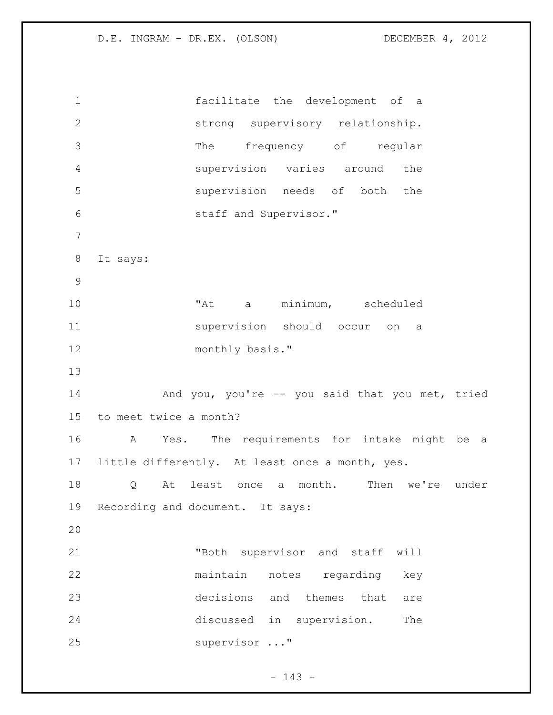| $\mathbf 1$   | facilitate the development of a                    |
|---------------|----------------------------------------------------|
| $\mathbf{2}$  | strong supervisory relationship.                   |
| 3             | frequency of regular<br>The                        |
| 4             | supervision varies around the                      |
| 5             | supervision needs of both the                      |
| 6             | staff and Supervisor."                             |
| 7             |                                                    |
| 8             | It says:                                           |
| $\mathcal{G}$ |                                                    |
| 10            | "At a minimum, scheduled                           |
| 11            | supervision should occur on a                      |
| 12            | monthly basis."                                    |
| 13            |                                                    |
| 14            | And you, you're -- you said that you met, tried    |
| 15            | to meet twice a month?                             |
| 16            | Yes. The requirements for intake might be a<br>A   |
|               | 17 little differently. At least once a month, yes. |
| 18            |                                                    |
|               | a month. Then we're under<br>least once<br>Q<br>At |
| 19            | Recording and document. It says:                   |
| 20            |                                                    |
| 21            | "Both supervisor and staff<br>will                 |
| 22            | maintain<br>notes regarding<br>key                 |
| 23            | decisions and themes that<br>are                   |
| 24            | discussed in supervision.<br>The                   |

- 143 -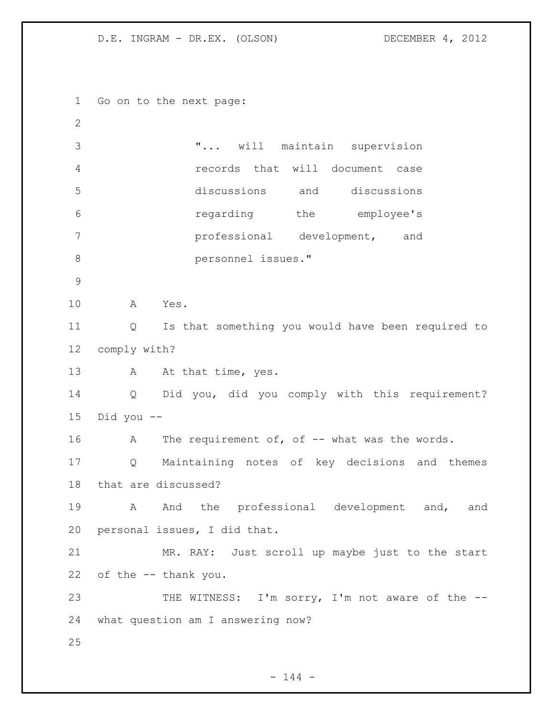Go on to the next page: "... will maintain supervision records that will document case discussions and discussions regarding the employee's professional development, and personnel issues." A Yes. Q Is that something you would have been required to comply with? 13 A At that time, yes. Q Did you, did you comply with this requirement? Did you -- 16 A The requirement of, of -- what was the words. Q Maintaining notes of key decisions and themes that are discussed? 19 A And the professional development and, and personal issues, I did that. MR. RAY: Just scroll up maybe just to the start of the -- thank you. 23 THE WITNESS: I'm sorry, I'm not aware of the -- what question am I answering now? 

 $- 144 -$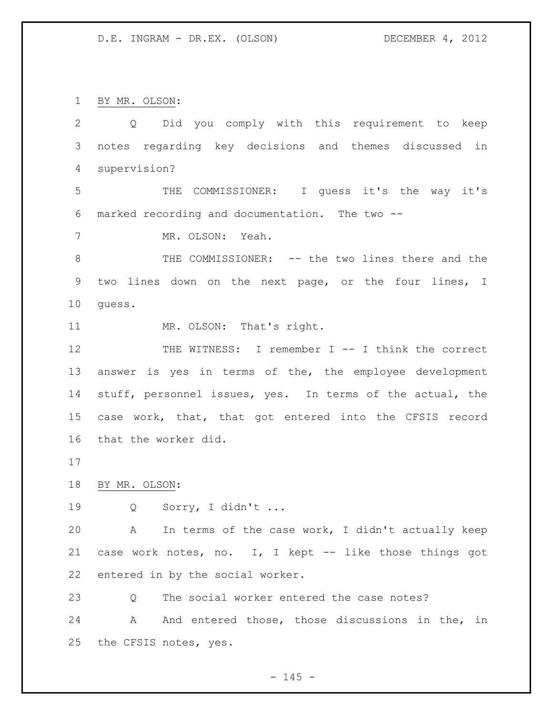BY MR. OLSON:

 Q Did you comply with this requirement to keep notes regarding key decisions and themes discussed in supervision? THE COMMISSIONER: I guess it's the way it's marked recording and documentation. The two -- MR. OLSON: Yeah. 8 THE COMMISSIONER: -- the two lines there and the two lines down on the next page, or the four lines, I guess. 11 MR. OLSON: That's right. THE WITNESS: I remember I -- I think the correct answer is yes in terms of the, the employee development stuff, personnel issues, yes. In terms of the actual, the case work, that, that got entered into the CFSIS record that the worker did. BY MR. OLSON: Q Sorry, I didn't ... A In terms of the case work, I didn't actually keep case work notes, no. I, I kept -- like those things got entered in by the social worker. 23 O The social worker entered the case notes? 24 A And entered those, those discussions in the, in the CFSIS notes, yes.

 $- 145 -$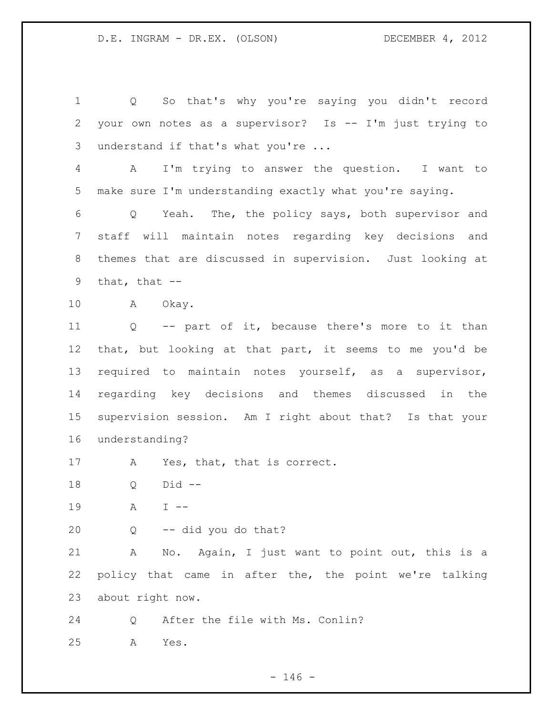Q So that's why you're saying you didn't record your own notes as a supervisor? Is -- I'm just trying to understand if that's what you're ... A I'm trying to answer the question. I want to make sure I'm understanding exactly what you're saying. Q Yeah. The, the policy says, both supervisor and staff will maintain notes regarding key decisions and themes that are discussed in supervision. Just looking at 9 that, that  $--$  A Okay. Q -- part of it, because there's more to it than that, but looking at that part, it seems to me you'd be required to maintain notes yourself, as a supervisor, regarding key decisions and themes discussed in the supervision session. Am I right about that? Is that your understanding? A Yes, that, that is correct. Q Did -- A I -- Q -- did you do that? A No. Again, I just want to point out, this is a policy that came in after the, the point we're talking about right now. Q After the file with Ms. Conlin? A Yes.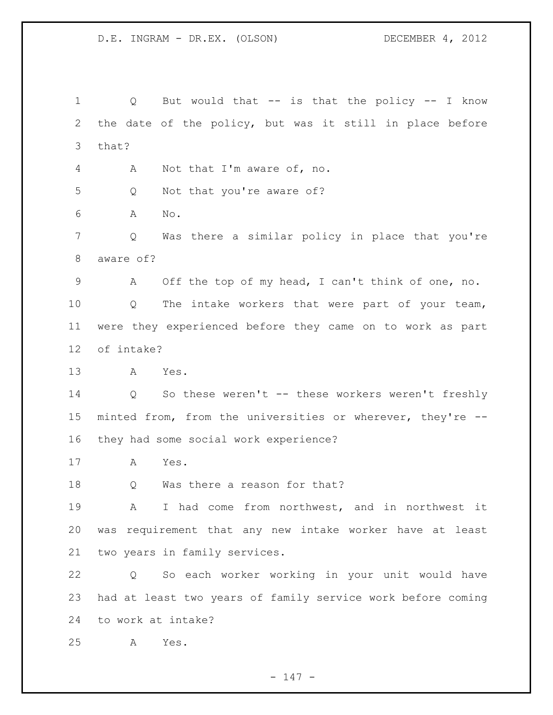Q But would that -- is that the policy -- I know the date of the policy, but was it still in place before that? A Not that I'm aware of, no. Q Not that you're aware of? A No. Q Was there a similar policy in place that you're aware of? A Off the top of my head, I can't think of one, no. Q The intake workers that were part of your team, were they experienced before they came on to work as part of intake? A Yes. Q So these weren't -- these workers weren't freshly minted from, from the universities or wherever, they're -- they had some social work experience? A Yes. 18 Q Was there a reason for that? A I had come from northwest, and in northwest it was requirement that any new intake worker have at least two years in family services. Q So each worker working in your unit would have had at least two years of family service work before coming to work at intake? A Yes.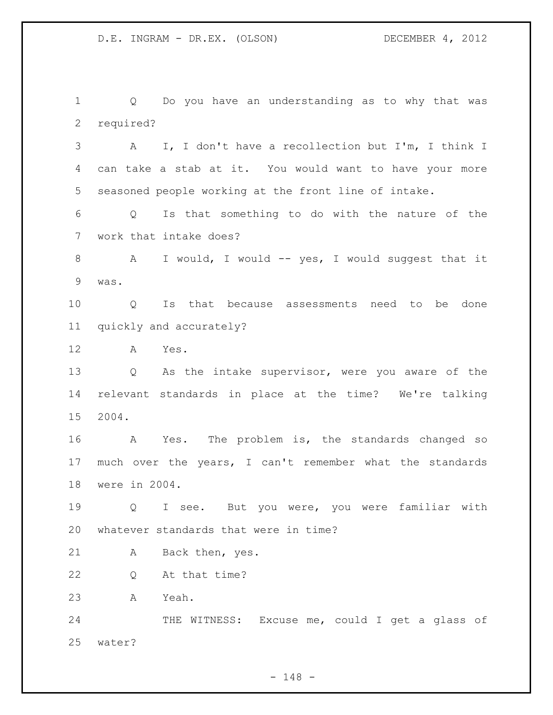Q Do you have an understanding as to why that was required? A I, I don't have a recollection but I'm, I think I can take a stab at it. You would want to have your more seasoned people working at the front line of intake. Q Is that something to do with the nature of the work that intake does? A I would, I would -- yes, I would suggest that it was. Q Is that because assessments need to be done quickly and accurately? A Yes. Q As the intake supervisor, were you aware of the relevant standards in place at the time? We're talking 2004. A Yes. The problem is, the standards changed so much over the years, I can't remember what the standards were in 2004. Q I see. But you were, you were familiar with whatever standards that were in time? A Back then, yes. Q At that time? A Yeah. 24 THE WITNESS: Excuse me, could I get a glass of water?

 $- 148 -$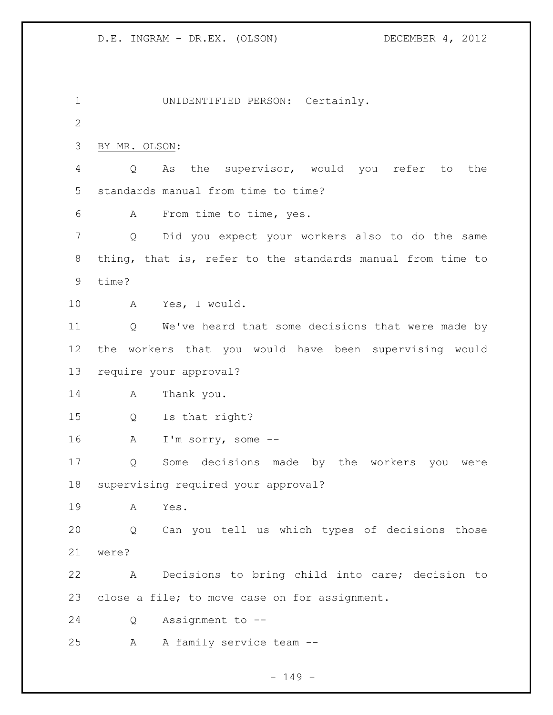UNIDENTIFIED PERSON: Certainly. BY MR. OLSON: Q As the supervisor, would you refer to the standards manual from time to time? A From time to time, yes. Q Did you expect your workers also to do the same thing, that is, refer to the standards manual from time to time? A Yes, I would. Q We've heard that some decisions that were made by the workers that you would have been supervising would require your approval? A Thank you. Q Is that right? A I'm sorry, some -- Q Some decisions made by the workers you were supervising required your approval? A Yes. Q Can you tell us which types of decisions those were? A Decisions to bring child into care; decision to close a file; to move case on for assignment. Q Assignment to -- A A family service team --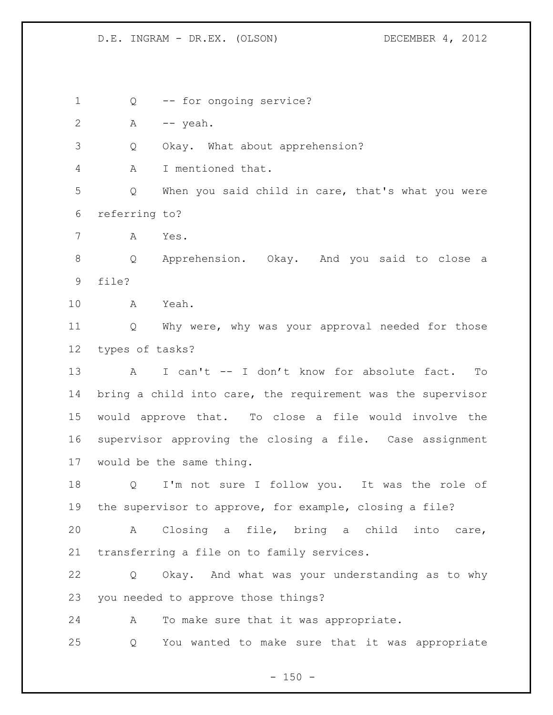Q -- for ongoing service? A -- yeah. Q Okay. What about apprehension? A I mentioned that. Q When you said child in care, that's what you were referring to? A Yes. Q Apprehension. Okay. And you said to close a file? A Yeah. Q Why were, why was your approval needed for those types of tasks? A I can't -- I don't know for absolute fact. To bring a child into care, the requirement was the supervisor would approve that. To close a file would involve the supervisor approving the closing a file. Case assignment would be the same thing. Q I'm not sure I follow you. It was the role of the supervisor to approve, for example, closing a file? A Closing a file, bring a child into care, transferring a file on to family services. Q Okay. And what was your understanding as to why you needed to approve those things? A To make sure that it was appropriate. Q You wanted to make sure that it was appropriate

 $- 150 -$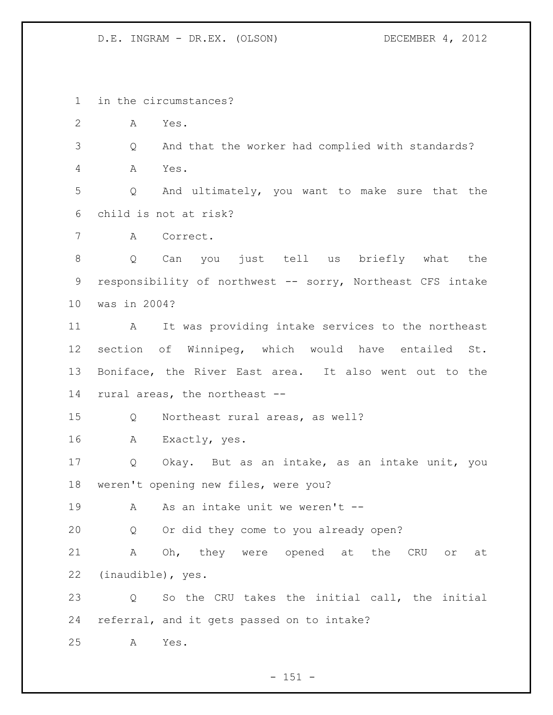in the circumstances?

A Yes.

 Q And that the worker had complied with standards? A Yes.

 Q And ultimately, you want to make sure that the child is not at risk?

A Correct.

 Q Can you just tell us briefly what the responsibility of northwest -- sorry, Northeast CFS intake was in 2004?

 A It was providing intake services to the northeast section of Winnipeg, which would have entailed St. Boniface, the River East area. It also went out to the rural areas, the northeast --

Q Northeast rural areas, as well?

A Exactly, yes.

 Q Okay. But as an intake, as an intake unit, you weren't opening new files, were you?

A As an intake unit we weren't --

Q Or did they come to you already open?

 A Oh, they were opened at the CRU or at (inaudible), yes.

 Q So the CRU takes the initial call, the initial referral, and it gets passed on to intake?

A Yes.

 $- 151 -$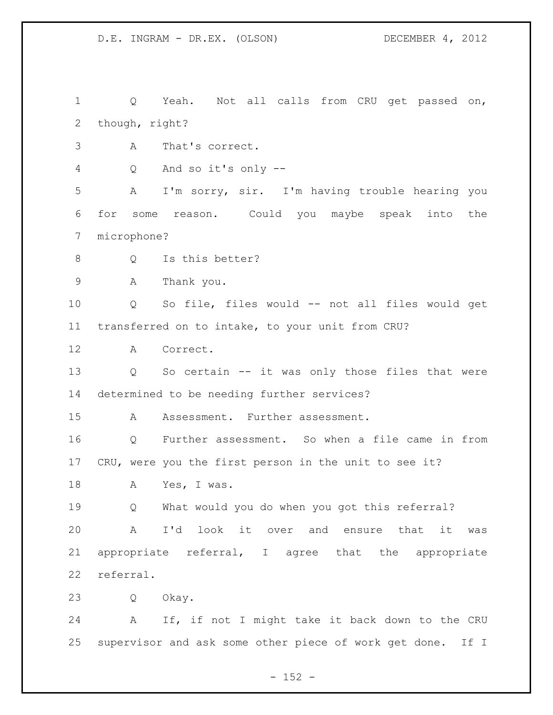Q Yeah. Not all calls from CRU get passed on, though, right?

- A That's correct.
- Q And so it's only --

 A I'm sorry, sir. I'm having trouble hearing you for some reason. Could you maybe speak into the microphone?

8 Q Is this better?

A Thank you.

 Q So file, files would -- not all files would get transferred on to intake, to your unit from CRU?

A Correct.

 Q So certain -- it was only those files that were determined to be needing further services?

A Assessment. Further assessment.

 Q Further assessment. So when a file came in from CRU, were you the first person in the unit to see it?

A Yes, I was.

 Q What would you do when you got this referral? A I'd look it over and ensure that it was appropriate referral, I agree that the appropriate referral.

Q Okay.

 A If, if not I might take it back down to the CRU supervisor and ask some other piece of work get done. If I

 $- 152 -$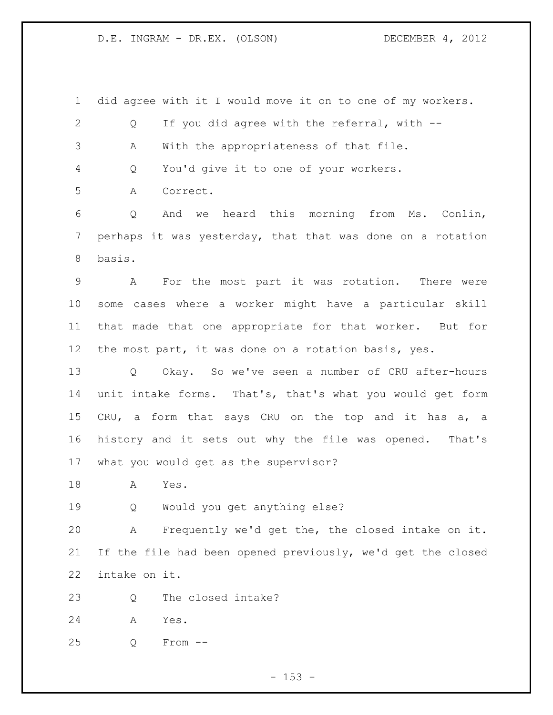did agree with it I would move it on to one of my workers. Q If you did agree with the referral, with -- A With the appropriateness of that file. Q You'd give it to one of your workers. A Correct. Q And we heard this morning from Ms. Conlin, perhaps it was yesterday, that that was done on a rotation basis. A For the most part it was rotation. There were some cases where a worker might have a particular skill that made that one appropriate for that worker. But for the most part, it was done on a rotation basis, yes. Q Okay. So we've seen a number of CRU after-hours unit intake forms. That's, that's what you would get form CRU, a form that says CRU on the top and it has a, a history and it sets out why the file was opened. That's what you would get as the supervisor? A Yes.

Q Would you get anything else?

 A Frequently we'd get the, the closed intake on it. If the file had been opened previously, we'd get the closed intake on it.

Q The closed intake?

A Yes.

Q From --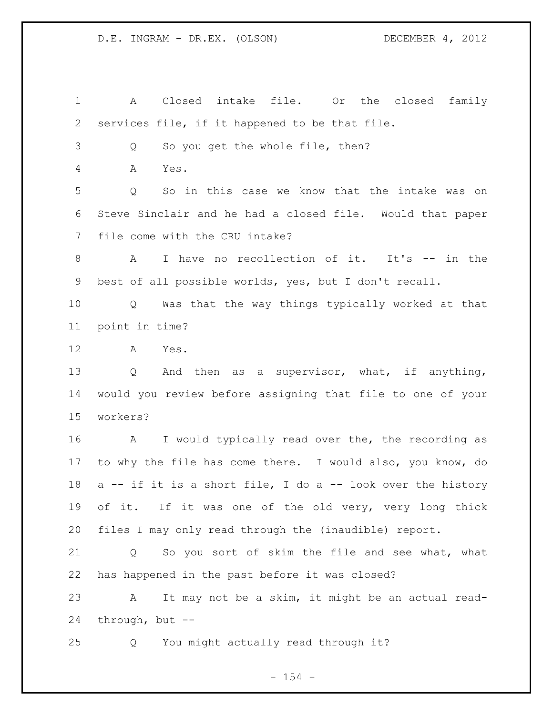A Closed intake file. Or the closed family services file, if it happened to be that file. Q So you get the whole file, then? A Yes. Q So in this case we know that the intake was on Steve Sinclair and he had a closed file. Would that paper file come with the CRU intake? A I have no recollection of it. It's -- in the best of all possible worlds, yes, but I don't recall. Q Was that the way things typically worked at that point in time? A Yes. Q And then as a supervisor, what, if anything, would you review before assigning that file to one of your workers? 16 A I would typically read over the, the recording as to why the file has come there. I would also, you know, do 18 a -- if it is a short file, I do a -- look over the history of it. If it was one of the old very, very long thick files I may only read through the (inaudible) report. Q So you sort of skim the file and see what, what has happened in the past before it was closed? A It may not be a skim, it might be an actual read- through, but -- Q You might actually read through it?

## - 154 -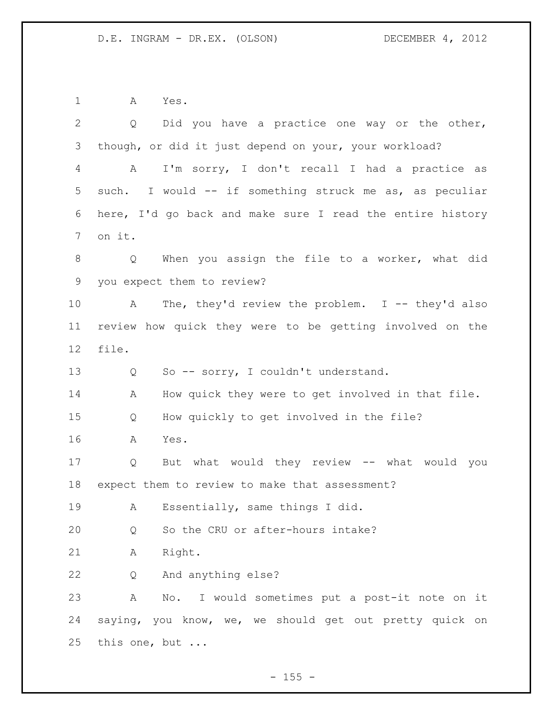A Yes.

| $\overline{2}$ | Q Did you have a practice one way or the other,           |
|----------------|-----------------------------------------------------------|
| 3              | though, or did it just depend on your, your workload?     |
| 4              | I'm sorry, I don't recall I had a practice as<br>A        |
| 5              | such. I would -- if something struck me as, as peculiar   |
| 6              | here, I'd go back and make sure I read the entire history |
| 7              | on it.                                                    |
| 8              | When you assign the file to a worker, what did<br>Q       |
| 9              | you expect them to review?                                |
| 10             | The, they'd review the problem. I -- they'd also<br>A     |
| 11             | review how quick they were to be getting involved on the  |
| 12             | file.                                                     |
| 13             | So -- sorry, I couldn't understand.<br>Q                  |
| 14             | How quick they were to get involved in that file.<br>Α    |
| 15             | How quickly to get involved in the file?<br>Q             |
| 16             | Α<br>Yes.                                                 |
| 17             | But what would they review -- what would you<br>Q         |
| 18             | expect them to review to make that assessment?            |
| 19             | Essentially, same things I did.<br>$\mathbf{A}$           |
| 20             | So the CRU or after-hours intake?<br>Q                    |
| 21             | Right.<br>Α                                               |
| 22             | And anything else?<br>Q                                   |
| 23             | No. I would sometimes put a post-it note on it<br>Α       |
| 24             | saying, you know, we, we should get out pretty quick on   |
| 25             | this one, but                                             |

- 155 -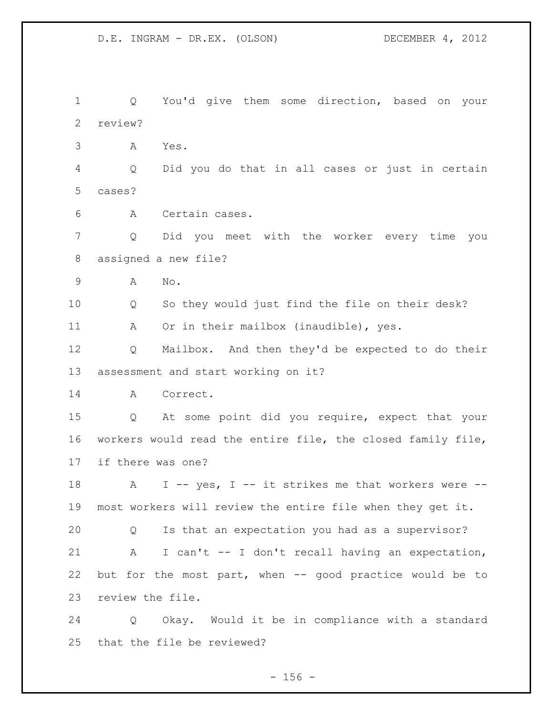Q You'd give them some direction, based on your review? A Yes. Q Did you do that in all cases or just in certain cases? A Certain cases. Q Did you meet with the worker every time you assigned a new file? A No. Q So they would just find the file on their desk? A Or in their mailbox (inaudible), yes. Q Mailbox. And then they'd be expected to do their assessment and start working on it? A Correct. Q At some point did you require, expect that your workers would read the entire file, the closed family file, if there was one? 18 A I -- yes, I -- it strikes me that workers were -- most workers will review the entire file when they get it. Q Is that an expectation you had as a supervisor? A I can't -- I don't recall having an expectation, but for the most part, when -- good practice would be to review the file. Q Okay. Would it be in compliance with a standard that the file be reviewed?

 $- 156 -$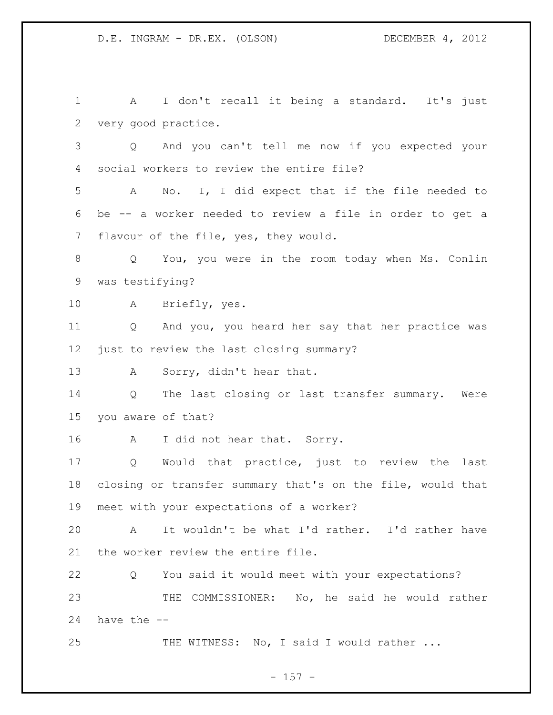1 A I don't recall it being a standard. It's just very good practice. Q And you can't tell me now if you expected your social workers to review the entire file? A No. I, I did expect that if the file needed to be -- a worker needed to review a file in order to get a flavour of the file, yes, they would. Q You, you were in the room today when Ms. Conlin was testifying? A Briefly, yes. Q And you, you heard her say that her practice was just to review the last closing summary? 13 A Sorry, didn't hear that. Q The last closing or last transfer summary. Were you aware of that? 16 A I did not hear that. Sorry. Q Would that practice, just to review the last closing or transfer summary that's on the file, would that meet with your expectations of a worker? A It wouldn't be what I'd rather. I'd rather have the worker review the entire file. Q You said it would meet with your expectations? THE COMMISSIONER: No, he said he would rather have the -- 25 THE WITNESS: No, I said I would rather ...

- 157 -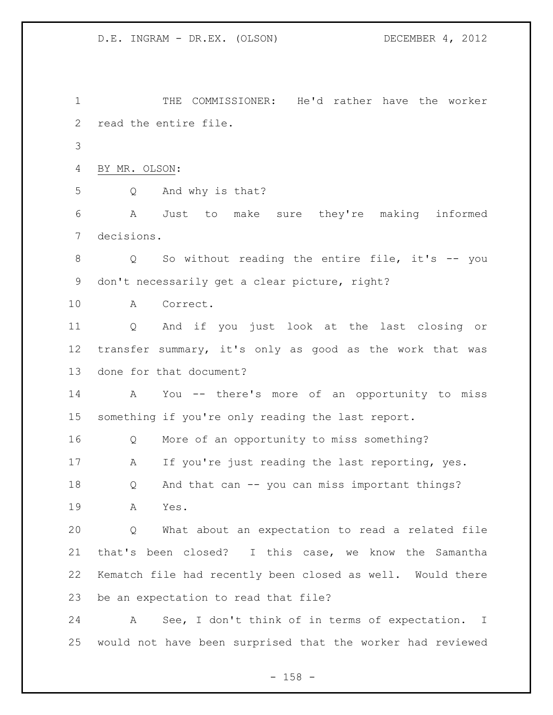THE COMMISSIONER: He'd rather have the worker read the entire file. BY MR. OLSON: Q And why is that? A Just to make sure they're making informed decisions. Q So without reading the entire file, it's -- you don't necessarily get a clear picture, right? A Correct. Q And if you just look at the last closing or transfer summary, it's only as good as the work that was done for that document? A You -- there's more of an opportunity to miss something if you're only reading the last report. Q More of an opportunity to miss something? A If you're just reading the last reporting, yes. Q And that can -- you can miss important things? A Yes. Q What about an expectation to read a related file that's been closed? I this case, we know the Samantha Kematch file had recently been closed as well. Would there be an expectation to read that file? A See, I don't think of in terms of expectation. I would not have been surprised that the worker had reviewed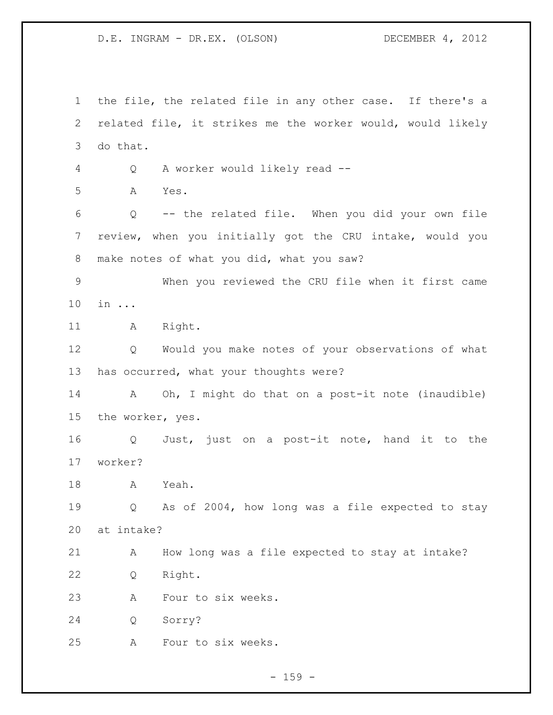the file, the related file in any other case. If there's a related file, it strikes me the worker would, would likely do that. Q A worker would likely read -- A Yes. Q -- the related file. When you did your own file review, when you initially got the CRU intake, would you make notes of what you did, what you saw? When you reviewed the CRU file when it first came in ... 11 A Right. Q Would you make notes of your observations of what has occurred, what your thoughts were? A Oh, I might do that on a post-it note (inaudible) the worker, yes. Q Just, just on a post-it note, hand it to the worker? A Yeah. Q As of 2004, how long was a file expected to stay at intake? A How long was a file expected to stay at intake? Q Right. A Four to six weeks. Q Sorry? A Four to six weeks.

 $- 159 -$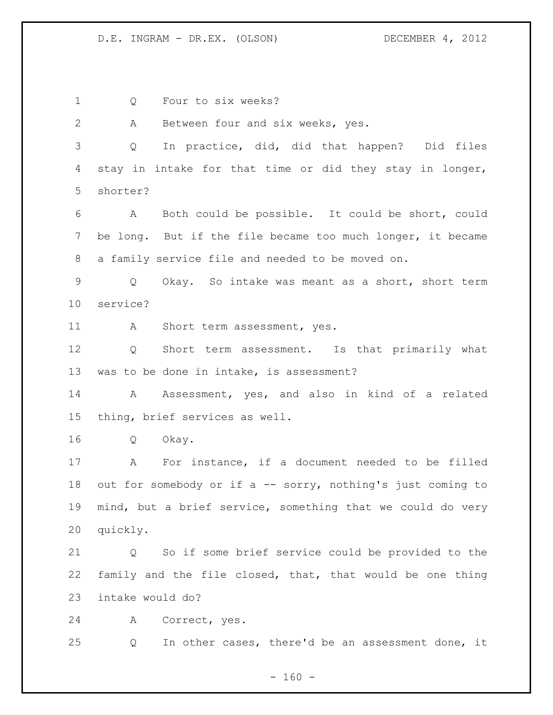Q Four to six weeks? A Between four and six weeks, yes. Q In practice, did, did that happen? Did files stay in intake for that time or did they stay in longer, shorter? A Both could be possible. It could be short, could be long. But if the file became too much longer, it became a family service file and needed to be moved on. Q Okay. So intake was meant as a short, short term service? 11 A Short term assessment, yes. Q Short term assessment. Is that primarily what was to be done in intake, is assessment? A Assessment, yes, and also in kind of a related thing, brief services as well. Q Okay. A For instance, if a document needed to be filled 18 out for somebody or if a -- sorry, nothing's just coming to mind, but a brief service, something that we could do very quickly. Q So if some brief service could be provided to the family and the file closed, that, that would be one thing intake would do? A Correct, yes. Q In other cases, there'd be an assessment done, it

 $- 160 -$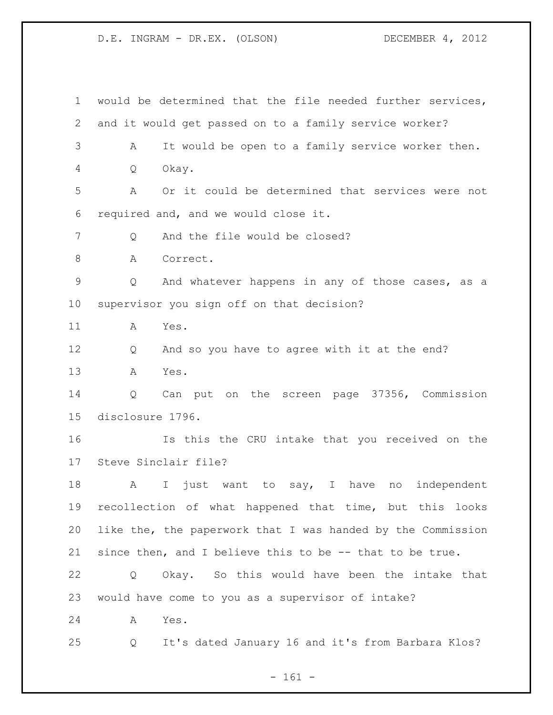would be determined that the file needed further services, and it would get passed on to a family service worker? A It would be open to a family service worker then. Q Okay. A Or it could be determined that services were not required and, and we would close it. 7 O And the file would be closed? 8 A Correct. Q And whatever happens in any of those cases, as a supervisor you sign off on that decision? A Yes. Q And so you have to agree with it at the end? A Yes. Q Can put on the screen page 37356, Commission disclosure 1796. Is this the CRU intake that you received on the Steve Sinclair file? 18 A I just want to say, I have no independent recollection of what happened that time, but this looks like the, the paperwork that I was handed by the Commission since then, and I believe this to be -- that to be true. Q Okay. So this would have been the intake that would have come to you as a supervisor of intake? A Yes. Q It's dated January 16 and it's from Barbara Klos?

- 161 -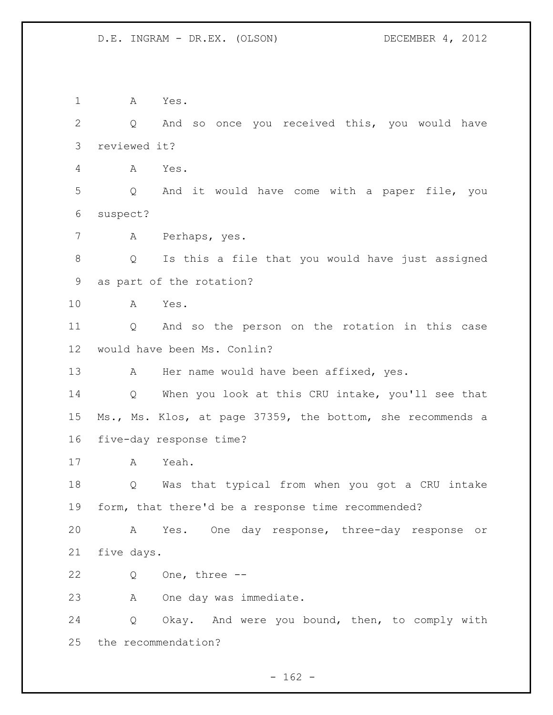A Yes. Q And so once you received this, you would have reviewed it? A Yes. Q And it would have come with a paper file, you suspect? A Perhaps, yes. Q Is this a file that you would have just assigned as part of the rotation? A Yes. Q And so the person on the rotation in this case would have been Ms. Conlin? 13 A Her name would have been affixed, yes. Q When you look at this CRU intake, you'll see that Ms., Ms. Klos, at page 37359, the bottom, she recommends a five-day response time? A Yeah. Q Was that typical from when you got a CRU intake form, that there'd be a response time recommended? A Yes. One day response, three-day response or five days. Q One, three -- A One day was immediate. Q Okay. And were you bound, then, to comply with the recommendation?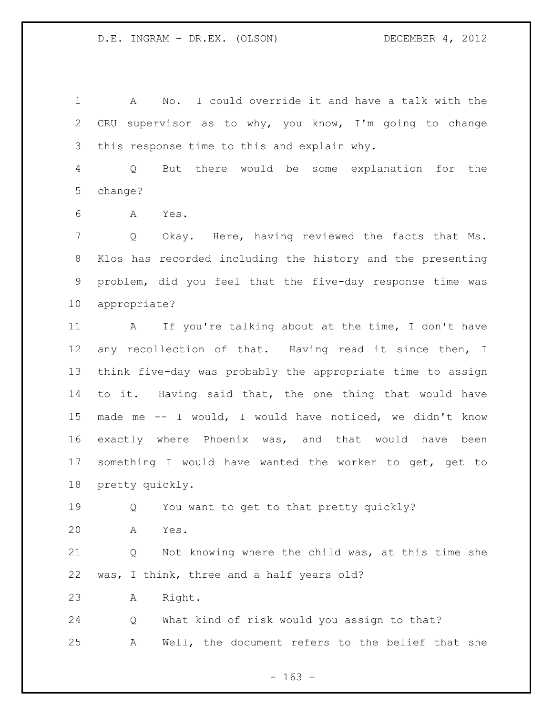A No. I could override it and have a talk with the CRU supervisor as to why, you know, I'm going to change this response time to this and explain why.

 Q But there would be some explanation for the change?

A Yes.

 Q Okay. Here, having reviewed the facts that Ms. Klos has recorded including the history and the presenting problem, did you feel that the five-day response time was appropriate?

11 A If you're talking about at the time, I don't have any recollection of that. Having read it since then, I think five-day was probably the appropriate time to assign to it. Having said that, the one thing that would have made me -- I would, I would have noticed, we didn't know exactly where Phoenix was, and that would have been something I would have wanted the worker to get, get to pretty quickly.

Q You want to get to that pretty quickly?

A Yes.

 Q Not knowing where the child was, at this time she was, I think, three and a half years old?

A Right.

 Q What kind of risk would you assign to that? A Well, the document refers to the belief that she

 $- 163 -$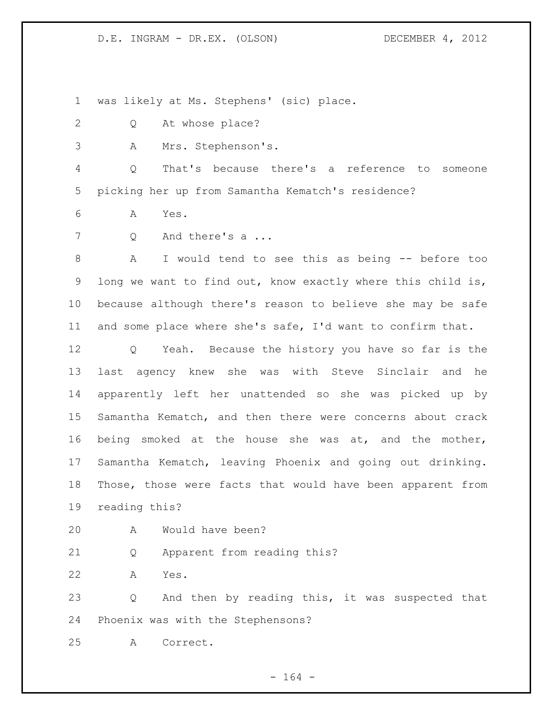was likely at Ms. Stephens' (sic) place.

- Q At whose place?
- A Mrs. Stephenson's.

 Q That's because there's a reference to someone picking her up from Samantha Kematch's residence?

- A Yes.
- 7 Q And there's a ...

 A I would tend to see this as being -- before too long we want to find out, know exactly where this child is, because although there's reason to believe she may be safe and some place where she's safe, I'd want to confirm that.

 Q Yeah. Because the history you have so far is the last agency knew she was with Steve Sinclair and he apparently left her unattended so she was picked up by Samantha Kematch, and then there were concerns about crack being smoked at the house she was at, and the mother, Samantha Kematch, leaving Phoenix and going out drinking. Those, those were facts that would have been apparent from reading this?

- 
- A Would have been?
- Q Apparent from reading this?
- A Yes.

 Q And then by reading this, it was suspected that Phoenix was with the Stephensons?

A Correct.

- 164 -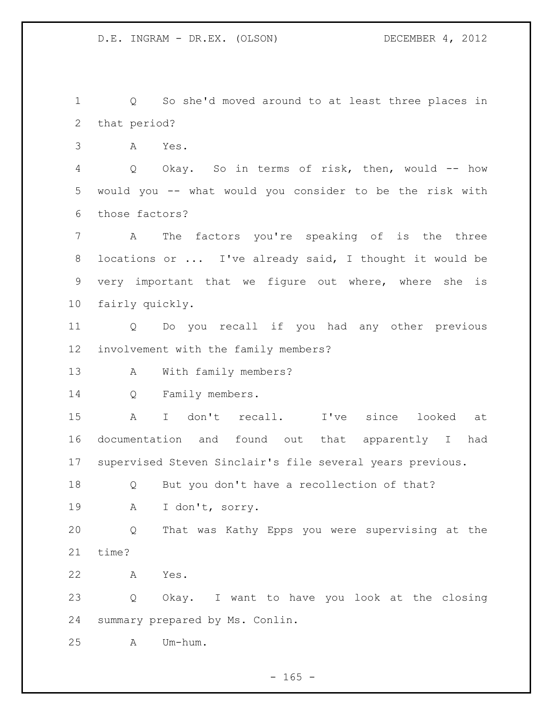Q So she'd moved around to at least three places in that period?

A Yes.

 Q Okay. So in terms of risk, then, would -- how would you -- what would you consider to be the risk with those factors?

 A The factors you're speaking of is the three locations or ... I've already said, I thought it would be very important that we figure out where, where she is fairly quickly.

 Q Do you recall if you had any other previous involvement with the family members?

A With family members?

Q Family members.

 A I don't recall. I've since looked at documentation and found out that apparently I had supervised Steven Sinclair's file several years previous.

 Q But you don't have a recollection of that? A I don't, sorry.

 Q That was Kathy Epps you were supervising at the time?

A Yes.

 Q Okay. I want to have you look at the closing summary prepared by Ms. Conlin.

A Um-hum.

 $- 165 -$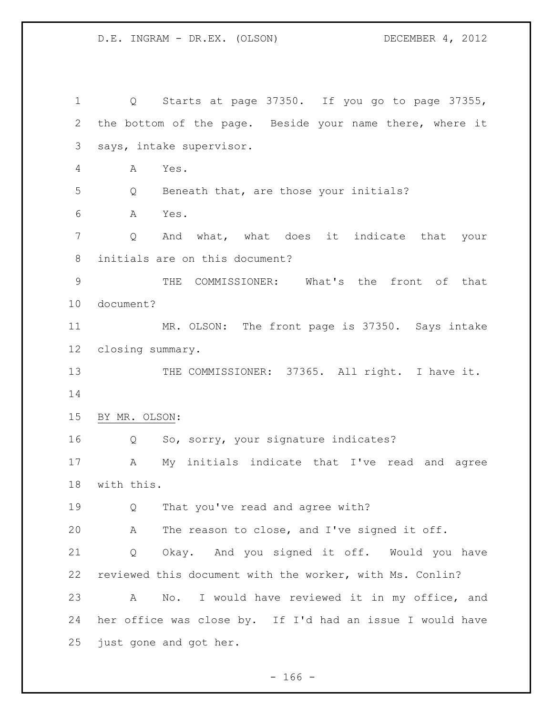Q Starts at page 37350. If you go to page 37355, the bottom of the page. Beside your name there, where it says, intake supervisor. A Yes. Q Beneath that, are those your initials? A Yes. Q And what, what does it indicate that your initials are on this document? THE COMMISSIONER: What's the front of that document? MR. OLSON: The front page is 37350. Says intake closing summary. 13 THE COMMISSIONER: 37365. All right. I have it. BY MR. OLSON: Q So, sorry, your signature indicates? A My initials indicate that I've read and agree with this. Q That you've read and agree with? A The reason to close, and I've signed it off. Q Okay. And you signed it off. Would you have reviewed this document with the worker, with Ms. Conlin? A No. I would have reviewed it in my office, and her office was close by. If I'd had an issue I would have just gone and got her.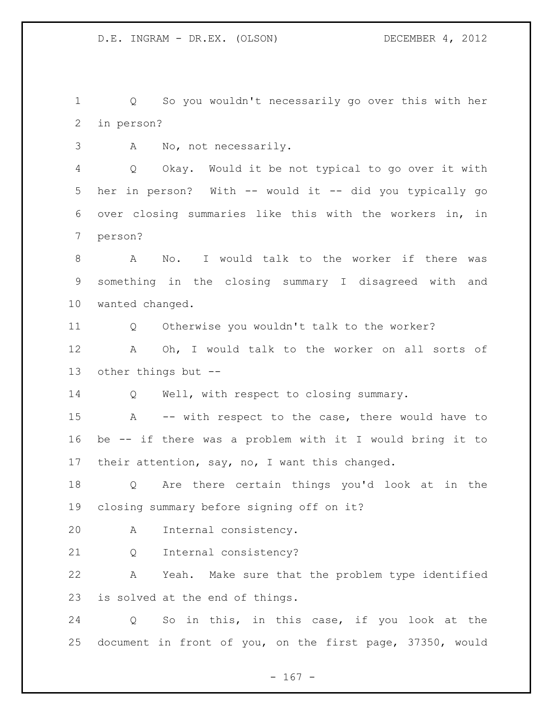Q So you wouldn't necessarily go over this with her in person?

A No, not necessarily.

 Q Okay. Would it be not typical to go over it with her in person? With -- would it -- did you typically go over closing summaries like this with the workers in, in person?

 A No. I would talk to the worker if there was something in the closing summary I disagreed with and wanted changed.

Q Otherwise you wouldn't talk to the worker?

 A Oh, I would talk to the worker on all sorts of other things but --

14 Q Well, with respect to closing summary.

 A -- with respect to the case, there would have to be -- if there was a problem with it I would bring it to 17 their attention, say, no, I want this changed.

 Q Are there certain things you'd look at in the closing summary before signing off on it?

A Internal consistency.

Q Internal consistency?

 A Yeah. Make sure that the problem type identified is solved at the end of things.

 Q So in this, in this case, if you look at the document in front of you, on the first page, 37350, would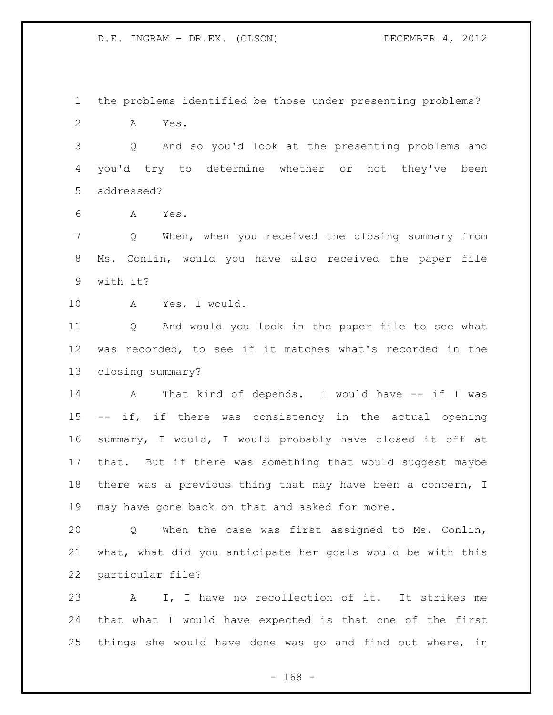the problems identified be those under presenting problems? A Yes.

 Q And so you'd look at the presenting problems and you'd try to determine whether or not they've been addressed?

A Yes.

 Q When, when you received the closing summary from Ms. Conlin, would you have also received the paper file with it?

A Yes, I would.

 Q And would you look in the paper file to see what was recorded, to see if it matches what's recorded in the closing summary?

14 A That kind of depends. I would have -- if I was -- if, if there was consistency in the actual opening summary, I would, I would probably have closed it off at that. But if there was something that would suggest maybe there was a previous thing that may have been a concern, I may have gone back on that and asked for more.

 Q When the case was first assigned to Ms. Conlin, what, what did you anticipate her goals would be with this particular file?

 A I, I have no recollection of it. It strikes me that what I would have expected is that one of the first things she would have done was go and find out where, in

- 168 -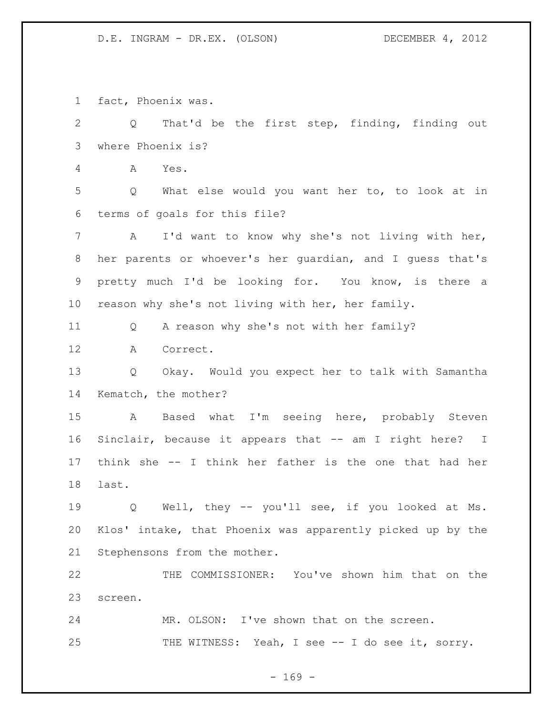fact, Phoenix was.

 Q That'd be the first step, finding, finding out where Phoenix is? A Yes. Q What else would you want her to, to look at in terms of goals for this file? A I'd want to know why she's not living with her, her parents or whoever's her guardian, and I guess that's pretty much I'd be looking for. You know, is there a reason why she's not living with her, her family. Q A reason why she's not with her family? A Correct. Q Okay. Would you expect her to talk with Samantha Kematch, the mother? A Based what I'm seeing here, probably Steven Sinclair, because it appears that -- am I right here? I think she -- I think her father is the one that had her last. Q Well, they -- you'll see, if you looked at Ms. Klos' intake, that Phoenix was apparently picked up by the Stephensons from the mother. THE COMMISSIONER: You've shown him that on the screen. 24 MR. OLSON: I've shown that on the screen. THE WITNESS: Yeah, I see -- I do see it, sorry.

 $- 169 -$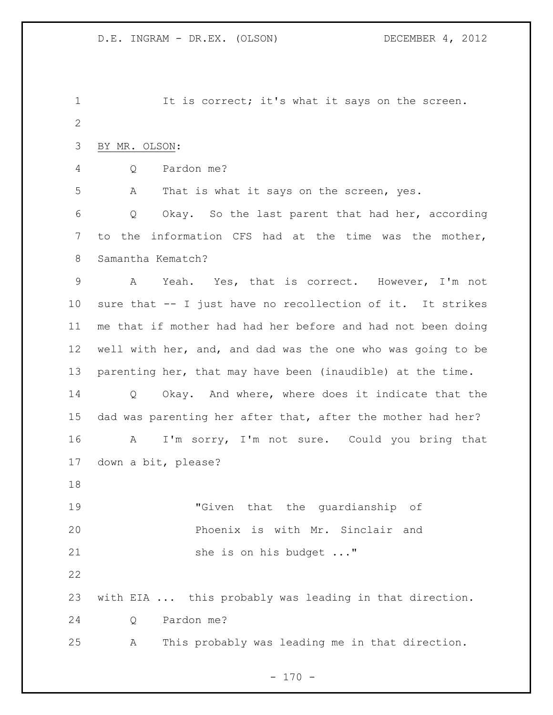It is correct; it's what it says on the screen. BY MR. OLSON: Q Pardon me? A That is what it says on the screen, yes. Q Okay. So the last parent that had her, according to the information CFS had at the time was the mother, Samantha Kematch? A Yeah. Yes, that is correct. However, I'm not sure that -- I just have no recollection of it. It strikes me that if mother had had her before and had not been doing well with her, and, and dad was the one who was going to be parenting her, that may have been (inaudible) at the time. Q Okay. And where, where does it indicate that the dad was parenting her after that, after the mother had her? A I'm sorry, I'm not sure. Could you bring that down a bit, please? "Given that the guardianship of Phoenix is with Mr. Sinclair and 21 she is on his budget ..." with EIA ... this probably was leading in that direction. Q Pardon me? A This probably was leading me in that direction.

 $- 170 -$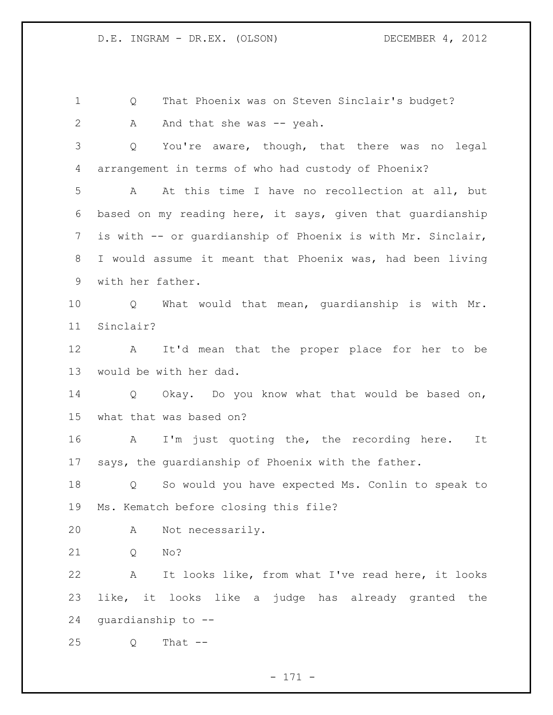Q That Phoenix was on Steven Sinclair's budget? 2 A And that she was -- yeah. Q You're aware, though, that there was no legal arrangement in terms of who had custody of Phoenix? A At this time I have no recollection at all, but based on my reading here, it says, given that guardianship is with -- or guardianship of Phoenix is with Mr. Sinclair, I would assume it meant that Phoenix was, had been living with her father. Q What would that mean, guardianship is with Mr. Sinclair? A It'd mean that the proper place for her to be would be with her dad. Q Okay. Do you know what that would be based on, what that was based on? A I'm just quoting the, the recording here. It says, the guardianship of Phoenix with the father. Q So would you have expected Ms. Conlin to speak to Ms. Kematch before closing this file? A Not necessarily. Q No?

 A It looks like, from what I've read here, it looks like, it looks like a judge has already granted the guardianship to --

Q That --

- 171 -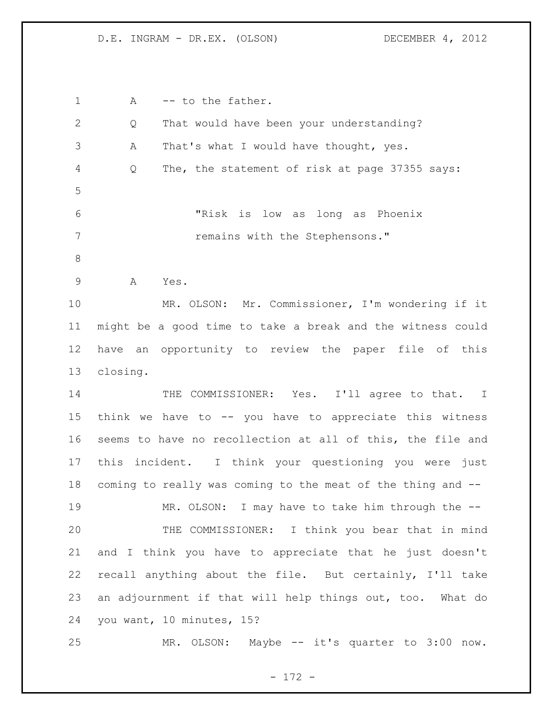1 A -- to the father. Q That would have been your understanding? A That's what I would have thought, yes. Q The, the statement of risk at page 37355 says: "Risk is low as long as Phoenix **remains with the Stephensons."**  A Yes. MR. OLSON: Mr. Commissioner, I'm wondering if it might be a good time to take a break and the witness could have an opportunity to review the paper file of this closing. THE COMMISSIONER: Yes. I'll agree to that. I think we have to -- you have to appreciate this witness seems to have no recollection at all of this, the file and this incident. I think your questioning you were just coming to really was coming to the meat of the thing and -- 19 MR. OLSON: I may have to take him through the -- THE COMMISSIONER: I think you bear that in mind and I think you have to appreciate that he just doesn't recall anything about the file. But certainly, I'll take an adjournment if that will help things out, too. What do you want, 10 minutes, 15? MR. OLSON: Maybe -- it's quarter to 3:00 now.

- 172 -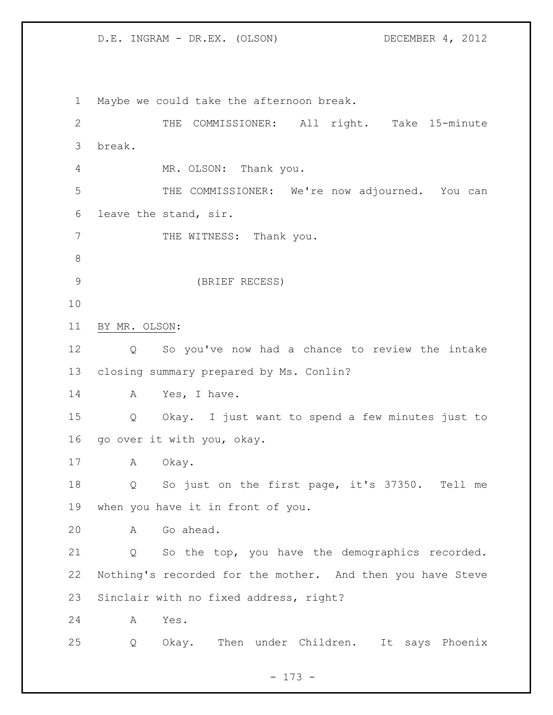Maybe we could take the afternoon break. 2 THE COMMISSIONER: All right. Take 15-minute break. MR. OLSON: Thank you. THE COMMISSIONER: We're now adjourned. You can leave the stand, sir. 7 THE WITNESS: Thank you. (BRIEF RECESS) BY MR. OLSON: Q So you've now had a chance to review the intake closing summary prepared by Ms. Conlin? 14 A Yes, I have. Q Okay. I just want to spend a few minutes just to go over it with you, okay. A Okay. Q So just on the first page, it's 37350. Tell me when you have it in front of you. A Go ahead. Q So the top, you have the demographics recorded. Nothing's recorded for the mother. And then you have Steve Sinclair with no fixed address, right? A Yes. Q Okay. Then under Children. It says Phoenix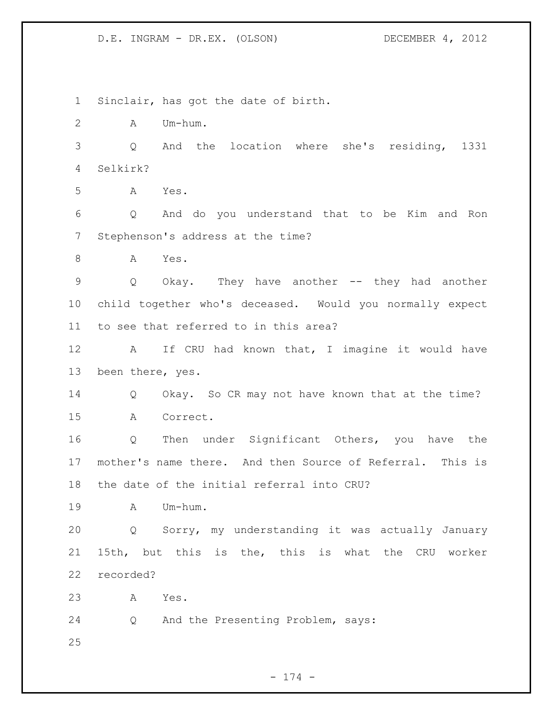Sinclair, has got the date of birth. A Um-hum. Q And the location where she's residing, 1331 Selkirk? A Yes. Q And do you understand that to be Kim and Ron Stephenson's address at the time? A Yes. Q Okay. They have another -- they had another child together who's deceased. Would you normally expect to see that referred to in this area? 12 A If CRU had known that, I imagine it would have been there, yes. Q Okay. So CR may not have known that at the time? A Correct. Q Then under Significant Others, you have the mother's name there. And then Source of Referral. This is the date of the initial referral into CRU? A Um-hum. Q Sorry, my understanding it was actually January 15th, but this is the, this is what the CRU worker recorded? A Yes. Q And the Presenting Problem, says: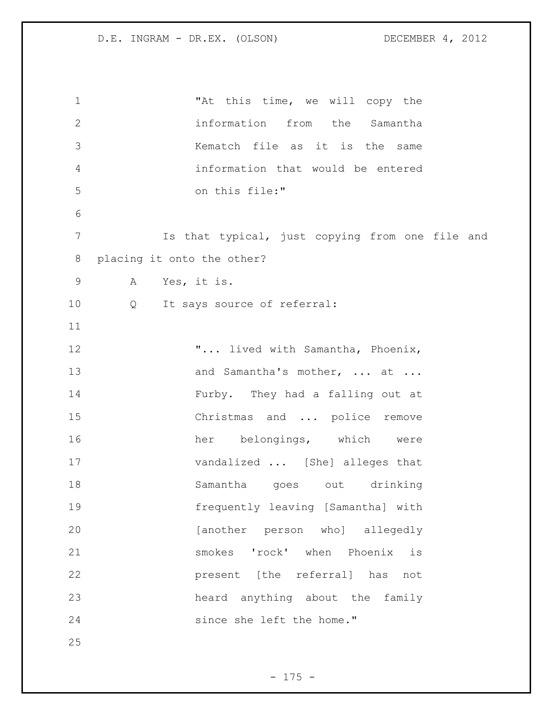1 The Matthis time, we will copy the information from the Samantha Kematch file as it is the same information that would be entered on this file:" Is that typical, just copying from one file and placing it onto the other? A Yes, it is. Q It says source of referral: "... lived with Samantha, Phoenix, 13 and Samantha's mother, ... at ... Furby. They had a falling out at Christmas and ... police remove her belongings, which were vandalized ... [She] alleges that Samantha goes out drinking frequently leaving [Samantha] with [another person who] allegedly smokes 'rock' when Phoenix is present [the referral] has not heard anything about the family since she left the home."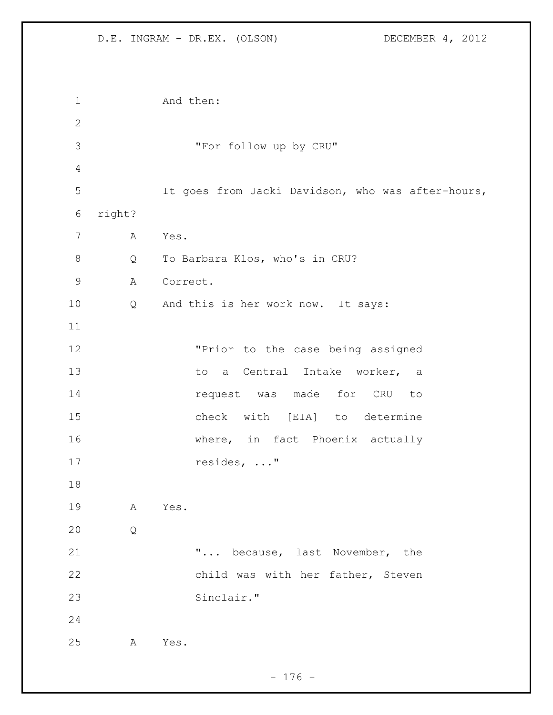```
1 And then:
2
3 "For follow up by CRU"
4
5 It goes from Jacki Davidson, who was after-hours, 
6 right?
7 A Yes.
8 Q To Barbara Klos, who's in CRU?
9 A Correct.
10 Q And this is her work now. It says:
11
12 "Prior to the case being assigned 
13 to a Central Intake worker, a
14 request was made for CRU to
15 check with [EIA] to determine 
16 where, in fact Phoenix actually
17 resides, ..."
18
19 A Yes.
20 Q
21 "... because, last November, the 
22 child was with her father, Steven 
23 Sinclair."
24
25 A Yes.
```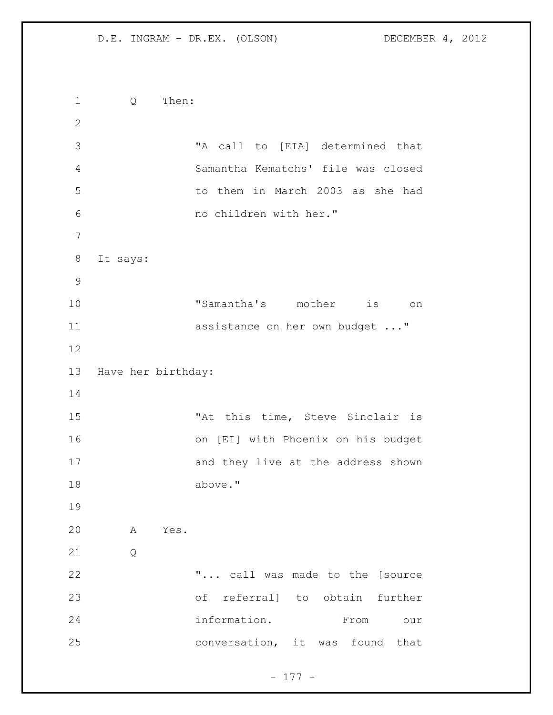Q Then: "A call to [EIA] determined that Samantha Kematchs' file was closed to them in March 2003 as she had no children with her." It says: "Samantha's mother is on 11 assistance on her own budget ..." Have her birthday: 15 The Matthistime, Steve Sinclair is on [EI] with Phoenix on his budget 17 and they live at the address shown above." A Yes. Q **"...** call was made to the [source of referral] to obtain further information. From our conversation, it was found that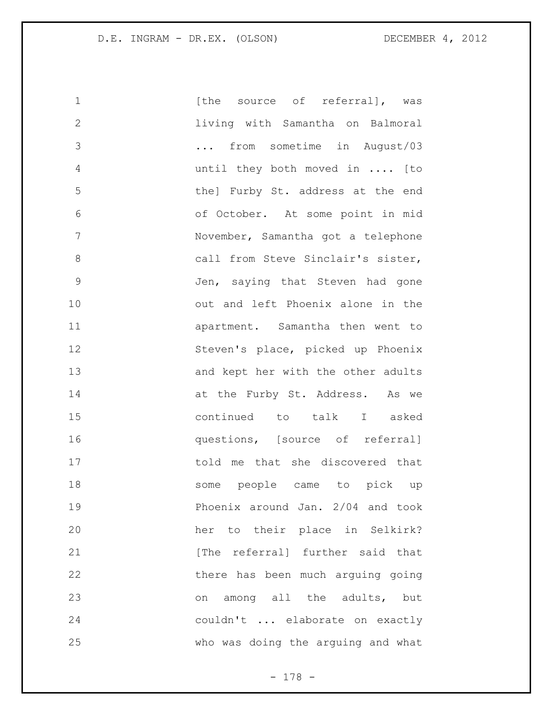| 1             | [the source of referral], was      |
|---------------|------------------------------------|
| $\mathbf{2}$  | living with Samantha on Balmoral   |
| 3             | from sometime in August/03         |
| 4             | until they both moved in  [to      |
| 5             | the] Furby St. address at the end  |
| 6             | of October. At some point in mid   |
| 7             | November, Samantha got a telephone |
| 8             | call from Steve Sinclair's sister, |
| $\mathcal{G}$ | Jen, saying that Steven had gone   |
| 10            | out and left Phoenix alone in the  |
| 11            | apartment. Samantha then went to   |
| 12            | Steven's place, picked up Phoenix  |
| 13            | and kept her with the other adults |
| 14            | at the Furby St. Address. As we    |
| 15            | continued to talk I asked          |
| 16            | questions, [source of referral]    |
| 17            | told me that she discovered that   |
| 18            | some people came to pick up        |
| 19            | Phoenix around Jan. 2/04 and took  |
| 20            | her to their place in Selkirk?     |
| 21            | [The referral] further said that   |
| 22            | there has been much arguing going  |
| 23            | on among all the adults, but       |
| 24            | couldn't  elaborate on exactly     |
| 25            | who was doing the arguing and what |

- 178 -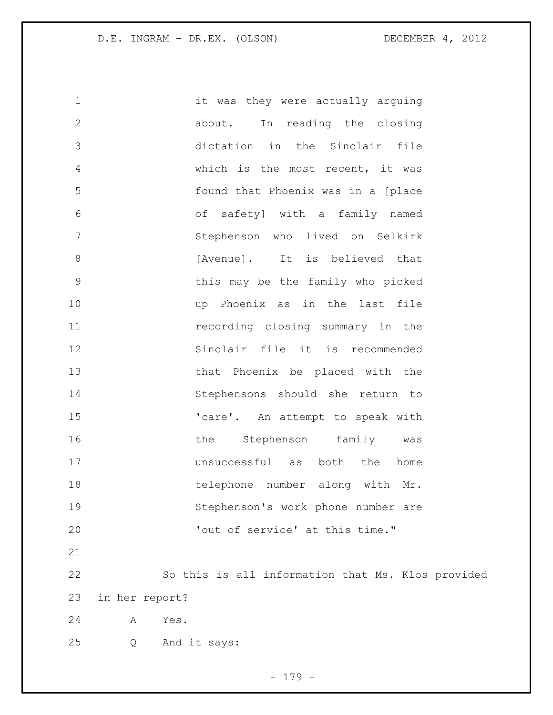it was they were actually arguing about. In reading the closing dictation in the Sinclair file which is the most recent, it was found that Phoenix was in a [place of safety] with a family named Stephenson who lived on Selkirk **b** [Avenue]. It is believed that this may be the family who picked up Phoenix as in the last file recording closing summary in the Sinclair file it is recommended that Phoenix be placed with the Stephensons should she return to 15 'care'. An attempt to speak with 16 the Stephenson family was unsuccessful as both the home 18 telephone number along with Mr. Stephenson's work phone number are 'out of service' at this time." So this is all information that Ms. Klos provided in her report? A Yes. Q And it says:

- 179 -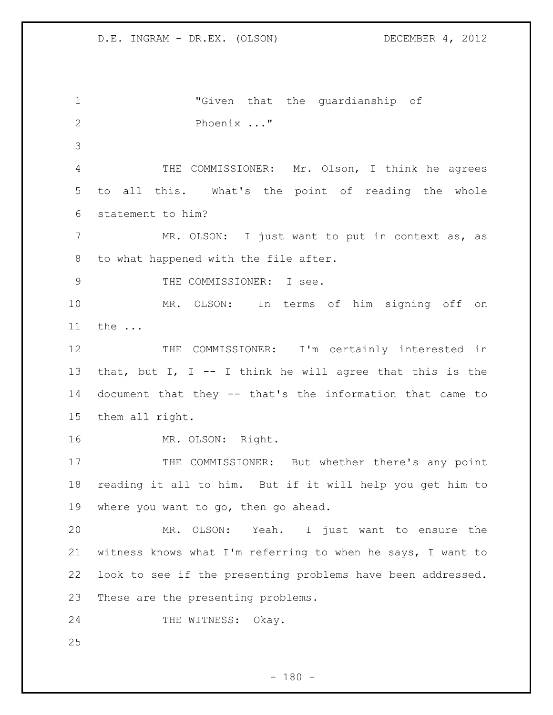"Given that the guardianship of Phoenix ..." THE COMMISSIONER: Mr. Olson, I think he agrees to all this. What's the point of reading the whole statement to him? 7 MR. OLSON: I just want to put in context as, as to what happened with the file after. 9 THE COMMISSIONER: I see. MR. OLSON: In terms of him signing off on the ... 12 THE COMMISSIONER: I'm certainly interested in 13 that, but I, I -- I think he will agree that this is the document that they -- that's the information that came to them all right. MR. OLSON: Right. 17 THE COMMISSIONER: But whether there's any point reading it all to him. But if it will help you get him to where you want to go, then go ahead. MR. OLSON: Yeah. I just want to ensure the witness knows what I'm referring to when he says, I want to look to see if the presenting problems have been addressed. These are the presenting problems. 24 THE WITNESS: Okay.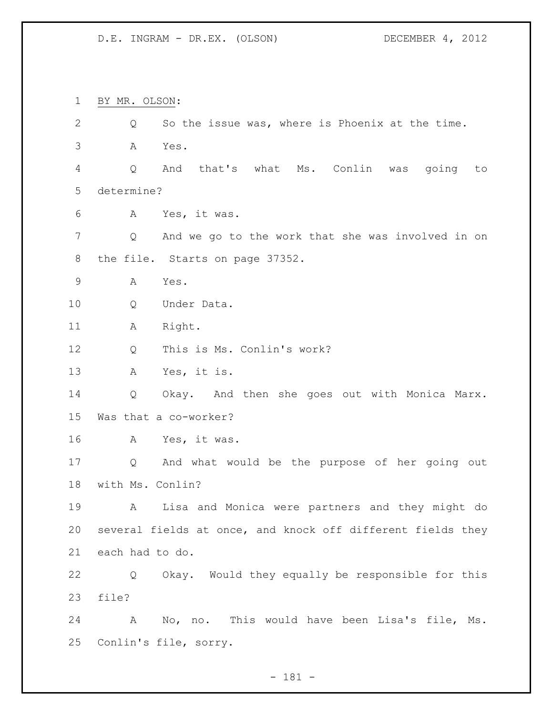BY MR. OLSON: Q So the issue was, where is Phoenix at the time. A Yes. Q And that's what Ms. Conlin was going to determine? A Yes, it was. Q And we go to the work that she was involved in on the file. Starts on page 37352. A Yes. Q Under Data. 11 A Right. Q This is Ms. Conlin's work? A Yes, it is. Q Okay. And then she goes out with Monica Marx. Was that a co-worker? A Yes, it was. Q And what would be the purpose of her going out with Ms. Conlin? A Lisa and Monica were partners and they might do several fields at once, and knock off different fields they each had to do. Q Okay. Would they equally be responsible for this file? A No, no. This would have been Lisa's file, Ms. Conlin's file, sorry.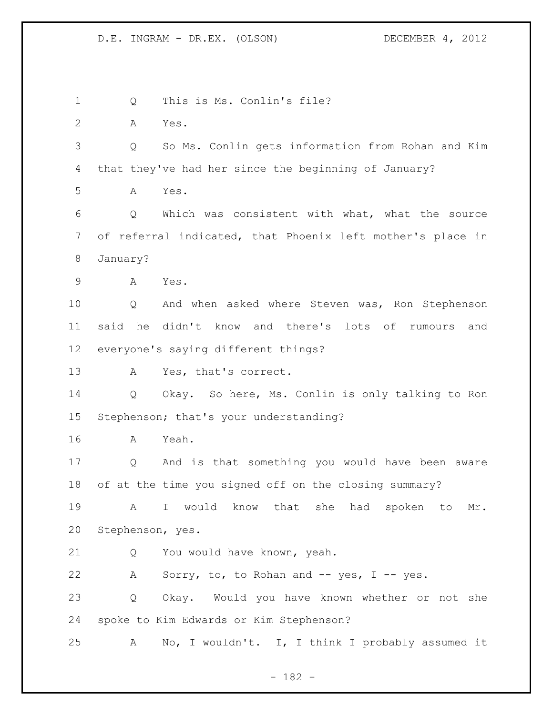Q This is Ms. Conlin's file? A Yes. Q So Ms. Conlin gets information from Rohan and Kim that they've had her since the beginning of January? A Yes. Q Which was consistent with what, what the source of referral indicated, that Phoenix left mother's place in January? A Yes. Q And when asked where Steven was, Ron Stephenson said he didn't know and there's lots of rumours and everyone's saying different things? A Yes, that's correct. Q Okay. So here, Ms. Conlin is only talking to Ron Stephenson; that's your understanding? A Yeah. Q And is that something you would have been aware of at the time you signed off on the closing summary? A I would know that she had spoken to Mr. Stephenson, yes. Q You would have known, yeah. A Sorry, to, to Rohan and -- yes, I -- yes. Q Okay. Would you have known whether or not she spoke to Kim Edwards or Kim Stephenson? A No, I wouldn't. I, I think I probably assumed it

- 182 -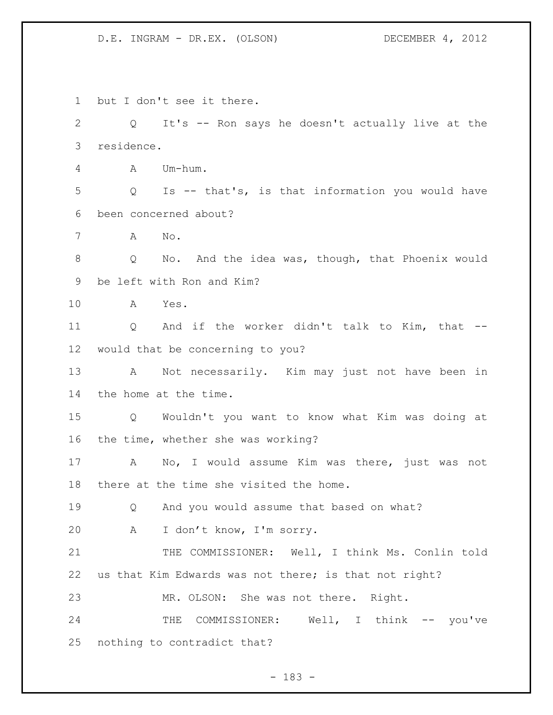but I don't see it there. Q It's -- Ron says he doesn't actually live at the residence. A Um-hum. Q Is -- that's, is that information you would have been concerned about? A No. Q No. And the idea was, though, that Phoenix would be left with Ron and Kim? A Yes. Q And if the worker didn't talk to Kim, that -- would that be concerning to you? A Not necessarily. Kim may just not have been in the home at the time. Q Wouldn't you want to know what Kim was doing at the time, whether she was working? A No, I would assume Kim was there, just was not there at the time she visited the home. Q And you would assume that based on what? A I don't know, I'm sorry. 21 THE COMMISSIONER: Well, I think Ms. Conlin told us that Kim Edwards was not there; is that not right? MR. OLSON: She was not there. Right. 24 THE COMMISSIONER: Well, I think -- you've nothing to contradict that?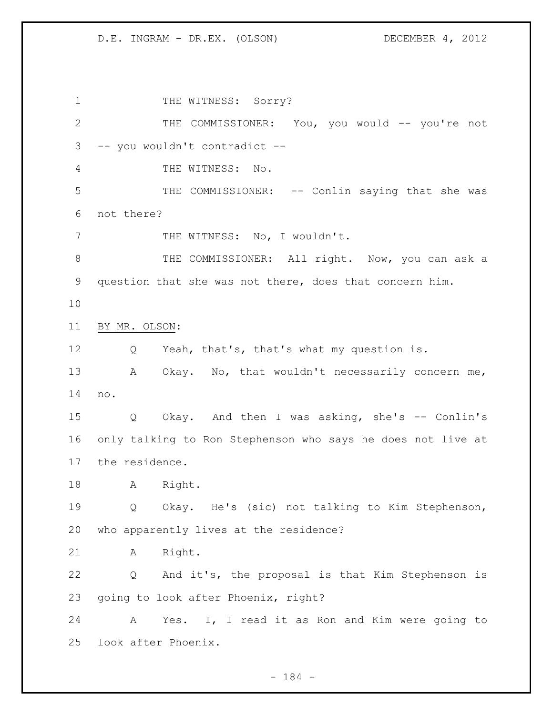1 THE WITNESS: Sorry? THE COMMISSIONER: You, you would -- you're not -- you wouldn't contradict -- THE WITNESS: No. 5 THE COMMISSIONER: -- Conlin saying that she was not there? 7 THE WITNESS: No, I wouldn't. 8 THE COMMISSIONER: All right. Now, you can ask a question that she was not there, does that concern him. BY MR. OLSON: Q Yeah, that's, that's what my question is. 13 A Okay. No, that wouldn't necessarily concern me, no. Q Okay. And then I was asking, she's -- Conlin's only talking to Ron Stephenson who says he does not live at the residence. A Right. Q Okay. He's (sic) not talking to Kim Stephenson, who apparently lives at the residence? A Right. Q And it's, the proposal is that Kim Stephenson is going to look after Phoenix, right? A Yes. I, I read it as Ron and Kim were going to look after Phoenix.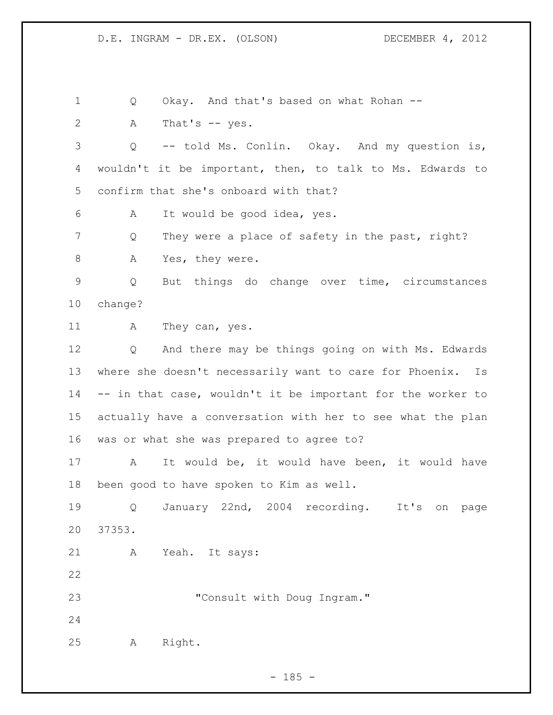1 Q Okay. And that's based on what Rohan --

A That's -- yes.

 Q -- told Ms. Conlin. Okay. And my question is, wouldn't it be important, then, to talk to Ms. Edwards to confirm that she's onboard with that?

A It would be good idea, yes.

7 Q They were a place of safety in the past, right?

8 A Yes, they were.

 Q But things do change over time, circumstances change?

11 A They can, yes.

 Q And there may be things going on with Ms. Edwards where she doesn't necessarily want to care for Phoenix. Is -- in that case, wouldn't it be important for the worker to actually have a conversation with her to see what the plan was or what she was prepared to agree to?

 A It would be, it would have been, it would have been good to have spoken to Kim as well.

 Q January 22nd, 2004 recording. It's on page 37353.

A Yeah. It says:

**"Consult with Doug Ingram."** 

A Right.

 $- 185 -$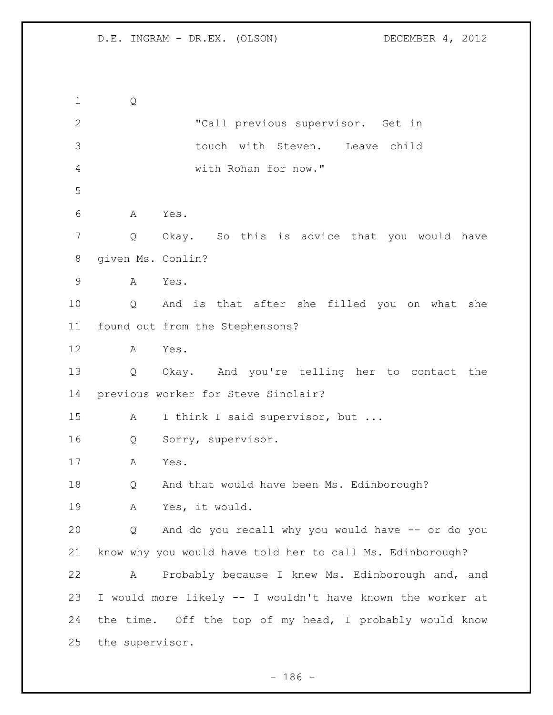Q "Call previous supervisor. Get in touch with Steven. Leave child with Rohan for now." A Yes. Q Okay. So this is advice that you would have given Ms. Conlin? A Yes. Q And is that after she filled you on what she found out from the Stephensons? A Yes. Q Okay. And you're telling her to contact the previous worker for Steve Sinclair? 15 A I think I said supervisor, but ... Q Sorry, supervisor. A Yes. Q And that would have been Ms. Edinborough? A Yes, it would. Q And do you recall why you would have -- or do you know why you would have told her to call Ms. Edinborough? A Probably because I knew Ms. Edinborough and, and I would more likely -- I wouldn't have known the worker at the time. Off the top of my head, I probably would know the supervisor.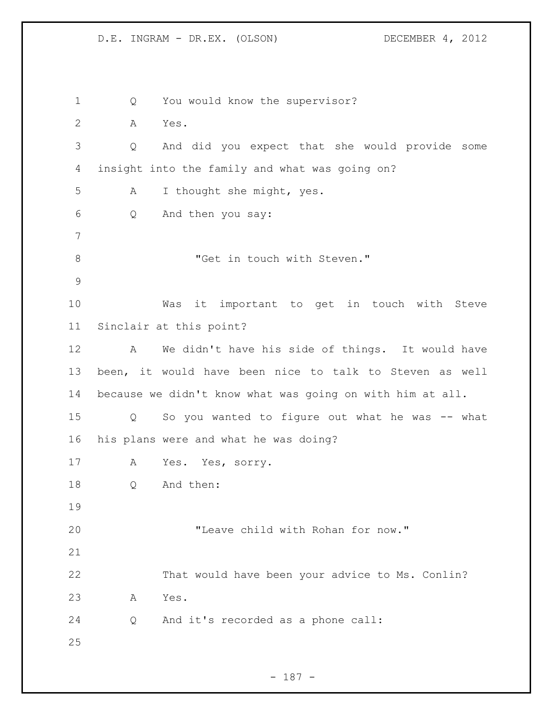Q You would know the supervisor? A Yes. Q And did you expect that she would provide some insight into the family and what was going on? A I thought she might, yes. Q And then you say: 8 "Get in touch with Steven." Was it important to get in touch with Steve Sinclair at this point? A We didn't have his side of things. It would have been, it would have been nice to talk to Steven as well because we didn't know what was going on with him at all. Q So you wanted to figure out what he was -- what his plans were and what he was doing? A Yes. Yes, sorry. Q And then: "Leave child with Rohan for now." That would have been your advice to Ms. Conlin? A Yes. Q And it's recorded as a phone call: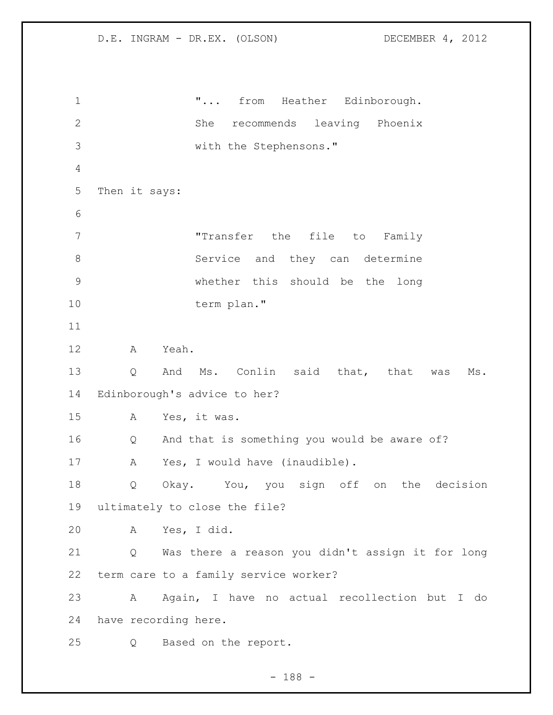$\ldots$  from Heather Edinborough. She recommends leaving Phoenix with the Stephensons." Then it says: "Transfer the file to Family 8 Service and they can determine whether this should be the long term plan." A Yeah. Q And Ms. Conlin said that, that was Ms. Edinborough's advice to her? A Yes, it was. Q And that is something you would be aware of? A Yes, I would have (inaudible). Q Okay. You, you sign off on the decision ultimately to close the file? A Yes, I did. Q Was there a reason you didn't assign it for long term care to a family service worker? A Again, I have no actual recollection but I do have recording here. Q Based on the report.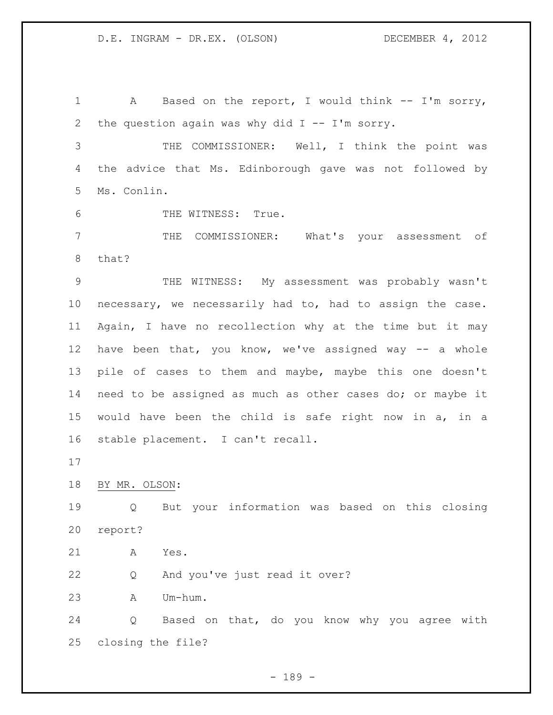1 A Based on the report, I would think -- I'm sorry, 2 the question again was why did  $I$  -- I'm sorry.

 THE COMMISSIONER: Well, I think the point was the advice that Ms. Edinborough gave was not followed by Ms. Conlin.

THE WITNESS: True.

 THE COMMISSIONER: What's your assessment of that?

 THE WITNESS: My assessment was probably wasn't necessary, we necessarily had to, had to assign the case. Again, I have no recollection why at the time but it may have been that, you know, we've assigned way -- a whole pile of cases to them and maybe, maybe this one doesn't need to be assigned as much as other cases do; or maybe it would have been the child is safe right now in a, in a stable placement. I can't recall.

BY MR. OLSON:

 Q But your information was based on this closing report?

A Yes.

Q And you've just read it over?

A Um-hum.

 Q Based on that, do you know why you agree with closing the file?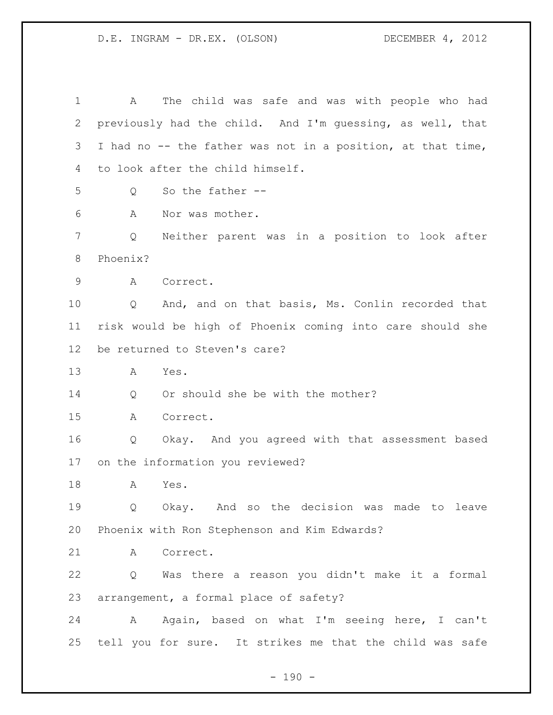A The child was safe and was with people who had previously had the child. And I'm guessing, as well, that I had no -- the father was not in a position, at that time, to look after the child himself. Q So the father -- A Nor was mother. Q Neither parent was in a position to look after Phoenix? A Correct. Q And, and on that basis, Ms. Conlin recorded that risk would be high of Phoenix coming into care should she be returned to Steven's care? A Yes. 14 Q Or should she be with the mother? A Correct. Q Okay. And you agreed with that assessment based on the information you reviewed? A Yes. Q Okay. And so the decision was made to leave Phoenix with Ron Stephenson and Kim Edwards? A Correct. Q Was there a reason you didn't make it a formal arrangement, a formal place of safety? 24 A Again, based on what I'm seeing here, I can't tell you for sure. It strikes me that the child was safe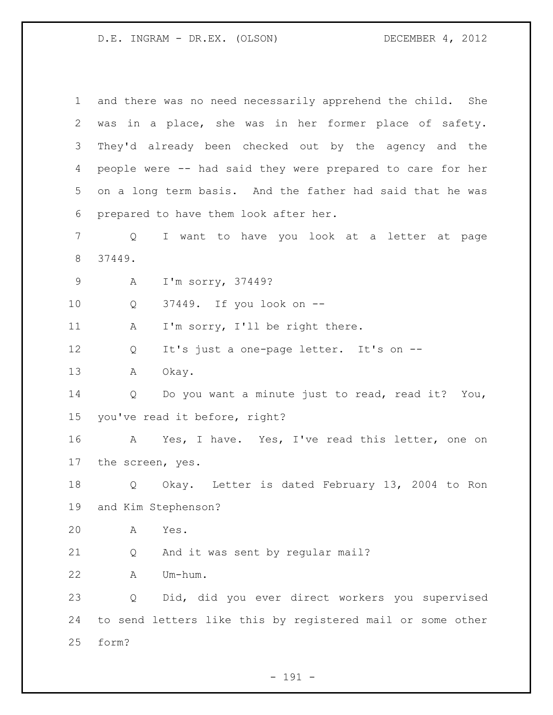| $\mathbf{1}$ |                  | and there was no need necessarily apprehend the child. She |
|--------------|------------------|------------------------------------------------------------|
| 2            |                  | was in a place, she was in her former place of safety.     |
| 3            |                  | They'd already been checked out by the agency and the      |
| 4            |                  | people were -- had said they were prepared to care for her |
| 5            |                  | on a long term basis. And the father had said that he was  |
| 6            |                  | prepared to have them look after her.                      |
| 7            | Q                | I want to have you look at a letter at page                |
| 8            | 37449.           |                                                            |
| $\mathsf 9$  | А                | I'm sorry, 37449?                                          |
| $10 \,$      | Q                | 37449. If you look on --                                   |
| 11           | A                | I'm sorry, I'll be right there.                            |
| 12           | Q                | It's just a one-page letter. It's on --                    |
| 13           | Α                | Okay.                                                      |
| 14           | Q                | Do you want a minute just to read, read it? You,           |
| 15           |                  | you've read it before, right?                              |
| 16           | A                | Yes, I have. Yes, I've read this letter, one on            |
| 17           | the screen, yes. |                                                            |
| 18           | Q                | Okay. Letter is dated February 13, 2004 to Ron             |
| 19           |                  | and Kim Stephenson?                                        |
| 20           | Α                | Yes.                                                       |
| 21           | Q                | And it was sent by regular mail?                           |
| 22           | Α                | Um-hum.                                                    |
| 23           | Q                | Did, did you ever direct workers you supervised            |
| 24           |                  | to send letters like this by registered mail or some other |
| 25           | form?            |                                                            |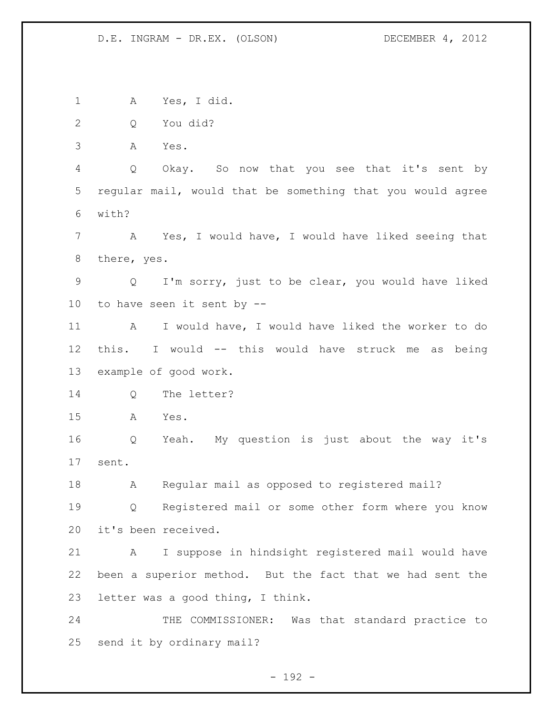A Yes, I did. Q You did? A Yes. Q Okay. So now that you see that it's sent by regular mail, would that be something that you would agree with? A Yes, I would have, I would have liked seeing that there, yes. Q I'm sorry, just to be clear, you would have liked to have seen it sent by -- A I would have, I would have liked the worker to do this. I would -- this would have struck me as being example of good work. Q The letter? A Yes. Q Yeah. My question is just about the way it's sent. A Regular mail as opposed to registered mail? Q Registered mail or some other form where you know it's been received. A I suppose in hindsight registered mail would have been a superior method. But the fact that we had sent the letter was a good thing, I think. 24 THE COMMISSIONER: Was that standard practice to send it by ordinary mail?

 $- 192 -$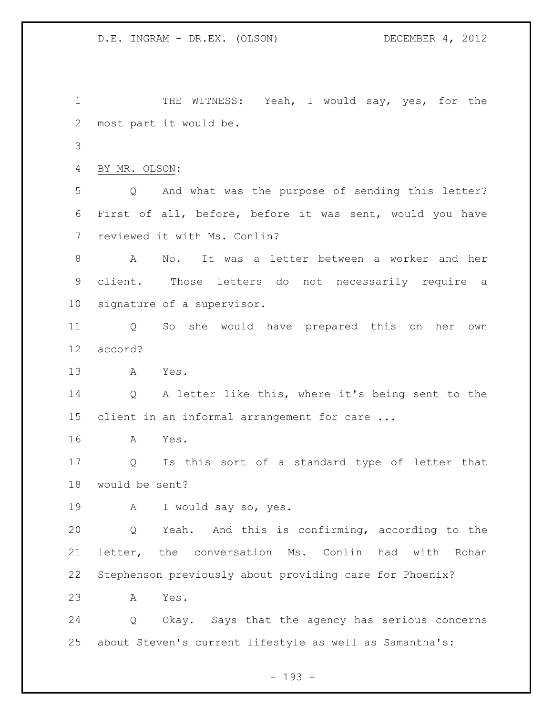THE WITNESS: Yeah, I would say, yes, for the most part it would be. BY MR. OLSON: Q And what was the purpose of sending this letter? First of all, before, before it was sent, would you have reviewed it with Ms. Conlin? A No. It was a letter between a worker and her client. Those letters do not necessarily require a signature of a supervisor. Q So she would have prepared this on her own accord? A Yes. Q A letter like this, where it's being sent to the client in an informal arrangement for care ... A Yes. Q Is this sort of a standard type of letter that would be sent? A I would say so, yes. Q Yeah. And this is confirming, according to the letter, the conversation Ms. Conlin had with Rohan Stephenson previously about providing care for Phoenix? A Yes. Q Okay. Says that the agency has serious concerns about Steven's current lifestyle as well as Samantha's:

- 193 -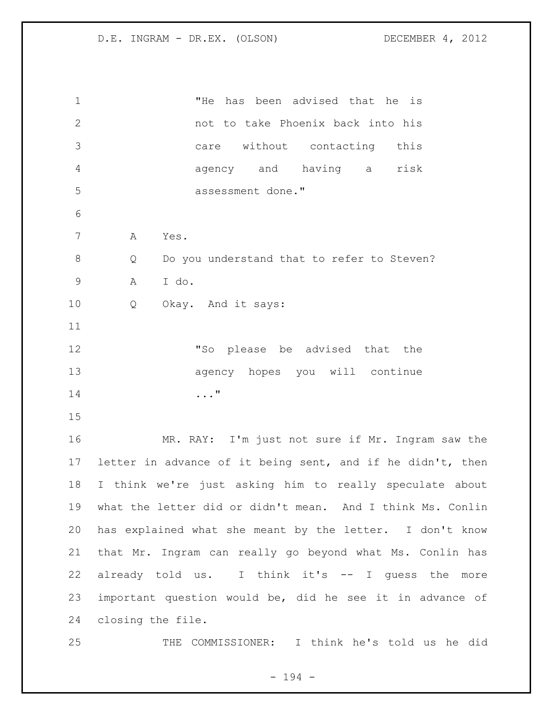| $\mathbf 1$     | "He has been advised that he is                            |
|-----------------|------------------------------------------------------------|
| 2               | not to take Phoenix back into his                          |
| 3               | care without contacting this                               |
| $\overline{4}$  | agency and having a<br>risk                                |
| 5               | assessment done."                                          |
| 6               |                                                            |
| $\overline{7}$  | Α<br>Yes.                                                  |
| $8\,$           | Do you understand that to refer to Steven?<br>Q            |
| $\overline{9}$  | I do.<br>Α                                                 |
| 10              | Okay. And it says:<br>Q                                    |
| 11              |                                                            |
| 12              | "So please be advised that the                             |
| 13              | agency hopes you will continue                             |
| 14              | . "                                                        |
| 15              |                                                            |
| 16              | MR. RAY: I'm just not sure if Mr. Ingram saw the           |
| 17 <sub>2</sub> | letter in advance of it being sent, and if he didn't, then |
| 18              | I think we're just asking him to really speculate about    |
| 19              | what the letter did or didn't mean. And I think Ms. Conlin |
| 20              | has explained what she meant by the letter. I don't know   |
| 21              | that Mr. Ingram can really go beyond what Ms. Conlin has   |
| 22              | already told us. I think it's -- I guess the more          |
| 23              | important question would be, did he see it in advance of   |
| 24              | closing the file.                                          |
| 25              | COMMISSIONER: I think he's told us he did<br>THE           |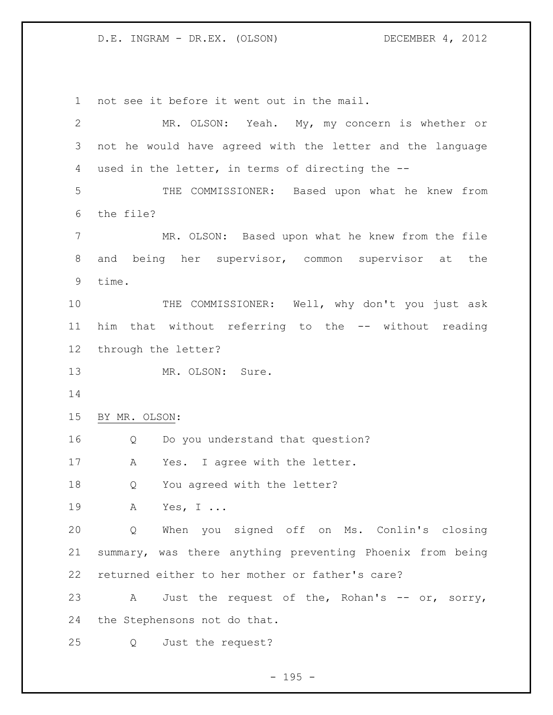not see it before it went out in the mail. MR. OLSON: Yeah. My, my concern is whether or not he would have agreed with the letter and the language used in the letter, in terms of directing the -- THE COMMISSIONER: Based upon what he knew from the file? MR. OLSON: Based upon what he knew from the file and being her supervisor, common supervisor at the time. THE COMMISSIONER: Well, why don't you just ask him that without referring to the -- without reading through the letter? 13 MR. OLSON: Sure. BY MR. OLSON: Q Do you understand that question? A Yes. I agree with the letter. Q You agreed with the letter? A Yes, I ... Q When you signed off on Ms. Conlin's closing summary, was there anything preventing Phoenix from being returned either to her mother or father's care? 23 A Just the request of the, Rohan's -- or, sorry, the Stephensons not do that. Q Just the request?

 $- 195 -$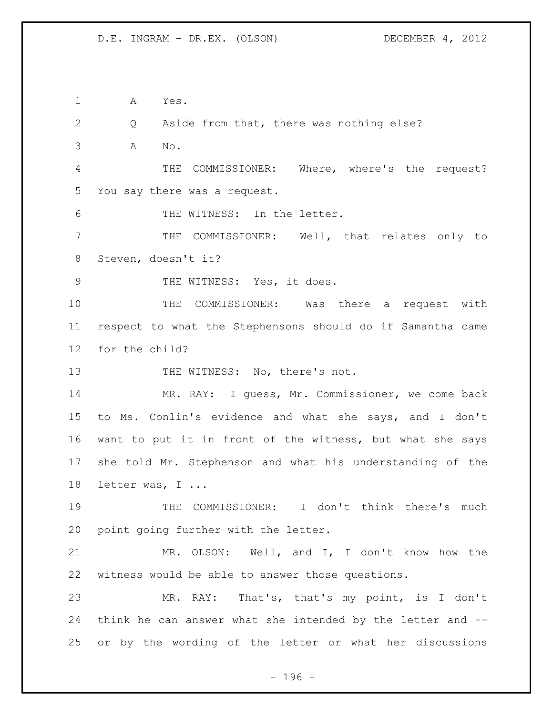A Yes.

 Q Aside from that, there was nothing else? A No. THE COMMISSIONER: Where, where's the request? You say there was a request. THE WITNESS: In the letter. THE COMMISSIONER: Well, that relates only to Steven, doesn't it? 9 THE WITNESS: Yes, it does. THE COMMISSIONER: Was there a request with respect to what the Stephensons should do if Samantha came for the child? 13 THE WITNESS: No, there's not. MR. RAY: I guess, Mr. Commissioner, we come back to Ms. Conlin's evidence and what she says, and I don't want to put it in front of the witness, but what she says she told Mr. Stephenson and what his understanding of the 18 letter was, I ... THE COMMISSIONER: I don't think there's much point going further with the letter. MR. OLSON: Well, and I, I don't know how the witness would be able to answer those questions. MR. RAY: That's, that's my point, is I don't think he can answer what she intended by the letter and -- or by the wording of the letter or what her discussions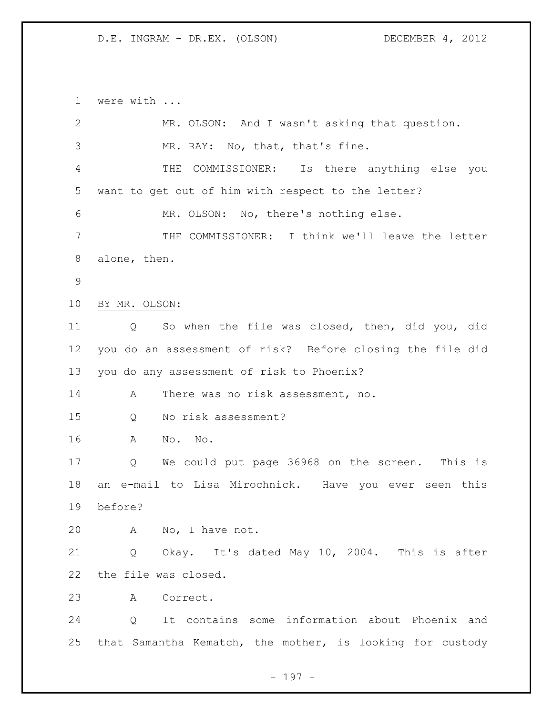were with ...

| $\overline{2}$ | MR. OLSON: And I wasn't asking that question.             |  |  |
|----------------|-----------------------------------------------------------|--|--|
| 3              | MR. RAY: No, that, that's fine.                           |  |  |
| 4              | Is there anything else you<br>COMMISSIONER:<br>THE        |  |  |
| 5              | want to get out of him with respect to the letter?        |  |  |
| 6              | MR. OLSON: No, there's nothing else.                      |  |  |
| 7              | THE COMMISSIONER: I think we'll leave the letter          |  |  |
| 8              | alone, then.                                              |  |  |
| $\mathcal{G}$  |                                                           |  |  |
| 10             | BY MR. OLSON:                                             |  |  |
| 11             | So when the file was closed, then, did you, did<br>Q      |  |  |
| 12             | you do an assessment of risk? Before closing the file did |  |  |
| 13             | you do any assessment of risk to Phoenix?                 |  |  |
| 14             | There was no risk assessment, no.<br>A                    |  |  |
| 15             | No risk assessment?<br>Q                                  |  |  |
| 16             | No. No.<br>A                                              |  |  |
| 17             | We could put page 36968 on the screen.<br>Q<br>This is    |  |  |
| 18             | an e-mail to Lisa Mirochnick. Have you ever seen this     |  |  |
| 19             | before?                                                   |  |  |
| 20             | A No, I have not.                                         |  |  |
| 21             | Okay. It's dated May 10, 2004. This is after<br>Q         |  |  |
| 22             | the file was closed.                                      |  |  |
| 23             | A Correct.                                                |  |  |
| 24             | Q It contains some information about Phoenix and          |  |  |
| 25             | that Samantha Kematch, the mother, is looking for custody |  |  |
|                |                                                           |  |  |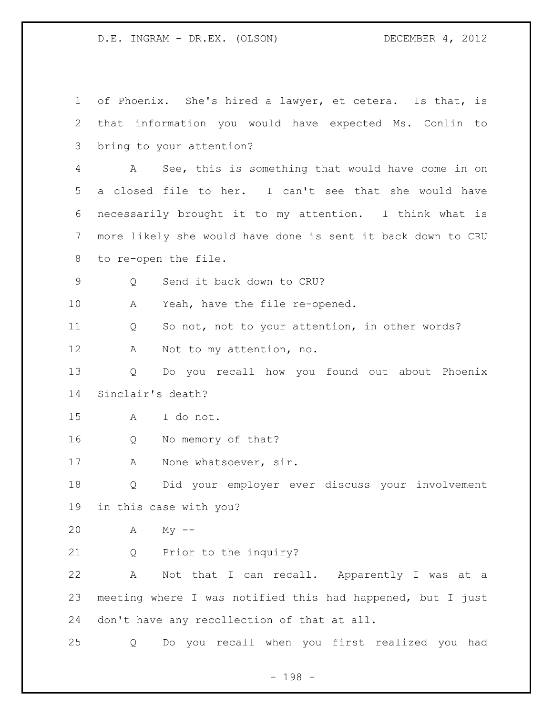of Phoenix. She's hired a lawyer, et cetera. Is that, is that information you would have expected Ms. Conlin to bring to your attention? A See, this is something that would have come in on a closed file to her. I can't see that she would have necessarily brought it to my attention. I think what is more likely she would have done is sent it back down to CRU to re-open the file. Q Send it back down to CRU? A Yeah, have the file re-opened. Q So not, not to your attention, in other words? A Not to my attention, no. Q Do you recall how you found out about Phoenix Sinclair's death? A I do not. Q No memory of that? A None whatsoever, sir. Q Did your employer ever discuss your involvement in this case with you? A My -- Q Prior to the inquiry? A Not that I can recall. Apparently I was at a meeting where I was notified this had happened, but I just don't have any recollection of that at all. Q Do you recall when you first realized you had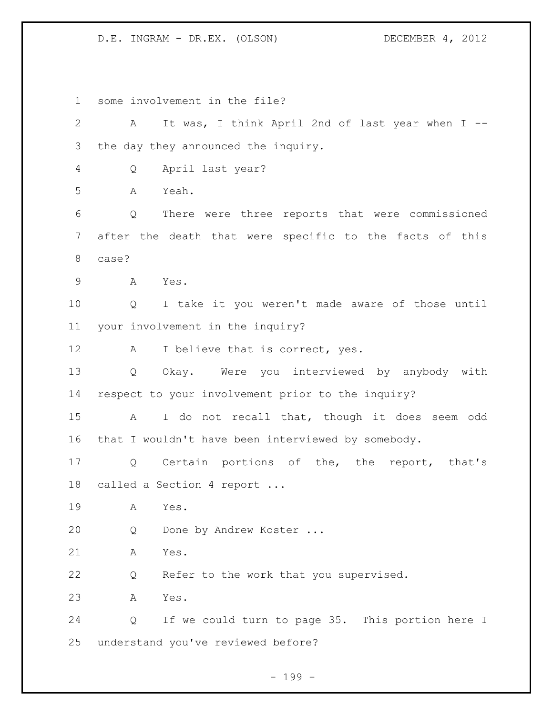some involvement in the file? A It was, I think April 2nd of last year when I -- the day they announced the inquiry. Q April last year? A Yeah. Q There were three reports that were commissioned after the death that were specific to the facts of this case? A Yes. Q I take it you weren't made aware of those until your involvement in the inquiry? 12 A I believe that is correct, yes. Q Okay. Were you interviewed by anybody with respect to your involvement prior to the inquiry? A I do not recall that, though it does seem odd that I wouldn't have been interviewed by somebody. Q Certain portions of the, the report, that's called a Section 4 report ... A Yes. Q Done by Andrew Koster ... A Yes. Q Refer to the work that you supervised. A Yes. Q If we could turn to page 35. This portion here I understand you've reviewed before?

- 199 -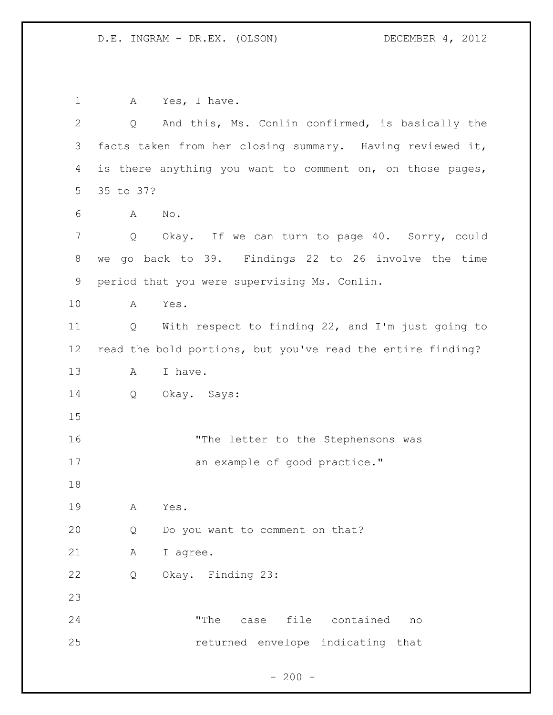1 A Yes, I have. Q And this, Ms. Conlin confirmed, is basically the facts taken from her closing summary. Having reviewed it, is there anything you want to comment on, on those pages, 35 to 37? A No. Q Okay. If we can turn to page 40. Sorry, could we go back to 39. Findings 22 to 26 involve the time period that you were supervising Ms. Conlin. A Yes. Q With respect to finding 22, and I'm just going to read the bold portions, but you've read the entire finding? 13 A I have. Q Okay. Says: 16 The letter to the Stephensons was 17 an example of good practice." A Yes. Q Do you want to comment on that? A I agree. Q Okay. Finding 23: "The case file contained no returned envelope indicating that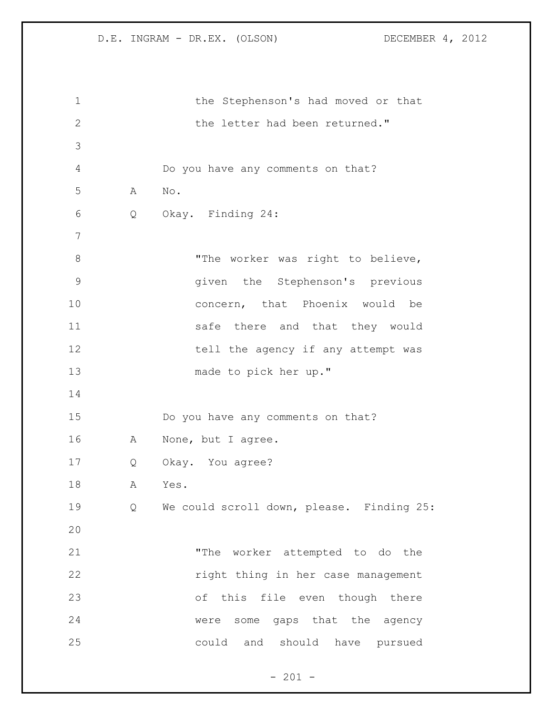1 the Stephenson's had moved or that 2 the letter had been returned." Do you have any comments on that? A No. Q Okay. Finding 24: 8 The worker was right to believe, given the Stephenson's previous concern, that Phoenix would be 11 safe there and that they would 12 tell the agency if any attempt was made to pick her up." Do you have any comments on that? A None, but I agree. Q Okay. You agree? A Yes. Q We could scroll down, please. Finding 25: "The worker attempted to do the right thing in her case management of this file even though there were some gaps that the agency could and should have pursued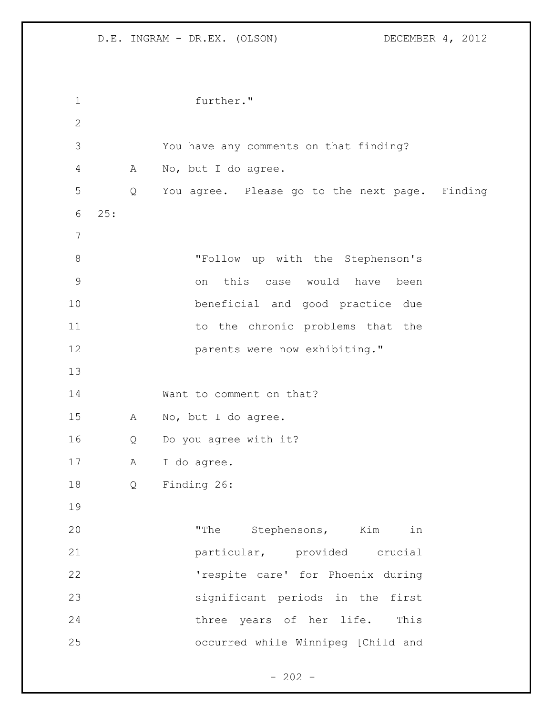| $\mathbf 1$    |     |   | further."                                      |
|----------------|-----|---|------------------------------------------------|
| $\mathbf 2$    |     |   |                                                |
| 3              |     |   | You have any comments on that finding?         |
| $\overline{4}$ |     | A | No, but I do agree.                            |
| 5              |     | Q | You agree. Please go to the next page. Finding |
| 6              | 25: |   |                                                |
| $7\phantom{.}$ |     |   |                                                |
| $\,8\,$        |     |   | "Follow up with the Stephenson's               |
| $\mathsf 9$    |     |   | this case would have<br>been<br>on             |
| 10             |     |   | beneficial and good practice due               |
| 11             |     |   | to the chronic problems that the               |
| 12             |     |   | parents were now exhibiting."                  |
| 13             |     |   |                                                |
| 14             |     |   | Want to comment on that?                       |
| 15             |     | Α | No, but I do agree.                            |
| 16             |     | Q | Do you agree with it?                          |
| 17             |     | Α | I do agree.                                    |
| 18             |     | Q | Finding 26:                                    |
| 19             |     |   |                                                |
| 20             |     |   | "The Stephensons, Kim in                       |
| 21             |     |   | particular, provided crucial                   |
| 22             |     |   | 'respite care' for Phoenix during              |
| 23             |     |   | significant periods in the first               |
| 24             |     |   | three years of her life. This                  |
| 25             |     |   | occurred while Winnipeg [Child and             |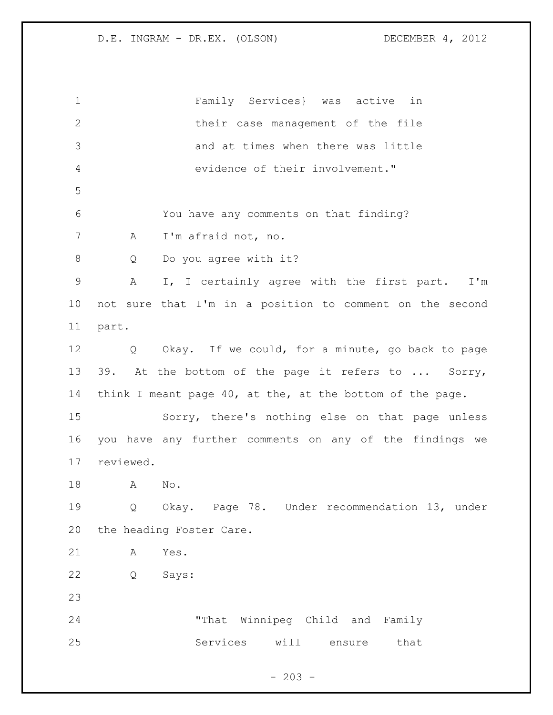Family Services} was active in their case management of the file and at times when there was little evidence of their involvement." You have any comments on that finding? A I'm afraid not, no. Q Do you agree with it? A I, I certainly agree with the first part. I'm not sure that I'm in a position to comment on the second part. Q Okay. If we could, for a minute, go back to page 39. At the bottom of the page it refers to ... Sorry, think I meant page 40, at the, at the bottom of the page. Sorry, there's nothing else on that page unless you have any further comments on any of the findings we reviewed. A No. Q Okay. Page 78. Under recommendation 13, under the heading Foster Care. A Yes. Q Says: "That Winnipeg Child and Family Services will ensure that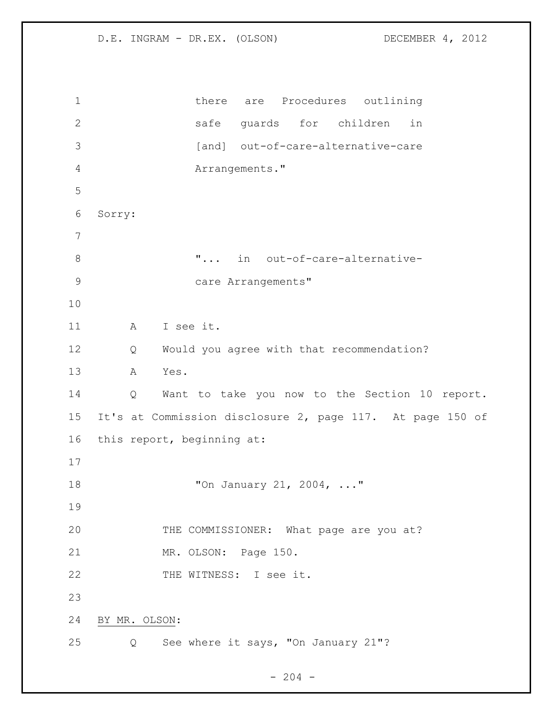1 there are Procedures outlining safe guards for children in 3 [and] out-of-care-alternative-care Arrangements." Sorry: 8  $\ldots$  "... in out-of-care-alternative-9 care Arrangements" A I see it. Q Would you agree with that recommendation? A Yes. Q Want to take you now to the Section 10 report. It's at Commission disclosure 2, page 117. At page 150 of this report, beginning at: "On January 21, 2004, ..." 20 THE COMMISSIONER: What page are you at? 21 MR. OLSON: Page 150. 22 THE WITNESS: I see it. BY MR. OLSON: Q See where it says, "On January 21"?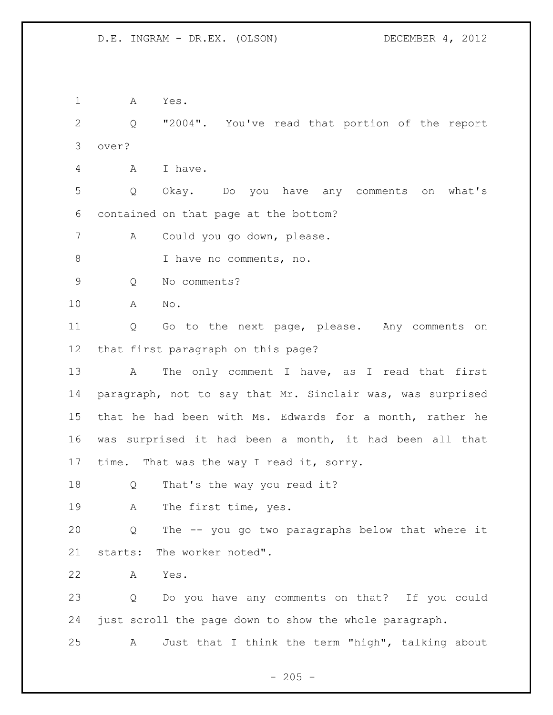A Yes. Q "2004". You've read that portion of the report over? A I have. Q Okay. Do you have any comments on what's contained on that page at the bottom? A Could you go down, please. 8 I have no comments, no. Q No comments? A No. Q Go to the next page, please. Any comments on that first paragraph on this page? 13 A The only comment I have, as I read that first paragraph, not to say that Mr. Sinclair was, was surprised that he had been with Ms. Edwards for a month, rather he was surprised it had been a month, it had been all that 17 time. That was the way I read it, sorry. 18 Q That's the way you read it? A The first time, yes. Q The -- you go two paragraphs below that where it starts: The worker noted". A Yes. Q Do you have any comments on that? If you could just scroll the page down to show the whole paragraph. A Just that I think the term "high", talking about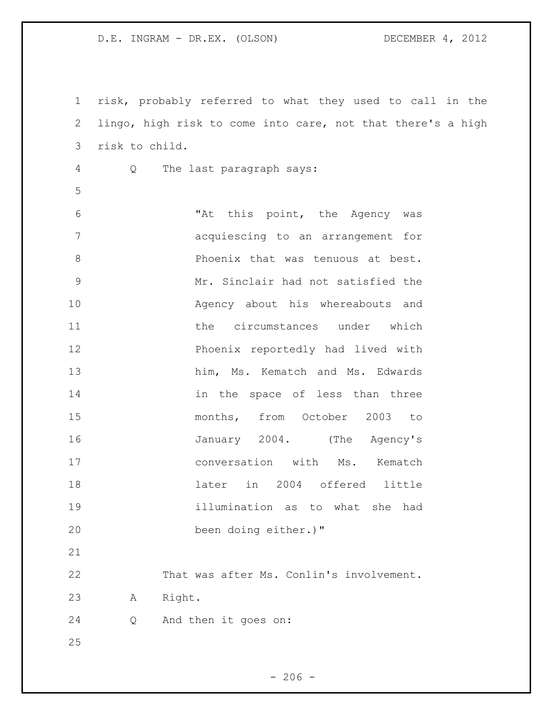risk, probably referred to what they used to call in the lingo, high risk to come into care, not that there's a high risk to child.

Q The last paragraph says:

 "At this point, the Agency was acquiescing to an arrangement for **Phoenix that was tenuous at best.**  Mr. Sinclair had not satisfied the Agency about his whereabouts and the circumstances under which Phoenix reportedly had lived with him, Ms. Kematch and Ms. Edwards 14 in the space of less than three months, from October 2003 to January 2004. (The Agency's 17 conversation with Ms. Kematch later in 2004 offered little illumination as to what she had been doing either.)" 

 That was after Ms. Conlin's involvement. A Right.

Q And then it goes on: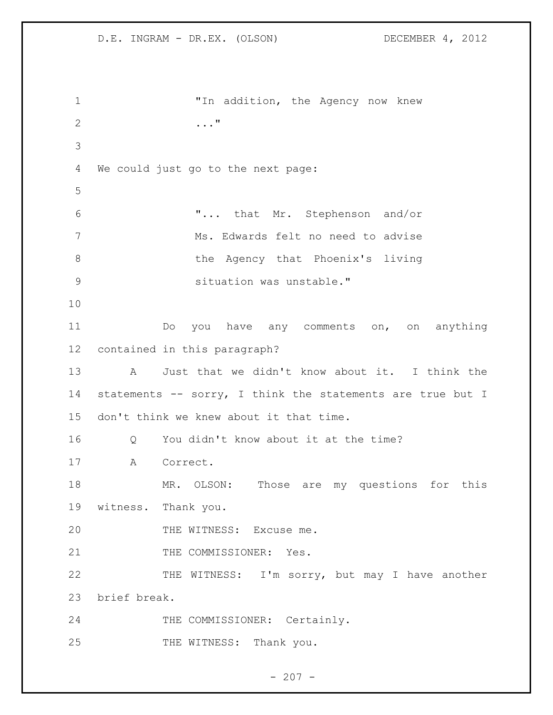"In addition, the Agency now knew ..." We could just go to the next page: "... that Mr. Stephenson and/or Ms. Edwards felt no need to advise the Agency that Phoenix's living situation was unstable." Do you have any comments on, on anything contained in this paragraph? A Just that we didn't know about it. I think the 14 statements -- sorry, I think the statements are true but I don't think we knew about it that time. Q You didn't know about it at the time? A Correct. MR. OLSON: Those are my questions for this witness. Thank you. 20 THE WITNESS: Excuse me. 21 THE COMMISSIONER: Yes. 22 THE WITNESS: I'm sorry, but may I have another brief break. 24 THE COMMISSIONER: Certainly. 25 THE WITNESS: Thank you.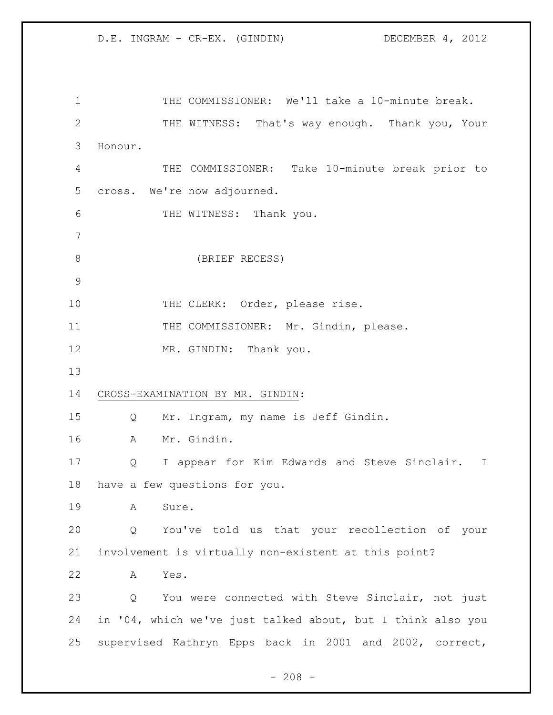1 THE COMMISSIONER: We'll take a 10-minute break. 2 THE WITNESS: That's way enough. Thank you, Your Honour. THE COMMISSIONER: Take 10-minute break prior to cross. We're now adjourned. THE WITNESS: Thank you. (BRIEF RECESS) 10 THE CLERK: Order, please rise. 11 THE COMMISSIONER: Mr. Gindin, please. 12 MR. GINDIN: Thank you. CROSS-EXAMINATION BY MR. GINDIN: Q Mr. Ingram, my name is Jeff Gindin. A Mr. Gindin. Q I appear for Kim Edwards and Steve Sinclair. I have a few questions for you. A Sure. Q You've told us that your recollection of your involvement is virtually non-existent at this point? A Yes. Q You were connected with Steve Sinclair, not just in '04, which we've just talked about, but I think also you supervised Kathryn Epps back in 2001 and 2002, correct,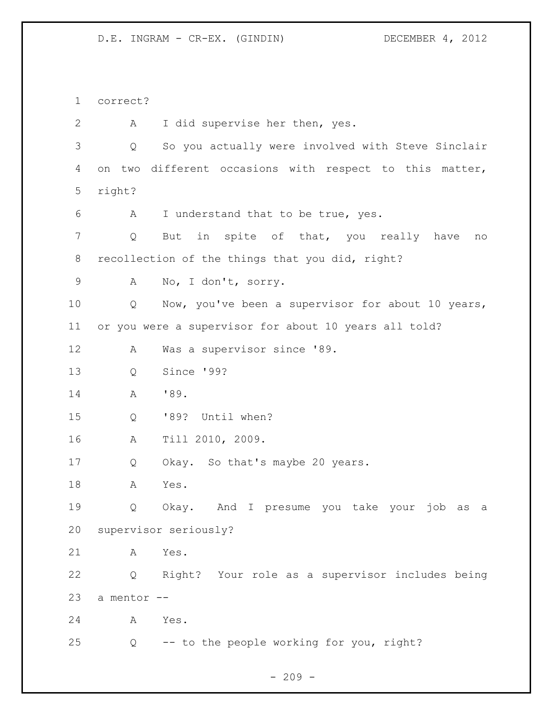correct? A I did supervise her then, yes. Q So you actually were involved with Steve Sinclair on two different occasions with respect to this matter, right? A I understand that to be true, yes. Q But in spite of that, you really have no recollection of the things that you did, right? A No, I don't, sorry. Q Now, you've been a supervisor for about 10 years, or you were a supervisor for about 10 years all told? A Was a supervisor since '89. Q Since '99? A '89. Q '89? Until when? A Till 2010, 2009. Q Okay. So that's maybe 20 years. A Yes. Q Okay. And I presume you take your job as a supervisor seriously? A Yes. Q Right? Your role as a supervisor includes being a mentor -- A Yes. Q -- to the people working for you, right?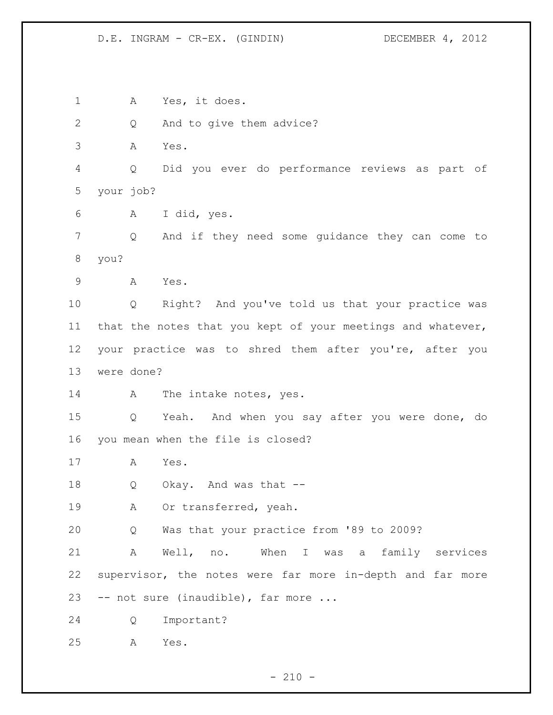D.E. INGRAM - CR-EX. (GINDIN) DECEMBER 4, 2012

 A Yes, it does. Q And to give them advice? A Yes. Q Did you ever do performance reviews as part of your job? A I did, yes. Q And if they need some guidance they can come to you? A Yes. Q Right? And you've told us that your practice was that the notes that you kept of your meetings and whatever, your practice was to shred them after you're, after you were done? 14 A The intake notes, yes. Q Yeah. And when you say after you were done, do you mean when the file is closed? A Yes. Q Okay. And was that -- A Or transferred, yeah. Q Was that your practice from '89 to 2009? A Well, no. When I was a family services supervisor, the notes were far more in-depth and far more -- not sure (inaudible), far more ... Q Important? A Yes.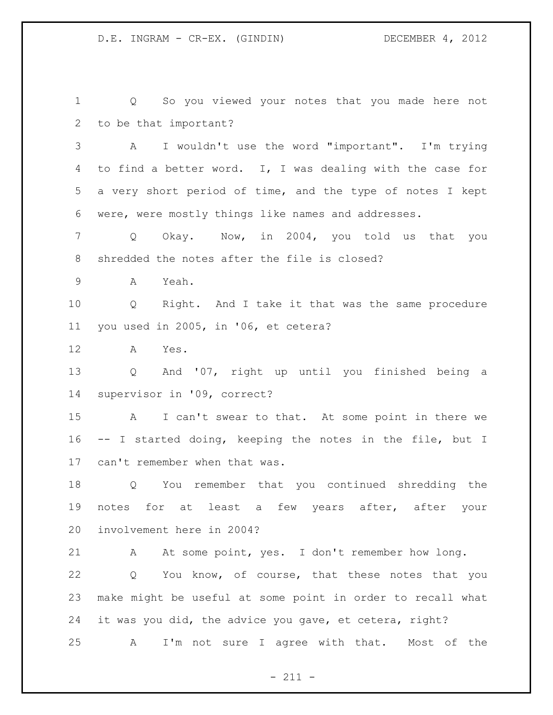Q So you viewed your notes that you made here not to be that important? A I wouldn't use the word "important". I'm trying to find a better word. I, I was dealing with the case for a very short period of time, and the type of notes I kept were, were mostly things like names and addresses. Q Okay. Now, in 2004, you told us that you shredded the notes after the file is closed? A Yeah. Q Right. And I take it that was the same procedure you used in 2005, in '06, et cetera? A Yes. Q And '07, right up until you finished being a supervisor in '09, correct? A I can't swear to that. At some point in there we -- I started doing, keeping the notes in the file, but I can't remember when that was. Q You remember that you continued shredding the notes for at least a few years after, after your involvement here in 2004? A At some point, yes. I don't remember how long. Q You know, of course, that these notes that you make might be useful at some point in order to recall what it was you did, the advice you gave, et cetera, right? A I'm not sure I agree with that. Most of the

 $- 211 -$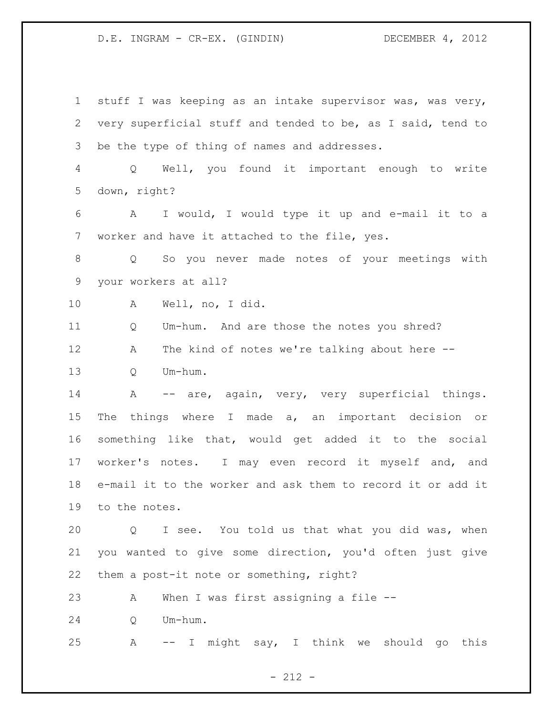D.E. INGRAM - CR-EX. (GINDIN) DECEMBER 4, 2012

 stuff I was keeping as an intake supervisor was, was very, very superficial stuff and tended to be, as I said, tend to be the type of thing of names and addresses. Q Well, you found it important enough to write down, right? A I would, I would type it up and e-mail it to a worker and have it attached to the file, yes. Q So you never made notes of your meetings with your workers at all? A Well, no, I did. Q Um-hum. And are those the notes you shred? A The kind of notes we're talking about here -- 13 O Um-hum. 14 A -- are, again, very, very superficial things. The things where I made a, an important decision or something like that, would get added it to the social worker's notes. I may even record it myself and, and e-mail it to the worker and ask them to record it or add it to the notes. Q I see. You told us that what you did was, when you wanted to give some direction, you'd often just give them a post-it note or something, right? A When I was first assigning a file -- Q Um-hum. A -- I might say, I think we should go this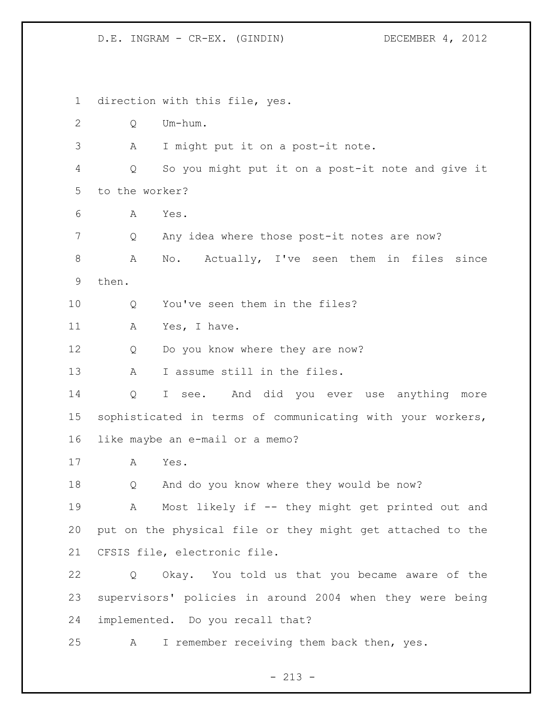D.E. INGRAM - CR-EX. (GINDIN) DECEMBER 4, 2012

 direction with this file, yes. Q Um-hum. A I might put it on a post-it note. Q So you might put it on a post-it note and give it to the worker? A Yes. Q Any idea where those post-it notes are now? A No. Actually, I've seen them in files since then. 10 0 You've seen them in the files? 11 A Yes, I have. 12 Q Do you know where they are now? 13 A I assume still in the files. Q I see. And did you ever use anything more sophisticated in terms of communicating with your workers, like maybe an e-mail or a memo? A Yes. Q And do you know where they would be now? A Most likely if -- they might get printed out and put on the physical file or they might get attached to the CFSIS file, electronic file. Q Okay. You told us that you became aware of the supervisors' policies in around 2004 when they were being implemented. Do you recall that? A I remember receiving them back then, yes.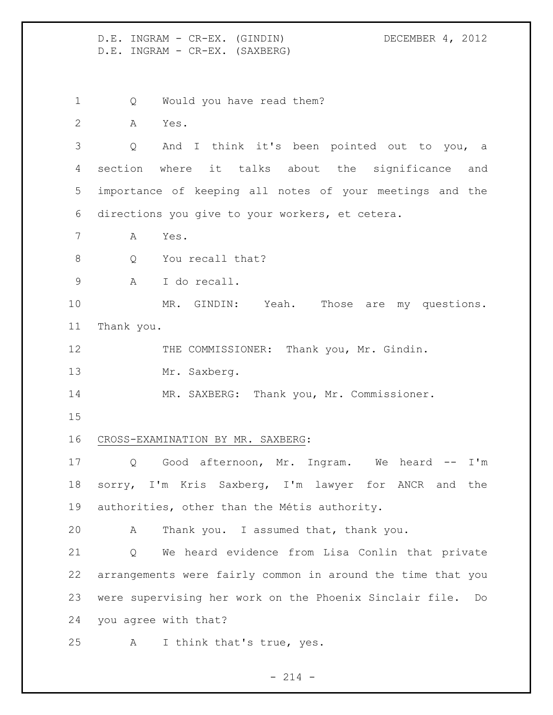D.E. INGRAM - CR-EX. (GINDIN) DECEMBER 4, 2012 D.E. INGRAM - CR-EX. (SAXBERG)

1 Q Would you have read them?

A Yes.

 Q And I think it's been pointed out to you, a section where it talks about the significance and importance of keeping all notes of your meetings and the directions you give to your workers, et cetera.

- A Yes.
- 8 O You recall that?
- A I do recall.

10 MR. GINDIN: Yeah. Those are my questions. Thank you.

12 THE COMMISSIONER: Thank you, Mr. Gindin.

13 Mr. Saxberg.

14 MR. SAXBERG: Thank you, Mr. Commissioner.

## CROSS-EXAMINATION BY MR. SAXBERG:

 Q Good afternoon, Mr. Ingram. We heard -- I'm sorry, I'm Kris Saxberg, I'm lawyer for ANCR and the authorities, other than the Métis authority.

A Thank you. I assumed that, thank you.

 Q We heard evidence from Lisa Conlin that private arrangements were fairly common in around the time that you were supervising her work on the Phoenix Sinclair file. Do you agree with that?

A I think that's true, yes.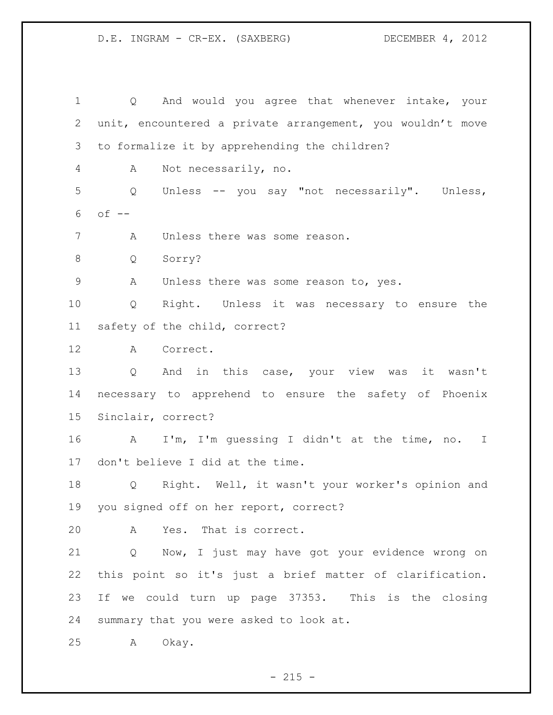D.E. INGRAM - CR-EX. (SAXBERG) DECEMBER 4, 2012

 Q And would you agree that whenever intake, your unit, encountered a private arrangement, you wouldn't move to formalize it by apprehending the children? A Not necessarily, no. Q Unless -- you say "not necessarily". Unless, of  $-$  A Unless there was some reason. Q Sorry? A Unless there was some reason to, yes. Q Right. Unless it was necessary to ensure the safety of the child, correct? A Correct. Q And in this case, your view was it wasn't necessary to apprehend to ensure the safety of Phoenix Sinclair, correct? A I'm, I'm guessing I didn't at the time, no. I don't believe I did at the time. Q Right. Well, it wasn't your worker's opinion and you signed off on her report, correct? A Yes. That is correct. Q Now, I just may have got your evidence wrong on this point so it's just a brief matter of clarification. If we could turn up page 37353. This is the closing summary that you were asked to look at. A Okay.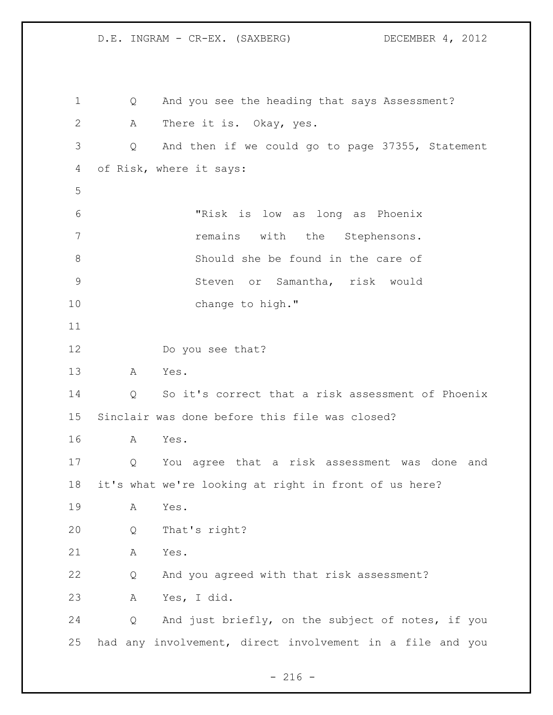D.E. INGRAM - CR-EX. (SAXBERG) DECEMBER 4, 2012 Q And you see the heading that says Assessment? A There it is. Okay, yes. Q And then if we could go to page 37355, Statement of Risk, where it says: "Risk is low as long as Phoenix **1** remains with the Stephensons. Should she be found in the care of Steven or Samantha, risk would 10 change to high." Do you see that? A Yes. Q So it's correct that a risk assessment of Phoenix Sinclair was done before this file was closed? A Yes. Q You agree that a risk assessment was done and it's what we're looking at right in front of us here? A Yes. Q That's right? A Yes. Q And you agreed with that risk assessment? A Yes, I did. Q And just briefly, on the subject of notes, if you had any involvement, direct involvement in a file and you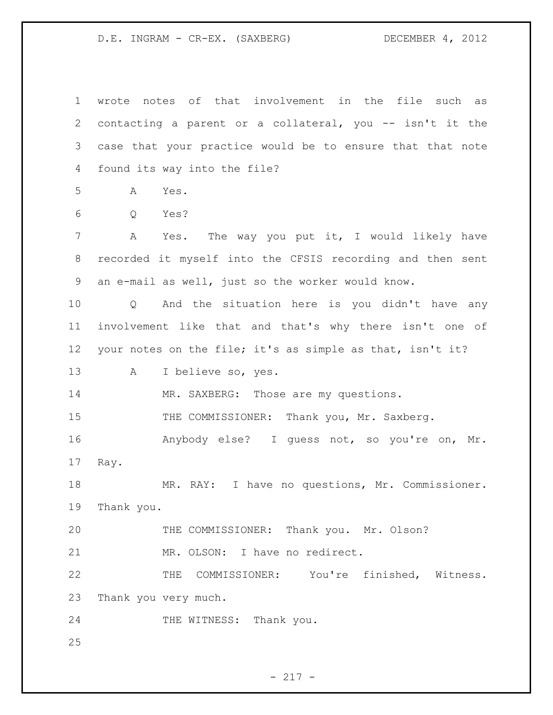D.E. INGRAM - CR-EX. (SAXBERG) DECEMBER 4, 2012

| $\mathbf 1$ | wrote notes of that involvement in the file such as                |
|-------------|--------------------------------------------------------------------|
| 2           | contacting a parent or a collateral, you -- isn't it the           |
| 3           | case that your practice would be to ensure that that note          |
| 4           | found its way into the file?                                       |
| 5           | Yes.<br>A                                                          |
| 6           | Yes?<br>Q                                                          |
| 7           | A Yes. The way you put it, I would likely have                     |
| 8           | recorded it myself into the CFSIS recording and then sent          |
| 9           | an e-mail as well, just so the worker would know.                  |
| 10          | And the situation here is you didn't have any<br>$Q \qquad \qquad$ |
| 11          | involvement like that and that's why there isn't one of            |
| 12          | your notes on the file; it's as simple as that, isn't it?          |
| 13          | I believe so, yes.<br>A                                            |
| 14          | MR. SAXBERG: Those are my questions.                               |
| 15          | THE COMMISSIONER: Thank you, Mr. Saxberg.                          |
| 16          | Anybody else? I quess not, so you're on, Mr.                       |
| 17          | Ray.                                                               |
| 18          | MR. RAY: I have no questions, Mr. Commissioner.                    |
| 19          | Thank you.                                                         |
| 20          | THE COMMISSIONER: Thank you. Mr. Olson?                            |
| 21          | MR. OLSON: I have no redirect.                                     |
| 22          | THE COMMISSIONER: You're finished, Witness.                        |
| 23          | Thank you very much.                                               |
| 24          | THE WITNESS: Thank you.                                            |
| 25          |                                                                    |

- 217 -